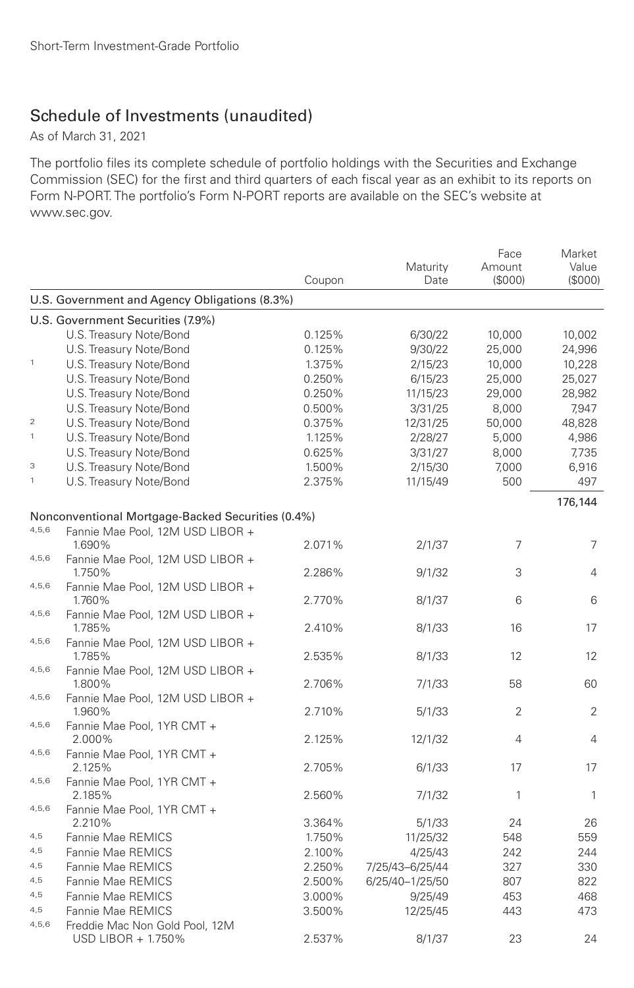# Schedule of Investments (unaudited)

As of March 31, 2021

The portfolio files its complete schedule of portfolio holdings with the Securities and Exchange Commission (SEC) for the first and third quarters of each fiscal year as an exhibit to its reports on Form N-PORT. The portfolio's Form N-PORT reports are available on the SEC's website at www.sec.gov.

|                |                                                      | Coupon | Maturity<br>Date | Face<br>Amount<br>(S000) | Market<br>Value<br>(S000) |
|----------------|------------------------------------------------------|--------|------------------|--------------------------|---------------------------|
|                | U.S. Government and Agency Obligations (8.3%)        |        |                  |                          |                           |
|                | U.S. Government Securities (7.9%)                    |        |                  |                          |                           |
|                | U.S. Treasury Note/Bond                              | 0.125% | 6/30/22          | 10,000                   | 10,002                    |
|                | U.S. Treasury Note/Bond                              | 0.125% | 9/30/22          | 25,000                   | 24,996                    |
| $\mathbf{1}$   | U.S. Treasury Note/Bond                              | 1.375% | 2/15/23          | 10,000                   | 10,228                    |
|                | U.S. Treasury Note/Bond                              | 0.250% | 6/15/23          | 25,000                   | 25,027                    |
|                | U.S. Treasury Note/Bond                              | 0.250% | 11/15/23         | 29,000                   | 28,982                    |
|                | U.S. Treasury Note/Bond                              | 0.500% | 3/31/25          | 8,000                    | 7,947                     |
| $\overline{2}$ | U.S. Treasury Note/Bond                              | 0.375% | 12/31/25         | 50,000                   | 48,828                    |
| $\,$ 1         | U.S. Treasury Note/Bond                              | 1.125% | 2/28/27          | 5,000                    | 4,986                     |
|                | U.S. Treasury Note/Bond                              | 0.625% | 3/31/27          | 8,000                    | 7,735                     |
| 3              | U.S. Treasury Note/Bond                              | 1.500% | 2/15/30          | 7,000                    | 6,916                     |
| $\mathbf{1}$   | U.S. Treasury Note/Bond                              | 2.375% | 11/15/49         | 500                      | 497                       |
|                |                                                      |        |                  |                          | 176,144                   |
|                | Nonconventional Mortgage-Backed Securities (0.4%)    |        |                  |                          |                           |
| 4,5,6          | Fannie Mae Pool, 12M USD LIBOR +                     |        |                  |                          |                           |
| 4,5,6          | 1.690%                                               | 2.071% | 2/1/37           | $\overline{7}$           | $\overline{7}$            |
|                | Fannie Mae Pool, 12M USD LIBOR +<br>1.750%           | 2.286% | 9/1/32           | 3                        | 4                         |
| 4,5,6          | Fannie Mae Pool, 12M USD LIBOR +<br>1.760%           | 2.770% | 8/1/37           | 6                        | 6                         |
| 4,5,6          | Fannie Mae Pool, 12M USD LIBOR +<br>1.785%           | 2.410% | 8/1/33           | 16                       | 17                        |
| 4,5,6          | Fannie Mae Pool, 12M USD LIBOR +<br>1.785%           | 2.535% | 8/1/33           | 12                       | 12                        |
| 4,5,6          | Fannie Mae Pool, 12M USD LIBOR +<br>1.800%           | 2.706% | 7/1/33           | 58                       | 60                        |
| 4,5,6          | Fannie Mae Pool, 12M USD LIBOR +                     |        |                  |                          |                           |
|                | 1.960%                                               | 2.710% | 5/1/33           | 2                        | 2                         |
| 4,5,6          | Fannie Mae Pool, 1YR CMT +                           |        |                  |                          |                           |
| 4,5,6          | 2.000%                                               | 2.125% | 12/1/32          | 4                        | 4                         |
|                | Fannie Mae Pool, 1YR CMT +<br>2.125%                 | 2.705% | 6/1/33           | 17                       | 17                        |
| 4,5,6          | Fannie Mae Pool, 1YR CMT +                           |        |                  |                          |                           |
| 4,5,6          | 2.185%<br>Fannie Mae Pool, 1YR CMT +                 | 2.560% | 7/1/32           | 1                        | 1                         |
|                | 2.210%                                               | 3.364% | 5/1/33           | 24                       | 26                        |
| 4,5            | Fannie Mae REMICS                                    | 1.750% | 11/25/32         | 548                      | 559                       |
| 4,5            | Fannie Mae REMICS                                    | 2.100% | 4/25/43          | 242                      | 244                       |
| 4,5            | Fannie Mae REMICS                                    | 2.250% | 7/25/43-6/25/44  | 327                      | 330                       |
| 4,5            | Fannie Mae REMICS                                    | 2.500% | 6/25/40-1/25/50  | 807                      | 822                       |
| 4,5            | Fannie Mae REMICS                                    | 3.000% | 9/25/49          | 453                      | 468                       |
| 4,5            | Fannie Mae REMICS                                    | 3.500% | 12/25/45         | 443                      | 473                       |
| 4,5,6          | Freddie Mac Non Gold Pool, 12M<br>USD LIBOR + 1.750% | 2.537% | 8/1/37           | 23                       | 24                        |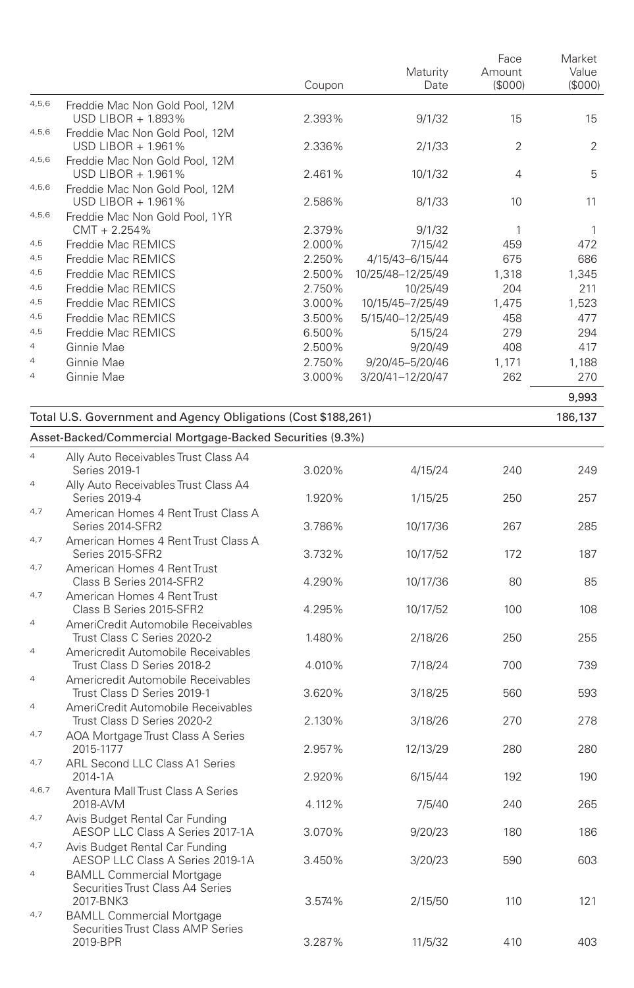|                                  |                                                                                                        | Coupon | Maturity<br>Date  | Face<br>Amount<br>(\$000) | Market<br>Value<br>(\$000) |
|----------------------------------|--------------------------------------------------------------------------------------------------------|--------|-------------------|---------------------------|----------------------------|
| 4,5,6                            | Freddie Mac Non Gold Pool, 12M<br>USD LIBOR + 1.893%                                                   | 2.393% | 9/1/32            | 15                        | 15                         |
| 4,5,6                            | Freddie Mac Non Gold Pool, 12M<br>USD LIBOR + 1.961%                                                   | 2.336% | 2/1/33            | 2                         | 2                          |
| 4,5,6                            | Freddie Mac Non Gold Pool, 12M<br>USD LIBOR + 1.961%                                                   | 2.461% | 10/1/32           | $\overline{4}$            | 5                          |
| 4,5,6                            | Freddie Mac Non Gold Pool, 12M<br>USD LIBOR + 1.961%                                                   | 2.586% | 8/1/33            | 10                        | 11                         |
| 4,5,6                            | Freddie Mac Non Gold Pool, 1YR<br>$CMT + 2.254%$                                                       | 2.379% | 9/1/32            | 1                         | $\mathbf{1}$               |
| 4,5                              | Freddie Mac REMICS                                                                                     | 2.000% | 7/15/42           |                           | 472                        |
| 4,5                              | Freddie Mac REMICS                                                                                     | 2.250% | 4/15/43-6/15/44   | 459<br>675                | 686                        |
| 4,5                              | Freddie Mac REMICS                                                                                     | 2.500% | 10/25/48-12/25/49 | 1,318                     | 1,345                      |
| 4,5                              | Freddie Mac REMICS                                                                                     | 2.750% | 10/25/49          | 204                       | 211                        |
| 4,5                              | Freddie Mac REMICS                                                                                     | 3.000% | 10/15/45-7/25/49  | 1,475                     | 1,523                      |
| 4,5                              | Freddie Mac REMICS                                                                                     | 3.500% | 5/15/40-12/25/49  | 458                       | 477                        |
| 4,5                              | Freddie Mac REMICS                                                                                     | 6.500% | 5/15/24           | 279                       | 294                        |
| $\overline{4}$                   | Ginnie Mae                                                                                             | 2.500% | 9/20/49           | 408                       | 417                        |
| $\overline{4}$                   | Ginnie Mae                                                                                             | 2.750% | 9/20/45-5/20/46   | 1,171                     | 1,188                      |
| $\overline{4}$                   | Ginnie Mae                                                                                             | 3.000% | 3/20/41-12/20/47  | 262                       | 270                        |
|                                  |                                                                                                        |        |                   |                           | 9,993                      |
|                                  | Total U.S. Government and Agency Obligations (Cost \$188,261)                                          |        |                   |                           | 186,137                    |
|                                  | Asset-Backed/Commercial Mortgage-Backed Securities (9.3%)                                              |        |                   |                           |                            |
| $\overline{4}$                   | Ally Auto Receivables Trust Class A4<br>Series 2019-1                                                  | 3.020% | 4/15/24           | 240                       | 249                        |
| $\overline{4}$                   | Ally Auto Receivables Trust Class A4<br>Series 2019-4                                                  | 1.920% | 1/15/25           | 250                       | 257                        |
| 4,7                              | American Homes 4 Rent Trust Class A<br>Series 2014-SFR2                                                | 3.786% | 10/17/36          | 267                       | 285                        |
| 4,7                              | American Homes 4 Rent Trust Class A<br>Series 2015-SFR2                                                | 3.732% | 10/17/52          | 172                       | 187                        |
| 4,7                              | American Homes 4 Rent Trust<br>Class B Series 2014-SFR2                                                | 4.290% | 10/17/36          | 80                        | 85                         |
| 4,7                              | American Homes 4 Rent Trust<br>Class B Series 2015-SFR2                                                | 4.295% | 10/17/52          | 100                       | 108                        |
| $\overline{4}$                   | AmeriCredit Automobile Receivables<br>Trust Class C Series 2020-2                                      | 1.480% | 2/18/26           | 250                       | 255                        |
| $\overline{4}$                   | Americredit Automobile Receivables<br>Trust Class D Series 2018-2                                      | 4.010% | 7/18/24           | 700                       | 739                        |
| $\overline{4}$<br>$\overline{4}$ | Americredit Automobile Receivables<br>Trust Class D Series 2019-1                                      | 3.620% | 3/18/25           | 560                       | 593                        |
| 4,7                              | AmeriCredit Automobile Receivables<br>Trust Class D Series 2020-2<br>AOA Mortgage Trust Class A Series | 2.130% | 3/18/26           | 270                       | 278                        |
| 4,7                              | 2015-1177<br>ARL Second LLC Class A1 Series                                                            | 2.957% | 12/13/29          | 280                       | 280                        |
| 4, 6, 7                          | 2014-1A<br>Aventura Mall Trust Class A Series                                                          | 2.920% | 6/15/44           | 192                       | 190                        |
| 4,7                              | 2018-AVM<br>Avis Budget Rental Car Funding                                                             | 4.112% | 7/5/40            | 240                       | 265                        |
| 4,7                              | AESOP LLC Class A Series 2017-1A<br>Avis Budget Rental Car Funding                                     | 3.070% | 9/20/23           | 180                       | 186                        |
| $\overline{a}$                   | AESOP LLC Class A Series 2019-1A<br><b>BAMLL Commercial Mortgage</b>                                   | 3.450% | 3/20/23           | 590                       | 603                        |
| 4,7                              | Securities Trust Class A4 Series<br>2017-BNK3<br><b>BAMLL Commercial Mortgage</b>                      | 3.574% | 2/15/50           | 110                       | 121                        |
|                                  | Securities Trust Class AMP Series<br>2019-BPR                                                          | 3.287% | 11/5/32           | 410                       | 403                        |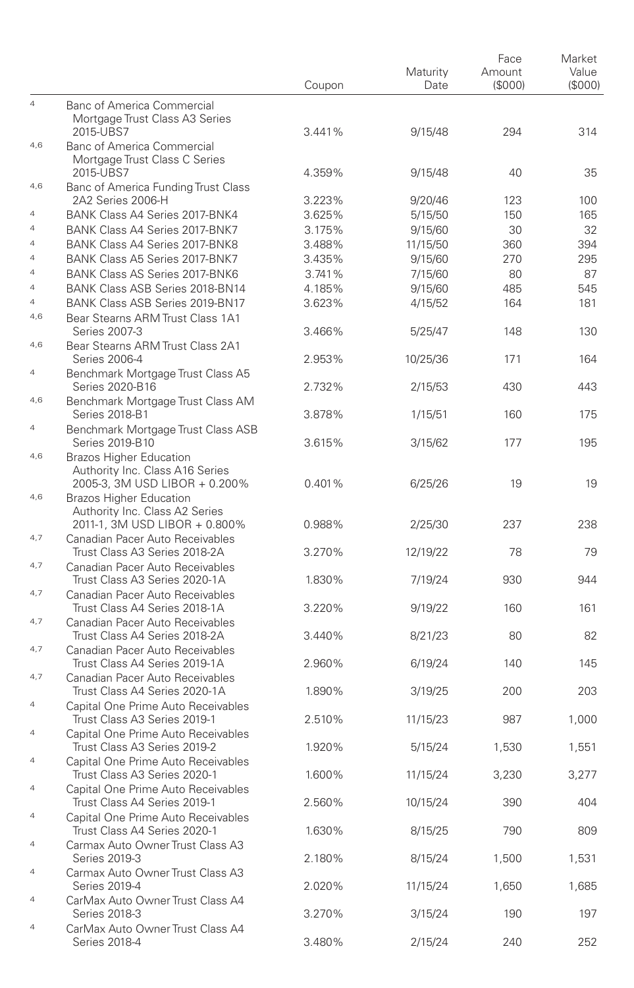|                                  |                                                                     | Coupon | Maturity<br>Date | Face<br>Amount<br>(\$000) | Market<br>Value<br>(\$000) |
|----------------------------------|---------------------------------------------------------------------|--------|------------------|---------------------------|----------------------------|
| $\overline{4}$                   | Banc of America Commercial                                          |        |                  |                           |                            |
|                                  | Mortgage Trust Class A3 Series                                      |        |                  |                           |                            |
|                                  | 2015-UBS7                                                           | 3.441% | 9/15/48          | 294                       | 314                        |
| 4,6                              | <b>Banc of America Commercial</b><br>Mortgage Trust Class C Series  |        |                  |                           |                            |
|                                  | 2015-UBS7                                                           | 4.359% | 9/15/48          | 40                        | 35                         |
| 4,6                              | Banc of America Funding Trust Class                                 |        |                  |                           |                            |
|                                  | 2A2 Series 2006-H                                                   | 3.223% | 9/20/46          | 123                       | 100                        |
| $\overline{a}$                   | BANK Class A4 Series 2017-BNK4                                      | 3.625% | 5/15/50          | 150                       | 165                        |
| $\overline{4}$                   | BANK Class A4 Series 2017-BNK7                                      | 3.175% | 9/15/60          | 30                        | 32                         |
| $\overline{4}$                   | BANK Class A4 Series 2017-BNK8                                      | 3.488% | 11/15/50         | 360                       | 394                        |
| $\overline{4}$                   | BANK Class A5 Series 2017-BNK7                                      | 3.435% | 9/15/60          | 270                       | 295                        |
| $\overline{4}$                   | <b>BANK Class AS Series 2017-BNK6</b>                               | 3.741% | 7/15/60          | 80                        | 87                         |
| $\overline{4}$<br>$\overline{4}$ | BANK Class ASB Series 2018-BN14                                     | 4.185% | 9/15/60          | 485                       | 545                        |
| 4,6                              | BANK Class ASB Series 2019-BN17<br>Bear Stearns ARM Trust Class 1A1 | 3.623% | 4/15/52          | 164                       | 181                        |
|                                  | Series 2007-3                                                       | 3.466% | 5/25/47          | 148                       | 130                        |
| 4,6                              | Bear Stearns ARM Trust Class 2A1                                    |        |                  |                           |                            |
|                                  | Series 2006-4                                                       | 2.953% | 10/25/36         | 171                       | 164                        |
| $\overline{4}$                   | Benchmark Mortgage Trust Class A5                                   |        |                  |                           |                            |
|                                  | Series 2020-B16                                                     | 2.732% | 2/15/53          | 430                       | 443                        |
| 4,6                              | Benchmark Mortgage Trust Class AM                                   |        |                  |                           |                            |
|                                  | Series 2018-B1                                                      | 3.878% | 1/15/51          | 160                       | 175                        |
| $\overline{4}$                   | Benchmark Mortgage Trust Class ASB                                  |        |                  |                           |                            |
|                                  | Series 2019-B10                                                     | 3.615% | 3/15/62          | 177                       | 195                        |
| 4,6                              | <b>Brazos Higher Education</b><br>Authority Inc. Class A16 Series   |        |                  |                           |                            |
|                                  | 2005-3, 3M USD LIBOR + 0.200%                                       | 0.401% | 6/25/26          | 19                        | 19                         |
| 4,6                              | <b>Brazos Higher Education</b>                                      |        |                  |                           |                            |
|                                  | Authority Inc. Class A2 Series                                      |        |                  |                           |                            |
|                                  | 2011-1, 3M USD LIBOR + 0.800%                                       | 0.988% | 2/25/30          | 237                       | 238                        |
| 4,7                              | Canadian Pacer Auto Receivables                                     |        |                  |                           |                            |
|                                  | Trust Class A3 Series 2018-2A                                       | 3.270% | 12/19/22         | 78                        | 79                         |
| 4,7                              | Canadian Pacer Auto Receivables                                     |        |                  |                           |                            |
|                                  | Trust Class A3 Series 2020-1A                                       | 1.830% | 7/19/24          | 930                       | 944                        |
| 4,7                              | Canadian Pacer Auto Receivables<br>Trust Class A4 Series 2018-1A    |        |                  | 160                       |                            |
| 4,7                              | Canadian Pacer Auto Receivables                                     | 3.220% | 9/19/22          |                           | 161                        |
|                                  | Trust Class A4 Series 2018-2A                                       | 3.440% | 8/21/23          | 80                        | 82                         |
| 4,7                              | Canadian Pacer Auto Receivables                                     |        |                  |                           |                            |
|                                  | Trust Class A4 Series 2019-1A                                       | 2.960% | 6/19/24          | 140                       | 145                        |
| 4,7                              | Canadian Pacer Auto Receivables                                     |        |                  |                           |                            |
|                                  | Trust Class A4 Series 2020-1A                                       | 1.890% | 3/19/25          | 200                       | 203                        |
| $\overline{4}$                   | Capital One Prime Auto Receivables                                  |        |                  |                           |                            |
|                                  | Trust Class A3 Series 2019-1                                        | 2.510% | 11/15/23         | 987                       | 1.000                      |
| $\overline{4}$                   | Capital One Prime Auto Receivables                                  |        |                  |                           |                            |
| $\overline{4}$                   | Trust Class A3 Series 2019-2                                        | 1.920% | 5/15/24          | 1,530                     | 1,551                      |
|                                  | Capital One Prime Auto Receivables<br>Trust Class A3 Series 2020-1  | 1.600% | 11/15/24         | 3,230                     | 3,277                      |
| $\overline{4}$                   | Capital One Prime Auto Receivables                                  |        |                  |                           |                            |
|                                  | Trust Class A4 Series 2019-1                                        | 2.560% | 10/15/24         | 390                       | 404                        |
| $\overline{4}$                   | Capital One Prime Auto Receivables                                  |        |                  |                           |                            |
|                                  | Trust Class A4 Series 2020-1                                        | 1.630% | 8/15/25          | 790                       | 809                        |
| $\overline{a}$                   | Carmax Auto Owner Trust Class A3                                    |        |                  |                           |                            |
|                                  | Series 2019-3                                                       | 2.180% | 8/15/24          | 1,500                     | 1,531                      |
| $\overline{4}$                   | Carmax Auto Owner Trust Class A3                                    |        |                  |                           |                            |
|                                  | Series 2019-4                                                       | 2.020% | 11/15/24         | 1,650                     | 1,685                      |
| $\overline{4}$                   | CarMax Auto Owner Trust Class A4<br>Series 2018-3                   |        | 3/15/24          | 190                       | 197                        |
| 4                                | CarMax Auto Owner Trust Class A4                                    | 3.270% |                  |                           |                            |
|                                  | Series 2018-4                                                       | 3.480% | 2/15/24          | 240                       | 252                        |
|                                  |                                                                     |        |                  |                           |                            |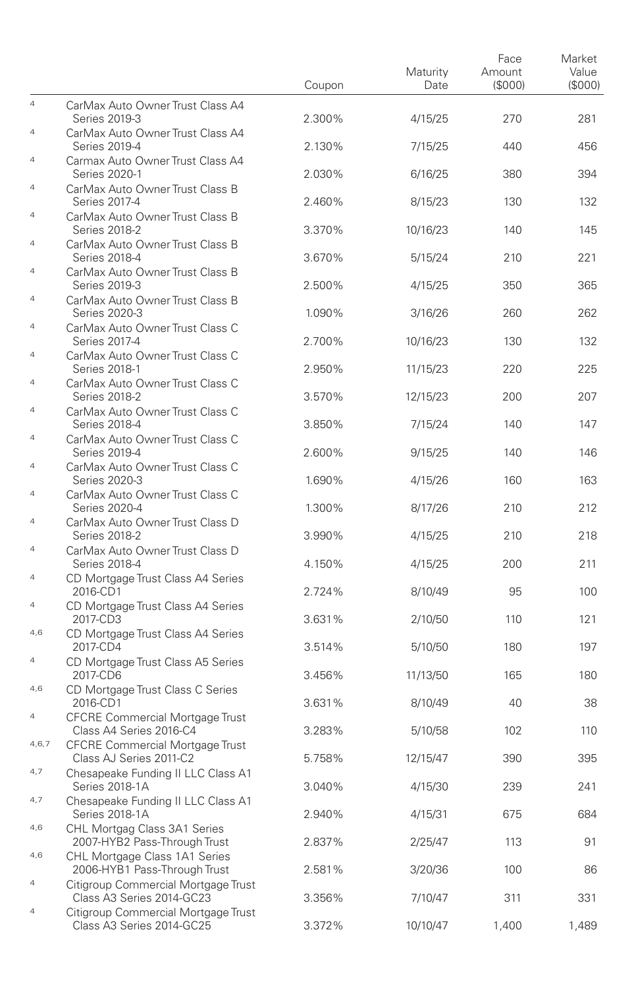|                                  |                                                                                     | Coupon | Maturity<br>Date | Face<br>Amount<br>(\$000) | Market<br>Value<br>(\$000) |
|----------------------------------|-------------------------------------------------------------------------------------|--------|------------------|---------------------------|----------------------------|
| $\overline{4}$                   | CarMax Auto Owner Trust Class A4<br>Series 2019-3                                   | 2.300% | 4/15/25          | 270                       | 281                        |
| 4                                | CarMax Auto Owner Trust Class A4<br>Series 2019-4                                   | 2.130% | 7/15/25          | 440                       | 456                        |
| $\overline{4}$                   | Carmax Auto Owner Trust Class A4<br>Series 2020-1                                   | 2.030% | 6/16/25          | 380                       | 394                        |
| $\overline{4}$                   | CarMax Auto Owner Trust Class B<br>Series 2017-4                                    | 2.460% | 8/15/23          | 130                       | 132                        |
| 4                                | CarMax Auto Owner Trust Class B<br>Series 2018-2                                    | 3.370% | 10/16/23         | 140                       | 145                        |
| $\overline{4}$                   | CarMax Auto Owner Trust Class B<br>Series 2018-4                                    | 3.670% | 5/15/24          | 210                       | 221                        |
| $\overline{4}$                   | CarMax Auto Owner Trust Class B<br>Series 2019-3                                    | 2.500% | 4/15/25          | 350                       | 365                        |
| 4                                | CarMax Auto Owner Trust Class B<br>Series 2020-3                                    | 1.090% | 3/16/26          | 260                       | 262                        |
| $\overline{4}$                   | CarMax Auto Owner Trust Class C<br>Series 2017-4                                    | 2.700% | 10/16/23         | 130                       | 132                        |
| $\overline{4}$                   | CarMax Auto Owner Trust Class C<br>Series 2018-1                                    | 2.950% | 11/15/23         | 220                       | 225                        |
| 4                                | CarMax Auto Owner Trust Class C<br>Series 2018-2                                    | 3.570% | 12/15/23         | 200                       | 207                        |
| $\overline{4}$<br>$\overline{4}$ | CarMax Auto Owner Trust Class C<br>Series 2018-4                                    | 3.850% | 7/15/24          | 140                       | 147                        |
| $\overline{4}$                   | CarMax Auto Owner Trust Class C<br>Series 2019-4                                    | 2.600% | 9/15/25          | 140                       | 146                        |
| $\overline{4}$                   | CarMax Auto Owner Trust Class C<br>Series 2020-3                                    | 1.690% | 4/15/26          | 160                       | 163                        |
| $\overline{4}$                   | CarMax Auto Owner Trust Class C<br>Series 2020-4<br>CarMax Auto Owner Trust Class D | 1.300% | 8/17/26          | 210                       | 212                        |
| $\overline{4}$                   | Series 2018-2<br>CarMax Auto Owner Trust Class D                                    | 3.990% | 4/15/25          | 210                       | 218                        |
| $\overline{4}$                   | Series 2018-4<br>CD Mortgage Trust Class A4 Series                                  | 4.150% | 4/15/25          | 200                       | 211                        |
| $\overline{4}$                   | 2016-CD1<br>CD Mortgage Trust Class A4 Series                                       | 2.724% | 8/10/49          | 95                        | 100                        |
| 4,6                              | 2017-CD3<br>CD Mortgage Trust Class A4 Series                                       | 3.631% | 2/10/50          | 110                       | 121                        |
| $\overline{4}$                   | 2017-CD4<br>CD Mortgage Trust Class A5 Series                                       | 3.514% | 5/10/50          | 180                       | 197                        |
| 4,6                              | 2017-CD6<br>CD Mortgage Trust Class C Series                                        | 3.456% | 11/13/50         | 165                       | 180                        |
| $\overline{a}$                   | 2016-CD1<br><b>CFCRE Commercial Mortgage Trust</b>                                  | 3.631% | 8/10/49          | 40                        | 38                         |
| 4,6,7                            | Class A4 Series 2016-C4<br><b>CFCRE Commercial Mortgage Trust</b>                   | 3.283% | 5/10/58          | 102                       | 110                        |
| 4,7                              | Class AJ Series 2011-C2<br>Chesapeake Funding II LLC Class A1                       | 5.758% | 12/15/47         | 390                       | 395                        |
| 4,7                              | Series 2018-1A<br>Chesapeake Funding II LLC Class A1                                | 3.040% | 4/15/30          | 239                       | 241                        |
| 4,6                              | Series 2018-1A<br>CHL Mortgag Class 3A1 Series                                      | 2.940% | 4/15/31          | 675                       | 684                        |
| 4,6                              | 2007-HYB2 Pass-Through Trust<br>CHL Mortgage Class 1A1 Series                       | 2.837% | 2/25/47          | 113                       | 91                         |
| $\overline{a}$                   | 2006-HYB1 Pass-Through Trust<br>Citigroup Commercial Mortgage Trust                 | 2.581% | 3/20/36          | 100                       | 86                         |
| 4                                | Class A3 Series 2014-GC23<br>Citigroup Commercial Mortgage Trust                    | 3.356% | 7/10/47          | 311                       | 331                        |
|                                  | Class A3 Series 2014-GC25                                                           | 3.372% | 10/10/47         | 1,400                     | 1,489                      |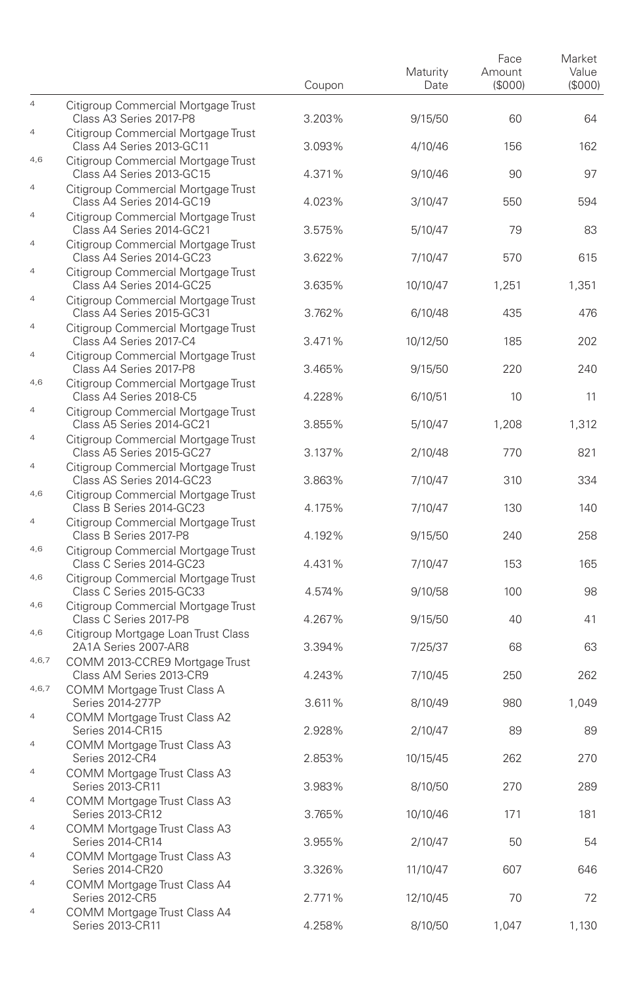|                |                                                                                           | Coupon | Maturity<br>Date | Face<br>Amount<br>(\$000) | Market<br>Value<br>(\$000) |
|----------------|-------------------------------------------------------------------------------------------|--------|------------------|---------------------------|----------------------------|
| $\overline{4}$ | Citigroup Commercial Mortgage Trust<br>Class A3 Series 2017-P8                            | 3.203% | 9/15/50          | 60                        | 64                         |
| $\overline{4}$ | Citigroup Commercial Mortgage Trust<br>Class A4 Series 2013-GC11                          | 3.093% | 4/10/46          | 156                       | 162                        |
| 4,6            | Citigroup Commercial Mortgage Trust<br>Class A4 Series 2013-GC15                          | 4.371% | 9/10/46          | 90                        | 97                         |
| $\overline{4}$ | Citigroup Commercial Mortgage Trust<br>Class A4 Series 2014-GC19                          | 4.023% | 3/10/47          | 550                       | 594                        |
| 4              | Citigroup Commercial Mortgage Trust<br>Class A4 Series 2014-GC21                          | 3.575% | 5/10/47          | 79                        | 83                         |
| $\overline{4}$ | Citigroup Commercial Mortgage Trust<br>Class A4 Series 2014-GC23                          | 3.622% | 7/10/47          | 570                       | 615                        |
| $\overline{4}$ | Citigroup Commercial Mortgage Trust<br>Class A4 Series 2014-GC25                          | 3.635% | 10/10/47         | 1,251                     | 1,351                      |
| 4              | Citigroup Commercial Mortgage Trust<br>Class A4 Series 2015-GC31                          | 3.762% | 6/10/48          | 435                       | 476                        |
| $\overline{4}$ | Citigroup Commercial Mortgage Trust<br>Class A4 Series 2017-C4                            | 3.471% | 10/12/50         | 185                       | 202                        |
| $\overline{4}$ | Citigroup Commercial Mortgage Trust<br>Class A4 Series 2017-P8                            | 3.465% | 9/15/50          | 220                       | 240                        |
| 4,6            | Citigroup Commercial Mortgage Trust<br>Class A4 Series 2018-C5                            | 4.228% | 6/10/51          | 10                        | 11                         |
| $\overline{a}$ | Citigroup Commercial Mortgage Trust<br>Class A5 Series 2014-GC21                          | 3.855% | 5/10/47          | 1,208                     | 1,312                      |
| $\overline{4}$ | Citigroup Commercial Mortgage Trust<br>Class A5 Series 2015-GC27                          | 3.137% | 2/10/48          | 770                       | 821                        |
| $\overline{4}$ | Citigroup Commercial Mortgage Trust<br>Class AS Series 2014-GC23                          | 3.863% | 7/10/47          | 310                       | 334                        |
| 4,6            | Citigroup Commercial Mortgage Trust<br>Class B Series 2014-GC23                           | 4.175% | 7/10/47          | 130                       | 140                        |
| $\overline{4}$ | Citigroup Commercial Mortgage Trust<br>Class B Series 2017-P8                             | 4.192% | 9/15/50          | 240                       | 258                        |
| 4,6<br>4,6     | Citigroup Commercial Mortgage Trust<br>Class C Series 2014-GC23                           | 4.431% | 7/10/47          | 153                       | 165                        |
| 4,6            | Citigroup Commercial Mortgage Trust<br>Class C Series 2015-GC33                           | 4.574% | 9/10/58          | 100                       | 98                         |
| 4,6            | Citigroup Commercial Mortgage Trust<br>Class C Series 2017-P8                             | 4.267% | 9/15/50          | 40                        | 41                         |
| 4,6,7          | Citigroup Mortgage Loan Trust Class<br>2A1A Series 2007-AR8                               | 3.394% | 7/25/37          | 68                        | 63                         |
| 4,6,7          | COMM 2013-CCRE9 Mortgage Trust<br>Class AM Series 2013-CR9<br>COMM Mortgage Trust Class A | 4.243% | 7/10/45          | 250                       | 262                        |
| $\overline{4}$ | Series 2014-277P<br>COMM Mortgage Trust Class A2                                          | 3.611% | 8/10/49          | 980                       | 1,049                      |
| $\overline{4}$ | Series 2014-CR15<br>COMM Mortgage Trust Class A3                                          | 2.928% | 2/10/47          | 89                        | 89                         |
| $\overline{4}$ | Series 2012-CR4<br>COMM Mortgage Trust Class A3                                           | 2.853% | 10/15/45         | 262                       | 270                        |
| $\overline{4}$ | Series 2013-CR11<br>COMM Mortgage Trust Class A3                                          | 3.983% | 8/10/50          | 270                       | 289                        |
| 4              | Series 2013-CR12<br>COMM Mortgage Trust Class A3                                          | 3.765% | 10/10/46         | 171                       | 181                        |
| $\overline{4}$ | Series 2014-CR14                                                                          | 3.955% | 2/10/47          | 50                        | 54                         |
| $\overline{4}$ | COMM Mortgage Trust Class A3<br>Series 2014-CR20<br>COMM Mortgage Trust Class A4          | 3.326% | 11/10/47         | 607                       | 646                        |
| 4              | Series 2012-CR5                                                                           | 2.771% | 12/10/45         | 70                        | 72                         |
|                | COMM Mortgage Trust Class A4<br>Series 2013-CR11                                          | 4.258% | 8/10/50          | 1,047                     | 1,130                      |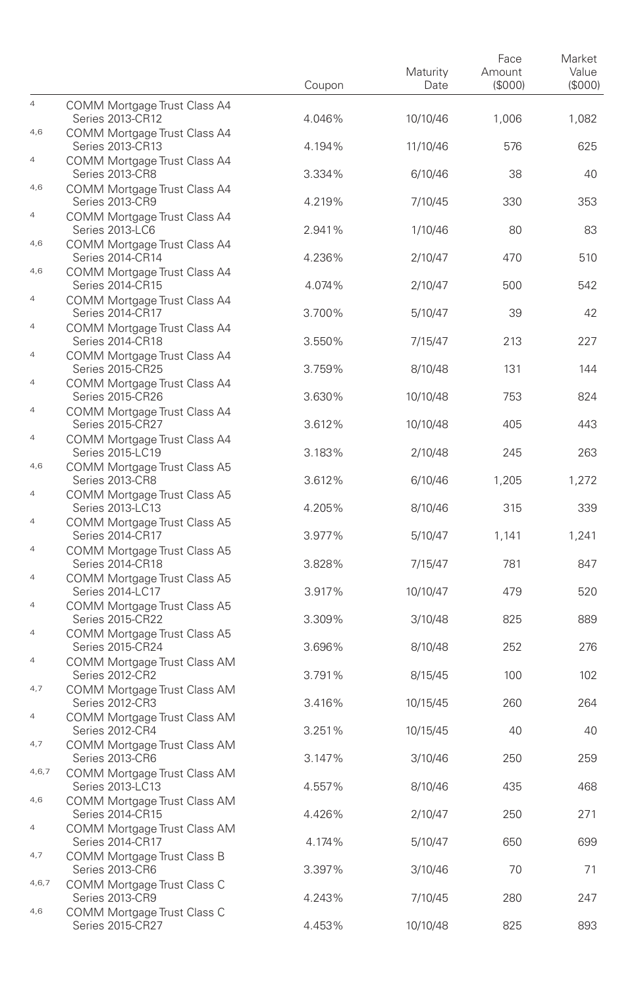|                           |                                                                                  | Coupon | Maturity<br>Date | Face<br>Amount<br>(\$000) | Market<br>Value<br>(S000) |
|---------------------------|----------------------------------------------------------------------------------|--------|------------------|---------------------------|---------------------------|
| $\overline{4}$            | COMM Mortgage Trust Class A4<br>Series 2013-CR12                                 | 4.046% | 10/10/46         | 1,006                     | 1,082                     |
| 4,6                       | COMM Mortgage Trust Class A4<br>Series 2013-CR13                                 | 4.194% | 11/10/46         | 576                       | 625                       |
| $\overline{4}$            | COMM Mortgage Trust Class A4<br>Series 2013-CR8                                  | 3.334% | 6/10/46          | 38                        | 40                        |
| 4,6                       | COMM Mortgage Trust Class A4<br>Series 2013-CR9                                  | 4.219% | 7/10/45          | 330                       | 353                       |
| 4                         | COMM Mortgage Trust Class A4<br>Series 2013-LC6                                  | 2.941% | 1/10/46          | 80                        | 83                        |
| 4,6                       | COMM Mortgage Trust Class A4<br>Series 2014-CR14                                 | 4.236% | 2/10/47          | 470                       | 510                       |
| 4,6                       | COMM Mortgage Trust Class A4<br>Series 2014-CR15                                 | 4.074% | 2/10/47          | 500                       | 542                       |
| 4                         | COMM Mortgage Trust Class A4<br>Series 2014-CR17                                 | 3.700% | 5/10/47          | 39                        | 42                        |
| $\overline{4}$            | COMM Mortgage Trust Class A4<br><b>Series 2014-CR18</b>                          | 3.550% | 7/15/47          | 213                       | 227                       |
| $\overline{4}$            | COMM Mortgage Trust Class A4<br><b>Series 2015-CR25</b>                          | 3.759% | 8/10/48          | 131                       | 144                       |
| 4                         | COMM Mortgage Trust Class A4<br>Series 2015-CR26                                 | 3.630% | 10/10/48         | 753                       | 824                       |
| $\overline{4}$            | COMM Mortgage Trust Class A4<br>Series 2015-CR27                                 | 3.612% | 10/10/48         | 405                       | 443                       |
| $\overline{4}$<br>4,6     | COMM Mortgage Trust Class A4<br>Series 2015-LC19                                 | 3.183% | 2/10/48          | 245                       | 263                       |
| $\overline{4}$            | COMM Mortgage Trust Class A5<br>Series 2013-CR8                                  | 3.612% | 6/10/46          | 1,205                     | 1,272                     |
| $\overline{4}$            | COMM Mortgage Trust Class A5<br>Series 2013-LC13                                 | 4.205% | 8/10/46          | 315                       | 339                       |
| $\overline{4}$            | COMM Mortgage Trust Class A5<br>Series 2014-CR17                                 | 3.977% | 5/10/47          | 1,141                     | 1,241                     |
| $\overline{4}$            | COMM Mortgage Trust Class A5<br>Series 2014-CR18                                 | 3.828% | 7/15/47          | 781                       | 847                       |
| $\overline{4}$            | COMM Mortgage Trust Class A5<br>Series 2014-LC17<br>COMM Mortgage Trust Class A5 | 3.917% | 10/10/47         | 479                       | 520                       |
| $\ensuremath{\mathsf{4}}$ | Series 2015-CR22<br>COMM Mortgage Trust Class A5                                 | 3.309% | 3/10/48          | 825                       | 889                       |
| $\overline{4}$            | Series 2015-CR24<br>COMM Mortgage Trust Class AM                                 | 3.696% | 8/10/48          | 252                       | 276                       |
| 4,7                       | Series 2012-CR2<br>COMM Mortgage Trust Class AM                                  | 3.791% | 8/15/45          | 100                       | 102                       |
| $\overline{a}$            | Series 2012-CR3<br>COMM Mortgage Trust Class AM                                  | 3.416% | 10/15/45         | 260                       | 264                       |
| 4,7                       | Series 2012-CR4<br>COMM Mortgage Trust Class AM                                  | 3.251% | 10/15/45         | 40                        | 40                        |
| 4,6,7                     | Series 2013-CR6<br>COMM Mortgage Trust Class AM                                  | 3.147% | 3/10/46          | 250                       | 259                       |
| 4,6                       | Series 2013-LC13<br>COMM Mortgage Trust Class AM                                 | 4.557% | 8/10/46          | 435                       | 468                       |
| 4                         | Series 2014-CR15<br>COMM Mortgage Trust Class AM                                 | 4.426% | 2/10/47          | 250                       | 271                       |
| 4,7                       | Series 2014-CR17<br>COMM Mortgage Trust Class B                                  | 4.174% | 5/10/47          | 650                       | 699                       |
| 4,6,7                     | Series 2013-CR6<br>COMM Mortgage Trust Class C                                   | 3.397% | 3/10/46          | 70                        | 71                        |
| 4,6                       | Series 2013-CR9<br>COMM Mortgage Trust Class C                                   | 4.243% | 7/10/45          | 280                       | 247                       |
|                           | Series 2015-CR27                                                                 | 4.453% | 10/10/48         | 825                       | 893                       |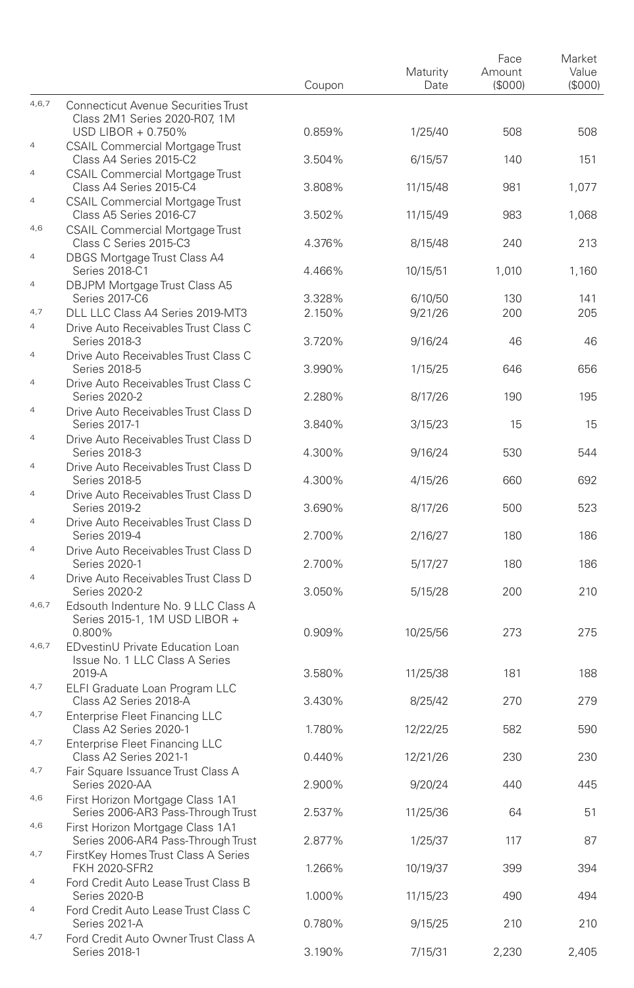|                       |                                                                                | Coupon | Maturity<br>Date | Face<br>Amount<br>(\$000) | Market<br>Value<br>(\$000) |
|-----------------------|--------------------------------------------------------------------------------|--------|------------------|---------------------------|----------------------------|
| 4,6,7                 | <b>Connecticut Avenue Securities Trust</b><br>Class 2M1 Series 2020-R07, 1M    |        |                  |                           |                            |
| $\overline{4}$        | USD LIBOR + 0.750%<br><b>CSAIL Commercial Mortgage Trust</b>                   | 0.859% | 1/25/40          | 508                       | 508                        |
| $\overline{4}$        | Class A4 Series 2015-C2                                                        | 3.504% | 6/15/57          | 140                       | 151                        |
|                       | <b>CSAIL Commercial Mortgage Trust</b><br>Class A4 Series 2015-C4              | 3.808% | 11/15/48         | 981                       | 1,077                      |
| $\overline{4}$        | <b>CSAIL Commercial Mortgage Trust</b><br>Class A5 Series 2016-C7              | 3.502% | 11/15/49         | 983                       | 1,068                      |
| 4,6                   | <b>CSAIL Commercial Mortgage Trust</b><br>Class C Series 2015-C3               | 4.376% | 8/15/48          | 240                       | 213                        |
| $\overline{4}$        | DBGS Mortgage Trust Class A4<br>Series 2018-C1                                 | 4.466% | 10/15/51         | 1,010                     | 1,160                      |
| $\overline{4}$        | DBJPM Mortgage Trust Class A5                                                  |        |                  |                           |                            |
|                       | Series 2017-C6                                                                 | 3.328% | 6/10/50          | 130                       | 141                        |
| 4,7<br>$\overline{4}$ | DLL LLC Class A4 Series 2019-MT3                                               | 2.150% | 9/21/26          | 200                       | 205                        |
|                       | Drive Auto Receivables Trust Class C<br>Series 2018-3                          | 3.720% | 9/16/24          | 46                        | 46                         |
| $\overline{4}$        | Drive Auto Receivables Trust Class C<br>Series 2018-5                          | 3.990% | 1/15/25          | 646                       | 656                        |
| $\overline{4}$        | Drive Auto Receivables Trust Class C<br>Series 2020-2                          | 2.280% | 8/17/26          | 190                       | 195                        |
| $\overline{4}$        | Drive Auto Receivables Trust Class D<br>Series 2017-1                          | 3.840% | 3/15/23          | 15                        | 15                         |
| $\overline{4}$        | Drive Auto Receivables Trust Class D<br>Series 2018-3                          | 4.300% | 9/16/24          | 530                       | 544                        |
| $\overline{4}$        | Drive Auto Receivables Trust Class D                                           |        | 4/15/26          |                           |                            |
| $\overline{4}$        | Series 2018-5<br>Drive Auto Receivables Trust Class D                          | 4.300% |                  | 660                       | 692                        |
| $\overline{A}$        | Series 2019-2<br>Drive Auto Receivables Trust Class D                          | 3.690% | 8/17/26          | 500                       | 523                        |
| $\overline{4}$        | Series 2019-4<br>Drive Auto Receivables Trust Class D                          | 2.700% | 2/16/27          | 180                       | 186                        |
| $\overline{4}$        | Series 2020-1<br>Drive Auto Receivables Trust Class D                          | 2.700% | 5/17/27          | 180                       | 186                        |
|                       | Series 2020-2                                                                  | 3.050% | 5/15/28          | 200                       | 210                        |
| 4,6,7                 | Edsouth Indenture No. 9 LLC Class A<br>Series 2015-1, 1M USD LIBOR +<br>0.800% | 0.909% | 10/25/56         | 273                       | 275                        |
| 4,6,7                 | EDvestinU Private Education Loan<br>Issue No. 1 LLC Class A Series             |        |                  |                           |                            |
| 4,7                   | 2019-A<br>ELFI Graduate Loan Program LLC                                       | 3.580% | 11/25/38         | 181                       | 188                        |
|                       | Class A2 Series 2018-A                                                         | 3.430% | 8/25/42          | 270                       | 279                        |
| 4,7                   | <b>Enterprise Fleet Financing LLC</b><br>Class A2 Series 2020-1                | 1.780% | 12/22/25         | 582                       | 590                        |
| 4,7                   | Enterprise Fleet Financing LLC<br>Class A2 Series 2021-1                       | 0.440% | 12/21/26         | 230                       | 230                        |
| 4,7                   | Fair Square Issuance Trust Class A<br>Series 2020-AA                           | 2.900% | 9/20/24          | 440                       | 445                        |
| 4,6                   | First Horizon Mortgage Class 1A1<br>Series 2006-AR3 Pass-Through Trust         | 2.537% | 11/25/36         | 64                        | 51                         |
| 4,6                   | First Horizon Mortgage Class 1A1<br>Series 2006-AR4 Pass-Through Trust         | 2.877% | 1/25/37          | 117                       | 87                         |
| 4,7                   | FirstKey Homes Trust Class A Series<br><b>FKH 2020-SFR2</b>                    | 1.266% | 10/19/37         | 399                       | 394                        |
| $\overline{4}$        | Ford Credit Auto Lease Trust Class B                                           |        |                  |                           |                            |
| $\overline{4}$        | Series 2020-B<br>Ford Credit Auto Lease Trust Class C                          | 1.000% | 11/15/23         | 490                       | 494                        |
| 4,7                   | Series 2021-A<br>Ford Credit Auto Owner Trust Class A                          | 0.780% | 9/15/25          | 210                       | 210                        |
|                       | Series 2018-1                                                                  | 3.190% | 7/15/31          | 2,230                     | 2,405                      |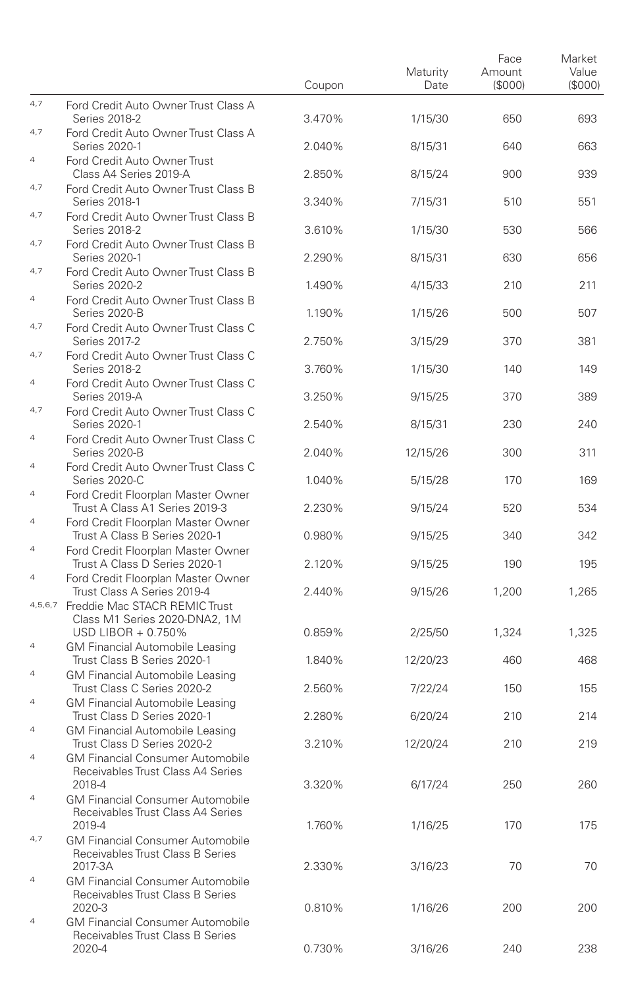|                                  |                                                                                                                  | Coupon | Maturity<br>Date | Face<br>Amount<br>(\$000) | Market<br>Value<br>(\$000) |
|----------------------------------|------------------------------------------------------------------------------------------------------------------|--------|------------------|---------------------------|----------------------------|
| 4,7                              | Ford Credit Auto Owner Trust Class A<br>Series 2018-2                                                            | 3.470% | 1/15/30          | 650                       | 693                        |
| 4,7                              | Ford Credit Auto Owner Trust Class A<br>Series 2020-1                                                            | 2.040% | 8/15/31          | 640                       | 663                        |
| $\overline{4}$                   | Ford Credit Auto Owner Trust<br>Class A4 Series 2019-A                                                           | 2.850% | 8/15/24          | 900                       | 939                        |
| 4,7                              | Ford Credit Auto Owner Trust Class B<br>Series 2018-1                                                            | 3.340% | 7/15/31          | 510                       | 551                        |
| 4,7                              | Ford Credit Auto Owner Trust Class B<br>Series 2018-2                                                            | 3.610% | 1/15/30          | 530                       | 566                        |
| 4,7                              | Ford Credit Auto Owner Trust Class B<br>Series 2020-1                                                            | 2.290% | 8/15/31          | 630                       | 656                        |
| 4,7                              | Ford Credit Auto Owner Trust Class B<br>Series 2020-2                                                            | 1.490% | 4/15/33          | 210                       | 211                        |
| 4                                | Ford Credit Auto Owner Trust Class B<br>Series 2020-B                                                            | 1.190% | 1/15/26          | 500                       | 507                        |
| 4,7                              | Ford Credit Auto Owner Trust Class C<br>Series 2017-2                                                            | 2.750% | 3/15/29          | 370                       | 381                        |
| 4,7                              | Ford Credit Auto Owner Trust Class C<br>Series 2018-2                                                            | 3.760% | 1/15/30          | 140                       | 149                        |
| 4                                | Ford Credit Auto Owner Trust Class C<br>Series 2019-A                                                            | 3.250% | 9/15/25          | 370                       | 389                        |
| 4,7<br>$\overline{4}$            | Ford Credit Auto Owner Trust Class C<br>Series 2020-1                                                            | 2.540% | 8/15/31          | 230                       | 240                        |
| $\overline{4}$                   | Ford Credit Auto Owner Trust Class C<br>Series 2020-B                                                            | 2.040% | 12/15/26         | 300                       | 311                        |
| $\overline{4}$                   | Ford Credit Auto Owner Trust Class C<br>Series 2020-C                                                            | 1.040% | 5/15/28          | 170                       | 169                        |
| $\overline{4}$                   | Ford Credit Floorplan Master Owner<br>Trust A Class A1 Series 2019-3<br>Ford Credit Floorplan Master Owner       | 2.230% | 9/15/24          | 520                       | 534                        |
| $\overline{4}$                   | Trust A Class B Series 2020-1<br>Ford Credit Floorplan Master Owner                                              | 0.980% | 9/15/25          | 340                       | 342                        |
| $\overline{4}$                   | Trust A Class D Series 2020-1<br>Ford Credit Floorplan Master Owner                                              | 2.120% | 9/15/25          | 190                       | 195                        |
|                                  | Trust Class A Series 2019-4<br>4,5,6,7 Freddie Mac STACR REMIC Trust                                             | 2.440% | 9/15/26          | 1,200                     | 1,265                      |
|                                  | Class M1 Series 2020-DNA2, 1M<br>USD LIBOR + 0.750%                                                              | 0.859% | 2/25/50          | 1,324                     | 1,325                      |
| $\overline{4}$                   | <b>GM Financial Automobile Leasing</b><br>Trust Class B Series 2020-1                                            | 1.840% | 12/20/23         | 460                       | 468                        |
| $\overline{4}$                   | <b>GM Financial Automobile Leasing</b><br>Trust Class C Series 2020-2                                            | 2.560% | 7/22/24          | 150                       | 155                        |
| $\overline{4}$<br>$\overline{4}$ | <b>GM Financial Automobile Leasing</b><br>Trust Class D Series 2020-1                                            | 2.280% | 6/20/24          | 210                       | 214                        |
| $\overline{4}$                   | <b>GM Financial Automobile Leasing</b><br>Trust Class D Series 2020-2<br><b>GM Financial Consumer Automobile</b> | 3.210% | 12/20/24         | 210                       | 219                        |
|                                  | Receivables Trust Class A4 Series<br>2018-4                                                                      | 3.320% | 6/17/24          | 250                       | 260                        |
| $\overline{4}$                   | <b>GM Financial Consumer Automobile</b><br>Receivables Trust Class A4 Series<br>2019-4                           | 1.760% | 1/16/25          | 170                       | 175                        |
| 4,7                              | <b>GM Financial Consumer Automobile</b><br>Receivables Trust Class B Series<br>2017-3A                           | 2.330% | 3/16/23          | 70                        | 70                         |
| $\overline{4}$                   | <b>GM Financial Consumer Automobile</b><br>Receivables Trust Class B Series                                      |        |                  |                           |                            |
| $\overline{4}$                   | 2020-3<br><b>GM Financial Consumer Automobile</b><br>Receivables Trust Class B Series                            | 0.810% | 1/16/26          | 200                       | 200                        |
|                                  | 2020-4                                                                                                           | 0.730% | 3/16/26          | 240                       | 238                        |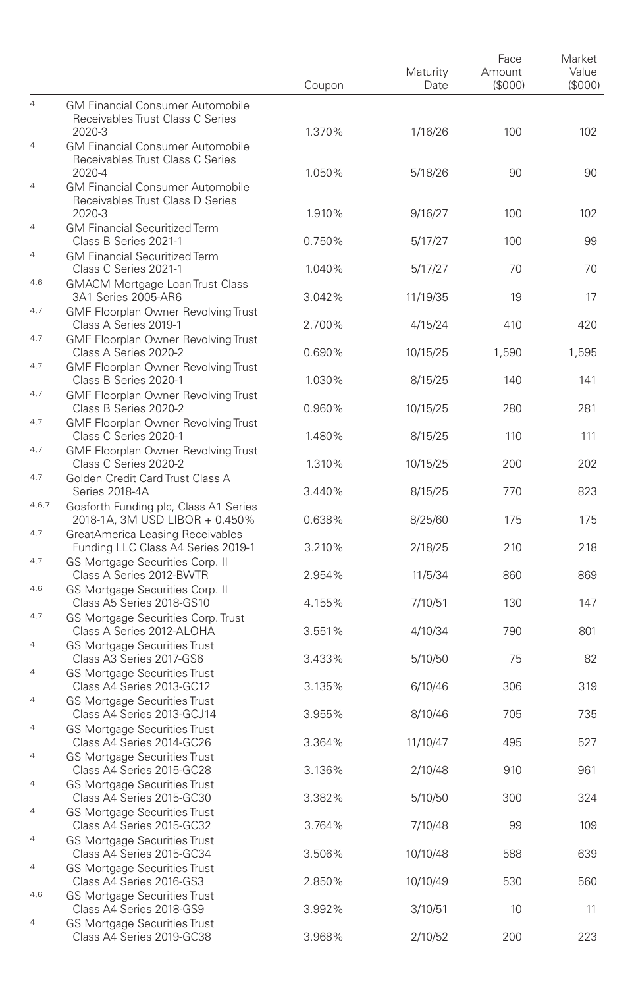|                |                                                                                       | Coupon | Maturity<br>Date | Face<br>Amount<br>(\$000) | Market<br>Value<br>(\$000) |
|----------------|---------------------------------------------------------------------------------------|--------|------------------|---------------------------|----------------------------|
| $\overline{4}$ | <b>GM Financial Consumer Automobile</b><br>Receivables Trust Class C Series           |        |                  |                           |                            |
| $\overline{4}$ | 2020-3<br><b>GM Financial Consumer Automobile</b><br>Receivables Trust Class C Series | 1.370% | 1/16/26          | 100                       | 102                        |
| 4              | 2020-4<br><b>GM Financial Consumer Automobile</b><br>Receivables Trust Class D Series | 1.050% | 5/18/26          | 90                        | 90                         |
| $\overline{4}$ | 2020-3<br><b>GM Financial Securitized Term</b>                                        | 1.910% | 9/16/27          | 100                       | 102                        |
| $\overline{4}$ | Class B Series 2021-1<br><b>GM Financial Securitized Term</b>                         | 0.750% | 5/17/27          | 100                       | 99                         |
| 4,6            | Class C Series 2021-1<br><b>GMACM Mortgage Loan Trust Class</b>                       | 1.040% | 5/17/27          | 70                        | 70                         |
| 4,7            | 3A1 Series 2005-AR6<br>GMF Floorplan Owner Revolving Trust                            | 3.042% | 11/19/35         | 19                        | 17                         |
| 4,7            | Class A Series 2019-1<br><b>GMF Floorplan Owner Revolving Trust</b>                   | 2.700% | 4/15/24          | 410                       | 420                        |
| 4,7            | Class A Series 2020-2<br>GMF Floorplan Owner Revolving Trust                          | 0.690% | 10/15/25         | 1,590                     | 1,595                      |
| 4,7            | Class B Series 2020-1<br>GMF Floorplan Owner Revolving Trust                          | 1.030% | 8/15/25          | 140                       | 141                        |
| 4,7            | Class B Series 2020-2<br>GMF Floorplan Owner Revolving Trust                          | 0.960% | 10/15/25         | 280                       | 281                        |
| 4,7            | Class C Series 2020-1<br>GMF Floorplan Owner Revolving Trust                          | 1.480% | 8/15/25          | 110                       | 111                        |
| 4,7            | Class C Series 2020-2<br>Golden Credit Card Trust Class A                             | 1.310% | 10/15/25         | 200                       | 202                        |
| 4,6,7          | Series 2018-4A<br>Gosforth Funding plc, Class A1 Series                               | 3.440% | 8/15/25          | 770                       | 823                        |
| 4,7            | 2018-1A, 3M USD LIBOR + 0.450%<br>GreatAmerica Leasing Receivables                    | 0.638% | 8/25/60          | 175                       | 175                        |
| 4,7            | Funding LLC Class A4 Series 2019-1<br>GS Mortgage Securities Corp. II                 | 3.210% | 2/18/25          | 210                       | 218                        |
| 4,6            | Class A Series 2012-BWTR<br>GS Mortgage Securities Corp. II                           | 2.954% | 11/5/34          | 860                       | 869                        |
| 4,7            | Class A5 Series 2018-GS10<br>GS Mortgage Securities Corp. Trust                       | 4.155% | 7/10/51          | 130                       | 147                        |
| $\overline{4}$ | Class A Series 2012-ALOHA<br><b>GS Mortgage Securities Trust</b>                      | 3.551% | 4/10/34          | 790                       | 801                        |
| $\overline{4}$ | Class A3 Series 2017-GS6<br><b>GS Mortgage Securities Trust</b>                       | 3.433% | 5/10/50          | 75                        | 82                         |
| $\overline{4}$ | Class A4 Series 2013-GC12<br><b>GS Mortgage Securities Trust</b>                      | 3.135% | 6/10/46          | 306                       | 319                        |
| $\overline{4}$ | Class A4 Series 2013-GCJ14<br>GS Mortgage Securities Trust                            | 3.955% | 8/10/46          | 705                       | 735                        |
| $\overline{4}$ | Class A4 Series 2014-GC26<br>GS Mortgage Securities Trust                             | 3.364% | 11/10/47         | 495                       | 527                        |
| $\overline{4}$ | Class A4 Series 2015-GC28<br><b>GS Mortgage Securities Trust</b>                      | 3.136% | 2/10/48          | 910                       | 961                        |
| $\overline{4}$ | Class A4 Series 2015-GC30                                                             | 3.382% | 5/10/50          | 300                       | 324                        |
| $\overline{4}$ | GS Mortgage Securities Trust<br>Class A4 Series 2015-GC32                             | 3.764% | 7/10/48          | 99                        | 109                        |
|                | <b>GS Mortgage Securities Trust</b><br>Class A4 Series 2015-GC34                      | 3.506% | 10/10/48         | 588                       | 639                        |
| $\overline{4}$ | <b>GS Mortgage Securities Trust</b><br>Class A4 Series 2016-GS3                       | 2.850% | 10/10/49         | 530                       | 560                        |
| 4,6            | GS Mortgage Securities Trust<br>Class A4 Series 2018-GS9                              | 3.992% | 3/10/51          | 10                        | 11                         |
| $\overline{4}$ | GS Mortgage Securities Trust<br>Class A4 Series 2019-GC38                             | 3.968% | 2/10/52          | 200                       | 223                        |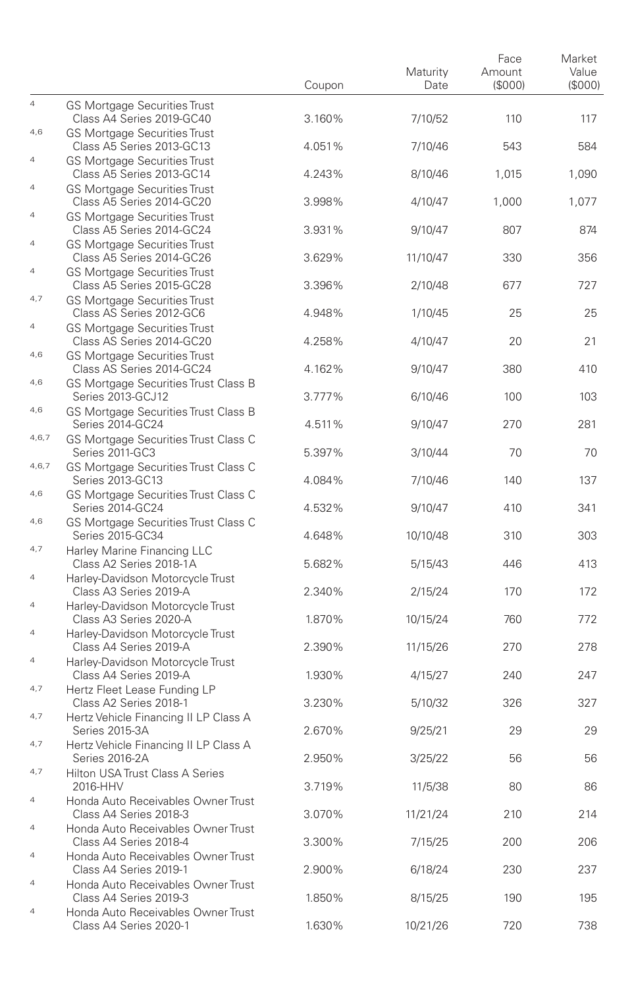|                |                                                                          | Coupon | Maturity<br>Date | Face<br>Amount<br>(\$000) | Market<br>Value<br>(\$000) |
|----------------|--------------------------------------------------------------------------|--------|------------------|---------------------------|----------------------------|
| $\overline{4}$ | <b>GS Mortgage Securities Trust</b><br>Class A4 Series 2019-GC40         | 3.160% | 7/10/52          | 110                       | 117                        |
| 4,6            | <b>GS Mortgage Securities Trust</b><br>Class A5 Series 2013-GC13         | 4.051% | 7/10/46          | 543                       | 584                        |
| $\overline{4}$ | <b>GS Mortgage Securities Trust</b><br>Class A5 Series 2013-GC14         | 4.243% | 8/10/46          | 1,015                     | 1,090                      |
| $\overline{4}$ | GS Mortgage Securities Trust<br>Class A5 Series 2014-GC20                | 3.998% | 4/10/47          | 1,000                     | 1,077                      |
| $\overline{4}$ | <b>GS Mortgage Securities Trust</b><br>Class A5 Series 2014-GC24         | 3.931% | 9/10/47          | 807                       | 874                        |
| $\overline{4}$ | <b>GS Mortgage Securities Trust</b><br>Class A5 Series 2014-GC26         | 3.629% | 11/10/47         | 330                       | 356                        |
| $\overline{4}$ | <b>GS Mortgage Securities Trust</b><br>Class A5 Series 2015-GC28         | 3.396% | 2/10/48          | 677                       | 727                        |
| 4,7            | <b>GS Mortgage Securities Trust</b><br>Class AS Series 2012-GC6          | 4.948% | 1/10/45          | 25                        | 25                         |
| $\overline{4}$ | <b>GS Mortgage Securities Trust</b>                                      |        |                  |                           |                            |
| 4,6            | Class AS Series 2014-GC20<br><b>GS Mortgage Securities Trust</b>         | 4.258% | 4/10/47          | 20                        | 21                         |
| 4,6            | Class AS Series 2014-GC24<br>GS Mortgage Securities Trust Class B        | 4.162% | 9/10/47          | 380                       | 410                        |
| 4,6            | Series 2013-GCJ12<br>GS Mortgage Securities Trust Class B                | 3.777% | 6/10/46          | 100                       | 103                        |
| 4,6,7          | Series 2014-GC24<br>GS Mortgage Securities Trust Class C                 | 4.511% | 9/10/47          | 270                       | 281                        |
| 4,6,7          | Series 2011-GC3<br>GS Mortgage Securities Trust Class C                  | 5.397% | 3/10/44          | 70                        | 70                         |
| 4,6            | Series 2013-GC13                                                         | 4.084% | 7/10/46          | 140                       | 137                        |
|                | GS Mortgage Securities Trust Class C<br>Series 2014-GC24                 | 4.532% | 9/10/47          | 410                       | 341                        |
| 4,6            | GS Mortgage Securities Trust Class C<br>Series 2015-GC34                 | 4.648% | 10/10/48         | 310                       | 303                        |
| 4,7            | Harley Marine Financing LLC<br>Class A2 Series 2018-1A                   | 5.682% | 5/15/43          | 446                       | 413                        |
| $\overline{4}$ | Harley-Davidson Motorcycle Trust<br>Class A3 Series 2019-A               | 2.340% | 2/15/24          | 170                       | 172                        |
| $\overline{4}$ | Harley-Davidson Motorcycle Trust<br>Class A3 Series 2020-A               | 1.870% | 10/15/24         | 760                       | 772                        |
| $\overline{4}$ | Harley-Davidson Motorcycle Trust<br>Class A4 Series 2019-A               | 2.390% | 11/15/26         | 270                       | 278                        |
| $\overline{4}$ | Harley-Davidson Motorcycle Trust<br>Class A4 Series 2019-A               | 1.930% | 4/15/27          | 240                       | 247                        |
| 4,7            | Hertz Fleet Lease Funding LP<br>Class A2 Series 2018-1                   | 3.230% | 5/10/32          | 326                       | 327                        |
| 4,7            | Hertz Vehicle Financing II LP Class A<br>Series 2015-3A                  | 2.670% | 9/25/21          | 29                        | 29                         |
| 4,7            | Hertz Vehicle Financing II LP Class A<br>Series 2016-2A                  | 2.950% | 3/25/22          | 56                        | 56                         |
| 4,7            | Hilton USA Trust Class A Series                                          | 3.719% | 11/5/38          | 80                        | 86                         |
| $\overline{4}$ | 2016-HHV<br>Honda Auto Receivables Owner Trust<br>Class A4 Series 2018-3 | 3.070% | 11/21/24         | 210                       | 214                        |
| $\overline{4}$ | Honda Auto Receivables Owner Trust                                       |        |                  |                           |                            |
| $\overline{4}$ | Class A4 Series 2018-4<br>Honda Auto Receivables Owner Trust             | 3.300% | 7/15/25          | 200                       | 206                        |
| $\overline{4}$ | Class A4 Series 2019-1<br>Honda Auto Receivables Owner Trust             | 2.900% | 6/18/24          | 230                       | 237                        |
| $\overline{4}$ | Class A4 Series 2019-3<br>Honda Auto Receivables Owner Trust             | 1.850% | 8/15/25          | 190                       | 195                        |
|                | Class A4 Series 2020-1                                                   | 1.630% | 10/21/26         | 720                       | 738                        |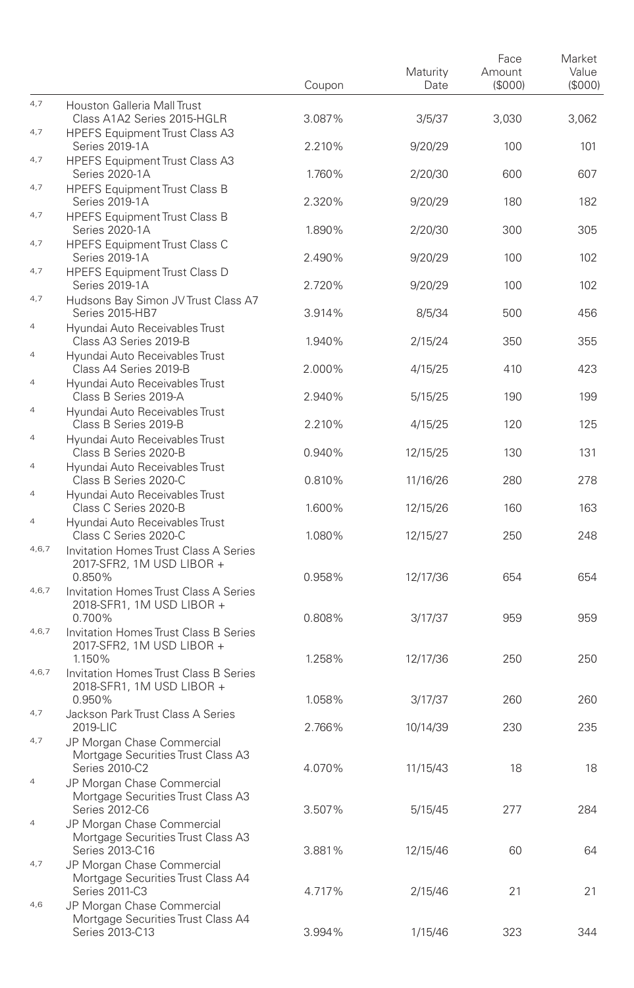| Market<br>Value<br>(S000) |
|---------------------------|
| 3,062                     |
| 101                       |
| 607                       |
| 182                       |
| 305                       |
| 102                       |
| 102                       |
| 456                       |
| 355                       |
| 423                       |
| 199                       |
| 125                       |
| 131                       |
| 278                       |
| 163                       |
| 248                       |
|                           |
| 654                       |
| 959                       |
| 250                       |
|                           |
| 260                       |
| 235                       |
| 18                        |
|                           |
| 284                       |
| 64                        |
| 21                        |
| 344                       |
|                           |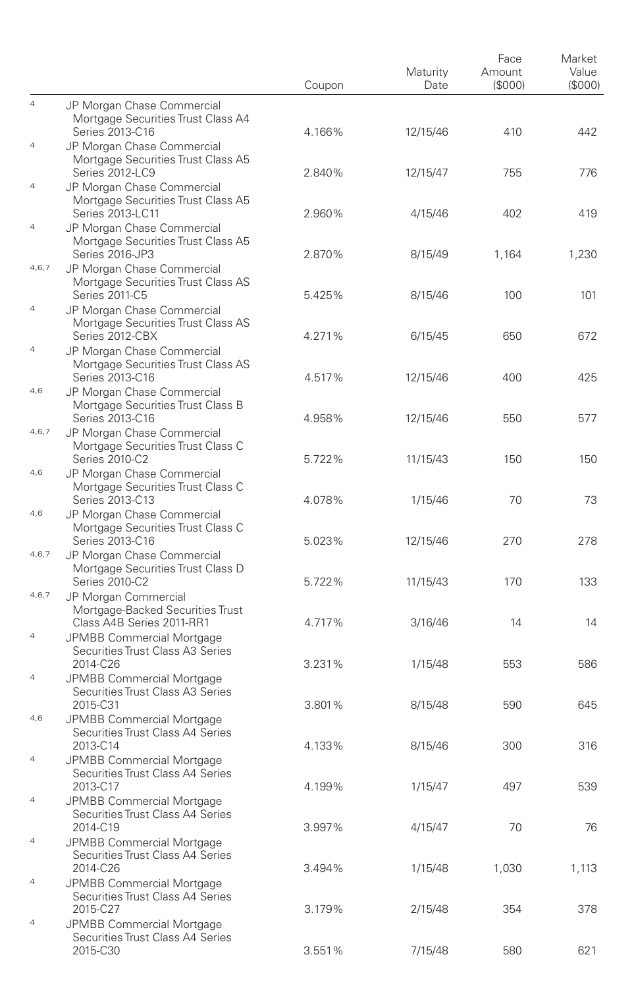|                |                                                                                      | Coupon | Maturity<br>Date | Face<br>Amount<br>(S000) | Market<br>Value<br>(S000) |
|----------------|--------------------------------------------------------------------------------------|--------|------------------|--------------------------|---------------------------|
| $\overline{4}$ | JP Morgan Chase Commercial<br>Mortgage Securities Trust Class A4                     |        |                  |                          |                           |
| $\overline{4}$ | Series 2013-C16<br>JP Morgan Chase Commercial<br>Mortgage Securities Trust Class A5  | 4.166% | 12/15/46         | 410                      | 442                       |
| $\overline{4}$ | Series 2012-LC9<br>JP Morgan Chase Commercial                                        | 2.840% | 12/15/47         | 755                      | 776                       |
| $\overline{4}$ | Mortgage Securities Trust Class A5<br>Series 2013-LC11<br>JP Morgan Chase Commercial | 2.960% | 4/15/46          | 402                      | 419                       |
|                | Mortgage Securities Trust Class A5<br>Series 2016-JP3                                | 2.870% | 8/15/49          | 1,164                    | 1,230                     |
| 4,6,7          | JP Morgan Chase Commercial<br>Mortgage Securities Trust Class AS<br>Series 2011-C5   | 5.425% | 8/15/46          | 100                      | 101                       |
| $\overline{4}$ | JP Morgan Chase Commercial<br>Mortgage Securities Trust Class AS                     |        |                  |                          |                           |
| $\overline{4}$ | Series 2012-CBX<br>JP Morgan Chase Commercial<br>Mortgage Securities Trust Class AS  | 4.271% | 6/15/45          | 650                      | 672                       |
| 4,6            | Series 2013-C16<br>JP Morgan Chase Commercial                                        | 4.517% | 12/15/46         | 400                      | 425                       |
| 4,6,7          | Mortgage Securities Trust Class B<br>Series 2013-C16<br>JP Morgan Chase Commercial   | 4.958% | 12/15/46         | 550                      | 577                       |
| 4,6            | Mortgage Securities Trust Class C<br>Series 2010-C2                                  | 5.722% | 11/15/43         | 150                      | 150                       |
|                | JP Morgan Chase Commercial<br>Mortgage Securities Trust Class C<br>Series 2013-C13   | 4.078% | 1/15/46          | 70                       | 73                        |
| 4,6            | JP Morgan Chase Commercial<br>Mortgage Securities Trust Class C<br>Series 2013-C16   | 5.023% | 12/15/46         | 270                      | 278                       |
| 4,6,7          | JP Morgan Chase Commercial<br>Mortgage Securities Trust Class D                      |        |                  |                          |                           |
| 4, 6, 7        | Series 2010-C2<br>JP Morgan Commercial<br>Mortgage-Backed Securities Trust           | 5.722% | 11/15/43         | 170                      | 133                       |
| $\overline{4}$ | Class A4B Series 2011-RR1<br><b>JPMBB Commercial Mortgage</b>                        | 4.717% | 3/16/46          | 14                       | 14                        |
| $\overline{4}$ | Securities Trust Class A3 Series<br>2014-C26<br>JPMBB Commercial Mortgage            | 3.231% | 1/15/48          | 553                      | 586                       |
| 4,6            | Securities Trust Class A3 Series<br>2015-C31                                         | 3.801% | 8/15/48          | 590                      | 645                       |
|                | JPMBB Commercial Mortgage<br>Securities Trust Class A4 Series<br>2013-C14            | 4.133% | 8/15/46          | 300                      | 316                       |
| $\overline{4}$ | <b>JPMBB Commercial Mortgage</b><br>Securities Trust Class A4 Series<br>2013-C17     | 4.199% | 1/15/47          | 497                      | 539                       |
| $\overline{4}$ | JPMBB Commercial Mortgage<br>Securities Trust Class A4 Series                        |        |                  |                          |                           |
| $\overline{a}$ | 2014-C19<br>JPMBB Commercial Mortgage<br>Securities Trust Class A4 Series            | 3.997% | 4/15/47          | 70                       | 76                        |
| $\overline{4}$ | 2014-C26<br>JPMBB Commercial Mortgage                                                | 3.494% | 1/15/48          | 1,030                    | 1,113                     |
| 4              | Securities Trust Class A4 Series<br>2015-C27<br>JPMBB Commercial Mortgage            | 3.179% | 2/15/48          | 354                      | 378                       |
|                | Securities Trust Class A4 Series<br>2015-C30                                         | 3.551% | 7/15/48          | 580                      | 621                       |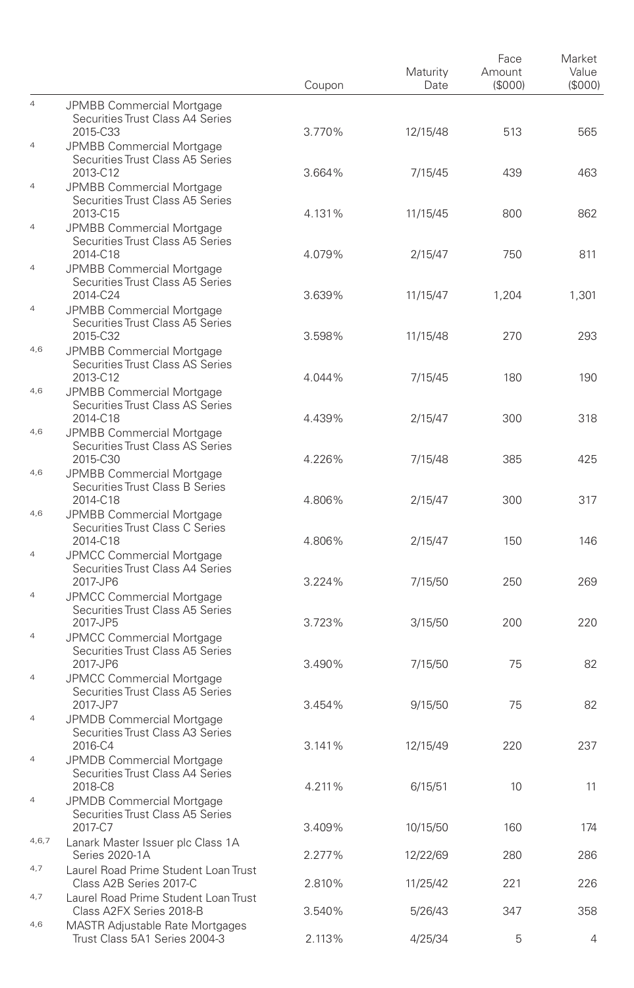|                |                                                                                                         | Coupon | Maturity<br>Date | Face<br>Amount<br>(\$000) | Market<br>Value<br>(S000) |
|----------------|---------------------------------------------------------------------------------------------------------|--------|------------------|---------------------------|---------------------------|
| $\overline{4}$ | JPMBB Commercial Mortgage<br>Securities Trust Class A4 Series                                           |        |                  |                           |                           |
| $\overline{4}$ | 2015-C33<br>JPMBB Commercial Mortgage<br>Securities Trust Class A5 Series                               | 3.770% | 12/15/48         | 513                       | 565                       |
| $\overline{4}$ | 2013-C12<br><b>JPMBB Commercial Mortgage</b><br>Securities Trust Class A5 Series                        | 3.664% | 7/15/45          | 439                       | 463                       |
| $\overline{4}$ | 2013-C15<br>JPMBB Commercial Mortgage                                                                   | 4.131% | 11/15/45         | 800                       | 862                       |
| $\overline{4}$ | Securities Trust Class A5 Series<br>2014-C18<br>JPMBB Commercial Mortgage                               | 4.079% | 2/15/47          | 750                       | 811                       |
| $\overline{4}$ | Securities Trust Class A5 Series<br>2014-C24                                                            | 3.639% | 11/15/47         | 1,204                     | 1,301                     |
| 4,6            | JPMBB Commercial Mortgage<br>Securities Trust Class A5 Series<br>2015-C32<br>JPMBB Commercial Mortgage  | 3.598% | 11/15/48         | 270                       | 293                       |
| 4,6            | Securities Trust Class AS Series<br>2013-C12<br>JPMBB Commercial Mortgage                               | 4.044% | 7/15/45          | 180                       | 190                       |
| 4,6            | Securities Trust Class AS Series<br>2014-C18                                                            | 4.439% | 2/15/47          | 300                       | 318                       |
|                | <b>JPMBB Commercial Mortgage</b><br>Securities Trust Class AS Series<br>2015-C30                        | 4.226% | 7/15/48          | 385                       | 425                       |
| 4,6            | JPMBB Commercial Mortgage<br>Securities Trust Class B Series<br>2014-C18                                | 4.806% | 2/15/47          | 300                       | 317                       |
| 4,6            | JPMBB Commercial Mortgage<br>Securities Trust Class C Series<br>2014-C18                                |        |                  |                           | 146                       |
| $\overline{4}$ | <b>JPMCC Commercial Mortgage</b><br>Securities Trust Class A4 Series                                    | 4.806% | 2/15/47          | 150                       |                           |
| $\overline{4}$ | 2017-JP6<br><b>JPMCC Commercial Mortgage</b><br>Securities Trust Class A5 Series                        | 3.224% | 7/15/50          | 250                       | 269                       |
| $\overline{4}$ | 2017-JP5<br><b>JPMCC Commercial Mortgage</b>                                                            | 3.723% | 3/15/50          | 200                       | 220                       |
| $\overline{4}$ | Securities Trust Class A5 Series<br>2017-JP6<br>JPMCC Commercial Mortgage                               | 3.490% | 7/15/50          | 75                        | 82                        |
| $\overline{4}$ | Securities Trust Class A5 Series<br>2017-JP7<br>JPMDB Commercial Mortgage                               | 3.454% | 9/15/50          | 75                        | 82                        |
| $\overline{4}$ | Securities Trust Class A3 Series<br>2016-C4                                                             | 3.141% | 12/15/49         | 220                       | 237                       |
|                | <b>JPMDB Commercial Mortgage</b><br>Securities Trust Class A4 Series<br>2018-C8                         | 4.211% | 6/15/51          | 10                        | 11                        |
| $\overline{4}$ | JPMDB Commercial Mortgage<br>Securities Trust Class A5 Series<br>2017-C7                                | 3.409% | 10/15/50         | 160                       | 174                       |
| 4,6,7          | Lanark Master Issuer plc Class 1A<br>Series 2020-1A                                                     | 2.277% | 12/22/69         | 280                       | 286                       |
| 4,7<br>4,7     | Laurel Road Prime Student Loan Trust<br>Class A2B Series 2017-C<br>Laurel Road Prime Student Loan Trust | 2.810% | 11/25/42         | 221                       | 226                       |
| 4,6            | Class A2FX Series 2018-B<br><b>MASTR Adjustable Rate Mortgages</b>                                      | 3.540% | 5/26/43          | 347                       | 358                       |
|                | Trust Class 5A1 Series 2004-3                                                                           | 2.113% | 4/25/34          | 5                         | 4                         |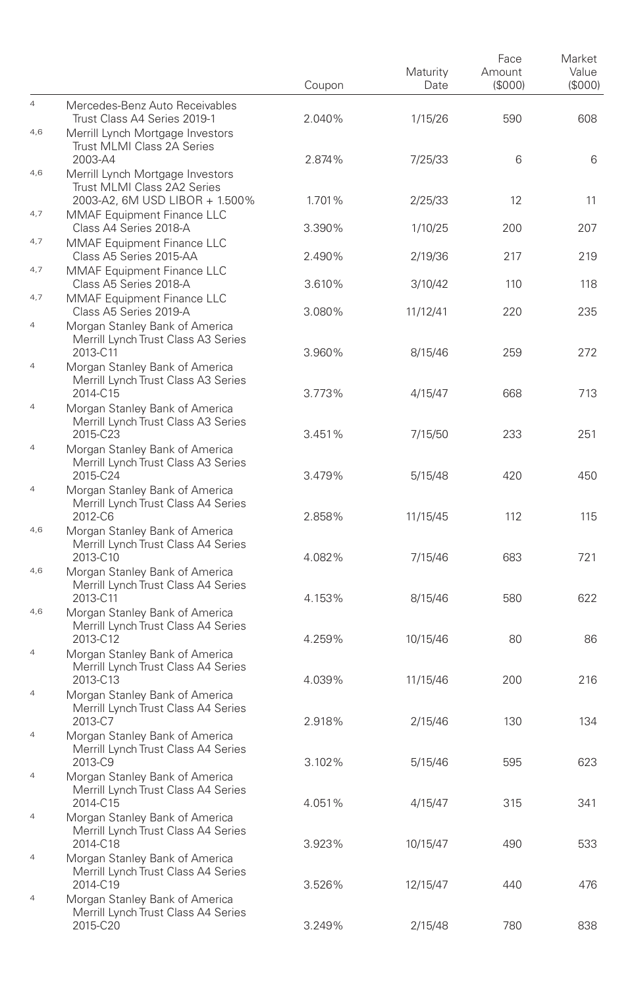|                |                                                                                                 | Coupon | Maturity<br>Date | Face<br>Amount<br>(\$000) | Market<br>Value<br>(S000) |
|----------------|-------------------------------------------------------------------------------------------------|--------|------------------|---------------------------|---------------------------|
| $\overline{4}$ | Mercedes-Benz Auto Receivables<br>Trust Class A4 Series 2019-1                                  | 2.040% | 1/15/26          | 590                       | 608                       |
| 4,6            | Merrill Lynch Mortgage Investors<br>Trust MLMI Class 2A Series<br>2003-A4                       | 2.874% | 7/25/33          | 6                         | 6                         |
| 4,6            | Merrill Lynch Mortgage Investors<br>Trust MLMI Class 2A2 Series                                 |        |                  |                           |                           |
| 4,7            | 2003-A2, 6M USD LIBOR + 1.500%<br>MMAF Equipment Finance LLC                                    | 1.701% | 2/25/33          | 12                        | 11                        |
| 4,7            | Class A4 Series 2018-A<br>MMAF Equipment Finance LLC                                            | 3.390% | 1/10/25          | 200                       | 207                       |
| 4,7            | Class A5 Series 2015-AA<br>MMAF Equipment Finance LLC                                           | 2.490% | 2/19/36          | 217                       | 219                       |
| 4,7            | Class A5 Series 2018-A<br><b>MMAF Equipment Finance LLC</b>                                     | 3.610% | 3/10/42          | 110                       | 118                       |
| $\overline{4}$ | Class A5 Series 2019-A<br>Morgan Stanley Bank of America<br>Merrill Lynch Trust Class A3 Series | 3.080% | 11/12/41         | 220                       | 235                       |
| $\overline{4}$ | 2013-C11<br>Morgan Stanley Bank of America<br>Merrill Lynch Trust Class A3 Series               | 3.960% | 8/15/46          | 259                       | 272                       |
| $\overline{4}$ | 2014-C15<br>Morgan Stanley Bank of America                                                      | 3.773% | 4/15/47          | 668                       | 713                       |
| $\overline{4}$ | Merrill Lynch Trust Class A3 Series<br>2015-C23                                                 | 3.451% | 7/15/50          | 233                       | 251                       |
|                | Morgan Stanley Bank of America<br>Merrill Lynch Trust Class A3 Series<br>2015-C24               | 3.479% | 5/15/48          | 420                       | 450                       |
| $\overline{4}$ | Morgan Stanley Bank of America<br>Merrill Lynch Trust Class A4 Series<br>2012-C6                | 2.858% | 11/15/45         | 112                       | 115                       |
| 4,6            | Morgan Stanley Bank of America<br>Merrill Lynch Trust Class A4 Series<br>2013-C10               | 4.082% | 7/15/46          | 683                       | 721                       |
| 4,6            | Morgan Stanley Bank of America<br>Merrill Lynch Trust Class A4 Series                           |        |                  |                           |                           |
| 4,6            | 2013-C11<br>Morgan Stanley Bank of America<br>Merrill Lynch Trust Class A4 Series               | 4.153% | 8/15/46          | 580                       | 622                       |
| $\overline{4}$ | 2013-C12<br>Morgan Stanley Bank of America                                                      | 4.259% | 10/15/46         | 80                        | 86                        |
| $\overline{4}$ | Merrill Lynch Trust Class A4 Series<br>2013-C13<br>Morgan Stanley Bank of America               | 4.039% | 11/15/46         | 200                       | 216                       |
|                | Merrill Lynch Trust Class A4 Series<br>2013-C7                                                  | 2.918% | 2/15/46          | 130                       | 134                       |
| $\overline{4}$ | Morgan Stanley Bank of America<br>Merrill Lynch Trust Class A4 Series<br>2013-C9                | 3.102% | 5/15/46          | 595                       | 623                       |
| $\overline{4}$ | Morgan Stanley Bank of America<br>Merrill Lynch Trust Class A4 Series                           |        |                  |                           |                           |
| $\overline{4}$ | 2014-C15<br>Morgan Stanley Bank of America<br>Merrill Lynch Trust Class A4 Series               | 4.051% | 4/15/47          | 315                       | 341                       |
| $\overline{4}$ | 2014-C18<br>Morgan Stanley Bank of America<br>Merrill Lynch Trust Class A4 Series               | 3.923% | 10/15/47         | 490                       | 533                       |
| $\overline{4}$ | 2014-C19<br>Morgan Stanley Bank of America<br>Merrill Lynch Trust Class A4 Series               | 3.526% | 12/15/47         | 440                       | 476                       |
|                | 2015-C20                                                                                        | 3.249% | 2/15/48          | 780                       | 838                       |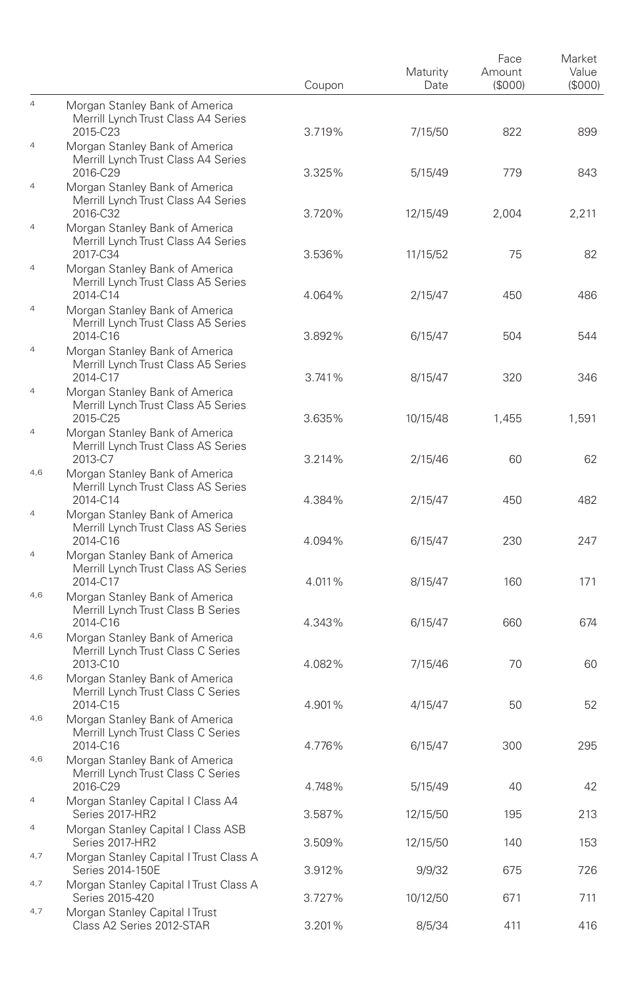|                       |                                                                                                      | Coupon           | Maturity<br>Date     | Face<br>Amount<br>(\$000) | Market<br>Value<br>(S000) |
|-----------------------|------------------------------------------------------------------------------------------------------|------------------|----------------------|---------------------------|---------------------------|
| $\overline{4}$        | Morgan Stanley Bank of America<br>Merrill Lynch Trust Class A4 Series                                |                  |                      |                           |                           |
| $\overline{4}$        | 2015-C23<br>Morgan Stanley Bank of America<br>Merrill Lynch Trust Class A4 Series                    | 3.719%           | 7/15/50              | 822                       | 899                       |
| 4                     | 2016-C29<br>Morgan Stanley Bank of America<br>Merrill Lynch Trust Class A4 Series<br>2016-C32        | 3.325%<br>3.720% | 5/15/49              | 779                       | 843                       |
| $\overline{4}$        | Morgan Stanley Bank of America<br>Merrill Lynch Trust Class A4 Series<br>2017-C34                    | 3.536%           | 12/15/49<br>11/15/52 | 2,004<br>75               | 2,211<br>82               |
| $\overline{4}$        | Morgan Stanley Bank of America<br>Merrill Lynch Trust Class A5 Series<br>2014-C14                    | 4.064%           | 2/15/47              | 450                       | 486                       |
| 4                     | Morgan Stanley Bank of America<br>Merrill Lynch Trust Class A5 Series<br>2014-C16                    | 3.892%           | 6/15/47              | 504                       | 544                       |
| $\overline{4}$        | Morgan Stanley Bank of America<br>Merrill Lynch Trust Class A5 Series<br>2014-C17                    | 3.741%           | 8/15/47              | 320                       | 346                       |
| $\overline{4}$        | Morgan Stanley Bank of America<br>Merrill Lynch Trust Class A5 Series<br>2015-C25                    | 3.635%           | 10/15/48             | 1,455                     | 1,591                     |
| 4                     | Morgan Stanley Bank of America<br>Merrill Lynch Trust Class AS Series<br>2013-C7                     | 3.214%           | 2/15/46              | 60                        | 62                        |
| 4,6                   | Morgan Stanley Bank of America<br>Merrill Lynch Trust Class AS Series<br>2014-C14                    | 4.384%           | 2/15/47              | 450                       | 482                       |
| $\overline{4}$        | Morgan Stanley Bank of America<br>Merrill Lynch Trust Class AS Series<br>2014-C16                    | 4.094%           | 6/15/47              | 230                       | 247                       |
| 4                     | Morgan Stanley Bank of America<br>Merrill Lynch Trust Class AS Series<br>2014-C17                    | 4.011%           | 8/15/47              | 160                       | 171                       |
| 4,6                   | Morgan Stanley Bank of America<br>Merrill Lynch Trust Class B Series<br>2014-C16                     | 4.343%           | 6/15/47              | 660                       | 674                       |
| 4,6<br>4,6            | Morgan Stanley Bank of America<br>Merrill Lynch Trust Class C Series<br>2013-C10                     | 4.082%           | 7/15/46              | 70                        | 60                        |
| 4,6                   | Morgan Stanley Bank of America<br>Merrill Lynch Trust Class C Series<br>2014-C15                     | 4.901%           | 4/15/47              | 50                        | 52                        |
|                       | Morgan Stanley Bank of America<br>Merrill Lynch Trust Class C Series<br>2014-C16                     | 4.776%           | 6/15/47              | 300                       | 295                       |
| 4,6                   | Morgan Stanley Bank of America<br>Merrill Lynch Trust Class C Series<br>2016-C29                     | 4.748%           | 5/15/49              | 40                        | 42                        |
| $\overline{4}$        | Morgan Stanley Capital I Class A4<br>Series 2017-HR2                                                 | 3.587%           | 12/15/50             | 195                       | 213                       |
| $\overline{4}$<br>4,7 | Morgan Stanley Capital I Class ASB<br>Series 2017-HR2                                                | 3.509%           | 12/15/50             | 140                       | 153                       |
| 4,7                   | Morgan Stanley Capital I Trust Class A<br>Series 2014-150E<br>Morgan Stanley Capital I Trust Class A | 3.912%           | 9/9/32               | 675                       | 726                       |
| 4,7                   | Series 2015-420<br>Morgan Stanley Capital I Trust                                                    | 3.727%           | 10/12/50             | 671                       | 711                       |
|                       | Class A2 Series 2012-STAR                                                                            | 3.201%           | 8/5/34               | 411                       | 416                       |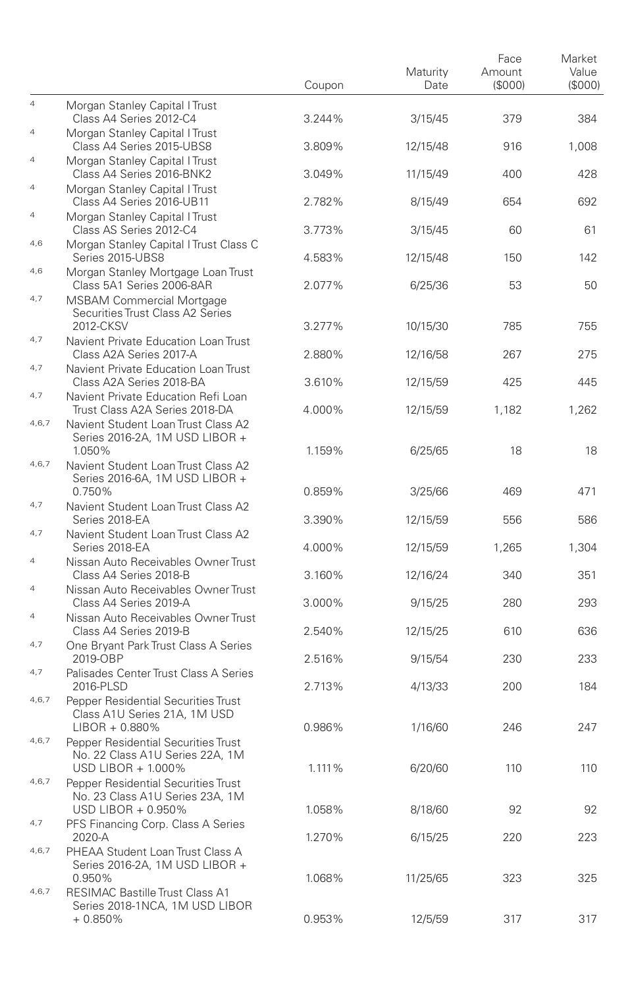|                |                                                                                              | Coupon | Maturity<br>Date | Face<br>Amount<br>(S000) | Market<br>Value<br>(SOOO) |
|----------------|----------------------------------------------------------------------------------------------|--------|------------------|--------------------------|---------------------------|
| $\overline{4}$ | Morgan Stanley Capital I Trust<br>Class A4 Series 2012-C4                                    | 3.244% | 3/15/45          | 379                      | 384                       |
| $\overline{4}$ | Morgan Stanley Capital I Trust<br>Class A4 Series 2015-UBS8                                  | 3.809% | 12/15/48         | 916                      | 1,008                     |
| $\overline{4}$ | Morgan Stanley Capital   Trust<br>Class A4 Series 2016-BNK2                                  | 3.049% | 11/15/49         | 400                      | 428                       |
| $\overline{4}$ | Morgan Stanley Capital I Trust<br>Class A4 Series 2016-UB11                                  | 2.782% | 8/15/49          | 654                      | 692                       |
| $\overline{4}$ | Morgan Stanley Capital I Trust<br>Class AS Series 2012-C4                                    | 3.773% | 3/15/45          | 60                       | 61                        |
| 4,6            | Morgan Stanley Capital I Trust Class C<br>Series 2015-UBS8                                   | 4.583% | 12/15/48         | 150                      | 142                       |
| 4,6            | Morgan Stanley Mortgage Loan Trust<br>Class 5A1 Series 2006-8AR                              | 2.077% | 6/25/36          | 53                       | 50                        |
| 4,7            | <b>MSBAM Commercial Mortgage</b><br>Securities Trust Class A2 Series<br>2012-CKSV            | 3.277% | 10/15/30         | 785                      | 755                       |
| 4,7            | Navient Private Education Loan Trust<br>Class A2A Series 2017-A                              | 2.880% | 12/16/58         | 267                      | 275                       |
| 4,7            | Navient Private Education Loan Trust<br>Class A2A Series 2018-BA                             | 3.610% | 12/15/59         | 425                      | 445                       |
| 4,7            | Navient Private Education Refi Loan<br>Trust Class A2A Series 2018-DA                        | 4.000% | 12/15/59         | 1.182                    | 1,262                     |
| 4,6,7          | Navient Student Loan Trust Class A2<br>Series 2016-2A, 1M USD LIBOR +<br>1.050%              | 1.159% | 6/25/65          | 18                       | 18                        |
| 4,6,7          | Navient Student Loan Trust Class A2<br>Series 2016-6A, 1M USD LIBOR +<br>0.750%              | 0.859% | 3/25/66          | 469                      | 471                       |
| 4,7            | Navient Student Loan Trust Class A2<br>Series 2018-EA                                        | 3.390% | 12/15/59         | 556                      | 586                       |
| 4,7            | Navient Student Loan Trust Class A2<br>Series 2018-EA                                        | 4.000% | 12/15/59         | 1,265                    | 1,304                     |
| $\overline{4}$ | Nissan Auto Receivables Owner Trust<br>Class A4 Series 2018-B                                | 3.160% | 12/16/24         | 340                      | 351                       |
| $\overline{4}$ | Nissan Auto Receivables Owner Trust<br>Class A4 Series 2019-A                                | 3.000% | 9/15/25          | 280                      | 293                       |
| $\overline{4}$ | Nissan Auto Receivables Owner Trust<br>Class A4 Series 2019-B                                | 2.540% | 12/15/25         | 610                      | 636                       |
| 4,7            | One Bryant Park Trust Class A Series<br>2019-OBP                                             | 2.516% | 9/15/54          | 230                      | 233                       |
| 4,7            | Palisades Center Trust Class A Series<br>2016-PLSD                                           | 2.713% | 4/13/33          | 200                      | 184                       |
| 4,6,7          | Pepper Residential Securities Trust<br>Class A1U Series 21A, 1M USD<br>$LIBOR + 0.880\%$     | 0.986% | 1/16/60          | 246                      | 247                       |
| 4,6,7          | Pepper Residential Securities Trust<br>No. 22 Class A1U Series 22A, 1M<br>USD LIBOR + 1.000% | 1.111% | 6/20/60          | 110                      | 110                       |
| 4,6,7          | Pepper Residential Securities Trust<br>No. 23 Class A1U Series 23A, 1M<br>USD LIBOR + 0.950% | 1.058% | 8/18/60          | 92                       | 92                        |
| 4,7            | PFS Financing Corp. Class A Series<br>2020-A                                                 | 1.270% | 6/15/25          | 220                      | 223                       |
| 4,6,7          | PHEAA Student Loan Trust Class A<br>Series 2016-2A, 1M USD LIBOR +                           |        |                  |                          |                           |
| 4,6,7          | 0.950%<br><b>RESIMAC Bastille Trust Class A1</b><br>Series 2018-1NCA, 1M USD LIBOR           | 1.068% | 11/25/65         | 323                      | 325                       |
|                | $+0.850%$                                                                                    | 0.953% | 12/5/59          | 317                      | 317                       |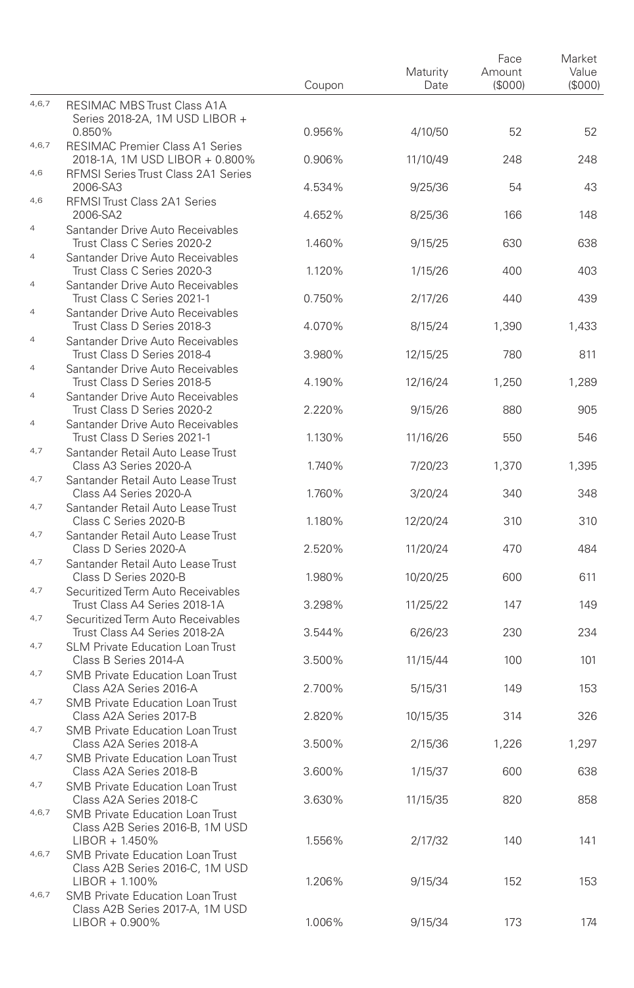|                |                                                                                       | Coupon | Maturity<br>Date | Face<br>Amount<br>(\$000) | Market<br>Value<br>(S000) |
|----------------|---------------------------------------------------------------------------------------|--------|------------------|---------------------------|---------------------------|
| 4,6,7          | <b>RESIMAC MBS Trust Class A1A</b><br>Series 2018-2A, 1M USD LIBOR +                  |        |                  |                           |                           |
| 4,6,7          | 0.850%<br>RESIMAC Premier Class A1 Series                                             | 0.956% | 4/10/50          | 52                        | 52                        |
| 4,6            | 2018-1A, 1M USD LIBOR + 0.800%                                                        | 0.906% | 11/10/49         | 248                       | 248                       |
|                | RFMSI Series Trust Class 2A1 Series<br>2006-SA3                                       | 4.534% | 9/25/36          | 54                        | 43                        |
| 4,6            | RFMSI Trust Class 2A1 Series<br>2006-SA2                                              | 4.652% | 8/25/36          | 166                       | 148                       |
| $\overline{4}$ | Santander Drive Auto Receivables<br>Trust Class C Series 2020-2                       | 1.460% | 9/15/25          | 630                       | 638                       |
| $\overline{4}$ | Santander Drive Auto Receivables                                                      |        |                  |                           |                           |
| 4              | Trust Class C Series 2020-3<br>Santander Drive Auto Receivables                       | 1.120% | 1/15/26          | 400                       | 403                       |
| $\overline{4}$ | Trust Class C Series 2021-1<br>Santander Drive Auto Receivables                       | 0.750% | 2/17/26          | 440                       | 439                       |
| $\overline{4}$ | Trust Class D Series 2018-3                                                           | 4.070% | 8/15/24          | 1,390                     | 1,433                     |
|                | Santander Drive Auto Receivables<br>Trust Class D Series 2018-4                       | 3.980% | 12/15/25         | 780                       | 811                       |
| 4              | Santander Drive Auto Receivables<br>Trust Class D Series 2018-5                       | 4.190% | 12/16/24         | 1.250                     | 1,289                     |
| $\overline{4}$ | Santander Drive Auto Receivables<br>Trust Class D Series 2020-2                       | 2.220% | 9/15/26          | 880                       | 905                       |
| $\overline{4}$ | Santander Drive Auto Receivables<br>Trust Class D Series 2021-1                       | 1.130% | 11/16/26         | 550                       | 546                       |
| 4,7            | Santander Retail Auto Lease Trust<br>Class A3 Series 2020-A                           | 1.740% | 7/20/23          | 1,370                     | 1,395                     |
| 4,7            | Santander Retail Auto Lease Trust<br>Class A4 Series 2020-A                           | 1.760% | 3/20/24          | 340                       | 348                       |
| 4,7            | Santander Retail Auto Lease Trust<br>Class C Series 2020-B                            | 1.180% | 12/20/24         | 310                       | 310                       |
| 4,7            | Santander Retail Auto Lease Trust<br>Class D Series 2020-A                            | 2.520% | 11/20/24         | 470                       | 484                       |
| 4,7            | Santander Retail Auto Lease Trust                                                     |        |                  |                           |                           |
| 4,7            | Class D Series 2020-B<br>Securitized Term Auto Receivables                            | 1.980% | 10/20/25         | 600                       | 611                       |
| 4,7            | Trust Class A4 Series 2018-1A<br>Securitized Term Auto Receivables                    | 3.298% | 11/25/22         | 147                       | 149                       |
| 4,7            | Trust Class A4 Series 2018-2A<br><b>SLM Private Education Loan Trust</b>              | 3.544% | 6/26/23          | 230                       | 234                       |
| 4,7            | Class B Series 2014-A                                                                 | 3.500% | 11/15/44         | 100                       | 101                       |
|                | <b>SMB Private Education Loan Trust</b><br>Class A2A Series 2016-A                    | 2.700% | 5/15/31          | 149                       | 153                       |
| 4,7            | <b>SMB Private Education Loan Trust</b><br>Class A2A Series 2017-B                    | 2.820% | 10/15/35         | 314                       | 326                       |
| 4,7            | <b>SMB Private Education Loan Trust</b><br>Class A2A Series 2018-A                    | 3.500% | 2/15/36          | 1,226                     | 1,297                     |
| 4,7            | <b>SMB Private Education Loan Trust</b><br>Class A2A Series 2018-B                    | 3.600% | 1/15/37          | 600                       | 638                       |
| 4,7            | SMB Private Education Loan Trust<br>Class A2A Series 2018-C                           | 3.630% | 11/15/35         | 820                       | 858                       |
| 4,6,7          | SMB Private Education Loan Trust<br>Class A2B Series 2016-B, 1M USD<br>LIBOR + 1.450% | 1.556% | 2/17/32          | 140                       | 141                       |
| 4,6,7          | <b>SMB Private Education Loan Trust</b><br>Class A2B Series 2016-C, 1M USD            |        |                  |                           |                           |
| 4,6,7          | LIBOR + 1.100%<br><b>SMB Private Education Loan Trust</b>                             | 1.206% | 9/15/34          | 152                       | 153                       |
|                | Class A2B Series 2017-A, 1M USD<br>LIBOR + 0.900%                                     | 1.006% | 9/15/34          | 173                       | 174                       |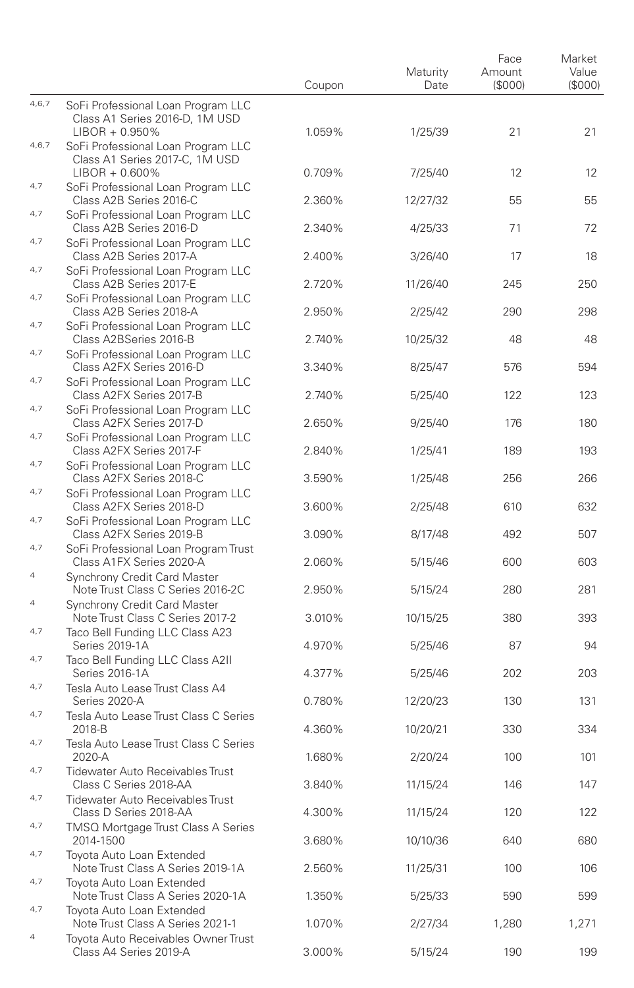|                |                                                                                           | Coupon | Maturity<br>Date | Face<br>Amount<br>(\$000) | Market<br>Value<br>(S000) |
|----------------|-------------------------------------------------------------------------------------------|--------|------------------|---------------------------|---------------------------|
| 4,6,7          | SoFi Professional Loan Program LLC<br>Class A1 Series 2016-D, 1M USD<br>$LIBOR + 0.950\%$ | 1.059% | 1/25/39          | 21                        | 21                        |
| 4,6,7          | SoFi Professional Loan Program LLC<br>Class A1 Series 2017-C, 1M USD                      |        |                  |                           |                           |
| 4,7            | $LIBOR + 0.600\%$<br>SoFi Professional Loan Program LLC                                   | 0.709% | 7/25/40          | 12                        | 12                        |
|                | Class A2B Series 2016-C                                                                   | 2.360% | 12/27/32         | 55                        | 55                        |
| 4,7            | SoFi Professional Loan Program LLC<br>Class A2B Series 2016-D                             | 2.340% | 4/25/33          | 71                        | 72                        |
| 4,7            | SoFi Professional Loan Program LLC<br>Class A2B Series 2017-A                             | 2.400% | 3/26/40          | 17                        | 18                        |
| 4,7            | SoFi Professional Loan Program LLC<br>Class A2B Series 2017-E                             | 2.720% | 11/26/40         | 245                       | 250                       |
| 4,7            | SoFi Professional Loan Program LLC<br>Class A2B Series 2018-A                             | 2.950% | 2/25/42          | 290                       | 298                       |
| 4,7            | SoFi Professional Loan Program LLC<br>Class A2BSeries 2016-B                              | 2.740% | 10/25/32         | 48                        | 48                        |
| 4,7            | SoFi Professional Loan Program LLC<br>Class A2FX Series 2016-D                            | 3.340% | 8/25/47          | 576                       | 594                       |
| 4,7            | SoFi Professional Loan Program LLC<br>Class A2FX Series 2017-B                            | 2.740% | 5/25/40          | 122                       | 123                       |
| 4,7            | SoFi Professional Loan Program LLC                                                        |        |                  |                           |                           |
| 4,7            | Class A2FX Series 2017-D<br>SoFi Professional Loan Program LLC                            | 2.650% | 9/25/40          | 176                       | 180                       |
| 4,7            | Class A2FX Series 2017-F<br>SoFi Professional Loan Program LLC                            | 2.840% | 1/25/41          | 189                       | 193                       |
|                | Class A2FX Series 2018-C                                                                  | 3.590% | 1/25/48          | 256                       | 266                       |
| 4,7            | SoFi Professional Loan Program LLC<br>Class A2FX Series 2018-D                            | 3.600% | 2/25/48          | 610                       | 632                       |
| 4,7            | SoFi Professional Loan Program LLC<br>Class A2FX Series 2019-B                            | 3.090% | 8/17/48          | 492                       | 507                       |
| 4,7            | SoFi Professional Loan Program Trust<br>Class A1FX Series 2020-A                          | 2.060% | 5/15/46          | 600                       | 603                       |
| $\overline{4}$ | Synchrony Credit Card Master<br>Note Trust Class C Series 2016-2C                         | 2.950% | 5/15/24          | 280                       | 281                       |
| 4              | Synchrony Credit Card Master<br>Note Trust Class C Series 2017-2                          | 3.010% | 10/15/25         | 380                       | 393                       |
| 4,7            | Taco Bell Funding LLC Class A23<br>Series 2019-1A                                         | 4.970% | 5/25/46          | 87                        | 94                        |
| 4,7            | Taco Bell Funding LLC Class A2II<br>Series 2016-1A                                        | 4.377% | 5/25/46          | 202                       | 203                       |
| 4,7            | Tesla Auto Lease Trust Class A4<br>Series 2020-A                                          | 0.780% | 12/20/23         | 130                       | 131                       |
| 4,7            | Tesla Auto Lease Trust Class C Series                                                     |        |                  |                           |                           |
| 4,7            | 2018-B<br>Tesla Auto Lease Trust Class C Series                                           | 4.360% | 10/20/21         | 330                       | 334                       |
| 4,7            | 2020-A<br>Tidewater Auto Receivables Trust                                                | 1.680% | 2/20/24          | 100                       | 101                       |
| 4,7            | Class C Series 2018-AA<br><b>Tidewater Auto Receivables Trust</b>                         | 3.840% | 11/15/24         | 146                       | 147                       |
| 4,7            | Class D Series 2018-AA                                                                    | 4.300% | 11/15/24         | 120                       | 122                       |
|                | TMSQ Mortgage Trust Class A Series<br>2014-1500                                           | 3.680% | 10/10/36         | 640                       | 680                       |
| 4,7            | Toyota Auto Loan Extended<br>Note Trust Class A Series 2019-1A                            | 2.560% | 11/25/31         | 100                       | 106                       |
| 4,7            | Toyota Auto Loan Extended<br>Note Trust Class A Series 2020-1A                            | 1.350% | 5/25/33          | 590                       | 599                       |
| 4,7            | Toyota Auto Loan Extended<br>Note Trust Class A Series 2021-1                             | 1.070% | 2/27/34          | 1,280                     | 1,271                     |
| $\overline{4}$ | Toyota Auto Receivables Owner Trust<br>Class A4 Series 2019-A                             | 3.000% | 5/15/24          | 190                       | 199                       |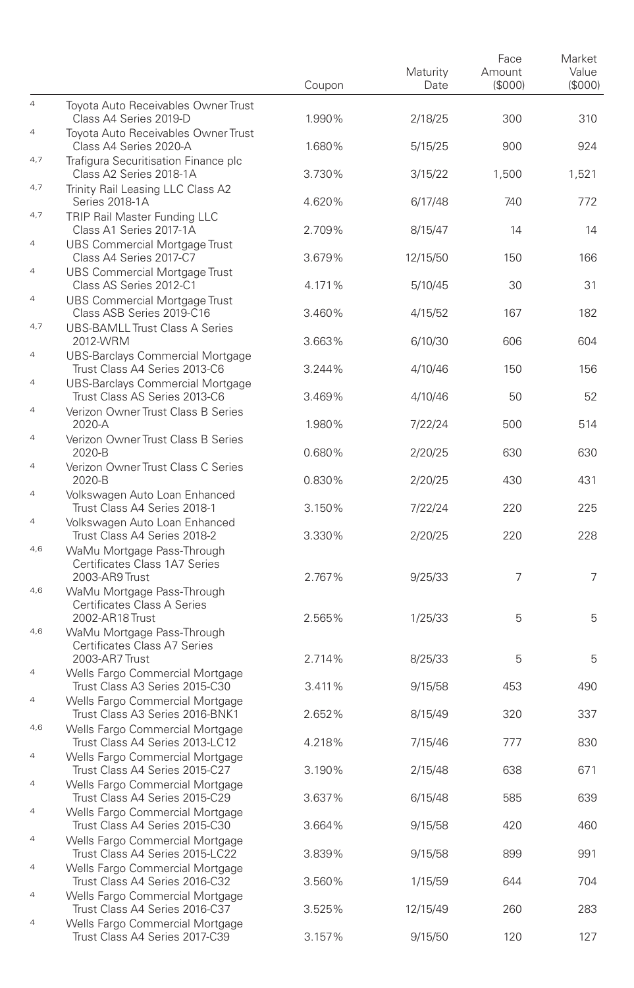|                |                                                                               | Coupon | Maturity<br>Date | Face<br>Amount<br>(\$000) | Market<br>Value<br>(\$000) |
|----------------|-------------------------------------------------------------------------------|--------|------------------|---------------------------|----------------------------|
| $\overline{a}$ | Toyota Auto Receivables Owner Trust<br>Class A4 Series 2019-D                 | 1.990% | 2/18/25          | 300                       | 310                        |
| $\overline{4}$ | Toyota Auto Receivables Owner Trust<br>Class A4 Series 2020-A                 | 1.680% | 5/15/25          | 900                       | 924                        |
| 4,7            | Trafigura Securitisation Finance plc<br>Class A2 Series 2018-1A               | 3.730% | 3/15/22          | 1,500                     | 1,521                      |
| 4,7            | Trinity Rail Leasing LLC Class A2<br>Series 2018-1A                           | 4.620% | 6/17/48          | 740                       | 772                        |
| 4,7            | TRIP Rail Master Funding LLC<br>Class A1 Series 2017-1A                       | 2.709% | 8/15/47          | 14                        | 14                         |
| $\overline{4}$ | <b>UBS Commercial Mortgage Trust</b><br>Class A4 Series 2017-C7               | 3.679% | 12/15/50         | 150                       | 166                        |
| $\overline{4}$ | <b>UBS Commercial Mortgage Trust</b><br>Class AS Series 2012-C1               | 4.171% | 5/10/45          | 30                        | 31                         |
| $\overline{4}$ | UBS Commercial Mortgage Trust<br>Class ASB Series 2019-C16                    | 3.460% | 4/15/52          | 167                       | 182                        |
| 4,7            | <b>UBS-BAMLL Trust Class A Series</b><br>2012-WRM                             | 3.663% | 6/10/30          | 606                       | 604                        |
| $\overline{4}$ | UBS-Barclays Commercial Mortgage<br>Trust Class A4 Series 2013-C6             | 3.244% | 4/10/46          | 150                       | 156                        |
| $\overline{4}$ | UBS-Barclays Commercial Mortgage<br>Trust Class AS Series 2013-C6             | 3.469% | 4/10/46          | 50                        | 52                         |
| 4              | Verizon Owner Trust Class B Series<br>2020-A                                  | 1.980% | 7/22/24          | 500                       | 514                        |
| $\overline{4}$ | Verizon Owner Trust Class B Series<br>2020-B                                  | 0.680% | 2/20/25          | 630                       | 630                        |
| 4              | Verizon Owner Trust Class C Series<br>2020-B                                  | 0.830% | 2/20/25          | 430                       | 431                        |
| $\overline{4}$ | Volkswagen Auto Loan Enhanced<br>Trust Class A4 Series 2018-1                 | 3.150% | 7/22/24          | 220                       | 225                        |
| 4              | Volkswagen Auto Loan Enhanced<br>Trust Class A4 Series 2018-2                 | 3.330% | 2/20/25          | 220                       | 228                        |
| 4,6            | WaMu Mortgage Pass-Through<br>Certificates Class 1A7 Series<br>2003-AR9 Trust | 2.767% | 9/25/33          | 7                         | 7                          |
| 4,6            | WaMu Mortgage Pass-Through<br>Certificates Class A Series<br>2002-AR18 Trust  | 2.565% | 1/25/33          | 5                         | 5                          |
| 4,6            | WaMu Mortgage Pass-Through<br>Certificates Class A7 Series                    |        |                  |                           |                            |
| $\overline{4}$ | 2003-AR7 Trust<br>Wells Fargo Commercial Mortgage                             | 2.714% | 8/25/33          | 5                         | 5                          |
| 4              | Trust Class A3 Series 2015-C30<br>Wells Fargo Commercial Mortgage             | 3.411% | 9/15/58          | 453                       | 490                        |
| 4,6            | Trust Class A3 Series 2016-BNK1<br>Wells Fargo Commercial Mortgage            | 2.652% | 8/15/49          | 320                       | 337                        |
| 4              | Trust Class A4 Series 2013-LC12<br>Wells Fargo Commercial Mortgage            | 4.218% | 7/15/46          | 777                       | 830                        |
| 4              | Trust Class A4 Series 2015-C27<br>Wells Fargo Commercial Mortgage             | 3.190% | 2/15/48          | 638                       | 671                        |
| $\overline{4}$ | Trust Class A4 Series 2015-C29<br>Wells Fargo Commercial Mortgage             | 3.637% | 6/15/48          | 585                       | 639                        |
| $\overline{4}$ | Trust Class A4 Series 2015-C30<br>Wells Fargo Commercial Mortgage             | 3.664% | 9/15/58          | 420                       | 460                        |
| $\overline{4}$ | Trust Class A4 Series 2015-LC22<br>Wells Fargo Commercial Mortgage            | 3.839% | 9/15/58          | 899                       | 991                        |
| 4              | Trust Class A4 Series 2016-C32<br>Wells Fargo Commercial Mortgage             | 3.560% | 1/15/59          | 644                       | 704                        |
| 4              | Trust Class A4 Series 2016-C37<br>Wells Fargo Commercial Mortgage             | 3.525% | 12/15/49         | 260                       | 283                        |
|                | Trust Class A4 Series 2017-C39                                                | 3.157% | 9/15/50          | 120                       | 127                        |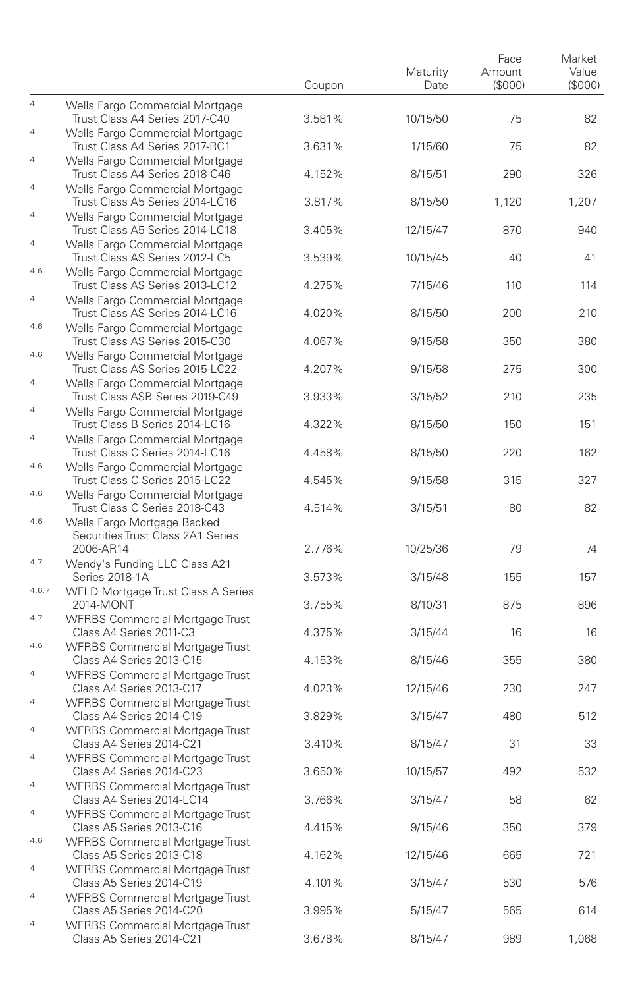|                |                                                                               | Coupon | Maturity<br>Date | Face<br>Amount<br>(\$000) | Market<br>Value<br>(\$000) |
|----------------|-------------------------------------------------------------------------------|--------|------------------|---------------------------|----------------------------|
| $\overline{4}$ | Wells Fargo Commercial Mortgage<br>Trust Class A4 Series 2017-C40             | 3.581% | 10/15/50         | 75                        | 82                         |
| $\overline{4}$ | Wells Fargo Commercial Mortgage<br>Trust Class A4 Series 2017-RC1             | 3.631% | 1/15/60          | 75                        | 82                         |
| 4              | Wells Fargo Commercial Mortgage<br>Trust Class A4 Series 2018-C46             | 4.152% | 8/15/51          | 290                       | 326                        |
| 4              | Wells Fargo Commercial Mortgage<br>Trust Class A5 Series 2014-LC16            | 3.817% | 8/15/50          | 1,120                     | 1,207                      |
| $\overline{4}$ | Wells Fargo Commercial Mortgage<br>Trust Class A5 Series 2014-LC18            | 3.405% | 12/15/47         | 870                       | 940                        |
| $\overline{4}$ | Wells Fargo Commercial Mortgage<br>Trust Class AS Series 2012-LC5             | 3.539% | 10/15/45         | 40                        | 41                         |
| 4,6            | Wells Fargo Commercial Mortgage<br>Trust Class AS Series 2013-LC12            | 4.275% | 7/15/46          | 110                       | 114                        |
| $\overline{4}$ | Wells Fargo Commercial Mortgage<br>Trust Class AS Series 2014-LC16            | 4.020% | 8/15/50          | 200                       | 210                        |
| 4,6            | Wells Fargo Commercial Mortgage<br>Trust Class AS Series 2015-C30             | 4.067% | 9/15/58          | 350                       | 380                        |
| 4,6            | Wells Fargo Commercial Mortgage<br>Trust Class AS Series 2015-LC22            | 4.207% | 9/15/58          | 275                       | 300                        |
| $\overline{4}$ | Wells Fargo Commercial Mortgage<br>Trust Class ASB Series 2019-C49            | 3.933% | 3/15/52          | 210                       | 235                        |
| $\overline{4}$ | Wells Fargo Commercial Mortgage<br>Trust Class B Series 2014-LC16             | 4.322% | 8/15/50          | 150                       | 151                        |
| $\overline{4}$ | Wells Fargo Commercial Mortgage<br>Trust Class C Series 2014-LC16             | 4.458% | 8/15/50          | 220                       | 162                        |
| 4,6            | Wells Fargo Commercial Mortgage<br>Trust Class C Series 2015-LC22             | 4.545% | 9/15/58          | 315                       | 327                        |
| 4,6<br>4,6     | Wells Fargo Commercial Mortgage<br>Trust Class C Series 2018-C43              | 4.514% | 3/15/51          | 80                        | 82                         |
|                | Wells Fargo Mortgage Backed<br>Securities Trust Class 2A1 Series<br>2006-AR14 | 2.776% | 10/25/36         | 79                        | 74                         |
| 4,7            | Wendy's Funding LLC Class A21<br>Series 2018-1A                               | 3.573% | 3/15/48          | 155                       | 157                        |
| 4,6,7          | WFLD Mortgage Trust Class A Series<br>2014-MONT                               | 3.755% | 8/10/31          | 875                       | 896                        |
| 4,7            | <b>WFRBS Commercial Mortgage Trust</b><br>Class A4 Series 2011-C3             | 4.375% | 3/15/44          | 16                        | 16                         |
| 4,6            | <b>WFRBS Commercial Mortgage Trust</b><br>Class A4 Series 2013-C15            | 4.153% | 8/15/46          | 355                       | 380                        |
| 4              | <b>WFRBS Commercial Mortgage Trust</b><br>Class A4 Series 2013-C17            | 4.023% | 12/15/46         | 230                       | 247                        |
| $\overline{4}$ | <b>WFRBS Commercial Mortgage Trust</b><br>Class A4 Series 2014-C19            | 3.829% | 3/15/47          | 480                       | 512                        |
| $\overline{4}$ | <b>WFRBS Commercial Mortgage Trust</b><br>Class A4 Series 2014-C21            | 3.410% | 8/15/47          | 31                        | 33                         |
| $\overline{4}$ | <b>WFRBS Commercial Mortgage Trust</b><br>Class A4 Series 2014-C23            | 3.650% | 10/15/57         | 492                       | 532                        |
|                | <b>WFRBS Commercial Mortgage Trust</b><br>Class A4 Series 2014-LC14           | 3.766% | 3/15/47          | 58                        | 62                         |
| $\overline{4}$ | <b>WFRBS Commercial Mortgage Trust</b><br>Class A5 Series 2013-C16            | 4.415% | 9/15/46          | 350                       | 379                        |
| 4,6            | <b>WFRBS Commercial Mortgage Trust</b><br>Class A5 Series 2013-C18            | 4.162% | 12/15/46         | 665                       | 721                        |
| $\overline{a}$ | <b>WFRBS Commercial Mortgage Trust</b><br>Class A5 Series 2014-C19            | 4.101% | 3/15/47          | 530                       | 576                        |
| $\overline{4}$ | <b>WFRBS Commercial Mortgage Trust</b><br>Class A5 Series 2014-C20            | 3.995% | 5/15/47          | 565                       | 614                        |
| $\overline{a}$ | <b>WFRBS Commercial Mortgage Trust</b><br>Class A5 Series 2014-C21            | 3.678% | 8/15/47          | 989                       | 1,068                      |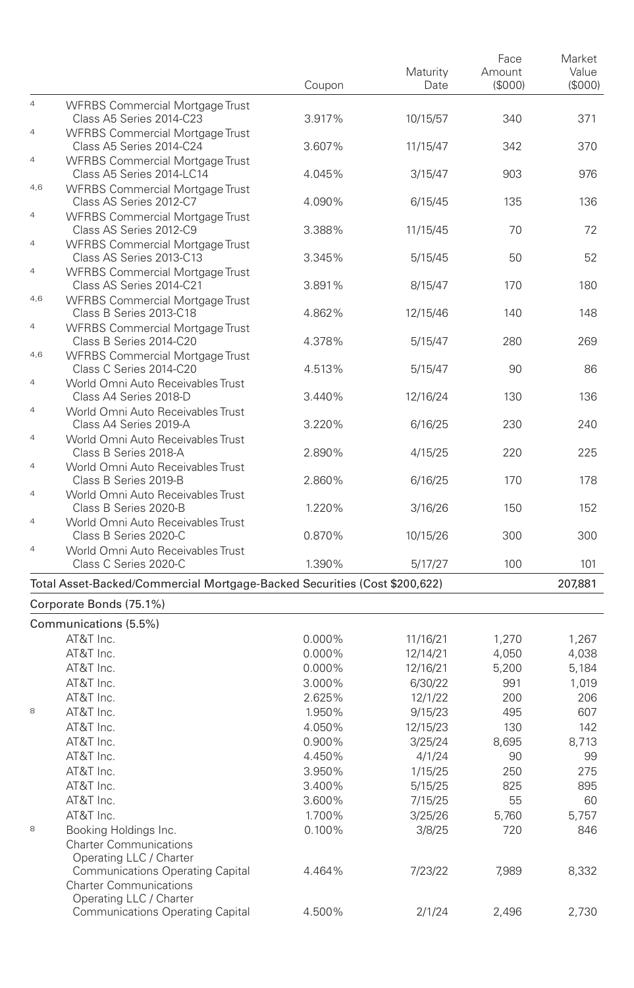|                |                                                                                   | Coupon           | Maturity<br>Date     | Face<br>Amount<br>(\$000) | Market<br>Value<br>(S000) |
|----------------|-----------------------------------------------------------------------------------|------------------|----------------------|---------------------------|---------------------------|
| $\overline{4}$ | <b>WFRBS Commercial Mortgage Trust</b><br>Class A5 Series 2014-C23                | 3.917%           | 10/15/57             | 340                       | 371                       |
| $\overline{a}$ | <b>WFRBS Commercial Mortgage Trust</b><br>Class A5 Series 2014-C24                | 3.607%           | 11/15/47             | 342                       | 370                       |
| $\overline{4}$ | <b>WFRBS Commercial Mortgage Trust</b><br>Class A5 Series 2014-LC14               | 4.045%           | 3/15/47              | 903                       | 976                       |
| 4,6            | <b>WFRBS Commercial Mortgage Trust</b><br>Class AS Series 2012-C7                 | 4.090%           | 6/15/45              | 135                       | 136                       |
| 4              | <b>WFRBS Commercial Mortgage Trust</b><br>Class AS Series 2012-C9                 | 3.388%           | 11/15/45             | 70                        | 72                        |
| $\overline{4}$ | <b>WFRBS Commercial Mortgage Trust</b><br>Class AS Series 2013-C13                | 3.345%           | 5/15/45              | 50                        | 52                        |
| $\overline{4}$ | <b>WFRBS Commercial Mortgage Trust</b><br>Class AS Series 2014-C21                | 3.891%           | 8/15/47              | 170                       | 180                       |
| 4,6            | <b>WFRBS Commercial Mortgage Trust</b><br>Class B Series 2013-C18                 | 4.862%           | 12/15/46             | 140                       | 148                       |
| $\overline{4}$ | <b>WFRBS Commercial Mortgage Trust</b><br>Class B Series 2014-C20                 | 4.378%           | 5/15/47              | 280                       | 269                       |
| 4,6            | <b>WFRBS Commercial Mortgage Trust</b><br>Class C Series 2014-C20                 | 4.513%           | 5/15/47              | 90                        | 86                        |
| 4              | World Omni Auto Receivables Trust<br>Class A4 Series 2018-D                       | 3.440%           | 12/16/24             | 130                       | 136                       |
| $\overline{4}$ | World Omni Auto Receivables Trust<br>Class A4 Series 2019-A                       | 3.220%           | 6/16/25              | 230                       | 240                       |
| $\overline{4}$ | World Omni Auto Receivables Trust<br>Class B Series 2018-A                        | 2.890%           | 4/15/25              | 220                       | 225                       |
| $\overline{4}$ | World Omni Auto Receivables Trust<br>Class B Series 2019-B                        | 2.860%           | 6/16/25              | 170                       | 178                       |
| $\overline{4}$ | World Omni Auto Receivables Trust<br>Class B Series 2020-B                        | 1.220%           | 3/16/26              | 150                       | 152                       |
| $\overline{4}$ | World Omni Auto Receivables Trust<br>Class B Series 2020-C                        | 0.870%           | 10/15/26             | 300                       | 300                       |
| $\overline{4}$ | World Omni Auto Receivables Trust<br>Class C Series 2020-C                        | 1.390%           | 5/17/27              | 100                       | 101                       |
|                | Total Asset-Backed/Commercial Mortgage-Backed Securities (Cost \$200,622)         |                  |                      |                           | 207,881                   |
|                | Corporate Bonds (75.1%)                                                           |                  |                      |                           |                           |
|                | Communications (5.5%)<br>AT&T Inc.                                                |                  |                      |                           |                           |
|                | AT&T Inc.                                                                         | 0.000%<br>0.000% | 11/16/21<br>12/14/21 | 1,270<br>4,050            | 1,267<br>4,038            |
|                | AT&T Inc.                                                                         | 0.000%           | 12/16/21             | 5,200                     | 5,184                     |
|                | AT&T Inc.                                                                         | 3.000%           | 6/30/22              | 991                       | 1,019                     |
|                | AT&T Inc.                                                                         |                  |                      | 200                       |                           |
| 8              | AT&T Inc.                                                                         | 2.625%           | 12/1/22              |                           | 206                       |
|                |                                                                                   | 1.950%           | 9/15/23              | 495                       | 607                       |
|                | AT&T Inc.                                                                         | 4.050%           | 12/15/23             | 130                       | 142                       |
|                | AT&T Inc.                                                                         | 0.900%           | 3/25/24              | 8,695                     | 8,713                     |
|                | AT&T Inc.                                                                         | 4.450%           | 4/1/24               | 90                        | 99                        |
|                | AT&T Inc.                                                                         | 3.950%           | 1/15/25              | 250                       | 275                       |
|                | AT&T Inc.                                                                         | 3.400%           | 5/15/25              | 825                       | 895                       |
|                | AT&T Inc.                                                                         | 3.600%           | 7/15/25              | 55                        | 60                        |
|                | AT&T Inc.                                                                         | 1.700%           | 3/25/26              | 5,760                     | 5,757                     |
| 8              | Booking Holdings Inc.<br><b>Charter Communications</b><br>Operating LLC / Charter | 0.100%           | 3/8/25               | 720                       | 846                       |
|                | <b>Communications Operating Capital</b><br><b>Charter Communications</b>          | 4.464%           | 7/23/22              | 7,989                     | 8,332                     |
|                | Operating LLC / Charter<br><b>Communications Operating Capital</b>                | 4.500%           | 2/1/24               | 2,496                     | 2,730                     |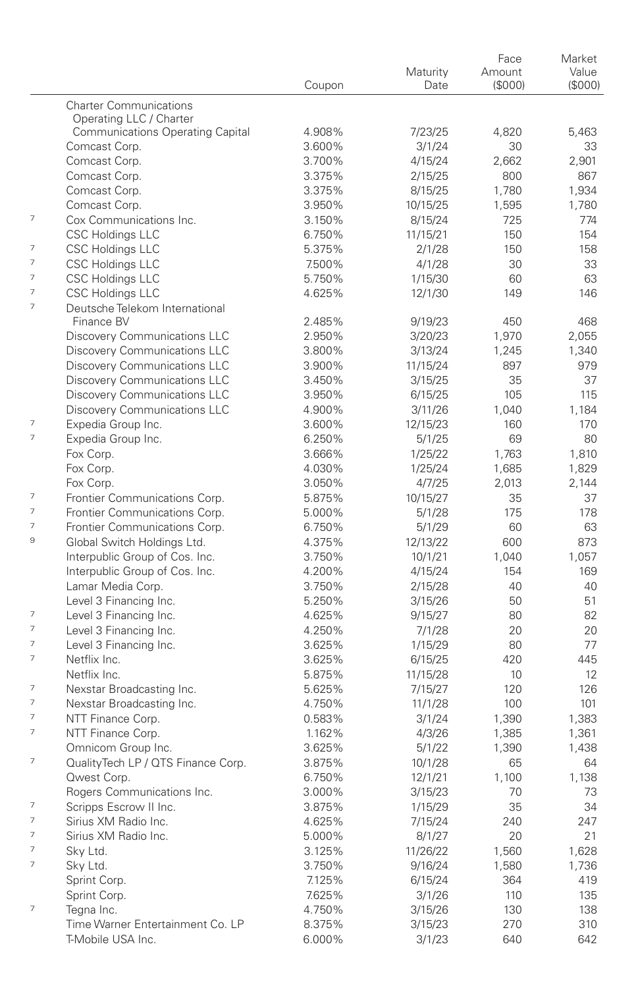|                          |                                         |        |          | Face   | Market  |
|--------------------------|-----------------------------------------|--------|----------|--------|---------|
|                          |                                         |        | Maturity | Amount | Value   |
|                          |                                         | Coupon | Date     | (S000) | (\$000) |
|                          | <b>Charter Communications</b>           |        |          |        |         |
|                          | Operating LLC / Charter                 |        |          |        |         |
|                          | <b>Communications Operating Capital</b> | 4.908% | 7/23/25  | 4,820  | 5,463   |
|                          | Comcast Corp.                           | 3.600% | 3/1/24   | 30     | 33      |
|                          | Comcast Corp.                           | 3.700% | 4/15/24  | 2,662  | 2,901   |
|                          | Comcast Corp.                           | 3.375% | 2/15/25  | 800    | 867     |
|                          | Comcast Corp.                           | 3.375% | 8/15/25  | 1,780  | 1,934   |
|                          | Comcast Corp.                           | 3.950% | 10/15/25 | 1,595  | 1,780   |
| 7                        | Cox Communications Inc.                 | 3.150% | 8/15/24  | 725    | 774     |
|                          | <b>CSC Holdings LLC</b>                 | 6.750% | 11/15/21 | 150    | 154     |
| 7                        | <b>CSC Holdings LLC</b>                 | 5.375% | 2/1/28   | 150    | 158     |
| 7                        | <b>CSC Holdings LLC</b>                 | 7.500% | 4/1/28   | 30     | 33      |
| 7                        | <b>CSC Holdings LLC</b>                 | 5.750% | 1/15/30  | 60     | 63      |
| 7                        | <b>CSC Holdings LLC</b>                 | 4.625% | 12/1/30  | 149    | 146     |
| $\overline{\phantom{a}}$ | Deutsche Telekom International          |        |          |        |         |
|                          | Finance BV                              | 2.485% | 9/19/23  | 450    | 468     |
|                          | Discovery Communications LLC            | 2.950% | 3/20/23  | 1,970  | 2,055   |
|                          | Discovery Communications LLC            | 3.800% | 3/13/24  | 1,245  | 1,340   |
|                          | Discovery Communications LLC            | 3.900% | 11/15/24 | 897    | 979     |
|                          | <b>Discovery Communications LLC</b>     | 3.450% | 3/15/25  | 35     | 37      |
|                          | Discovery Communications LLC            | 3.950% | 6/15/25  | 105    | 115     |
|                          |                                         | 4.900% | 3/11/26  | 1,040  |         |
| 7                        | Discovery Communications LLC            |        |          |        | 1,184   |
| $\overline{\phantom{a}}$ | Expedia Group Inc.                      | 3.600% | 12/15/23 | 160    | 170     |
|                          | Expedia Group Inc.                      | 6.250% | 5/1/25   | 69     | 80      |
|                          | Fox Corp.                               | 3.666% | 1/25/22  | 1,763  | 1,810   |
|                          | Fox Corp.                               | 4.030% | 1/25/24  | 1,685  | 1,829   |
|                          | Fox Corp.                               | 3.050% | 4/7/25   | 2,013  | 2,144   |
| 7                        | Frontier Communications Corp.           | 5.875% | 10/15/27 | 35     | 37      |
| $\overline{\phantom{a}}$ | Frontier Communications Corp.           | 5.000% | 5/1/28   | 175    | 178     |
| 7                        | Frontier Communications Corp.           | 6.750% | 5/1/29   | 60     | 63      |
| 9                        | Global Switch Holdings Ltd.             | 4.375% | 12/13/22 | 600    | 873     |
|                          | Interpublic Group of Cos. Inc.          | 3.750% | 10/1/21  | 1,040  | 1,057   |
|                          | Interpublic Group of Cos. Inc.          | 4.200% | 4/15/24  | 154    | 169     |
|                          | Lamar Media Corp.                       | 3.750% | 2/15/28  | 40     | 40      |
|                          | Level 3 Financing Inc.                  | 5.250% | 3/15/26  | 50     | 51      |
| 7                        | Level 3 Financing Inc.                  | 4.625% | 9/15/27  | 80     | 82      |
| $\overline{\phantom{a}}$ | Level 3 Financing Inc.                  | 4.250% | 7/1/28   | 20     | 20      |
| $\overline{\phantom{a}}$ | Level 3 Financing Inc.                  | 3.625% | 1/15/29  | 80     | 77      |
| $\overline{\phantom{a}}$ | Netflix Inc.                            | 3.625% | 6/15/25  | 420    | 445     |
|                          | Netflix Inc.                            | 5.875% | 11/15/28 | 10     | 12      |
| 7                        | Nexstar Broadcasting Inc.               | 5.625% | 7/15/27  | 120    | 126     |
| 7                        | Nexstar Broadcasting Inc.               | 4.750% | 11/1/28  | 100    | 101     |
| $\overline{\phantom{a}}$ | NTT Finance Corp.                       | 0.583% | 3/1/24   | 1,390  | 1,383   |
| $\overline{\phantom{a}}$ | NTT Finance Corp.                       | 1.162% | 4/3/26   | 1,385  | 1,361   |
|                          | Omnicom Group Inc.                      | 3.625% | 5/1/22   | 1,390  | 1,438   |
| $\overline{\phantom{a}}$ | QualityTech LP / QTS Finance Corp.      | 3.875% | 10/1/28  | 65     | 64      |
|                          | Qwest Corp.                             | 6.750% | 12/1/21  | 1,100  | 1,138   |
|                          |                                         |        |          |        |         |
| 7                        | Rogers Communications Inc.              | 3.000% | 3/15/23  | 70     | 73      |
| 7                        | Scripps Escrow II Inc.                  | 3.875% | 1/15/29  | 35     | 34      |
|                          | Sirius XM Radio Inc.                    | 4.625% | 7/15/24  | 240    | 247     |
| 7                        | Sirius XM Radio Inc.                    | 5.000% | 8/1/27   | 20     | 21      |
| 7                        | Sky Ltd.                                | 3.125% | 11/26/22 | 1,560  | 1,628   |
| 7                        | Sky Ltd.                                | 3.750% | 9/16/24  | 1,580  | 1,736   |
|                          | Sprint Corp.                            | 7.125% | 6/15/24  | 364    | 419     |
|                          | Sprint Corp.                            | 7.625% | 3/1/26   | 110    | 135     |
| 7                        | Tegna Inc.                              | 4.750% | 3/15/26  | 130    | 138     |
|                          | Time Warner Entertainment Co. LP        | 8.375% | 3/15/23  | 270    | 310     |
|                          | T-Mobile USA Inc.                       | 6.000% | 3/1/23   | 640    | 642     |
|                          |                                         |        |          |        |         |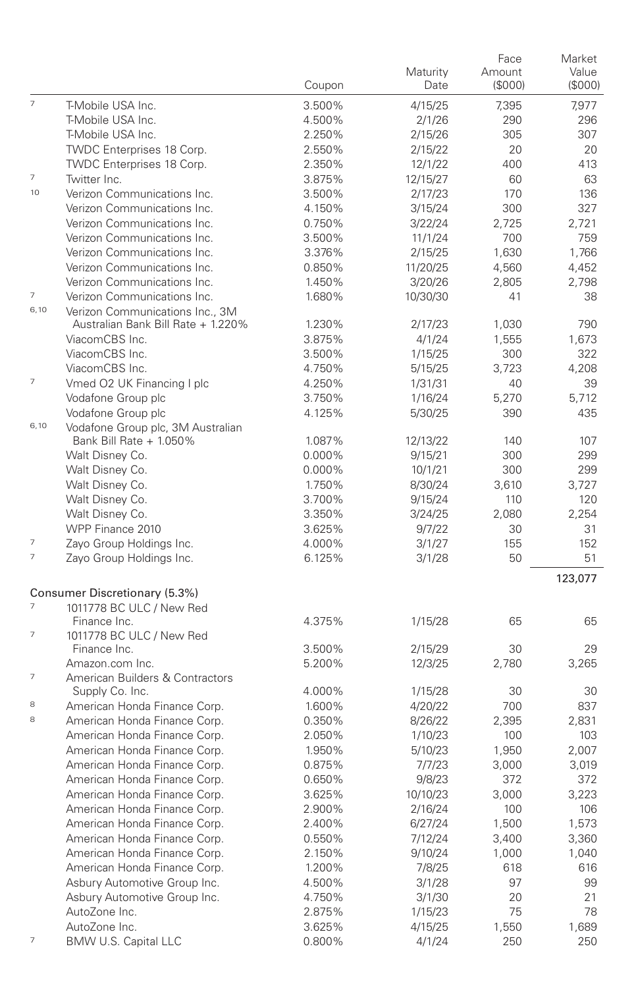|                          |                                                              |        | Maturity            | Face<br>Amount | Market<br>Value |
|--------------------------|--------------------------------------------------------------|--------|---------------------|----------------|-----------------|
|                          |                                                              | Coupon | Date                | (\$000)        | (\$000)         |
| $\overline{7}$           | T-Mobile USA Inc.                                            | 3.500% | 4/15/25             | 7.395          | 7,977           |
|                          | T-Mobile USA Inc.                                            | 4.500% | 2/1/26              | 290            | 296             |
|                          | T-Mobile USA Inc.                                            | 2.250% | 2/15/26             | 305            | 307             |
|                          | TWDC Enterprises 18 Corp.                                    | 2.550% | 2/15/22             | 20             | 20              |
|                          | TWDC Enterprises 18 Corp.                                    | 2.350% | 12/1/22             | 400            | 413             |
| $\overline{\phantom{a}}$ | Twitter Inc.                                                 | 3.875% | 12/15/27            | 60             | 63              |
| 10                       | Verizon Communications Inc.                                  | 3.500% | 2/17/23             | 170            | 136             |
|                          | Verizon Communications Inc.                                  | 4.150% | 3/15/24             | 300            | 327             |
|                          | Verizon Communications Inc.                                  | 0.750% | 3/22/24             | 2,725          | 2,721           |
|                          | Verizon Communications Inc.                                  | 3.500% | 11/1/24             | 700            | 759             |
|                          | Verizon Communications Inc.                                  | 3.376% | 2/15/25             | 1.630          | 1,766           |
|                          | Verizon Communications Inc.                                  | 0.850% | 11/20/25            | 4,560          | 4,452           |
|                          | Verizon Communications Inc.                                  | 1.450% | 3/20/26             | 2,805          | 2,798           |
| $\overline{7}$           | Verizon Communications Inc.                                  | 1.680% | 10/30/30            | 41             | 38              |
| 6,10                     | Verizon Communications Inc., 3M                              |        |                     |                |                 |
|                          | Australian Bank Bill Rate + 1.220%                           | 1.230% | 2/17/23             | 1,030          | 790             |
|                          | ViacomCBS Inc.                                               | 3.875% | 4/1/24              | 1,555          | 1,673           |
|                          | ViacomCBS Inc.                                               | 3.500% | 1/15/25             | 300            | 322             |
|                          | ViacomCBS Inc.                                               | 4.750% | 5/15/25             | 3,723          | 4,208           |
| $\overline{7}$           | Vmed O2 UK Financing I plc                                   | 4.250% | 1/31/31             | 40             | 39              |
|                          | Vodafone Group plc                                           | 3.750% | 1/16/24             | 5,270          | 5,712           |
|                          | Vodafone Group plc                                           | 4.125% | 5/30/25             | 390            | 435             |
| 6,10                     | Vodafone Group plc, 3M Australian<br>Bank Bill Rate + 1.050% | 1.087% |                     | 140            | 107             |
|                          | Walt Disney Co.                                              | 0.000% | 12/13/22<br>9/15/21 | 300            | 299             |
|                          | Walt Disney Co.                                              | 0.000% |                     | 300            | 299             |
|                          |                                                              | 1.750% | 10/1/21             | 3,610          | 3.727           |
|                          | Walt Disney Co.<br>Walt Disney Co.                           | 3.700% | 8/30/24<br>9/15/24  | 110            | 120             |
|                          | Walt Disney Co.                                              | 3.350% | 3/24/25             | 2,080          | 2,254           |
|                          | WPP Finance 2010                                             | 3.625% | 9/7/22              | 30             | 31              |
| $\overline{\phantom{a}}$ | Zayo Group Holdings Inc.                                     | 4.000% |                     | 155            | 152             |
| $\overline{\phantom{a}}$ | Zayo Group Holdings Inc.                                     | 6.125% | 3/1/27<br>3/1/28    | 50             | 51              |
|                          |                                                              |        |                     |                | 123,077         |
|                          | Consumer Discretionary (5.3%)                                |        |                     |                |                 |
| $\overline{\phantom{a}}$ | 1011778 BC ULC / New Red                                     |        |                     |                |                 |
|                          | Finance Inc.                                                 | 4.375% | 1/15/28             | 65             | 65              |
| 7                        | 1011778 BC ULC / New Red                                     |        |                     |                |                 |
|                          | Finance Inc.                                                 | 3.500% | 2/15/29             | 30             | 29              |
|                          | Amazon.com Inc.                                              | 5.200% | 12/3/25             | 2,780          | 3,265           |
| $\overline{7}$           | American Builders & Contractors                              |        |                     |                |                 |
|                          | Supply Co. Inc.                                              | 4.000% | 1/15/28             | 30             | 30              |
| 8                        | American Honda Finance Corp.                                 | 1.600% | 4/20/22             | 700            | 837             |
| 8                        | American Honda Finance Corp.                                 | 0.350% | 8/26/22             | 2,395          | 2,831           |
|                          | American Honda Finance Corp.                                 | 2.050% | 1/10/23             | 100            | 103             |
|                          | American Honda Finance Corp.                                 | 1.950% | 5/10/23             | 1,950          | 2,007           |
|                          | American Honda Finance Corp.                                 | 0.875% | 7/7/23              | 3,000          | 3,019           |
|                          | American Honda Finance Corp.                                 | 0.650% | 9/8/23              | 372            | 372             |
|                          | American Honda Finance Corp.                                 | 3.625% | 10/10/23            | 3,000          | 3,223           |
|                          | American Honda Finance Corp.                                 | 2.900% | 2/16/24             | 100            | 106             |
|                          | American Honda Finance Corp.                                 | 2.400% | 6/27/24             | 1,500          | 1,573           |
|                          | American Honda Finance Corp.                                 | 0.550% | 7/12/24             | 3,400          | 3,360           |
|                          | American Honda Finance Corp.                                 | 2.150% | 9/10/24             | 1,000          | 1,040           |
|                          | American Honda Finance Corp.                                 | 1.200% | 7/8/25              | 618            | 616             |
|                          | Asbury Automotive Group Inc.                                 | 4.500% | 3/1/28              | 97             | 99              |
|                          | Asbury Automotive Group Inc.                                 | 4.750% | 3/1/30              | 20             | 21              |
|                          | AutoZone Inc.                                                | 2.875% | 1/15/23             | 75             | 78              |
|                          | AutoZone Inc.                                                | 3.625% | 4/15/25             | 1,550          | 1,689           |
| $\overline{7}$           | BMW U.S. Capital LLC                                         | 0.800% | 4/1/24              | 250            | 250             |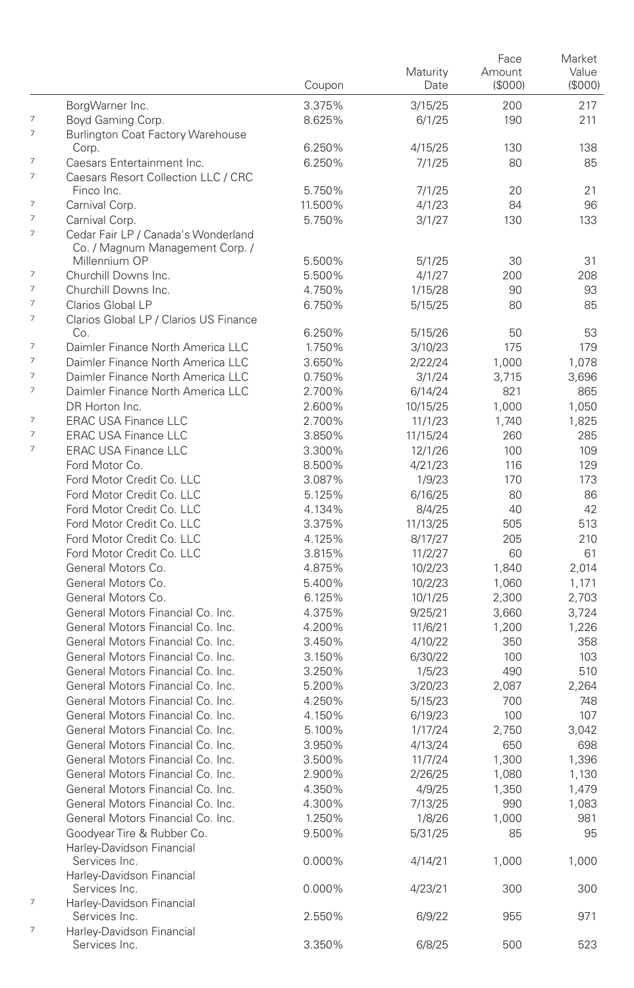|                          |                                                                        | Coupon  | Maturity<br>Date | Face<br>Amount<br>(\$000) | Market<br>Value<br>(\$000) |
|--------------------------|------------------------------------------------------------------------|---------|------------------|---------------------------|----------------------------|
|                          | BorgWarner Inc.                                                        | 3.375%  | 3/15/25          | 200                       | 217                        |
| 7                        | Boyd Gaming Corp.                                                      | 8.625%  | 6/1/25           | 190                       | 211                        |
| 7                        | <b>Burlington Coat Factory Warehouse</b>                               |         |                  |                           |                            |
|                          | Corp.                                                                  | 6.250%  | 4/15/25          | 130                       | 138                        |
| 7                        | Caesars Entertainment Inc.                                             | 6.250%  | 7/1/25           | 80                        | 85                         |
| $\overline{7}$           | Caesars Resort Collection LLC / CRC                                    |         |                  |                           |                            |
|                          | Finco Inc.                                                             | 5.750%  | 7/1/25           | 20                        | 21                         |
| $\overline{7}$           | Carnival Corp.                                                         | 11.500% | 4/1/23           | 84                        | 96                         |
| $\overline{7}$           | Carnival Corp.                                                         | 5.750%  | 3/1/27           | 130                       | 133                        |
| $\overline{7}$           | Cedar Fair LP / Canada's Wonderland<br>Co. / Magnum Management Corp. / |         |                  |                           |                            |
|                          | Millennium OP                                                          | 5.500%  | 5/1/25           | 30                        | 31                         |
| 7                        | Churchill Downs Inc.                                                   | 5.500%  | 4/1/27           | 200                       | 208                        |
| 7                        | Churchill Downs Inc.                                                   | 4.750%  | 1/15/28          | 90                        | 93                         |
| $\overline{7}$           | Clarios Global LP                                                      | 6.750%  | 5/15/25          | 80                        | 85                         |
| $\overline{\phantom{a}}$ | Clarios Global LP / Clarios US Finance                                 |         |                  |                           |                            |
|                          | Co.                                                                    | 6.250%  | 5/15/26          | 50                        | 53                         |
| $\overline{7}$           | Daimler Finance North America LLC                                      | 1.750%  | 3/10/23          | 175                       | 179                        |
| $\overline{7}$           | Daimler Finance North America LLC                                      | 3.650%  | 2/22/24          | 1,000                     | 1,078                      |
| $\overline{7}$           | Daimler Finance North America LLC                                      | 0.750%  | 3/1/24           | 3,715                     | 3,696                      |
| $\overline{7}$           | Daimler Finance North America LLC                                      | 2.700%  | 6/14/24          | 821                       | 865                        |
|                          | DR Horton Inc.                                                         | 2.600%  | 10/15/25         | 1,000                     | 1,050                      |
| $\overline{7}$           | <b>ERAC USA Finance LLC</b>                                            | 2.700%  | 11/1/23          | 1,740                     | 1,825                      |
| $\overline{7}$           | <b>ERAC USA Finance LLC</b>                                            | 3.850%  | 11/15/24         | 260                       | 285                        |
| 7                        | <b>ERAC USA Finance LLC</b>                                            | 3.300%  | 12/1/26          | 100                       | 109                        |
|                          | Ford Motor Co.                                                         | 8.500%  | 4/21/23          | 116                       | 129                        |
|                          | Ford Motor Credit Co. LLC                                              | 3.087%  | 1/9/23           | 170                       | 173                        |
|                          | Ford Motor Credit Co. LLC                                              | 5.125%  | 6/16/25          | 80                        | 86                         |
|                          | Ford Motor Credit Co. LLC                                              | 4.134%  | 8/4/25           | 40                        | 42                         |
|                          | Ford Motor Credit Co. LLC                                              | 3.375%  | 11/13/25         | 505                       | 513                        |
|                          | Ford Motor Credit Co. LLC                                              | 4.125%  | 8/17/27          | 205                       | 210                        |
|                          | Ford Motor Credit Co. LLC                                              | 3.815%  | 11/2/27          | 60                        | 61                         |
|                          | General Motors Co.                                                     | 4.875%  | 10/2/23          | 1,840                     | 2,014                      |
|                          | General Motors Co.                                                     | 5.400%  | 10/2/23          | 1,060                     | 1,171                      |
|                          | General Motors Co.                                                     | 6.125%  | 10/1/25          | 2,300                     | 2,703                      |
|                          | General Motors Financial Co. Inc.                                      | 4.375%  | 9/25/21          | 3,660                     | 3,724                      |
|                          | General Motors Financial Co. Inc.                                      | 4.200%  | 11/6/21          | 1,200                     | 1,226                      |
|                          | General Motors Financial Co. Inc.                                      | 3.450%  | 4/10/22          | 350                       | 358                        |
|                          | General Motors Financial Co. Inc.                                      | 3.150%  | 6/30/22          | 100                       | 103                        |
|                          | General Motors Financial Co. Inc.                                      | 3.250%  | 1/5/23           | 490                       | 510                        |
|                          | General Motors Financial Co. Inc.                                      | 5.200%  | 3/20/23          | 2.087                     | 2,264                      |
|                          | General Motors Financial Co. Inc.                                      | 4.250%  | 5/15/23          | 700                       | 748                        |
|                          | General Motors Financial Co. Inc.                                      | 4.150%  | 6/19/23          | 100                       | 107                        |
|                          | General Motors Financial Co. Inc.                                      | 5.100%  | 1/17/24          | 2.750                     | 3.042                      |
|                          | General Motors Financial Co. Inc.                                      | 3.950%  | 4/13/24          | 650                       | 698                        |
|                          | General Motors Financial Co. Inc.                                      | 3.500%  | 11/7/24          | 1,300                     | 1,396                      |
|                          | General Motors Financial Co. Inc.                                      | 2.900%  | 2/26/25          | 1,080                     | 1,130                      |
|                          | General Motors Financial Co. Inc.                                      | 4.350%  | 4/9/25           | 1,350                     | 1,479                      |
|                          | General Motors Financial Co. Inc.                                      | 4.300%  | 7/13/25          | 990                       | 1,083                      |
|                          | General Motors Financial Co. Inc.                                      | 1.250%  | 1/8/26           | 1,000                     | 981                        |
|                          | Goodvear Tire & Rubber Co.                                             | 9.500%  | 5/31/25          | 85                        | 95                         |
|                          | Harley-Davidson Financial                                              |         |                  |                           |                            |
|                          | Services Inc.                                                          | 0.000%  | 4/14/21          | 1,000                     | 1,000                      |
|                          | Harley-Davidson Financial                                              |         |                  |                           |                            |
|                          | Services Inc.                                                          | 0.000%  | 4/23/21          | 300                       | 300                        |
| $\overline{\phantom{a}}$ | Harley-Davidson Financial                                              |         |                  |                           |                            |
|                          | Services Inc.                                                          | 2.550%  | 6/9/22           | 955                       | 971                        |
| 7                        | Harley-Davidson Financial                                              |         |                  |                           |                            |
|                          | Services Inc.                                                          | 3.350%  | 6/8/25           | 500                       | 523                        |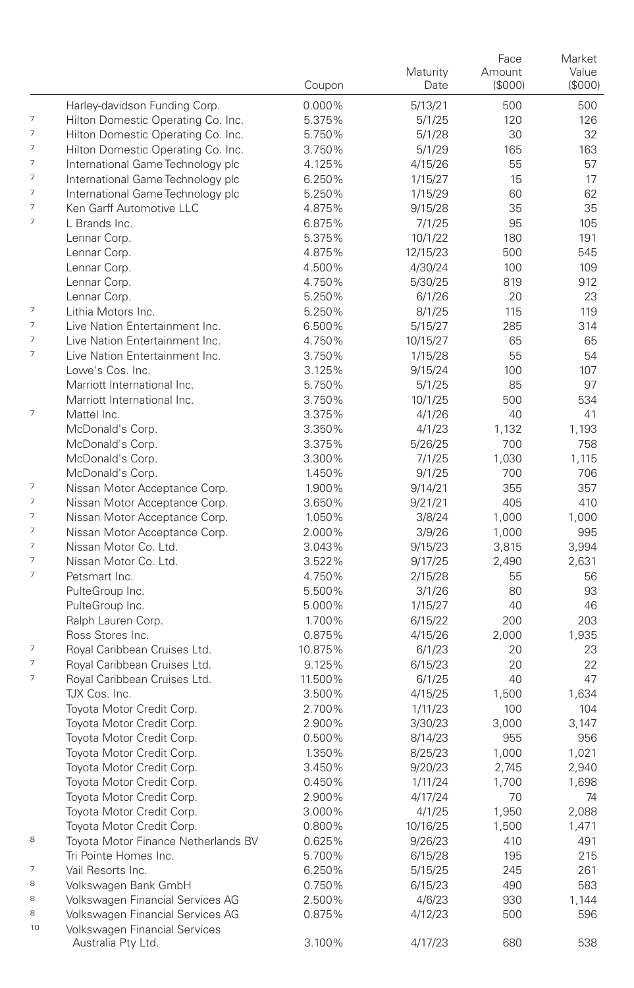|                          |                                                        | Coupon           | Maturity<br>Date   | Face<br>Amount<br>(\$000) | Market<br>Value<br>(\$000) |
|--------------------------|--------------------------------------------------------|------------------|--------------------|---------------------------|----------------------------|
|                          | Harley-davidson Funding Corp.                          | 0.000%           | 5/13/21            | 500                       | 500                        |
| 7                        | Hilton Domestic Operating Co. Inc.                     | 5.375%           | 5/1/25             | 120                       | 126                        |
| $\overline{\phantom{a}}$ | Hilton Domestic Operating Co. Inc.                     | 5.750%           | 5/1/28             | 30                        | 32                         |
| 7                        | Hilton Domestic Operating Co. Inc.                     | 3.750%           | 5/1/29             | 165                       | 163                        |
| 7                        | International Game Technology plc                      | 4.125%           | 4/15/26            | 55                        | 57                         |
| 7                        | International Game Technology plc                      | 6.250%           | 1/15/27            | 15                        | 17                         |
| 7                        | International Game Technology plc                      | 5.250%           | 1/15/29            | 60                        | 62                         |
| 7                        | Ken Garff Automotive LLC                               | 4.875%           | 9/15/28            | 35                        | 35                         |
| $\overline{\phantom{a}}$ | L Brands Inc.                                          | 6.875%           | 7/1/25             | 95                        | 105                        |
|                          | Lennar Corp.                                           | 5.375%           | 10/1/22            | 180                       | 191                        |
|                          | Lennar Corp.                                           | 4.875%           | 12/15/23           | 500                       | 545                        |
|                          | Lennar Corp.                                           | 4.500%           | 4/30/24            | 100                       | 109                        |
|                          | Lennar Corp.                                           | 4.750%           | 5/30/25            | 819                       | 912                        |
|                          | Lennar Corp.                                           | 5.250%           | 6/1/26             | 20                        | 23                         |
| 7                        | Lithia Motors Inc.                                     | 5.250%           | 8/1/25             | 115                       | 119                        |
| 7                        | Live Nation Entertainment Inc.                         | 6.500%           | 5/15/27            | 285                       | 314                        |
| 7                        | Live Nation Entertainment Inc.                         | 4.750%           | 10/15/27           | 65                        | 65                         |
| 7                        | Live Nation Entertainment Inc.                         | 3.750%           | 1/15/28            | 55                        | 54                         |
|                          | Lowe's Cos. Inc.                                       | 3.125%           | 9/15/24            | 100                       | 107                        |
|                          | Marriott International Inc.                            | 5.750%           | 5/1/25             | 85                        | 97                         |
|                          | Marriott International Inc.                            | 3.750%           | 10/1/25            | 500                       | 534                        |
| $\overline{\phantom{a}}$ | Mattel Inc.                                            | 3.375%           | 4/1/26             | 40                        | 41                         |
|                          | McDonald's Corp.                                       | 3.350%           | 4/1/23             | 1,132                     | 1,193                      |
|                          | McDonald's Corp.                                       | 3.375%           | 5/26/25            | 700                       | 758                        |
|                          | McDonald's Corp.                                       | 3.300%           | 7/1/25             | 1,030                     | 1,115                      |
| 7                        | McDonald's Corp.                                       | 1.450%           | 9/1/25             | 700                       | 706                        |
| 7                        | Nissan Motor Acceptance Corp.                          | 1.900%           | 9/14/21            | 355                       | 357                        |
| 7                        | Nissan Motor Acceptance Corp.                          | 3.650%           | 9/21/21            | 405                       | 410                        |
| 7                        | Nissan Motor Acceptance Corp.                          | 1.050%           | 3/8/24             | 1,000                     | 1,000                      |
| $\overline{\phantom{a}}$ | Nissan Motor Acceptance Corp.<br>Nissan Motor Co. Ltd. | 2.000%           | 3/9/26             | 1,000                     | 995                        |
| 7                        | Nissan Motor Co. Ltd.                                  | 3.043%<br>3.522% | 9/15/23            | 3,815<br>2,490            | 3,994                      |
| $\overline{\phantom{a}}$ | Petsmart Inc.                                          | 4.750%           | 9/17/25<br>2/15/28 | 55                        | 2,631<br>56                |
|                          | PulteGroup Inc.                                        | 5.500%           | 3/1/26             | 80                        | 93                         |
|                          | PulteGroup Inc.                                        | 5.000%           | 1/15/27            | 40                        | 46                         |
|                          | Ralph Lauren Corp.                                     | 1.700%           | 6/15/22            | 200                       | 203                        |
|                          | Ross Stores Inc.                                       | 0.875%           | 4/15/26            | 2,000                     | 1,935                      |
| 7                        | Royal Caribbean Cruises Ltd.                           | 10.875%          | 6/1/23             | 20                        | 23                         |
| 7                        | Royal Caribbean Cruises Ltd.                           | 9.125%           | 6/15/23            | 20                        | 22                         |
| 7                        | Royal Caribbean Cruises Ltd.                           | 11.500%          | 6/1/25             | 40                        | 47                         |
|                          | TJX Cos. Inc.                                          | 3.500%           | 4/15/25            | 1,500                     | 1,634                      |
|                          | Toyota Motor Credit Corp.                              | 2.700%           | 1/11/23            | 100                       | 104                        |
|                          | Toyota Motor Credit Corp.                              | 2.900%           | 3/30/23            | 3,000                     | 3,147                      |
|                          | Toyota Motor Credit Corp.                              | 0.500%           | 8/14/23            | 955                       | 956                        |
|                          | Toyota Motor Credit Corp.                              | 1.350%           | 8/25/23            | 1,000                     | 1,021                      |
|                          | Toyota Motor Credit Corp.                              | 3.450%           | 9/20/23            | 2,745                     | 2,940                      |
|                          | Toyota Motor Credit Corp                               | 0.450%           | 1/11/24            | 1,700                     | 1,698                      |
|                          | Toyota Motor Credit Corp.                              | 2.900%           | 4/17/24            | 70                        | 74                         |
|                          | Toyota Motor Credit Corp.                              | 3.000%           | 4/1/25             | 1,950                     | 2,088                      |
|                          | Toyota Motor Credit Corp.                              | 0.800%           | 10/16/25           | 1,500                     | 1,471                      |
| 8                        | Toyota Motor Finance Netherlands BV                    | 0.625%           | 9/26/23            | 410                       | 491                        |
|                          | Tri Pointe Homes Inc.                                  | 5.700%           | 6/15/28            | 195                       | 215                        |
| 7                        | Vail Resorts Inc.                                      | 6.250%           | 5/15/25            | 245                       | 261                        |
| 8                        | Volkswagen Bank GmbH                                   | 0.750%           | 6/15/23            | 490                       | 583                        |
| 8                        | Volkswagen Financial Services AG                       | 2.500%           | 4/6/23             | 930                       | 1,144                      |
| 8                        | Volkswagen Financial Services AG                       | 0.875%           | 4/12/23            | 500                       | 596                        |
| 10                       | Volkswagen Financial Services                          | 3.100%           |                    | 680                       |                            |
|                          | Australia Pty Ltd.                                     |                  | 4/17/23            |                           | 538                        |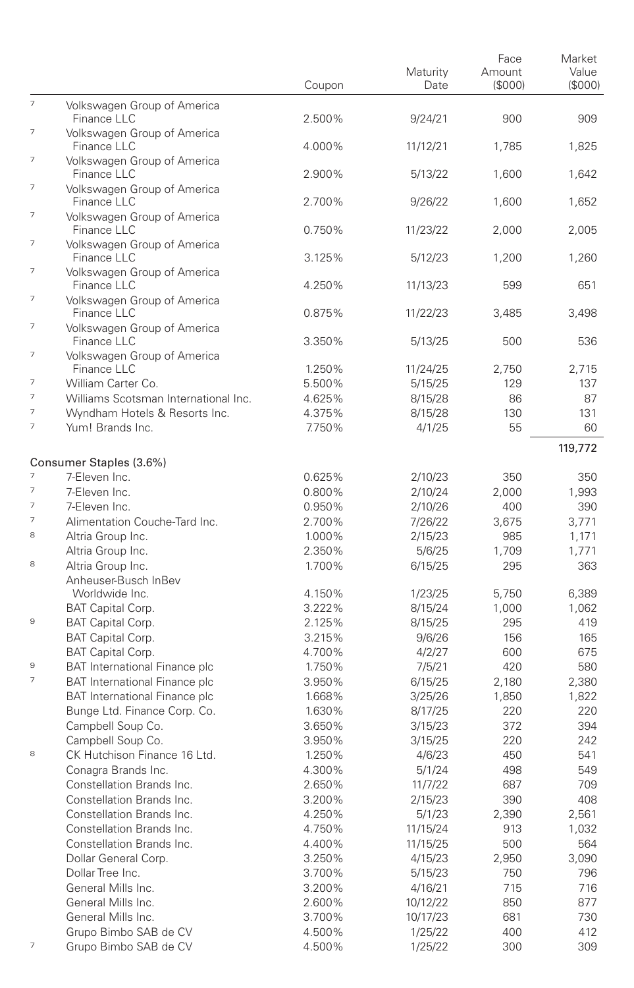|                               |                                                               | Coupon           | Maturity<br>Date    | Face<br>Amount<br>(S000) | Market<br>Value<br>(\$000) |
|-------------------------------|---------------------------------------------------------------|------------------|---------------------|--------------------------|----------------------------|
| $\overline{7}$                | Volkswagen Group of America<br>Finance LLC                    | 2.500%           | 9/24/21             | 900                      | 909                        |
| $\overline{\phantom{a}}$      | Volkswagen Group of America<br>Finance LLC                    | 4.000%           | 11/12/21            | 1.785                    | 1.825                      |
| 7                             | Volkswagen Group of America<br>Finance LLC                    | 2.900%           | 5/13/22             | 1,600                    | 1,642                      |
| $\overline{\phantom{a}}$      | Volkswagen Group of America<br>Finance LLC                    | 2.700%           | 9/26/22             | 1,600                    | 1,652                      |
| $\overline{\phantom{a}}$      | Volkswagen Group of America<br>Finance LLC                    | 0.750%           | 11/23/22            | 2,000                    | 2,005                      |
| 7                             | Volkswagen Group of America<br>Finance LLC                    | 3.125%           | 5/12/23             | 1,200                    | 1,260                      |
| 7                             | Volkswagen Group of America<br>Finance LLC                    | 4.250%           | 11/13/23            | 599                      | 651                        |
| $\overline{\phantom{a}}$      | Volkswagen Group of America<br>Finance LLC                    | 0.875%           | 11/22/23            | 3,485                    | 3,498                      |
| 7                             | Volkswagen Group of America<br>Finance LLC                    | 3.350%           | 5/13/25             | 500                      | 536                        |
| 7                             | Volkswagen Group of America<br>Finance LLC                    |                  |                     |                          |                            |
| $\overline{\phantom{a}}$      | William Carter Co.                                            | 1.250%<br>5.500% | 11/24/25<br>5/15/25 | 2,750<br>129             | 2,715<br>137               |
| $\overline{7}$                | Williams Scotsman International Inc.                          | 4.625%           | 8/15/28             | 86                       | 87                         |
| $\overline{7}$                | Wyndham Hotels & Resorts Inc.                                 | 4.375%           | 8/15/28             | 130                      | 131                        |
| $\overline{\phantom{a}}$      | Yum! Brands Inc.                                              | 7.750%           | 4/1/25              | 55                       | 60                         |
|                               |                                                               |                  |                     |                          | 119,772                    |
|                               | Consumer Staples (3.6%)                                       |                  |                     |                          |                            |
| $\overline{\phantom{a}}$      | 7-Eleven Inc.                                                 | 0.625%           | 2/10/23             | 350                      | 350                        |
| $\overline{\phantom{a}}$      | 7-Eleven Inc.                                                 | 0.800%           | 2/10/24             | 2,000                    | 1,993                      |
| $\overline{7}$                | 7-Eleven Inc.                                                 | 0.950%           | 2/10/26             | 400                      | 390                        |
| $\overline{7}$                | Alimentation Couche-Tard Inc.                                 | 2.700%           | 7/26/22             | 3,675                    | 3,771                      |
| 8                             | Altria Group Inc.                                             | 1.000%           | 2/15/23             | 985                      | 1,171                      |
|                               | Altria Group Inc.                                             | 2.350%           | 5/6/25              | 1,709                    | 1,771                      |
| 8                             | Altria Group Inc.<br>Anheuser-Busch InBev                     | 1.700%           | 6/15/25             | 295                      | 363                        |
|                               | Worldwide Inc.                                                | 4.150%           | 1/23/25             | 5,750                    | 6,389                      |
|                               | BAT Capital Corp.                                             | 3.222%           | 8/15/24             | 1,000                    | 1,062                      |
| 9                             | BAT Capital Corp.                                             | 2.125%           | 8/15/25             | 295                      | 419                        |
|                               | BAT Capital Corp.                                             | 3.215%           | 9/6/26              | 156                      | 165                        |
|                               | BAT Capital Corp.                                             | 4.700%           | 4/2/27              | 600                      | 675                        |
| 9<br>$\overline{\phantom{a}}$ | <b>BAT International Finance plc</b>                          | 1.750%           | 7/5/21              | 420                      | 580                        |
|                               | <b>BAT International Finance plc</b>                          | 3.950%           | 6/15/25             | 2,180                    | 2,380                      |
|                               | BAT International Finance plc<br>Bunge Ltd. Finance Corp. Co. | 1.668%<br>1.630% | 3/25/26             | 1,850<br>220             | 1,822<br>220               |
|                               | Campbell Soup Co.                                             | 3.650%           | 8/17/25<br>3/15/23  | 372                      | 394                        |
|                               | Campbell Soup Co.                                             | 3.950%           | 3/15/25             | 220                      | 242                        |
| 8                             | CK Hutchison Finance 16 Ltd.                                  | 1.250%           | 4/6/23              | 450                      | 541                        |
|                               | Conagra Brands Inc.                                           | 4.300%           | 5/1/24              | 498                      | 549                        |
|                               | Constellation Brands Inc.                                     | 2.650%           | 11/7/22             | 687                      | 709                        |
|                               | Constellation Brands Inc.                                     | 3.200%           | 2/15/23             | 390                      | 408                        |
|                               | Constellation Brands Inc.                                     | 4.250%           | 5/1/23              | 2,390                    | 2,561                      |
|                               | Constellation Brands Inc.                                     | 4.750%           | 11/15/24            | 913                      | 1,032                      |
|                               | Constellation Brands Inc.                                     | 4.400%           | 11/15/25            | 500                      | 564                        |
|                               | Dollar General Corp.                                          | 3.250%           | 4/15/23             | 2,950                    | 3,090                      |
|                               | Dollar Tree Inc.                                              | 3.700%           | 5/15/23             | 750                      | 796                        |
|                               | General Mills Inc.                                            | 3.200%           | 4/16/21             | 715                      | 716                        |
|                               | General Mills Inc.                                            | 2.600%           | 10/12/22            | 850                      | 877                        |
|                               | General Mills Inc.                                            | 3.700%           | 10/17/23            | 681                      | 730                        |
|                               | Grupo Bimbo SAB de CV                                         | 4.500%           | 1/25/22             | 400                      | 412                        |
| 7                             | Grupo Bimbo SAB de CV                                         | 4.500%           | 1/25/22             | 300                      | 309                        |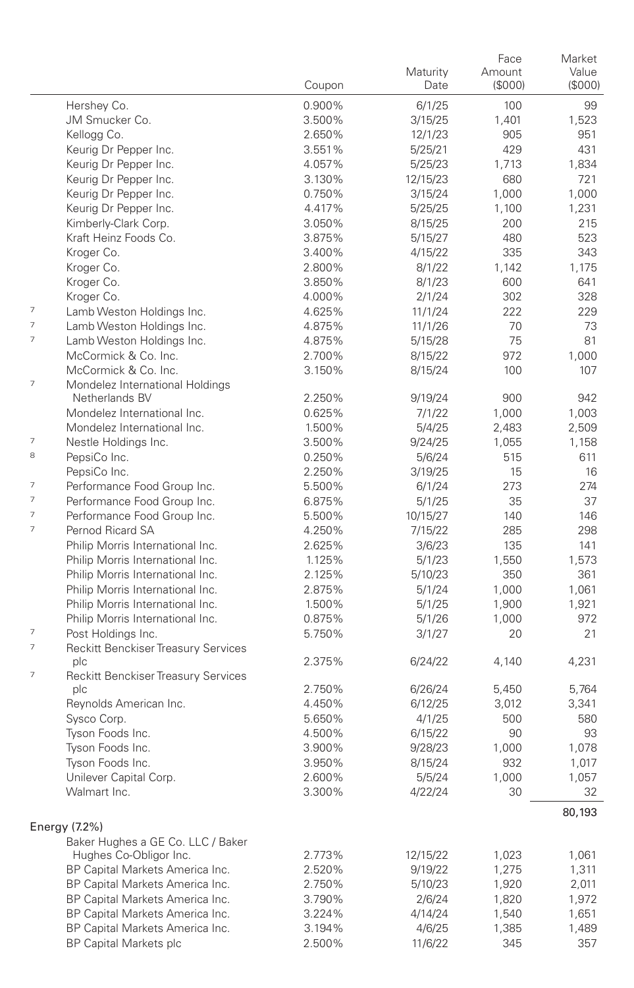|                          |                                                   | Coupon | Maturity<br>Date   | Face<br>Amount<br>(S000) | Market<br>Value<br>(S000) |
|--------------------------|---------------------------------------------------|--------|--------------------|--------------------------|---------------------------|
|                          | Hershey Co.                                       | 0.900% | 6/1/25             | 100                      | 99                        |
|                          | JM Smucker Co.                                    | 3.500% | 3/15/25            | 1,401                    | 1,523                     |
|                          | Kellogg Co.                                       | 2.650% | 12/1/23            | 905                      | 951                       |
|                          | Keurig Dr Pepper Inc.                             | 3.551% | 5/25/21            | 429                      | 431                       |
|                          | Keurig Dr Pepper Inc.                             | 4.057% | 5/25/23            | 1,713                    | 1,834                     |
|                          | Keurig Dr Pepper Inc.                             | 3.130% | 12/15/23           | 680                      | 721                       |
|                          | Keurig Dr Pepper Inc.                             | 0.750% | 3/15/24            | 1,000                    | 1,000                     |
|                          | Keurig Dr Pepper Inc.                             | 4.417% | 5/25/25            | 1,100                    | 1,231                     |
|                          | Kimberly-Clark Corp.                              | 3.050% | 8/15/25            | 200                      | 215                       |
|                          | Kraft Heinz Foods Co.                             | 3.875% | 5/15/27            | 480                      | 523                       |
|                          | Kroger Co.                                        | 3.400% | 4/15/22            | 335                      | 343                       |
|                          | Kroger Co.                                        | 2.800% | 8/1/22             | 1,142                    | 1,175                     |
|                          | Kroger Co.                                        | 3.850% | 8/1/23             | 600                      | 641                       |
|                          | Kroger Co.                                        | 4.000% | 2/1/24             | 302                      | 328                       |
| 7                        | Lamb Weston Holdings Inc.                         | 4.625% | 11/1/24            | 222                      | 229                       |
| 7                        | Lamb Weston Holdings Inc.                         | 4.875% | 11/1/26            | 70                       | 73                        |
| 7                        | Lamb Weston Holdings Inc.                         | 4.875% | 5/15/28            | 75                       | 81                        |
|                          | McCormick & Co. Inc.                              | 2.700% | 8/15/22            | 972                      | 1,000                     |
| 7                        | McCormick & Co. Inc.                              | 3.150% | 8/15/24            | 100                      | 107                       |
|                          | Mondelez International Holdings<br>Netherlands BV | 2.250% |                    | 900                      | 942                       |
|                          | Mondelez International Inc.                       | 0.625% | 9/19/24<br>7/1/22  | 1,000                    | 1,003                     |
|                          | Mondelez International Inc.                       | 1.500% | 5/4/25             | 2,483                    | 2,509                     |
| 7                        | Nestle Holdings Inc.                              | 3.500% | 9/24/25            | 1,055                    | 1,158                     |
| 8                        | PepsiCo Inc.                                      | 0.250% | 5/6/24             | 515                      | 611                       |
|                          | PepsiCo Inc.                                      | 2.250% | 3/19/25            | 15                       | 16                        |
| 7                        | Performance Food Group Inc.                       | 5.500% | 6/1/24             | 273                      | 274                       |
| 7                        | Performance Food Group Inc.                       | 6.875% | 5/1/25             | 35                       | 37                        |
| $\overline{\phantom{a}}$ | Performance Food Group Inc.                       | 5.500% | 10/15/27           | 140                      | 146                       |
| 7                        | Pernod Ricard SA                                  | 4.250% | 7/15/22            | 285                      | 298                       |
|                          | Philip Morris International Inc.                  | 2.625% | 3/6/23             | 135                      | 141                       |
|                          | Philip Morris International Inc.                  | 1.125% | 5/1/23             | 1,550                    | 1,573                     |
|                          | Philip Morris International Inc.                  | 2.125% | 5/10/23            | 350                      | 361                       |
|                          | Philip Morris International Inc.                  | 2.875% | 5/1/24             | 1,000                    | 1,061                     |
|                          | Philip Morris International Inc.                  | 1.500% | 5/1/25             | 1,900                    | 1,921                     |
|                          | Philip Morris International Inc.                  | 0.875% | 5/1/26             | 1,000                    | 972                       |
| 7                        | Post Holdings Inc.                                | 5.750% | 3/1/27             | 20                       | 21                        |
| 7                        | Reckitt Benckiser Treasury Services               |        |                    |                          |                           |
|                          | plc                                               | 2.375% | 6/24/22            | 4,140                    | 4,231                     |
| 7                        | Reckitt Benckiser Treasury Services<br>plc        | 2.750% |                    |                          | 5,764                     |
|                          | Reynolds American Inc.                            | 4.450% | 6/26/24<br>6/12/25 | 5,450<br>3,012           | 3,341                     |
|                          | Sysco Corp.                                       | 5.650% | 4/1/25             | 500                      | 580                       |
|                          | Tyson Foods Inc.                                  | 4.500% | 6/15/22            | 90                       | 93                        |
|                          | Tyson Foods Inc.                                  | 3.900% | 9/28/23            | 1,000                    | 1,078                     |
|                          | Tyson Foods Inc.                                  | 3.950% | 8/15/24            | 932                      | 1,017                     |
|                          | Unilever Capital Corp.                            | 2.600% | 5/5/24             | 1,000                    | 1,057                     |
|                          | Walmart Inc.                                      | 3.300% | 4/22/24            | 30                       | 32                        |
|                          |                                                   |        |                    |                          | 80,193                    |
|                          | Energy (7.2%)                                     |        |                    |                          |                           |
|                          | Baker Hughes a GE Co. LLC / Baker                 |        |                    |                          |                           |
|                          | Hughes Co-Obligor Inc.                            | 2.773% | 12/15/22           | 1,023                    | 1,061                     |
|                          | BP Capital Markets America Inc.                   | 2.520% | 9/19/22            | 1,275                    | 1,311                     |
|                          | BP Capital Markets America Inc.                   | 2.750% | 5/10/23            | 1,920                    | 2,011                     |
|                          | BP Capital Markets America Inc.                   | 3.790% | 2/6/24             | 1,820                    | 1,972                     |
|                          | BP Capital Markets America Inc.                   | 3.224% | 4/14/24            | 1,540                    | 1,651                     |
|                          | BP Capital Markets America Inc.                   | 3.194% | 4/6/25             | 1,385                    | 1,489                     |
|                          | <b>BP Capital Markets plc</b>                     | 2.500% | 11/6/22            | 345                      | 357                       |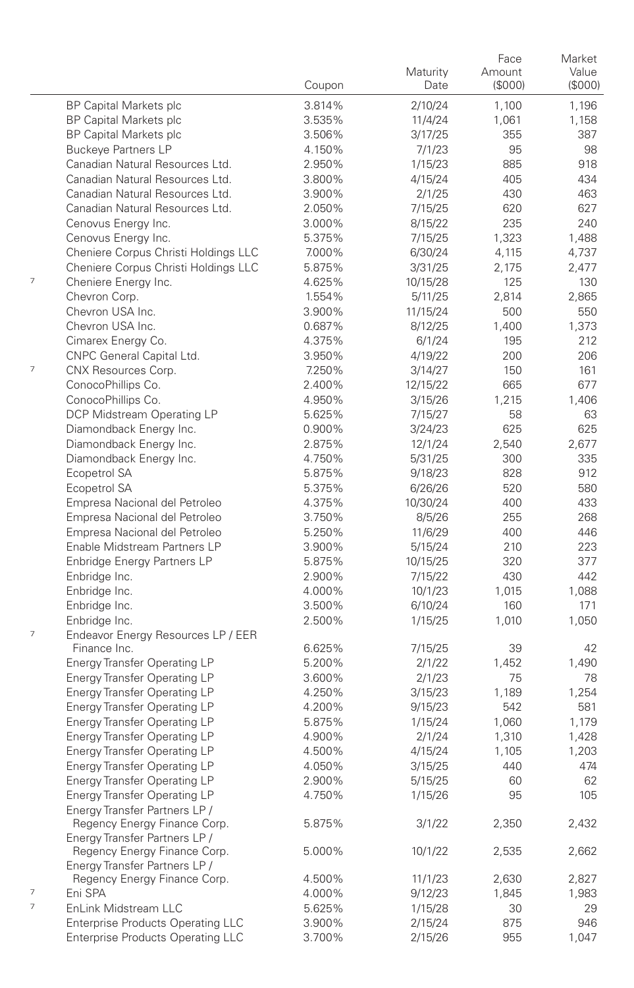|   |                                                                            | Coupon           | Maturity<br>Date   | Face<br>Amount<br>(\$000) | Market<br>Value<br>(S000) |
|---|----------------------------------------------------------------------------|------------------|--------------------|---------------------------|---------------------------|
|   | <b>BP Capital Markets plc</b>                                              | 3.814%           | 2/10/24            | 1,100                     | 1,196                     |
|   | <b>BP Capital Markets plc</b>                                              | 3.535%           | 11/4/24            | 1,061                     | 1,158                     |
|   | <b>BP Capital Markets plc</b>                                              | 3.506%           | 3/17/25            | 355                       | 387                       |
|   | <b>Buckeye Partners LP</b>                                                 | 4.150%           | 7/1/23             | 95                        | 98                        |
|   | Canadian Natural Resources Ltd.                                            | 2.950%           | 1/15/23            | 885                       | 918                       |
|   | Canadian Natural Resources Ltd.                                            | 3.800%           | 4/15/24            | 405                       | 434                       |
|   | Canadian Natural Resources Ltd.                                            | 3.900%           | 2/1/25             | 430                       | 463                       |
|   | Canadian Natural Resources Ltd.                                            | 2.050%           | 7/15/25            | 620                       | 627                       |
|   | Cenovus Energy Inc.                                                        | 3.000%           | 8/15/22            | 235                       | 240                       |
|   | Cenovus Energy Inc.                                                        | 5.375%           | 7/15/25            | 1,323                     | 1,488                     |
|   | Cheniere Corpus Christi Holdings LLC                                       | 7.000%           | 6/30/24            | 4,115                     | 4,737                     |
|   | Cheniere Corpus Christi Holdings LLC                                       | 5.875%           | 3/31/25            | 2,175                     | 2,477                     |
| 7 | Cheniere Energy Inc.                                                       | 4.625%           | 10/15/28           | 125                       | 130                       |
|   | Chevron Corp.                                                              | 1.554%           | 5/11/25            | 2,814                     | 2,865                     |
|   | Chevron USA Inc.                                                           | 3.900%           | 11/15/24           | 500                       | 550                       |
|   | Chevron USA Inc.                                                           | 0.687%           | 8/12/25            | 1,400                     | 1,373                     |
|   | Cimarex Energy Co.                                                         | 4.375%           | 6/1/24             | 195                       | 212                       |
|   | CNPC General Capital Ltd.                                                  | 3.950%           | 4/19/22            | 200                       | 206                       |
| 7 | CNX Resources Corp.                                                        | 7.250%           | 3/14/27            | 150                       | 161                       |
|   | ConocoPhillips Co.                                                         | 2.400%           | 12/15/22           | 665                       | 677                       |
|   | ConocoPhillips Co.                                                         | 4.950%           | 3/15/26            | 1,215                     | 1,406                     |
|   | DCP Midstream Operating LP                                                 | 5.625%           | 7/15/27            | 58                        | 63                        |
|   | Diamondback Energy Inc.                                                    | 0.900%           | 3/24/23            | 625                       | 625                       |
|   | Diamondback Energy Inc.                                                    | 2.875%           | 12/1/24            | 2,540                     | 2,677                     |
|   | Diamondback Energy Inc.                                                    | 4.750%           | 5/31/25            | 300                       | 335                       |
|   | Ecopetrol SA                                                               | 5.875%           | 9/18/23            | 828                       | 912                       |
|   | Ecopetrol SA                                                               | 5.375%           | 6/26/26            | 520                       | 580                       |
|   | Empresa Nacional del Petroleo                                              | 4.375%           | 10/30/24           | 400                       | 433                       |
|   | Empresa Nacional del Petroleo                                              | 3.750%           | 8/5/26             | 255                       | 268                       |
|   | Empresa Nacional del Petroleo                                              | 5.250%           | 11/6/29            | 400                       | 446                       |
|   | Enable Midstream Partners LP                                               | 3.900%           | 5/15/24            | 210                       | 223                       |
|   | Enbridge Energy Partners LP                                                | 5.875%           | 10/15/25           | 320                       | 377                       |
|   | Enbridge Inc.                                                              | 2.900%           | 7/15/22            | 430                       | 442                       |
|   | Enbridge Inc.                                                              | 4.000%           | 10/1/23            | 1,015                     | 1,088                     |
|   | Enbridge Inc.                                                              | 3.500%           | 6/10/24            | 160                       | 171                       |
| 7 | Enbridge Inc.                                                              | 2.500%           | 1/15/25            | 1,010                     | 1,050                     |
|   | Endeavor Energy Resources LP / EER<br>Finance Inc.                         | 6.625%           |                    | 39                        | 42                        |
|   |                                                                            | 5.200%           | 7/15/25            |                           |                           |
|   | <b>Energy Transfer Operating LP</b><br><b>Energy Transfer Operating LP</b> | 3.600%           | 2/1/22             | 1,452<br>75               | 1,490<br>78               |
|   | <b>Energy Transfer Operating LP</b>                                        | 4.250%           | 2/1/23             |                           |                           |
|   | <b>Energy Transfer Operating LP</b>                                        | 4.200%           | 3/15/23<br>9/15/23 | 1,189<br>542              | 1,254<br>581              |
|   | Energy Transfer Operating LP                                               | 5.875%           | 1/15/24            | 1,060                     | 1,179                     |
|   | <b>Energy Transfer Operating LP</b>                                        | 4.900%           | 2/1/24             | 1,310                     | 1,428                     |
|   | <b>Energy Transfer Operating LP</b>                                        | 4.500%           | 4/15/24            | 1,105                     | 1,203                     |
|   | <b>Energy Transfer Operating LP</b>                                        | 4.050%           | 3/15/25            | 440                       | 474                       |
|   | <b>Energy Transfer Operating LP</b>                                        | 2.900%           | 5/15/25            | 60                        | 62                        |
|   | <b>Energy Transfer Operating LP</b>                                        | 4.750%           | 1/15/26            | 95                        | 105                       |
|   | Energy Transfer Partners LP /                                              |                  |                    |                           |                           |
|   | Regency Energy Finance Corp.                                               | 5.875%           | 3/1/22             | 2,350                     | 2,432                     |
|   | Energy Transfer Partners LP /<br>Regency Energy Finance Corp.              | 5.000%           | 10/1/22            | 2,535                     | 2,662                     |
|   | Energy Transfer Partners LP /                                              |                  |                    | 2,630                     |                           |
| 7 | Regency Energy Finance Corp.<br>Eni SPA                                    | 4.500%<br>4.000% | 11/1/23            | 1,845                     | 2,827<br>1,983            |
| 7 | EnLink Midstream LLC                                                       | 5.625%           | 9/12/23            | 30                        | 29                        |
|   | <b>Enterprise Products Operating LLC</b>                                   | 3.900%           | 1/15/28<br>2/15/24 | 875                       | 946                       |
|   | <b>Enterprise Products Operating LLC</b>                                   | 3.700%           | 2/15/26            | 955                       | 1,047                     |
|   |                                                                            |                  |                    |                           |                           |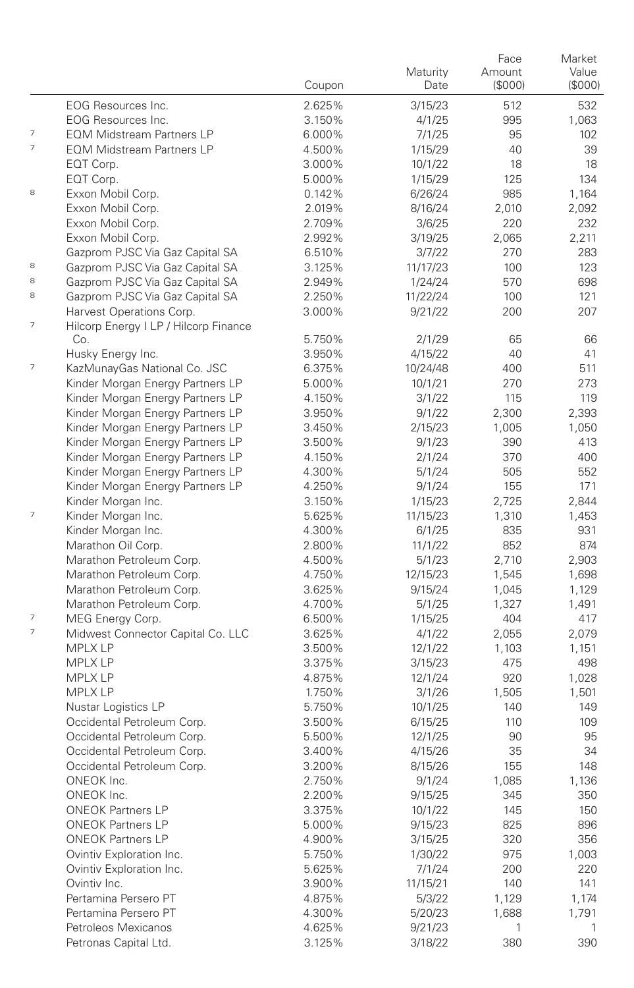|                          |                                                                   | Coupon           | Maturity<br>Date   | Face<br>Amount<br>(\$000) | Market<br>Value<br>(\$000) |
|--------------------------|-------------------------------------------------------------------|------------------|--------------------|---------------------------|----------------------------|
|                          | EOG Resources Inc.                                                | 2.625%           | 3/15/23            | 512                       | 532                        |
|                          | EOG Resources Inc.                                                | 3.150%           | 4/1/25             | 995                       | 1,063                      |
| 7                        | <b>EQM Midstream Partners LP</b>                                  | 6.000%           | 7/1/25             | 95                        | 102                        |
| $\overline{\phantom{a}}$ | <b>EQM Midstream Partners LP</b>                                  | 4.500%           | 1/15/29            | 40                        | 39                         |
|                          | EQT Corp.                                                         | 3.000%           | 10/1/22            | 18                        | 18                         |
|                          | EQT Corp.                                                         | 5.000%           | 1/15/29            | 125                       | 134                        |
| 8                        | Exxon Mobil Corp.                                                 | 0.142%           | 6/26/24            | 985                       | 1,164                      |
|                          | Exxon Mobil Corp.                                                 | 2.019%           | 8/16/24            | 2,010                     | 2,092                      |
|                          | Exxon Mobil Corp.                                                 | 2.709%           | 3/6/25             | 220                       | 232                        |
|                          | Exxon Mobil Corp.                                                 | 2.992%           | 3/19/25            | 2,065                     | 2,211                      |
|                          | Gazprom PJSC Via Gaz Capital SA                                   | 6.510%           | 3/7/22             | 270                       | 283                        |
| 8                        | Gazprom PJSC Via Gaz Capital SA                                   | 3.125%           | 11/17/23           | 100                       | 123                        |
| 8                        | Gazprom PJSC Via Gaz Capital SA                                   | 2.949%           | 1/24/24            | 570                       | 698                        |
| 8                        | Gazprom PJSC Via Gaz Capital SA                                   | 2.250%           | 11/22/24           | 100                       | 121                        |
| 7                        | Harvest Operations Corp.<br>Hilcorp Energy I LP / Hilcorp Finance | 3.000%           | 9/21/22            | 200                       | 207                        |
|                          | Co.                                                               | 5.750%           | 2/1/29             | 65                        | 66                         |
|                          | Husky Energy Inc.                                                 | 3.950%           | 4/15/22            | 40                        | 41                         |
| 7                        | KazMunayGas National Co. JSC                                      | 6.375%           | 10/24/48           | 400                       | 511                        |
|                          | Kinder Morgan Energy Partners LP                                  | 5.000%           | 10/1/21            | 270                       | 273                        |
|                          | Kinder Morgan Energy Partners LP                                  | 4.150%           | 3/1/22             | 115                       | 119                        |
|                          | Kinder Morgan Energy Partners LP                                  | 3.950%           | 9/1/22             | 2,300                     | 2,393                      |
|                          | Kinder Morgan Energy Partners LP                                  | 3.450%           | 2/15/23            | 1,005                     | 1,050                      |
|                          | Kinder Morgan Energy Partners LP                                  | 3.500%           | 9/1/23             | 390                       | 413                        |
|                          | Kinder Morgan Energy Partners LP                                  | 4.150%           | 2/1/24             | 370                       | 400                        |
|                          | Kinder Morgan Energy Partners LP                                  | 4.300%           | 5/1/24             | 505                       | 552                        |
|                          | Kinder Morgan Energy Partners LP                                  | 4.250%           | 9/1/24             | 155                       | 171                        |
|                          | Kinder Morgan Inc.                                                | 3.150%           | 1/15/23            | 2,725                     | 2,844                      |
| $\overline{7}$           | Kinder Morgan Inc.                                                | 5.625%           | 11/15/23           | 1,310                     | 1,453                      |
|                          | Kinder Morgan Inc.                                                | 4.300%           | 6/1/25             | 835                       | 931                        |
|                          | Marathon Oil Corp.                                                | 2.800%           | 11/1/22            | 852                       | 874                        |
|                          | Marathon Petroleum Corp.                                          | 4.500%           | 5/1/23             | 2,710                     | 2,903                      |
|                          | Marathon Petroleum Corp.                                          | 4.750%           | 12/15/23           | 1,545                     | 1,698                      |
|                          | Marathon Petroleum Corp.                                          | 3.625%           | 9/15/24            | 1,045                     | 1,129                      |
|                          | Marathon Petroleum Corp.                                          | 4.700%           | 5/1/25             | 1,327                     | 1,491                      |
| 7<br>$\overline{7}$      | MEG Energy Corp.                                                  | 6.500%           | 1/15/25            | 404                       | 417                        |
|                          | Midwest Connector Capital Co. LLC                                 | 3.625%           | 4/1/22             | 2,055                     | 2,079                      |
|                          | <b>MPLX LP</b>                                                    | 3.500%           | 12/1/22            | 1,103                     | 1,151                      |
|                          | <b>MPLX LP</b>                                                    | 3.375%           | 3/15/23            | 475                       | 498                        |
|                          | <b>MPLX LP</b>                                                    | 4.875%           | 12/1/24            | 920                       | 1,028                      |
|                          | <b>MPLX LP</b><br>Nustar Logistics LP                             | 1.750%<br>5.750% | 3/1/26             | 1,505<br>140              | 1,501<br>149               |
|                          | Occidental Petroleum Corp.                                        | 3.500%           | 10/1/25<br>6/15/25 | 110                       | 109                        |
|                          | Occidental Petroleum Corp.                                        | 5.500%           | 12/1/25            | 90                        | 95                         |
|                          | Occidental Petroleum Corp.                                        | 3.400%           | 4/15/26            | 35                        | 34                         |
|                          | Occidental Petroleum Corp.                                        | 3.200%           | 8/15/26            | 155                       | 148                        |
|                          | ONEOK Inc.                                                        | 2.750%           | 9/1/24             | 1,085                     | 1,136                      |
|                          | ONEOK Inc.                                                        | 2.200%           | 9/15/25            | 345                       | 350                        |
|                          | <b>ONEOK Partners LP</b>                                          | 3.375%           | 10/1/22            | 145                       | 150                        |
|                          | <b>ONEOK Partners LP</b>                                          | 5.000%           | 9/15/23            | 825                       | 896                        |
|                          | <b>ONEOK Partners LP</b>                                          | 4.900%           | 3/15/25            | 320                       | 356                        |
|                          | Ovintiv Exploration Inc.                                          | 5.750%           | 1/30/22            | 975                       | 1,003                      |
|                          | Ovintiv Exploration Inc.                                          | 5.625%           | 7/1/24             | 200                       | 220                        |
|                          | Ovintiv Inc.                                                      | 3.900%           | 11/15/21           | 140                       | 141                        |
|                          | Pertamina Persero PT                                              | 4.875%           | 5/3/22             | 1,129                     | 1,174                      |
|                          | Pertamina Persero PT                                              | 4.300%           | 5/20/23            | 1,688                     | 1,791                      |
|                          | Petroleos Mexicanos                                               | 4.625%           | 9/21/23            | 1                         | 1                          |
|                          | Petronas Capital Ltd.                                             | 3.125%           | 3/18/22            | 380                       | 390                        |
|                          |                                                                   |                  |                    |                           |                            |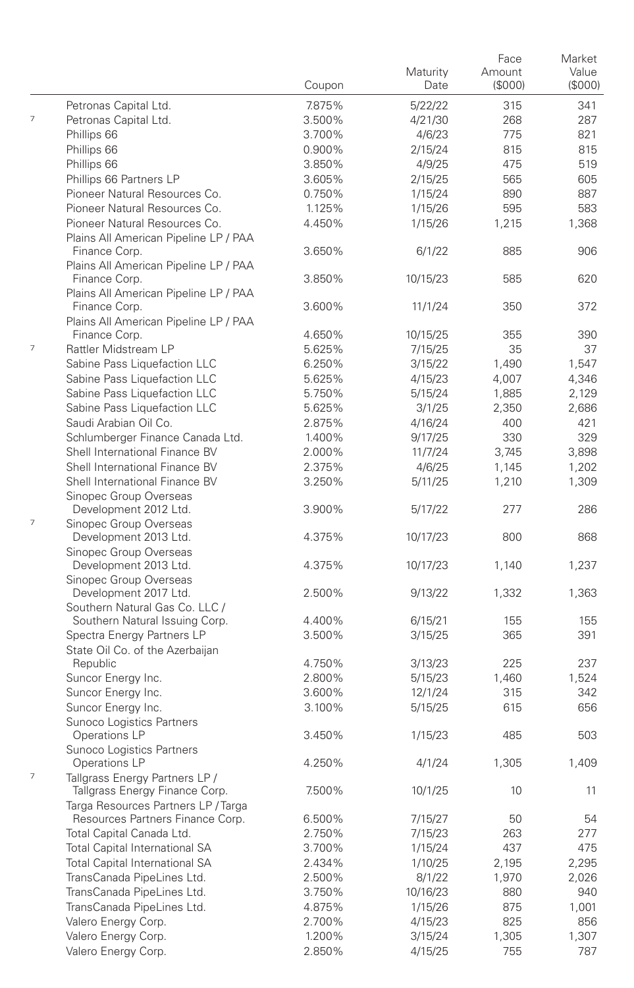|                          |                                                                       | Coupon | Maturity<br>Date | Face<br>Amount<br>(\$000) | Market<br>Value<br>(S000) |
|--------------------------|-----------------------------------------------------------------------|--------|------------------|---------------------------|---------------------------|
|                          | Petronas Capital Ltd.                                                 | 7.875% | 5/22/22          | 315                       | 341                       |
| 7                        | Petronas Capital Ltd.                                                 | 3.500% | 4/21/30          | 268                       | 287                       |
|                          | Phillips 66                                                           | 3.700% | 4/6/23           | 775                       | 821                       |
|                          | Phillips 66                                                           | 0.900% | 2/15/24          | 815                       | 815                       |
|                          | Phillips 66                                                           | 3.850% | 4/9/25           | 475                       | 519                       |
|                          | Phillips 66 Partners LP                                               | 3.605% | 2/15/25          | 565                       | 605                       |
|                          | Pioneer Natural Resources Co.                                         | 0.750% | 1/15/24          | 890                       | 887                       |
|                          | Pioneer Natural Resources Co.                                         | 1.125% | 1/15/26          | 595                       | 583                       |
|                          | Pioneer Natural Resources Co.                                         | 4.450% | 1/15/26          | 1,215                     | 1,368                     |
|                          | Plains All American Pipeline LP / PAA<br>Finance Corp.                | 3.650% | 6/1/22           | 885                       | 906                       |
|                          | Plains All American Pipeline LP / PAA<br>Finance Corp.                | 3.850% | 10/15/23         | 585                       | 620                       |
|                          | Plains All American Pipeline LP / PAA                                 |        |                  |                           |                           |
|                          | Finance Corp.<br>Plains All American Pipeline LP / PAA                | 3.600% | 11/1/24          | 350                       | 372                       |
|                          | Finance Corp.                                                         | 4.650% | 10/15/25         | 355                       | 390                       |
| $\overline{\phantom{a}}$ | Rattler Midstream LP                                                  | 5.625% | 7/15/25          | 35                        | 37                        |
|                          | Sabine Pass Liquefaction LLC                                          | 6.250% | 3/15/22          | 1,490                     | 1,547                     |
|                          | Sabine Pass Liquefaction LLC                                          | 5.625% | 4/15/23          | 4,007                     | 4,346                     |
|                          | Sabine Pass Liquefaction LLC                                          | 5.750% | 5/15/24          | 1,885                     | 2,129                     |
|                          | Sabine Pass Liquefaction LLC                                          | 5.625% | 3/1/25           | 2,350                     | 2,686                     |
|                          | Saudi Arabian Oil Co.                                                 | 2.875% | 4/16/24          | 400                       | 421                       |
|                          | Schlumberger Finance Canada Ltd.                                      | 1.400% | 9/17/25          | 330                       | 329                       |
|                          | Shell International Finance BV                                        | 2.000% | 11/7/24          | 3,745                     | 3.898                     |
|                          | Shell International Finance BV                                        | 2.375% | 4/6/25           | 1,145                     | 1,202                     |
|                          | Shell International Finance BV<br>Sinopec Group Overseas              | 3.250% | 5/11/25          | 1,210                     | 1,309                     |
| 7                        | Development 2012 Ltd.<br>Sinopec Group Overseas                       | 3.900% | 5/17/22          | 277                       | 286                       |
|                          | Development 2013 Ltd.<br>Sinopec Group Overseas                       | 4.375% | 10/17/23         | 800                       | 868                       |
|                          | Development 2013 Ltd.<br>Sinopec Group Overseas                       | 4.375% | 10/17/23         | 1,140                     | 1,237                     |
|                          | Development 2017 Ltd.                                                 | 2.500% | 9/13/22          | 1,332                     | 1,363                     |
|                          | Southern Natural Gas Co. LLC /<br>Southern Natural Issuing Corp.      | 4.400% | 6/15/21          | 155                       | 155                       |
|                          | Spectra Energy Partners LP                                            | 3.500% | 3/15/25          | 365                       | 391                       |
|                          | State Oil Co. of the Azerbaijan                                       |        |                  |                           |                           |
|                          | Republic                                                              | 4.750% | 3/13/23          | 225                       | 237                       |
|                          | Suncor Energy Inc.                                                    | 2.800% | 5/15/23          | 1,460                     | 1,524                     |
|                          | Suncor Energy Inc.                                                    | 3.600% | 12/1/24          | 315                       | 342                       |
|                          | Suncor Energy Inc.<br>Sunoco Logistics Partners                       | 3.100% | 5/15/25          | 615                       | 656                       |
|                          | Operations LP<br>Sunoco Logistics Partners                            | 3.450% | 1/15/23          | 485                       | 503                       |
| 7                        | Operations LP<br>Tallgrass Energy Partners LP /                       | 4.250% | 4/1/24           | 1,305                     | 1,409                     |
|                          | Tallgrass Energy Finance Corp.<br>Targa Resources Partners LP / Targa | 7.500% | 10/1/25          | 10                        | 11                        |
|                          | Resources Partners Finance Corp.                                      | 6.500% | 7/15/27          | 50                        | 54                        |
|                          | Total Capital Canada Ltd.                                             | 2.750% | 7/15/23          | 263                       | 277                       |
|                          | Total Capital International SA                                        | 3.700% | 1/15/24          | 437                       | 475                       |
|                          | Total Capital International SA                                        | 2.434% | 1/10/25          | 2,195                     | 2,295                     |
|                          | TransCanada PipeLines Ltd.                                            | 2.500% | 8/1/22           | 1,970                     | 2,026                     |
|                          | TransCanada PipeLines Ltd.                                            | 3.750% | 10/16/23         | 880                       | 940                       |
|                          | TransCanada PipeLines Ltd.                                            | 4.875% | 1/15/26          | 875                       | 1,001                     |
|                          | Valero Energy Corp.                                                   | 2.700% | 4/15/23          | 825                       | 856                       |
|                          | Valero Energy Corp.                                                   | 1.200% | 3/15/24          | 1,305                     | 1,307                     |
|                          | Valero Energy Corp.                                                   | 2.850% | 4/15/25          | 755                       | 787                       |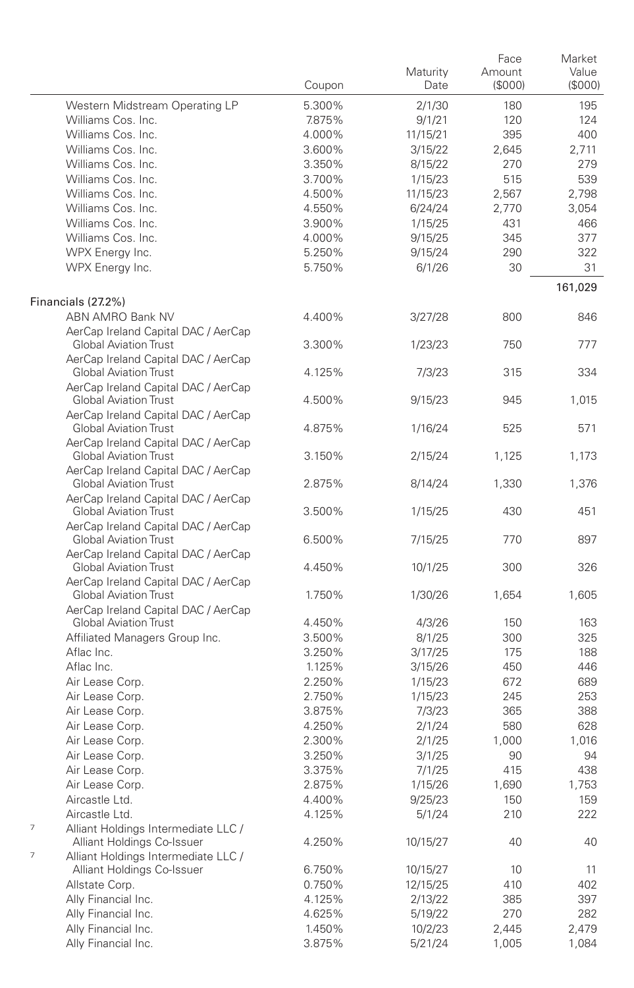|                                                                        |        |          | Face   | Market  |
|------------------------------------------------------------------------|--------|----------|--------|---------|
|                                                                        |        | Maturity | Amount | Value   |
|                                                                        | Coupon | Date     | (S000) | (S000)  |
| Western Midstream Operating LP                                         | 5.300% | 2/1/30   | 180    | 195     |
| Williams Cos. Inc.                                                     | 7.875% | 9/1/21   | 120    | 124     |
| Williams Cos. Inc.                                                     | 4.000% | 11/15/21 | 395    | 400     |
| Williams Cos. Inc.                                                     | 3.600% | 3/15/22  | 2,645  | 2,711   |
| Williams Cos. Inc.                                                     | 3.350% | 8/15/22  | 270    | 279     |
| Williams Cos. Inc.                                                     | 3.700% | 1/15/23  | 515    | 539     |
| Williams Cos. Inc.                                                     | 4.500% | 11/15/23 | 2,567  | 2,798   |
| Williams Cos. Inc.                                                     | 4.550% | 6/24/24  | 2,770  | 3,054   |
| Williams Cos. Inc.                                                     | 3.900% | 1/15/25  | 431    | 466     |
| Williams Cos. Inc.                                                     | 4.000% | 9/15/25  | 345    | 377     |
| WPX Energy Inc.                                                        | 5.250% | 9/15/24  | 290    | 322     |
| WPX Energy Inc.                                                        | 5.750% | 6/1/26   | 30     | 31      |
|                                                                        |        |          |        |         |
|                                                                        |        |          |        | 161,029 |
| Financials (27.2%)                                                     |        |          |        |         |
| <b>ABN AMRO Bank NV</b>                                                | 4.400% | 3/27/28  | 800    | 846     |
| AerCap Ireland Capital DAC / AerCap                                    |        |          |        |         |
| <b>Global Aviation Trust</b>                                           | 3.300% | 1/23/23  | 750    | 777     |
| AerCap Ireland Capital DAC / AerCap                                    |        |          |        |         |
| <b>Global Aviation Trust</b>                                           | 4.125% | 7/3/23   | 315    | 334     |
| AerCap Ireland Capital DAC / AerCap                                    |        |          |        |         |
| <b>Global Aviation Trust</b>                                           | 4.500% | 9/15/23  | 945    | 1,015   |
| AerCap Ireland Capital DAC / AerCap                                    |        |          |        |         |
| <b>Global Aviation Trust</b>                                           | 4.875% | 1/16/24  | 525    | 571     |
| AerCap Ireland Capital DAC / AerCap                                    |        |          |        |         |
| <b>Global Aviation Trust</b>                                           | 3.150% | 2/15/24  | 1,125  | 1,173   |
| AerCap Ireland Capital DAC / AerCap                                    |        |          |        |         |
| <b>Global Aviation Trust</b>                                           | 2.875% | 8/14/24  | 1,330  | 1,376   |
| AerCap Ireland Capital DAC / AerCap                                    |        |          |        |         |
| <b>Global Aviation Trust</b>                                           | 3.500% | 1/15/25  | 430    | 451     |
| AerCap Ireland Capital DAC / AerCap                                    |        |          |        |         |
| <b>Global Aviation Trust</b>                                           | 6.500% | 7/15/25  | 770    | 897     |
| AerCap Ireland Capital DAC / AerCap                                    |        |          |        |         |
| <b>Global Aviation Trust</b>                                           | 4.450% | 10/1/25  | 300    | 326     |
| AerCap Ireland Capital DAC / AerCap                                    |        |          |        |         |
| <b>Global Aviation Trust</b>                                           | 1.750% | 1/30/26  | 1,654  | 1,605   |
| AerCap Ireland Capital DAC / AerCap                                    |        |          |        |         |
| <b>Global Aviation Trust</b>                                           | 4.450% | 4/3/26   | 150    | 163     |
| Affiliated Managers Group Inc.                                         | 3.500% | 8/1/25   | 300    | 325     |
| Aflac Inc.                                                             | 3.250% | 3/17/25  | 175    | 188     |
| Aflac Inc.                                                             | 1.125% | 3/15/26  | 450    | 446     |
| Air Lease Corp.                                                        | 2.250% | 1/15/23  | 672    | 689     |
| Air Lease Corp.                                                        | 2.750% | 1/15/23  | 245    | 253     |
| Air Lease Corp.                                                        | 3.875% | 7/3/23   | 365    | 388     |
| Air Lease Corp.                                                        | 4.250% | 2/1/24   | 580    | 628     |
| Air Lease Corp.                                                        | 2.300% |          | 1,000  | 1,016   |
|                                                                        |        | 2/1/25   |        |         |
| Air Lease Corp.                                                        | 3.250% | 3/1/25   | 90     | 94      |
| Air Lease Corp.                                                        | 3.375% | 7/1/25   | 415    | 438     |
| Air Lease Corp.                                                        | 2.875% | 1/15/26  | 1,690  | 1,753   |
| Aircastle Ltd.                                                         | 4.400% | 9/25/23  | 150    | 159     |
| Aircastle Ltd.                                                         | 4.125% | 5/1/24   | 210    | 222     |
| 7<br>Alliant Holdings Intermediate LLC /<br>Alliant Holdings Co-Issuer | 4.250% | 10/15/27 | 40     | 40      |
| 7<br>Alliant Holdings Intermediate LLC /                               |        |          |        |         |
| Alliant Holdings Co-Issuer                                             | 6.750% | 10/15/27 | 10     | 11      |
| Allstate Corp.                                                         | 0.750% | 12/15/25 | 410    | 402     |
| Ally Financial Inc.                                                    | 4.125% | 2/13/22  | 385    | 397     |
| Ally Financial Inc.                                                    | 4.625% | 5/19/22  | 270    | 282     |
| Ally Financial Inc.                                                    | 1.450% | 10/2/23  | 2,445  | 2,479   |
| Ally Financial Inc.                                                    | 3.875% | 5/21/24  | 1,005  | 1,084   |
|                                                                        |        |          |        |         |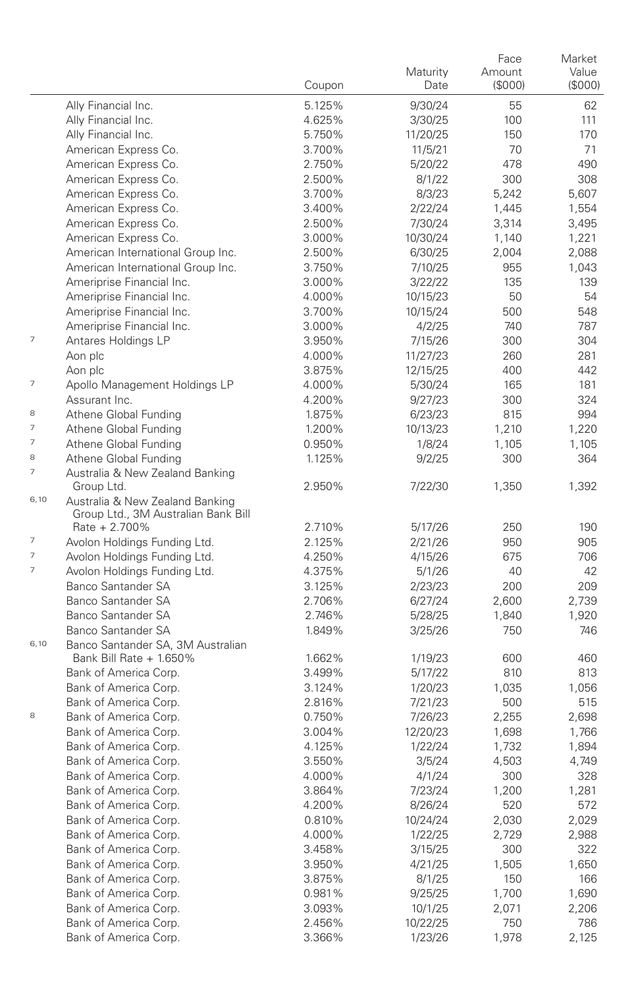|                          |                                               |        | Maturity | Face<br>Amount | Market<br>Value |
|--------------------------|-----------------------------------------------|--------|----------|----------------|-----------------|
|                          |                                               | Coupon | Date     | (\$000)        | (S000)          |
|                          | Ally Financial Inc.                           | 5.125% | 9/30/24  | 55             | 62              |
|                          | Ally Financial Inc.                           | 4.625% | 3/30/25  | 100            | 111             |
|                          | Ally Financial Inc.                           | 5.750% | 11/20/25 | 150            | 170             |
|                          | American Express Co.                          | 3.700% | 11/5/21  | 70             | 71              |
|                          | American Express Co.                          | 2.750% | 5/20/22  | 478            | 490             |
|                          | American Express Co.                          | 2.500% | 8/1/22   | 300            | 308             |
|                          | American Express Co.                          | 3.700% | 8/3/23   | 5,242          | 5,607           |
|                          | American Express Co.                          | 3.400% | 2/22/24  | 1,445          | 1,554           |
|                          | American Express Co.                          | 2.500% | 7/30/24  | 3,314          | 3,495           |
|                          | American Express Co.                          | 3.000% | 10/30/24 | 1,140          | 1,221           |
|                          | American International Group Inc.             | 2.500% | 6/30/25  | 2,004          | 2,088           |
|                          | American International Group Inc.             | 3.750% | 7/10/25  | 955            | 1,043           |
|                          | Ameriprise Financial Inc.                     | 3.000% | 3/22/22  | 135            | 139             |
|                          | Ameriprise Financial Inc.                     | 4.000% | 10/15/23 | 50             | 54              |
|                          | Ameriprise Financial Inc.                     | 3.700% | 10/15/24 | 500            | 548             |
|                          | Ameriprise Financial Inc.                     | 3.000% | 4/2/25   | 740            | 787             |
| $\overline{\phantom{a}}$ | Antares Holdings LP                           | 3.950% | 7/15/26  | 300            | 304             |
|                          | Aon plc                                       | 4.000% | 11/27/23 | 260            | 281             |
|                          | Aon plc                                       | 3.875% | 12/15/25 | 400            | 442             |
| $\overline{\phantom{a}}$ | Apollo Management Holdings LP                 | 4.000% | 5/30/24  | 165            | 181             |
|                          | Assurant Inc.                                 | 4.200% | 9/27/23  | 300            | 324             |
| 8                        | Athene Global Funding                         | 1.875% | 6/23/23  | 815            | 994             |
| $\overline{\phantom{a}}$ | Athene Global Funding                         | 1.200% | 10/13/23 | 1,210          | 1,220           |
| $\overline{\phantom{a}}$ | Athene Global Funding                         | 0.950% | 1/8/24   | 1,105          | 1,105           |
| 8                        | Athene Global Funding                         | 1.125% | 9/2/25   | 300            | 364             |
| $\overline{\phantom{a}}$ | Australia & New Zealand Banking<br>Group Ltd. | 2.950% | 7/22/30  | 1,350          | 1,392           |
| 6,10                     | Australia & New Zealand Banking               |        |          |                |                 |
|                          | Group Ltd., 3M Australian Bank Bill           |        |          |                |                 |
|                          | Rate + 2.700%                                 | 2.710% | 5/17/26  | 250            | 190             |
| $\overline{\phantom{a}}$ | Avolon Holdings Funding Ltd.                  | 2.125% | 2/21/26  | 950            | 905             |
| $\overline{\phantom{a}}$ | Avolon Holdings Funding Ltd.                  | 4.250% | 4/15/26  | 675            | 706             |
| $\overline{\phantom{a}}$ | Avolon Holdings Funding Ltd.                  | 4.375% | 5/1/26   | 40             | 42              |
|                          | Banco Santander SA                            | 3.125% | 2/23/23  | 200            | 209             |
|                          | <b>Banco Santander SA</b>                     | 2.706% | 6/27/24  | 2,600          | 2,739           |
|                          | <b>Banco Santander SA</b>                     | 2.746% | 5/28/25  | 1,840          | 1,920           |
|                          | Banco Santander SA                            | 1.849% | 3/25/26  | 750            | 746             |
| 6,10                     | Banco Santander SA, 3M Australian             |        |          |                |                 |
|                          | Bank Bill Rate + 1.650%                       | 1.662% | 1/19/23  | 600            | 460             |
|                          | Bank of America Corp.                         | 3.499% | 5/17/22  | 810            | 813             |
|                          | Bank of America Corp.                         | 3.124% | 1/20/23  | 1,035          | 1,056           |
|                          | Bank of America Corp.                         | 2.816% | 7/21/23  | 500            | 515             |
| 8                        | Bank of America Corp.                         | 0.750% | 7/26/23  | 2,255          | 2,698           |
|                          | Bank of America Corp.                         | 3.004% | 12/20/23 | 1,698          | 1,766           |
|                          | Bank of America Corp.                         | 4.125% | 1/22/24  | 1,732          | 1,894           |
|                          | Bank of America Corp.                         | 3.550% | 3/5/24   | 4,503          | 4,749           |
|                          | Bank of America Corp.                         | 4.000% | 4/1/24   | 300            | 328             |
|                          | Bank of America Corp.                         | 3.864% | 7/23/24  | 1,200          | 1,281           |
|                          | Bank of America Corp.                         | 4.200% | 8/26/24  | 520            | 572             |
|                          | Bank of America Corp.                         | 0.810% | 10/24/24 | 2,030          | 2,029           |
|                          | Bank of America Corp.                         | 4.000% | 1/22/25  | 2,729          | 2,988           |
|                          | Bank of America Corp.                         | 3.458% | 3/15/25  | 300            | 322             |
|                          | Bank of America Corp.                         | 3.950% | 4/21/25  | 1,505          | 1,650           |
|                          | Bank of America Corp.                         | 3.875% | 8/1/25   | 150            | 166             |
|                          | Bank of America Corp.                         | 0.981% | 9/25/25  | 1,700          | 1,690           |
|                          | Bank of America Corp.                         | 3.093% | 10/1/25  | 2,071          | 2,206           |
|                          | Bank of America Corp.                         | 2.456% | 10/22/25 | 750            | 786             |
|                          | Bank of America Corp.                         | 3.366% | 1/23/26  | 1,978          | 2,125           |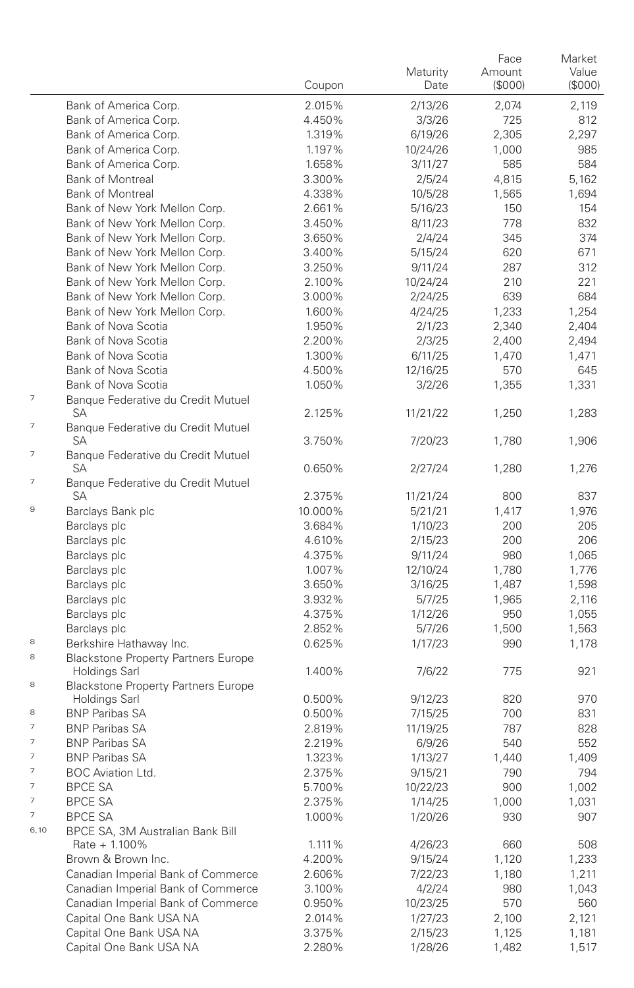|        |                                                             | Coupon  | Maturity<br>Date | Face<br>Amount<br>(\$000) | Market<br>Value<br>(S000) |
|--------|-------------------------------------------------------------|---------|------------------|---------------------------|---------------------------|
|        | Bank of America Corp.                                       | 2.015%  | 2/13/26          | 2,074                     | 2,119                     |
|        | Bank of America Corp.                                       | 4.450%  | 3/3/26           | 725                       | 812                       |
|        | Bank of America Corp.                                       | 1.319%  | 6/19/26          | 2,305                     | 2,297                     |
|        | Bank of America Corp.                                       | 1.197%  | 10/24/26         | 1,000                     | 985                       |
|        | Bank of America Corp.                                       | 1.658%  | 3/11/27          | 585                       | 584                       |
|        | <b>Bank of Montreal</b>                                     | 3.300%  | 2/5/24           | 4,815                     | 5,162                     |
|        | <b>Bank of Montreal</b>                                     | 4.338%  | 10/5/28          | 1,565                     | 1,694                     |
|        | Bank of New York Mellon Corp.                               | 2.661%  | 5/16/23          | 150                       | 154                       |
|        | Bank of New York Mellon Corp.                               | 3.450%  | 8/11/23          | 778                       | 832                       |
|        | Bank of New York Mellon Corp.                               | 3.650%  | 2/4/24           | 345                       | 374                       |
|        | Bank of New York Mellon Corp.                               | 3.400%  | 5/15/24          | 620                       | 671                       |
|        | Bank of New York Mellon Corp.                               | 3.250%  | 9/11/24          | 287                       | 312                       |
|        | Bank of New York Mellon Corp.                               | 2.100%  | 10/24/24         | 210                       | 221                       |
|        | Bank of New York Mellon Corp.                               | 3.000%  | 2/24/25          | 639                       | 684                       |
|        | Bank of New York Mellon Corp.                               | 1.600%  | 4/24/25          | 1,233                     | 1,254                     |
|        | Bank of Nova Scotia                                         | 1.950%  | 2/1/23           | 2,340                     | 2,404                     |
|        | Bank of Nova Scotia                                         | 2.200%  | 2/3/25           | 2,400                     | 2,494                     |
|        | Bank of Nova Scotia                                         | 1.300%  | 6/11/25          | 1,470                     | 1,471                     |
|        | Bank of Nova Scotia                                         | 4.500%  | 12/16/25         | 570                       | 645                       |
|        | Bank of Nova Scotia                                         | 1.050%  | 3/2/26           | 1,355                     | 1,331                     |
| 7      | Banque Federative du Credit Mutuel<br>SA                    | 2.125%  | 11/21/22         | 1,250                     | 1,283                     |
| 7<br>7 | Banque Federative du Credit Mutuel<br>SA                    | 3.750%  | 7/20/23          | 1,780                     | 1,906                     |
| 7      | Banque Federative du Credit Mutuel<br>SA                    | 0.650%  | 2/27/24          | 1,280                     | 1,276                     |
|        | Banque Federative du Credit Mutuel<br>SА                    | 2.375%  | 11/21/24         | 800                       | 837                       |
| 9      | Barclays Bank plc                                           | 10.000% | 5/21/21          | 1,417                     | 1,976                     |
|        | Barclays plc                                                | 3.684%  | 1/10/23          | 200                       | 205                       |
|        | Barclays plc                                                | 4.610%  | 2/15/23          | 200                       | 206                       |
|        | Barclays plc                                                | 4.375%  | 9/11/24          | 980                       | 1,065                     |
|        | Barclays plc                                                | 1.007%  | 12/10/24         | 1,780                     | 1,776                     |
|        | Barclays plc                                                | 3.650%  | 3/16/25          | 1,487                     | 1,598                     |
|        | Barclays plc                                                | 3.932%  | 5/7/25           | 1,965                     | 2,116                     |
|        | Barclays plc                                                | 4.375%  | 1/12/26          | 950                       | 1,055                     |
|        | Barclays plc                                                | 2.852%  | 5/7/26           | 1,500                     | 1,563                     |
| 8      | Berkshire Hathaway Inc.                                     | 0.625%  | 1/17/23          | 990                       | 1,178                     |
| 8      | <b>Blackstone Property Partners Europe</b>                  |         |                  |                           |                           |
| 8      | Holdings Sarl<br><b>Blackstone Property Partners Europe</b> | 1.400%  | 7/6/22           | 775                       | 921                       |
|        | Holdings Sarl                                               | 0.500%  | 9/12/23          | 820                       | 970                       |
| 8      | <b>BNP Paribas SA</b>                                       | 0.500%  | 7/15/25          | 700                       | 831                       |
| 7      | <b>BNP Paribas SA</b>                                       | 2.819%  | 11/19/25         | 787                       | 828                       |
| 7      | <b>BNP Paribas SA</b>                                       | 2.219%  | 6/9/26           | 540                       | 552                       |
| 7      | <b>BNP Paribas SA</b>                                       | 1.323%  | 1/13/27          | 1,440                     | 1,409                     |
| 7      | <b>BOC</b> Aviation Ltd.                                    | 2.375%  | 9/15/21          | 790                       | 794                       |
| 7      | BPCE SA                                                     | 5.700%  | 10/22/23         | 900                       | 1,002                     |
| 7      | <b>BPCE SA</b>                                              | 2.375%  | 1/14/25          | 1,000                     | 1,031                     |
| 7      | <b>BPCE SA</b>                                              | 1.000%  | 1/20/26          | 930                       | 907                       |
| 6,10   | BPCE SA, 3M Australian Bank Bill<br>Rate + 1.100%           | 1.111%  | 4/26/23          | 660                       | 508                       |
|        | Brown & Brown Inc.                                          | 4.200%  | 9/15/24          | 1,120                     | 1,233                     |
|        | Canadian Imperial Bank of Commerce                          | 2.606%  | 7/22/23          | 1,180                     | 1,211                     |
|        | Canadian Imperial Bank of Commerce                          | 3.100%  | 4/2/24           | 980                       | 1,043                     |
|        | Canadian Imperial Bank of Commerce                          | 0.950%  | 10/23/25         | 570                       | 560                       |
|        | Capital One Bank USA NA                                     | 2.014%  | 1/27/23          | 2,100                     | 2,121                     |
|        | Capital One Bank USA NA                                     | 3.375%  | 2/15/23          | 1,125                     | 1,181                     |
|        | Capital One Bank USA NA                                     | 2.280%  | 1/28/26          | 1,482                     | 1,517                     |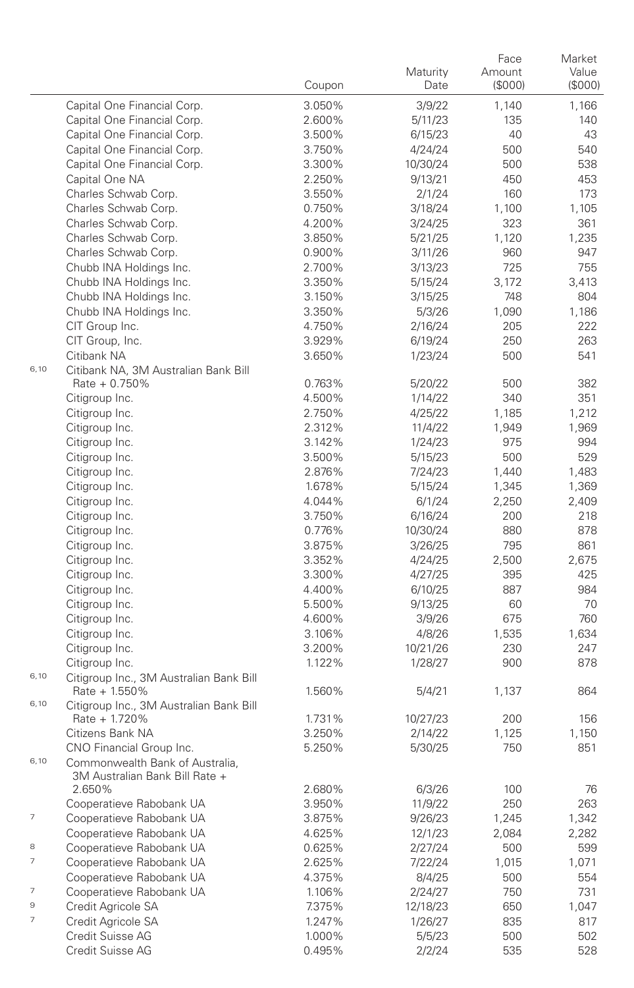|      |                                                                   | Coupon | Maturity<br>Date | Face<br>Amount<br>(\$000) | Market<br>Value<br>(\$000) |
|------|-------------------------------------------------------------------|--------|------------------|---------------------------|----------------------------|
|      | Capital One Financial Corp.                                       | 3.050% | 3/9/22           | 1,140                     | 1,166                      |
|      | Capital One Financial Corp.                                       | 2.600% | 5/11/23          | 135                       | 140                        |
|      | Capital One Financial Corp.                                       | 3.500% | 6/15/23          | 40                        | 43                         |
|      | Capital One Financial Corp.                                       | 3.750% | 4/24/24          | 500                       | 540                        |
|      | Capital One Financial Corp.                                       | 3.300% | 10/30/24         | 500                       | 538                        |
|      | Capital One NA                                                    | 2.250% | 9/13/21          | 450                       | 453                        |
|      | Charles Schwab Corp.                                              | 3.550% | 2/1/24           | 160                       | 173                        |
|      | Charles Schwab Corp.                                              | 0.750% | 3/18/24          | 1,100                     | 1,105                      |
|      | Charles Schwab Corp.                                              | 4.200% | 3/24/25          | 323                       | 361                        |
|      | Charles Schwab Corp.                                              | 3.850% | 5/21/25          | 1,120                     | 1,235                      |
|      | Charles Schwab Corp.                                              | 0.900% | 3/11/26          | 960                       | 947                        |
|      | Chubb INA Holdings Inc.                                           | 2.700% | 3/13/23          | 725                       | 755                        |
|      | Chubb INA Holdings Inc.                                           | 3.350% | 5/15/24          | 3,172                     | 3,413                      |
|      | Chubb INA Holdings Inc.                                           | 3.150% | 3/15/25          | 748                       | 804                        |
|      | Chubb INA Holdings Inc.                                           | 3.350% | 5/3/26           | 1,090                     | 1,186                      |
|      | CIT Group Inc.                                                    | 4.750% | 2/16/24          | 205                       | 222                        |
|      | CIT Group, Inc.                                                   | 3.929% | 6/19/24          | 250                       | 263                        |
|      | Citibank NA                                                       | 3.650% | 1/23/24          | 500                       | 541                        |
| 6,10 | Citibank NA, 3M Australian Bank Bill                              |        |                  |                           |                            |
|      | Rate + 0.750%                                                     | 0.763% | 5/20/22          | 500                       | 382                        |
|      | Citigroup Inc.                                                    | 4.500% | 1/14/22          | 340                       | 351                        |
|      | Citigroup Inc.                                                    | 2.750% | 4/25/22          | 1,185                     | 1,212                      |
|      | Citigroup Inc.                                                    | 2.312% | 11/4/22          | 1,949                     | 1,969                      |
|      | Citigroup Inc.                                                    | 3.142% | 1/24/23          | 975                       | 994                        |
|      | Citigroup Inc.                                                    | 3.500% | 5/15/23          | 500                       | 529                        |
|      | Citigroup Inc.                                                    | 2.876% | 7/24/23          | 1,440                     | 1,483                      |
|      | Citigroup Inc.                                                    | 1.678% | 5/15/24          | 1,345                     | 1,369                      |
|      | Citigroup Inc.                                                    | 4.044% | 6/1/24           | 2,250                     | 2,409                      |
|      | Citigroup Inc.                                                    | 3.750% | 6/16/24          | 200                       | 218                        |
|      | Citigroup Inc.                                                    | 0.776% | 10/30/24         | 880                       | 878                        |
|      | Citigroup Inc.                                                    | 3.875% | 3/26/25          | 795                       | 861                        |
|      | Citigroup Inc.                                                    | 3.352% | 4/24/25          | 2,500                     | 2,675                      |
|      | Citigroup Inc.                                                    | 3.300% | 4/27/25          | 395                       | 425                        |
|      | Citigroup Inc.                                                    | 4.400% | 6/10/25          | 887                       | 984                        |
|      | Citigroup Inc.                                                    | 5.500% | 9/13/25          | 60                        | 70                         |
|      | Citigroup Inc.                                                    | 4.600% | 3/9/26           | 675                       | 760                        |
|      | Citigroup Inc.                                                    | 3.106% | 4/8/26           | 1,535                     | 1,634                      |
|      | Citigroup Inc.                                                    | 3.200% | 10/21/26         | 230                       | 247                        |
| 6,10 | Citigroup Inc.                                                    | 1.122% | 1/28/27          | 900                       | 878                        |
|      | Citigroup Inc., 3M Australian Bank Bill<br>Rate + 1.550%          | 1.560% | 5/4/21           | 1,137                     | 864                        |
| 6,10 | Citigroup Inc., 3M Australian Bank Bill                           |        |                  |                           |                            |
|      | Rate + 1.720%                                                     | 1.731% | 10/27/23         | 200                       | 156                        |
|      | Citizens Bank NA                                                  | 3.250% | 2/14/22          | 1,125                     | 1,150                      |
|      | CNO Financial Group Inc.                                          | 5.250% | 5/30/25          | 750                       | 851                        |
| 6,10 | Commonwealth Bank of Australia,<br>3M Australian Bank Bill Rate + |        |                  |                           |                            |
|      | 2.650%                                                            | 2.680% | 6/3/26           | 100                       | 76                         |
|      | Cooperatieve Rabobank UA                                          | 3.950% | 11/9/22          | 250                       | 263                        |
| 7    | Cooperatieve Rabobank UA                                          | 3.875% | 9/26/23          | 1,245                     | 1,342                      |
|      | Cooperatieve Rabobank UA                                          | 4.625% | 12/1/23          | 2,084                     | 2,282                      |
| 8    | Cooperatieve Rabobank UA                                          | 0.625% | 2/27/24          | 500                       | 599                        |
| 7    | Cooperatieve Rabobank UA                                          | 2.625% | 7/22/24          | 1,015                     | 1,071                      |
|      | Cooperatieve Rabobank UA                                          | 4.375% | 8/4/25           | 500                       | 554                        |
| 7    | Cooperatieve Rabobank UA                                          | 1.106% | 2/24/27          | 750                       | 731                        |
| 9    | Credit Agricole SA                                                | 7.375% | 12/18/23         | 650                       | 1,047                      |
| 7    | Credit Agricole SA                                                | 1.247% | 1/26/27          | 835                       | 817                        |
|      | Credit Suisse AG                                                  | 1.000% | 5/5/23           | 500                       | 502                        |
|      | Credit Suisse AG                                                  | 0.495% | 2/2/24           | 535                       | 528                        |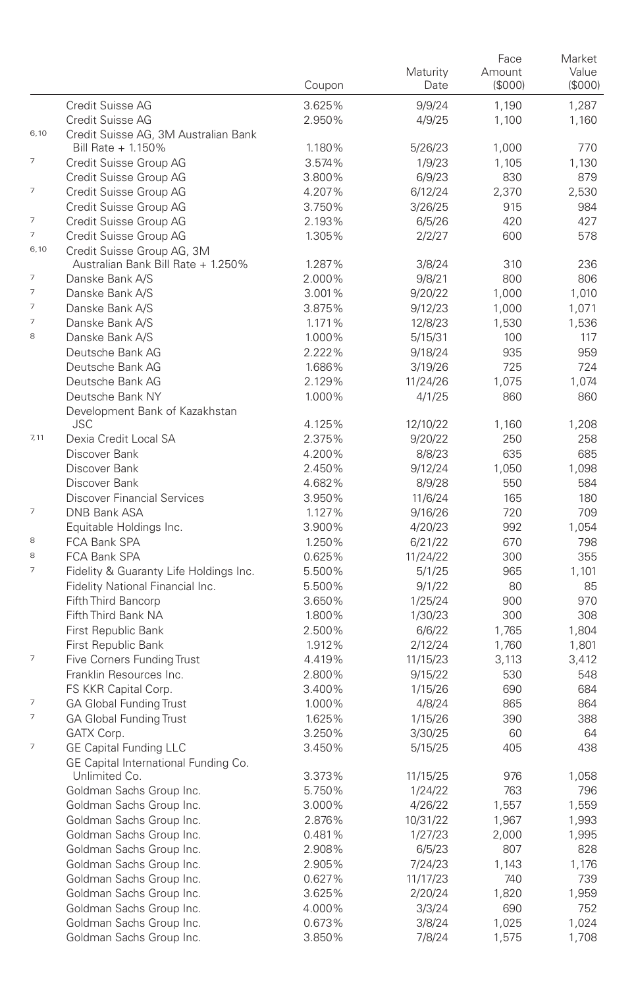|                          |                                                                  | Coupon           | Maturity<br>Date    | Face<br>Amount<br>(\$000) | Market<br>Value<br>(\$000) |
|--------------------------|------------------------------------------------------------------|------------------|---------------------|---------------------------|----------------------------|
|                          | Credit Suisse AG                                                 | 3.625%           | 9/9/24              | 1,190                     | 1,287                      |
|                          | Credit Suisse AG                                                 | 2.950%           | 4/9/25              | 1,100                     | 1,160                      |
| 6,10                     | Credit Suisse AG, 3M Australian Bank                             |                  |                     |                           |                            |
|                          | Bill Rate + 1.150%                                               | 1.180%           | 5/26/23             | 1,000                     | 770                        |
| $\overline{\phantom{a}}$ | Credit Suisse Group AG                                           | 3.574%           | 1/9/23              | 1,105                     | 1,130                      |
|                          | Credit Suisse Group AG                                           | 3.800%           | 6/9/23              | 830                       | 879                        |
| 7                        | Credit Suisse Group AG                                           | 4.207%           | 6/12/24             | 2,370                     | 2,530                      |
|                          | Credit Suisse Group AG                                           | 3.750%           | 3/26/25             | 915                       | 984                        |
| $\overline{\phantom{a}}$ | Credit Suisse Group AG                                           | 2.193%           | 6/5/26              | 420                       | 427                        |
| 7                        | Credit Suisse Group AG                                           | 1.305%           | 2/2/27              | 600                       | 578                        |
| 6,10                     | Credit Suisse Group AG, 3M<br>Australian Bank Bill Rate + 1.250% | 1.287%           | 3/8/24              | 310                       | 236                        |
| $\overline{\phantom{a}}$ | Danske Bank A/S                                                  | 2.000%           | 9/8/21              | 800                       | 806                        |
| $\overline{7}$           | Danske Bank A/S                                                  | 3.001%           | 9/20/22             | 1,000                     | 1,010                      |
| $\overline{7}$           | Danske Bank A/S                                                  | 3.875%           | 9/12/23             | 1,000                     | 1,071                      |
| $\overline{7}$           | Danske Bank A/S                                                  | 1.171%           | 12/8/23             | 1,530                     | 1,536                      |
| 8                        | Danske Bank A/S                                                  | 1.000%           | 5/15/31             | 100                       | 117                        |
|                          | Deutsche Bank AG                                                 | 2.222%           | 9/18/24             | 935                       | 959                        |
|                          | Deutsche Bank AG                                                 | 1.686%           | 3/19/26             | 725                       | 724                        |
|                          | Deutsche Bank AG                                                 | 2.129%           | 11/24/26            | 1,075                     | 1,074                      |
|                          | Deutsche Bank NY                                                 | 1.000%           | 4/1/25              | 860                       | 860                        |
|                          | Development Bank of Kazakhstan                                   |                  |                     |                           |                            |
|                          | <b>JSC</b>                                                       | 4.125%           | 12/10/22            | 1,160                     | 1,208                      |
| 7,11                     | Dexia Credit Local SA                                            | 2.375%           | 9/20/22             | 250                       | 258                        |
|                          | Discover Bank                                                    | 4.200%           | 8/8/23              | 635                       | 685                        |
|                          | Discover Bank                                                    | 2.450%           | 9/12/24             | 1,050                     | 1,098                      |
|                          | Discover Bank                                                    | 4.682%           | 8/9/28              | 550                       | 584                        |
| $\overline{\phantom{a}}$ | <b>Discover Financial Services</b>                               | 3.950%           | 11/6/24             | 165                       | 180                        |
|                          | DNB Bank ASA                                                     | 1.127%           | 9/16/26             | 720                       | 709                        |
| 8                        | Equitable Holdings Inc.                                          | 3.900%           | 4/20/23             | 992                       | 1,054                      |
| 8                        | FCA Bank SPA<br>FCA Bank SPA                                     | 1.250%<br>0.625% | 6/21/22<br>11/24/22 | 670<br>300                | 798<br>355                 |
| $\overline{7}$           | Fidelity & Guaranty Life Holdings Inc.                           | 5.500%           | 5/1/25              | 965                       | 1,101                      |
|                          | Fidelity National Financial Inc.                                 | 5.500%           | 9/1/22              | 80                        | 85                         |
|                          | Fifth Third Bancorp                                              | 3.650%           | 1/25/24             | 900                       | 970                        |
|                          | Fifth Third Bank NA                                              | 1.800%           | 1/30/23             | 300                       | 308                        |
|                          | First Republic Bank                                              | 2.500%           | 6/6/22              | 1,765                     | 1,804                      |
|                          | First Republic Bank                                              | 1.912%           | 2/12/24             | 1,760                     | 1,801                      |
| 7                        | Five Corners Funding Trust                                       | 4.419%           | 11/15/23            | 3,113                     | 3,412                      |
|                          | Franklin Resources Inc.                                          | 2.800%           | 9/15/22             | 530                       | 548                        |
|                          | FS KKR Capital Corp.                                             | 3.400%           | 1/15/26             | 690                       | 684                        |
| $\overline{\phantom{a}}$ | <b>GA Global Funding Trust</b>                                   | 1.000%           | 4/8/24              | 865                       | 864                        |
| $\overline{7}$           | <b>GA Global Funding Trust</b>                                   | 1.625%           | 1/15/26             | 390                       | 388                        |
|                          | GATX Corp.                                                       | 3.250%           | 3/30/25             | 60                        | 64                         |
| $\overline{7}$           | <b>GE Capital Funding LLC</b>                                    | 3.450%           | 5/15/25             | 405                       | 438                        |
|                          | GE Capital International Funding Co.                             |                  |                     |                           |                            |
|                          | Unlimited Co.                                                    | 3.373%           | 11/15/25            | 976                       | 1.058                      |
|                          | Goldman Sachs Group Inc.                                         | 5.750%           | 1/24/22             | 763                       | 796                        |
|                          | Goldman Sachs Group Inc.                                         | 3.000%           | 4/26/22             | 1,557                     | 1,559                      |
|                          | Goldman Sachs Group Inc.                                         | 2.876%           | 10/31/22            | 1,967                     | 1,993                      |
|                          | Goldman Sachs Group Inc.                                         | 0.481%           | 1/27/23             | 2,000                     | 1,995                      |
|                          | Goldman Sachs Group Inc.<br>Goldman Sachs Group Inc.             | 2.908%<br>2.905% | 6/5/23<br>7/24/23   | 807                       | 828                        |
|                          | Goldman Sachs Group Inc.                                         | 0.627%           | 11/17/23            | 1,143<br>740              | 1,176<br>739               |
|                          | Goldman Sachs Group Inc.                                         | 3.625%           | 2/20/24             | 1,820                     | 1,959                      |
|                          | Goldman Sachs Group Inc.                                         | 4.000%           | 3/3/24              | 690                       | 752                        |
|                          | Goldman Sachs Group Inc.                                         | 0.673%           | 3/8/24              | 1,025                     | 1,024                      |
|                          | Goldman Sachs Group Inc.                                         | 3.850%           | 7/8/24              | 1,575                     | 1,708                      |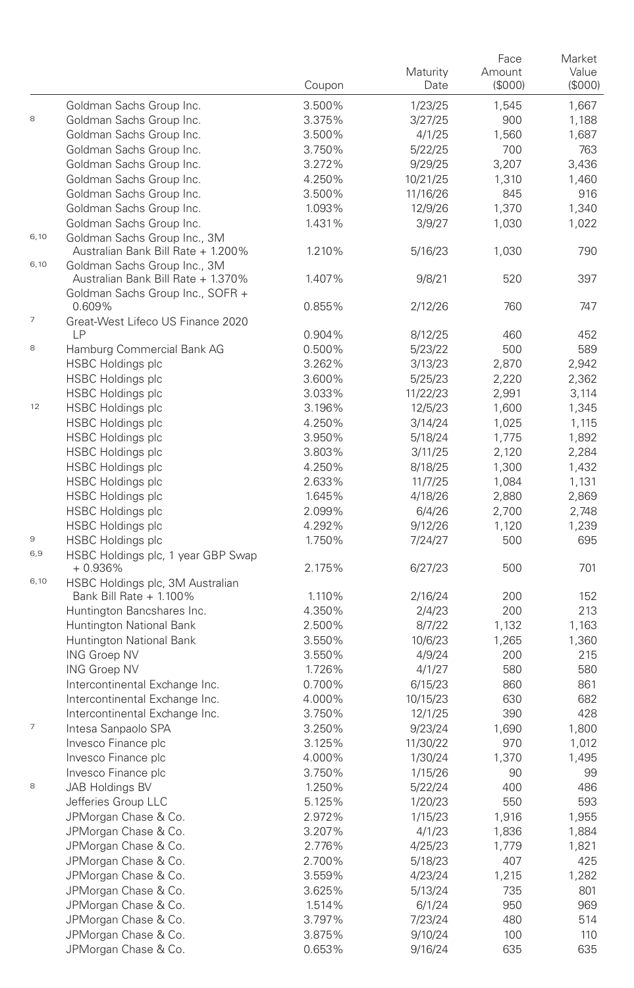|                |                                                                        | Coupon           | Maturity<br>Date | Face<br>Amount<br>(\$000) | Market<br>Value<br>(S000) |
|----------------|------------------------------------------------------------------------|------------------|------------------|---------------------------|---------------------------|
|                | Goldman Sachs Group Inc.                                               | 3.500%           | 1/23/25          | 1,545                     | 1,667                     |
| $^{\rm 8}$     | Goldman Sachs Group Inc.                                               | 3.375%           | 3/27/25          | 900                       | 1,188                     |
|                | Goldman Sachs Group Inc.                                               | 3.500%           | 4/1/25           | 1,560                     | 1,687                     |
|                | Goldman Sachs Group Inc.                                               | 3.750%           | 5/22/25          | 700                       | 763                       |
|                | Goldman Sachs Group Inc.                                               | 3.272%           | 9/29/25          | 3,207                     | 3,436                     |
|                | Goldman Sachs Group Inc.                                               | 4.250%           | 10/21/25         | 1,310                     | 1,460                     |
|                | Goldman Sachs Group Inc.                                               | 3.500%           | 11/16/26         | 845                       | 916                       |
|                | Goldman Sachs Group Inc.                                               | 1.093%           | 12/9/26          | 1,370                     | 1,340                     |
|                | Goldman Sachs Group Inc.                                               | 1.431%           | 3/9/27           | 1,030                     | 1,022                     |
| 6,10           | Goldman Sachs Group Inc., 3M<br>Australian Bank Bill Rate + 1.200%     | 1.210%           | 5/16/23          | 1,030                     | 790                       |
| 6,10           | Goldman Sachs Group Inc., 3M                                           |                  |                  |                           |                           |
|                | Australian Bank Bill Rate + 1.370%<br>Goldman Sachs Group Inc., SOFR + | 1.407%           | 9/8/21           | 520                       | 397                       |
| 7              | 0.609%<br>Great-West Lifeco US Finance 2020                            | 0.855%           | 2/12/26          | 760                       | 747                       |
|                | LP                                                                     | 0.904%           | 8/12/25          | 460                       | 452                       |
| 8              | Hamburg Commercial Bank AG                                             | 0.500%           | 5/23/22          | 500                       | 589                       |
|                | <b>HSBC Holdings plc</b>                                               | 3.262%           | 3/13/23          | 2,870                     | 2,942                     |
|                | <b>HSBC Holdings plc</b>                                               | 3.600%           | 5/25/23          | 2.220                     | 2,362                     |
|                | <b>HSBC Holdings plc</b>                                               | 3.033%           | 11/22/23         | 2,991                     | 3,114                     |
| 12             | <b>HSBC Holdings plc</b>                                               | 3.196%           | 12/5/23          | 1,600                     | 1,345                     |
|                | <b>HSBC Holdings plc</b>                                               | 4.250%           | 3/14/24          | 1,025                     | 1,115                     |
|                | <b>HSBC Holdings plc</b>                                               | 3.950%           | 5/18/24          | 1,775                     | 1,892                     |
|                | <b>HSBC Holdings plc</b>                                               | 3.803%           | 3/11/25          | 2,120                     | 2,284                     |
|                | <b>HSBC Holdings plc</b>                                               | 4.250%           | 8/18/25          | 1,300                     | 1,432                     |
|                | <b>HSBC Holdings plc</b>                                               | 2.633%           | 11/7/25          | 1,084                     | 1,131                     |
|                | <b>HSBC Holdings plc</b>                                               | 1.645%           | 4/18/26          | 2,880                     | 2,869                     |
|                | <b>HSBC Holdings plc</b>                                               | 2.099%           | 6/4/26           | 2,700                     | 2,748                     |
|                | <b>HSBC Holdings plc</b>                                               | 4.292%           | 9/12/26          | 1,120                     | 1,239                     |
| 9              | <b>HSBC Holdings plc</b>                                               | 1.750%           | 7/24/27          | 500                       | 695                       |
| 6,9            | HSBC Holdings plc, 1 year GBP Swap                                     |                  |                  |                           |                           |
|                | $+0.936%$                                                              | 2.175%           | 6/27/23          | 500                       | 701                       |
| 6,10           | HSBC Holdings plc, 3M Australian                                       |                  |                  |                           |                           |
|                | Bank Bill Rate + 1.100%                                                | 1.110%           | 2/16/24          | 200                       | 152                       |
|                | Huntington Bancshares Inc.                                             | 4.350%           | 2/4/23           | 200                       | 213                       |
|                | Huntington National Bank                                               | 2.500%           | 8/7/22           | 1,132                     | 1,163                     |
|                | Huntington National Bank                                               | 3.550%           | 10/6/23          | 1,265                     | 1,360                     |
|                | <b>ING Groep NV</b>                                                    | 3.550%           | 4/9/24           | 200                       | 215                       |
|                | <b>ING Groep NV</b>                                                    | 1.726%           | 4/1/27           | 580                       | 580                       |
|                | Intercontinental Exchange Inc.                                         | 0.700%           | 6/15/23          | 860                       | 861<br>682                |
|                | Intercontinental Exchange Inc.                                         | 4.000%           | 10/15/23         | 630<br>390                | 428                       |
| $\overline{7}$ | Intercontinental Exchange Inc.                                         | 3.750%           | 12/1/25          |                           |                           |
|                | Intesa Sanpaolo SPA<br>Invesco Finance plc                             | 3.250%           | 9/23/24          | 1,690                     | 1,800                     |
|                |                                                                        | 3.125%<br>4.000% | 11/30/22         | 970                       | 1,012                     |
|                | Invesco Finance plc                                                    | 3.750%           | 1/30/24          | 1,370                     | 1,495                     |
|                | Invesco Finance plc                                                    |                  | 1/15/26          | 90                        | 99                        |
| 8              | JAB Holdings BV                                                        | 1.250%           | 5/22/24          | 400                       | 486                       |
|                | Jefferies Group LLC                                                    | 5.125%           | 1/20/23          | 550                       | 593                       |
|                | JPMorgan Chase & Co.                                                   | 2.972%           | 1/15/23          | 1,916                     | 1,955                     |
|                | JPMorgan Chase & Co.                                                   | 3.207%           | 4/1/23           | 1,836                     | 1,884                     |
|                | JPMorgan Chase & Co.                                                   | 2.776%           | 4/25/23          | 1,779                     | 1,821                     |
|                | JPMorgan Chase & Co.                                                   | 2.700%           | 5/18/23          | 407                       | 425                       |
|                | JPMorgan Chase & Co.                                                   | 3.559%           | 4/23/24          | 1,215                     | 1,282                     |
|                | JPMorgan Chase & Co.                                                   | 3.625%           | 5/13/24          | 735                       | 801                       |
|                | JPMorgan Chase & Co.                                                   | 1.514%           | 6/1/24           | 950                       | 969                       |
|                | JPMorgan Chase & Co.                                                   | 3.797%           | 7/23/24          | 480                       | 514                       |
|                | JPMorgan Chase & Co.                                                   | 3.875%           | 9/10/24          | 100                       | 110                       |
|                | JPMorgan Chase & Co.                                                   | 0.653%           | 9/16/24          | 635                       | 635                       |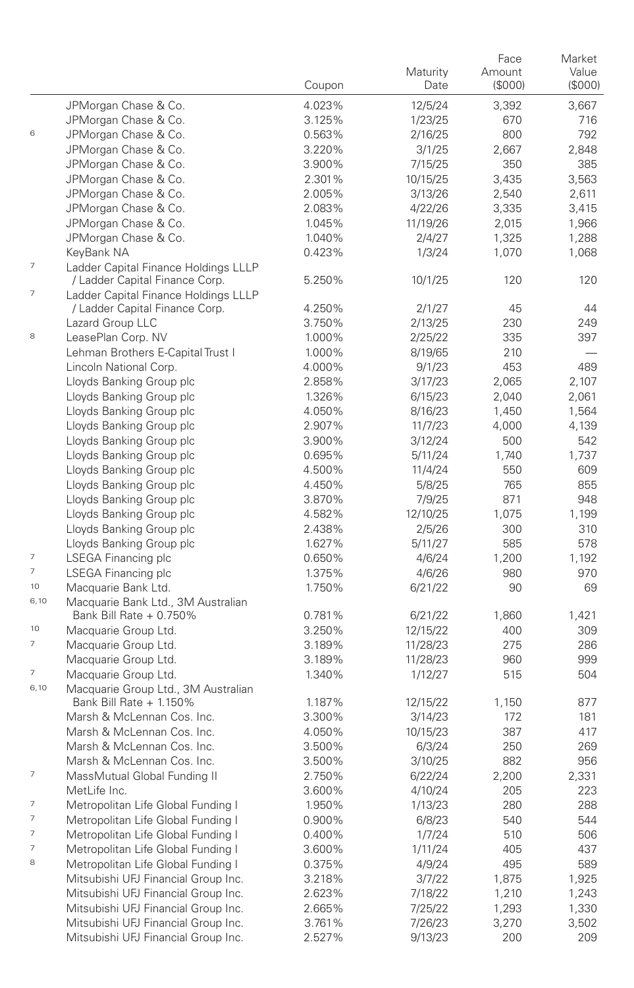|                          |                                                                        | Coupon           | Maturity<br>Date | Face<br>Amount<br>(S000) | Market<br>Value<br>(\$000) |
|--------------------------|------------------------------------------------------------------------|------------------|------------------|--------------------------|----------------------------|
|                          | JPMorgan Chase & Co.                                                   | 4.023%           | 12/5/24          | 3,392                    | 3,667                      |
|                          | JPMorgan Chase & Co.                                                   | 3.125%           | 1/23/25          | 670                      | 716                        |
| 6                        | JPMorgan Chase & Co.                                                   | 0.563%           | 2/16/25          | 800                      | 792                        |
|                          | JPMorgan Chase & Co.                                                   | 3.220%           | 3/1/25           | 2,667                    | 2,848                      |
|                          | JPMorgan Chase & Co.                                                   | 3.900%           | 7/15/25          | 350                      | 385                        |
|                          | JPMorgan Chase & Co.                                                   | 2.301%           | 10/15/25         | 3,435                    | 3,563                      |
|                          | JPMorgan Chase & Co.                                                   | 2.005%           | 3/13/26          | 2,540                    | 2,611                      |
|                          | JPMorgan Chase & Co.                                                   | 2.083%           | 4/22/26          | 3,335                    | 3,415                      |
|                          | JPMorgan Chase & Co.                                                   | 1.045%           | 11/19/26         | 2,015                    | 1,966                      |
|                          | JPMorgan Chase & Co.                                                   | 1.040%           | 2/4/27           | 1,325                    | 1,288                      |
|                          | KeyBank NA                                                             | 0.423%           | 1/3/24           | 1,070                    | 1,068                      |
| $\overline{\phantom{a}}$ | Ladder Capital Finance Holdings LLLP<br>/ Ladder Capital Finance Corp. | 5.250%           | 10/1/25          | 120                      | 120                        |
| 7                        | Ladder Capital Finance Holdings LLLP<br>/ Ladder Capital Finance Corp. | 4.250%           | 2/1/27           | 45                       | 44                         |
|                          | Lazard Group LLC                                                       | 3.750%           | 2/13/25          | 230                      | 249                        |
| 8                        | LeasePlan Corp. NV                                                     | 1.000%           | 2/25/22          | 335                      | 397                        |
|                          | Lehman Brothers E-Capital Trust I                                      | 1.000%           | 8/19/65          | 210                      |                            |
|                          | Lincoln National Corp.                                                 | 4.000%           | 9/1/23           | 453                      | 489                        |
|                          | Lloyds Banking Group plc                                               | 2.858%           | 3/17/23          | 2,065                    | 2,107                      |
|                          | Lloyds Banking Group plc                                               | 1.326%           | 6/15/23          | 2,040                    | 2,061                      |
|                          | Lloyds Banking Group plc                                               | 4.050%           | 8/16/23          | 1,450                    | 1,564                      |
|                          | Lloyds Banking Group plc                                               | 2.907%           | 11/7/23          | 4,000                    | 4,139                      |
|                          | Lloyds Banking Group plc                                               | 3.900%           | 3/12/24          | 500                      | 542                        |
|                          | Lloyds Banking Group plc                                               | 0.695%           | 5/11/24          | 1,740                    | 1,737                      |
|                          | Lloyds Banking Group plc                                               | 4.500%           | 11/4/24          | 550                      | 609                        |
|                          | Lloyds Banking Group plc                                               | 4.450%           | 5/8/25           | 765                      | 855                        |
|                          | Lloyds Banking Group plc                                               | 3.870%           | 7/9/25           | 871                      | 948                        |
|                          | Lloyds Banking Group plc                                               | 4.582%           | 12/10/25         | 1,075                    | 1,199                      |
|                          | Lloyds Banking Group plc                                               | 2.438%           | 2/5/26           | 300                      | 310                        |
| $\overline{\phantom{a}}$ | Lloyds Banking Group plc                                               | 1.627%           | 5/11/27          | 585                      | 578                        |
| $\overline{7}$           | LSEGA Financing plc<br>LSEGA Financing plc                             | 0.650%<br>1.375% | 4/6/24<br>4/6/26 | 1,200<br>980             | 1,192<br>970               |
| 10                       | Macquarie Bank Ltd.                                                    | 1.750%           | 6/21/22          | 90                       | 69                         |
| 6,10                     | Macquarie Bank Ltd., 3M Australian                                     |                  |                  |                          |                            |
|                          | Bank Bill Rate + 0.750%                                                | 0.781%           | 6/21/22          | 1,860                    | 1,421                      |
| 10                       | Macquarie Group Ltd.                                                   | 3.250%           | 12/15/22         | 400                      | 309                        |
| 7                        | Macquarie Group Ltd.                                                   | 3.189%           | 11/28/23         | 275                      | 286                        |
|                          | Macquarie Group Ltd.                                                   | 3.189%           | 11/28/23         | 960                      | 999                        |
| 7                        | Macquarie Group Ltd.                                                   | 1.340%           | 1/12/27          | 515                      | 504                        |
| 6,10                     | Macquarie Group Ltd., 3M Australian<br>Bank Bill Rate + 1.150%         | 1.187%           | 12/15/22         | 1,150                    | 877                        |
|                          | Marsh & McLennan Cos. Inc.                                             | 3.300%           | 3/14/23          | 172                      | 181                        |
|                          | Marsh & McLennan Cos. Inc.                                             | 4.050%           | 10/15/23         | 387                      | 417                        |
|                          | Marsh & McLennan Cos. Inc.                                             | 3.500%           | 6/3/24           | 250                      | 269                        |
|                          | Marsh & McLennan Cos. Inc.                                             | 3.500%           | 3/10/25          | 882                      | 956                        |
| 7                        | MassMutual Global Funding II                                           | 2.750%           | 6/22/24          | 2,200                    | 2,331                      |
|                          | MetLife Inc.                                                           | 3.600%           | 4/10/24          | 205                      | 223                        |
| 7                        | Metropolitan Life Global Funding I                                     | 1.950%           | 1/13/23          | 280                      | 288                        |
| 7                        | Metropolitan Life Global Funding I                                     | 0.900%           | 6/8/23           | 540                      | 544                        |
| 7                        | Metropolitan Life Global Funding I                                     | 0.400%           | 1/7/24           | 510                      | 506                        |
| 7                        | Metropolitan Life Global Funding I                                     | 3.600%           | 1/11/24          | 405                      | 437                        |
| 8                        | Metropolitan Life Global Funding I                                     | 0.375%           | 4/9/24           | 495                      | 589                        |
|                          | Mitsubishi UFJ Financial Group Inc.                                    | 3.218%           | 3/7/22           | 1,875                    | 1,925                      |
|                          | Mitsubishi UFJ Financial Group Inc.                                    | 2.623%           | 7/18/22          | 1,210                    | 1,243                      |
|                          | Mitsubishi UFJ Financial Group Inc.                                    | 2.665%           | 7/25/22          | 1,293                    | 1,330                      |
|                          | Mitsubishi UFJ Financial Group Inc.                                    | 3.761%           | 7/26/23          | 3,270                    | 3,502                      |
|                          | Mitsubishi UFJ Financial Group Inc.                                    | 2.527%           | 9/13/23          | 200                      | 209                        |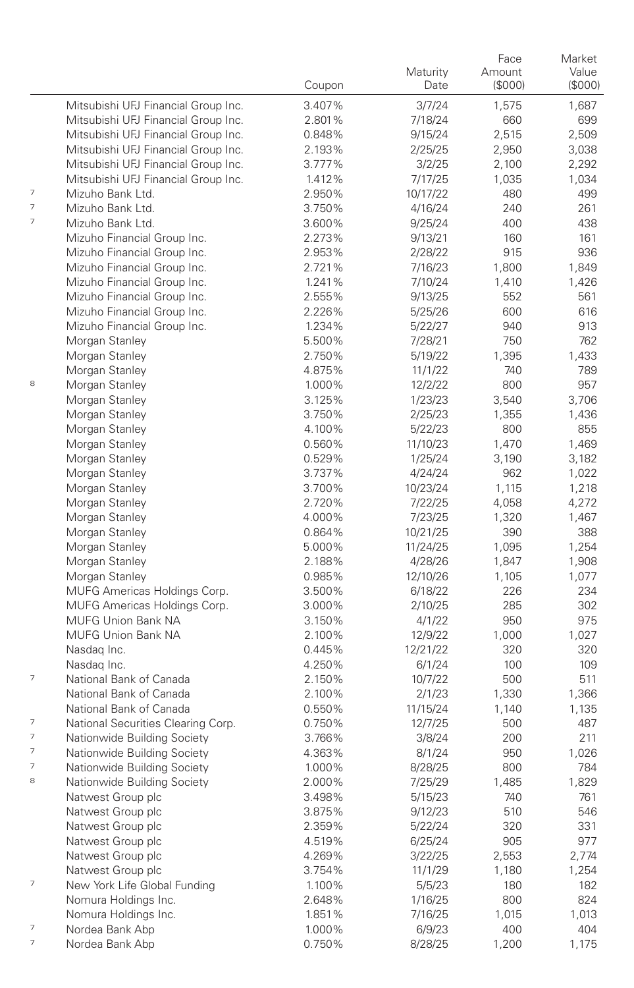|   |                                     | Coupon           | Maturity<br>Date    | Face<br>Amount<br>(\$000) | Market<br>Value<br>(\$000) |
|---|-------------------------------------|------------------|---------------------|---------------------------|----------------------------|
|   | Mitsubishi UFJ Financial Group Inc. | 3.407%           | 3/7/24              | 1,575                     | 1,687                      |
|   | Mitsubishi UFJ Financial Group Inc. | 2.801%           | 7/18/24             | 660                       | 699                        |
|   | Mitsubishi UFJ Financial Group Inc. | 0.848%           | 9/15/24             | 2,515                     | 2,509                      |
|   | Mitsubishi UFJ Financial Group Inc. | 2.193%           | 2/25/25             | 2,950                     | 3,038                      |
|   | Mitsubishi UFJ Financial Group Inc. | 3.777%           | 3/2/25              | 2,100                     | 2,292                      |
|   | Mitsubishi UFJ Financial Group Inc. | 1.412%           | 7/17/25             | 1,035                     | 1,034                      |
| 7 | Mizuho Bank Ltd.                    | 2.950%           | 10/17/22            | 480                       | 499                        |
| 7 | Mizuho Bank Ltd.                    | 3.750%           | 4/16/24             | 240                       | 261                        |
| 7 | Mizuho Bank Ltd.                    | 3.600%           | 9/25/24             | 400                       | 438                        |
|   | Mizuho Financial Group Inc.         | 2.273%           | 9/13/21             | 160                       | 161                        |
|   | Mizuho Financial Group Inc.         | 2.953%           | 2/28/22             | 915                       | 936                        |
|   | Mizuho Financial Group Inc.         | 2.721%           | 7/16/23             | 1,800                     | 1,849                      |
|   | Mizuho Financial Group Inc.         | 1.241%           | 7/10/24             | 1,410                     | 1,426                      |
|   | Mizuho Financial Group Inc.         | 2.555%           | 9/13/25             | 552                       | 561                        |
|   | Mizuho Financial Group Inc.         | 2.226%           | 5/25/26             | 600                       | 616                        |
|   | Mizuho Financial Group Inc.         | 1.234%           | 5/22/27             | 940                       | 913                        |
|   | Morgan Stanley                      | 5.500%           | 7/28/21             | 750                       | 762                        |
|   | Morgan Stanley                      | 2.750%           | 5/19/22             | 1,395                     | 1,433                      |
|   | Morgan Stanley                      | 4.875%           | 11/1/22             | 740                       | 789                        |
| 8 | Morgan Stanley                      | 1.000%           | 12/2/22             | 800                       | 957                        |
|   | Morgan Stanley                      | 3.125%           | 1/23/23             | 3,540                     | 3,706                      |
|   | Morgan Stanley                      | 3.750%           | 2/25/23             | 1,355                     | 1,436                      |
|   | Morgan Stanley                      | 4.100%           | 5/22/23             | 800                       | 855                        |
|   | Morgan Stanley                      | 0.560%           | 11/10/23            | 1,470                     | 1,469                      |
|   | Morgan Stanley                      | 0.529%           | 1/25/24             | 3,190                     | 3,182                      |
|   | Morgan Stanley                      | 3.737%           | 4/24/24             | 962                       | 1,022                      |
|   | Morgan Stanley                      | 3.700%           | 10/23/24            | 1,115                     | 1,218                      |
|   | Morgan Stanley                      | 2.720%           | 7/22/25             | 4,058                     | 4,272                      |
|   | Morgan Stanley                      | 4.000%           | 7/23/25             | 1,320                     | 1,467                      |
|   | Morgan Stanley                      | 0.864%           | 10/21/25            | 390                       | 388                        |
|   | Morgan Stanley                      | 5.000%           | 11/24/25            | 1,095                     | 1,254                      |
|   | Morgan Stanley<br>Morgan Stanley    | 2.188%<br>0.985% | 4/28/26<br>12/10/26 | 1,847<br>1,105            | 1,908<br>1,077             |
|   | MUFG Americas Holdings Corp.        | 3.500%           | 6/18/22             | 226                       | 234                        |
|   | MUFG Americas Holdings Corp.        | 3.000%           | 2/10/25             | 285                       | 302                        |
|   | MUFG Union Bank NA                  | 3.150%           | 4/1/22              | 950                       | 975                        |
|   | <b>MUFG Union Bank NA</b>           | 2.100%           | 12/9/22             | 1,000                     | 1,027                      |
|   | Nasdag Inc.                         | 0.445%           | 12/21/22            | 320                       | 320                        |
|   | Nasdag Inc.                         | 4.250%           | 6/1/24              | 100                       | 109                        |
| 7 | National Bank of Canada             | 2.150%           | 10/7/22             | 500                       | 511                        |
|   | National Bank of Canada             | 2.100%           | 2/1/23              | 1,330                     | 1,366                      |
|   | National Bank of Canada             | 0.550%           | 11/15/24            | 1,140                     | 1,135                      |
| 7 | National Securities Clearing Corp.  | 0.750%           | 12/7/25             | 500                       | 487                        |
| 7 | Nationwide Building Society         | 3.766%           | 3/8/24              | 200                       | 211                        |
| 7 | Nationwide Building Society         | 4.363%           | 8/1/24              | 950                       | 1,026                      |
| 7 | Nationwide Building Society         | 1.000%           | 8/28/25             | 800                       | 784                        |
| 8 | Nationwide Building Society         | 2.000%           | 7/25/29             | 1,485                     | 1,829                      |
|   | Natwest Group plc                   | 3.498%           | 5/15/23             | 740                       | 761                        |
|   | Natwest Group plc                   | 3.875%           | 9/12/23             | 510                       | 546                        |
|   | Natwest Group plc                   | 2.359%           | 5/22/24             | 320                       | 331                        |
|   | Natwest Group plc                   | 4.519%           | 6/25/24             | 905                       | 977                        |
|   | Natwest Group plc                   | 4.269%           | 3/22/25             | 2,553                     | 2,774                      |
|   | Natwest Group plc                   | 3.754%           | 11/1/29             | 1,180                     | 1,254                      |
| 7 | New York Life Global Funding        | 1.100%           | 5/5/23              | 180                       | 182                        |
|   | Nomura Holdings Inc.                | 2.648%           | 1/16/25             | 800                       | 824                        |
|   | Nomura Holdings Inc.                | 1.851%           | 7/16/25             | 1,015                     | 1,013                      |
| 7 | Nordea Bank Abp                     | 1.000%           | 6/9/23              | 400                       | 404                        |
| 7 | Nordea Bank Abp                     | 0.750%           | 8/28/25             | 1,200                     | 1,175                      |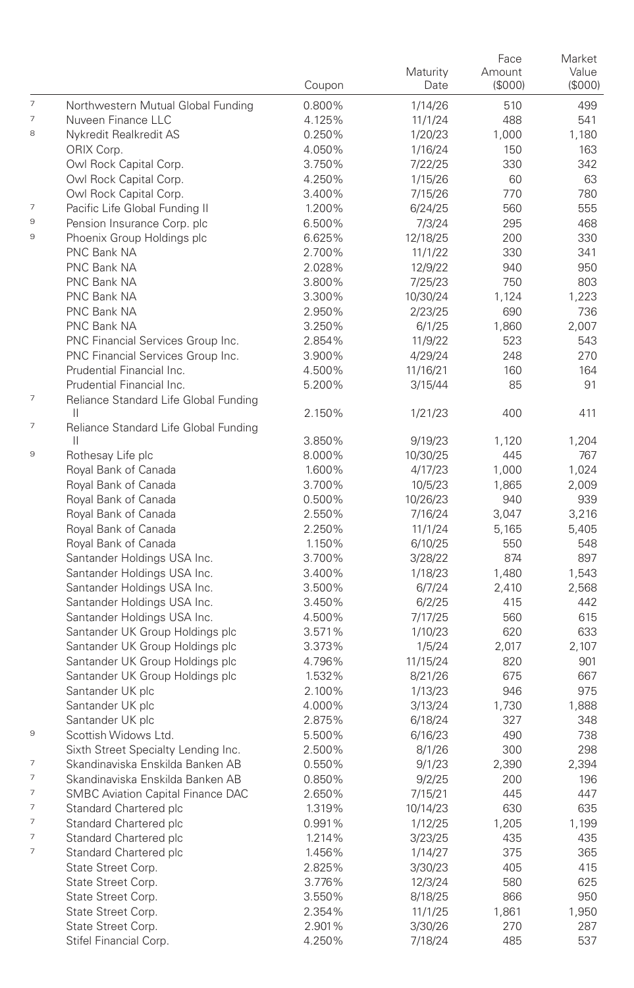|                          |                                                            | Coupon           | Maturity<br>Date | Face<br>Amount<br>(\$000) | Market<br>Value<br>(\$000) |
|--------------------------|------------------------------------------------------------|------------------|------------------|---------------------------|----------------------------|
| 7                        | Northwestern Mutual Global Funding                         | 0.800%           | 1/14/26          | 510                       | 499                        |
| 7                        | Nuveen Finance LLC                                         | 4.125%           | 11/1/24          | 488                       | 541                        |
| 8                        | Nykredit Realkredit AS                                     | 0.250%           | 1/20/23          | 1,000                     | 1,180                      |
|                          | ORIX Corp.                                                 | 4.050%           | 1/16/24          | 150                       | 163                        |
|                          | Owl Rock Capital Corp.                                     | 3.750%           | 7/22/25          | 330                       | 342                        |
|                          | Owl Rock Capital Corp.                                     | 4.250%           | 1/15/26          | 60                        | 63                         |
|                          | Owl Rock Capital Corp.                                     | 3.400%           | 7/15/26          | 770                       | 780                        |
| 7                        | Pacific Life Global Funding II                             | 1.200%           | 6/24/25          | 560                       | 555                        |
| 9                        | Pension Insurance Corp. plc                                | 6.500%           | 7/3/24           | 295                       | 468                        |
| 9                        | Phoenix Group Holdings plc                                 | 6.625%           | 12/18/25         | 200                       | 330                        |
|                          | PNC Bank NA                                                | 2.700%           | 11/1/22          | 330                       | 341                        |
|                          | PNC Bank NA                                                | 2.028%           | 12/9/22          | 940                       | 950                        |
|                          | PNC Bank NA                                                | 3.800%           | 7/25/23          | 750                       | 803                        |
|                          | PNC Bank NA                                                | 3.300%           | 10/30/24         | 1,124                     | 1,223                      |
|                          | PNC Bank NA                                                | 2.950%           | 2/23/25          | 690                       | 736                        |
|                          | PNC Bank NA                                                | 3.250%           | 6/1/25           | 1,860                     | 2,007                      |
|                          | PNC Financial Services Group Inc.                          | 2.854%           | 11/9/22          | 523                       | 543                        |
|                          | PNC Financial Services Group Inc.                          | 3.900%           | 4/29/24          | 248                       | 270                        |
|                          | Prudential Financial Inc.                                  | 4.500%           | 11/16/21         | 160                       | 164                        |
| 7                        | Prudential Financial Inc.                                  | 5.200%           | 3/15/44          | 85                        | 91                         |
|                          | Reliance Standard Life Global Funding<br>$\mathbf{H}$      | 2.150%           | 1/21/23          | 400                       | 411                        |
| 7                        | Reliance Standard Life Global Funding                      |                  |                  |                           |                            |
| 9                        | H.                                                         | 3.850%           | 9/19/23          | 1,120                     | 1,204                      |
|                          | Rothesay Life plc                                          | 8.000%           | 10/30/25         | 445                       | 767                        |
|                          | Royal Bank of Canada                                       | 1.600%           | 4/17/23          | 1,000                     | 1,024                      |
|                          | Royal Bank of Canada                                       | 3.700%           | 10/5/23          | 1,865                     | 2,009                      |
|                          | Royal Bank of Canada                                       | 0.500%           | 10/26/23         | 940                       | 939                        |
|                          | Royal Bank of Canada                                       | 2.550%           | 7/16/24          | 3,047                     | 3,216                      |
|                          | Royal Bank of Canada                                       | 2.250%           | 11/1/24          | 5,165                     | 5,405                      |
|                          | Royal Bank of Canada                                       | 1.150%<br>3.700% | 6/10/25          | 550<br>874                | 548<br>897                 |
|                          | Santander Holdings USA Inc.<br>Santander Holdings USA Inc. | 3.400%           | 3/28/22          | 1,480                     |                            |
|                          | Santander Holdings USA Inc.                                | 3.500%           | 1/18/23          | 2,410                     | 1,543<br>2,568             |
|                          | Santander Holdings USA Inc.                                | 3.450%           | 6/7/24<br>6/2/25 | 415                       | 442                        |
|                          | Santander Holdings USA Inc.                                | 4.500%           | 7/17/25          | 560                       | 615                        |
|                          | Santander UK Group Holdings plc                            | 3.571%           | 1/10/23          | 620                       | 633                        |
|                          | Santander UK Group Holdings plc                            | 3.373%           | 1/5/24           | 2,017                     | 2,107                      |
|                          | Santander UK Group Holdings plc                            | 4.796%           | 11/15/24         | 820                       | 901                        |
|                          | Santander UK Group Holdings plc                            | 1.532%           | 8/21/26          | 675                       | 667                        |
|                          | Santander UK plc                                           | 2.100%           | 1/13/23          | 946                       | 975                        |
|                          | Santander UK plc                                           | 4.000%           | 3/13/24          | 1,730                     | 1,888                      |
|                          | Santander UK plc                                           | 2.875%           | 6/18/24          | 327                       | 348                        |
| 9                        | Scottish Widows Ltd.                                       | 5.500%           | 6/16/23          | 490                       | 738                        |
|                          | Sixth Street Specialty Lending Inc.                        | 2.500%           | 8/1/26           | 300                       | 298                        |
| 7                        | Skandinaviska Enskilda Banken AB                           | 0.550%           | 9/1/23           | 2,390                     | 2,394                      |
| $\overline{\phantom{a}}$ | Skandinaviska Enskilda Banken AB                           | 0.850%           | 9/2/25           | 200                       | 196                        |
| 7                        | <b>SMBC Aviation Capital Finance DAC</b>                   | 2.650%           | 7/15/21          | 445                       | 447                        |
| 7                        | Standard Chartered plc                                     | 1.319%           | 10/14/23         | 630                       | 635                        |
| 7                        | Standard Chartered plc                                     | 0.991%           | 1/12/25          | 1,205                     | 1,199                      |
| 7                        | Standard Chartered plc                                     | 1.214%           | 3/23/25          | 435                       | 435                        |
| 7                        | Standard Chartered plc                                     | 1.456%           | 1/14/27          | 375                       | 365                        |
|                          | State Street Corp.                                         | 2.825%           | 3/30/23          | 405                       | 415                        |
|                          | State Street Corp.                                         | 3.776%           | 12/3/24          | 580                       | 625                        |
|                          | State Street Corp.                                         | 3.550%           | 8/18/25          | 866                       | 950                        |
|                          | State Street Corp.                                         | 2.354%           | 11/1/25          | 1,861                     | 1,950                      |
|                          | State Street Corp.                                         | 2.901%           | 3/30/26          | 270                       | 287                        |
|                          | Stifel Financial Corp.                                     | 4.250%           | 7/18/24          | 485                       | 537                        |
|                          |                                                            |                  |                  |                           |                            |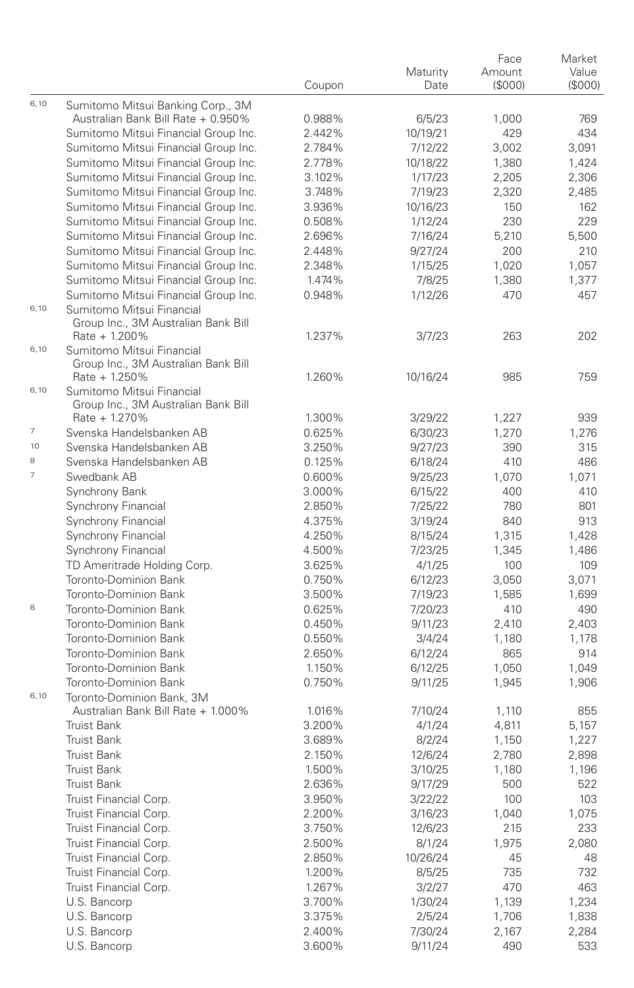|                          |                                                                              | Coupon           | Maturity<br>Date  | Face<br>Amount<br>(\$000) | Market<br>Value<br>(\$000) |
|--------------------------|------------------------------------------------------------------------------|------------------|-------------------|---------------------------|----------------------------|
| 6,10                     | Sumitomo Mitsui Banking Corp., 3M                                            |                  |                   |                           |                            |
|                          | Australian Bank Bill Rate + 0.950%                                           | 0.988%           | 6/5/23            | 1,000                     | 769                        |
|                          | Sumitomo Mitsui Financial Group Inc.                                         | 2.442%           | 10/19/21          | 429                       | 434                        |
|                          | Sumitomo Mitsui Financial Group Inc.                                         | 2.784%           | 7/12/22           | 3,002                     | 3,091                      |
|                          | Sumitomo Mitsui Financial Group Inc.                                         | 2.778%           | 10/18/22          | 1,380                     | 1,424                      |
|                          | Sumitomo Mitsui Financial Group Inc.                                         | 3.102%           | 1/17/23           | 2,205                     | 2,306                      |
|                          | Sumitomo Mitsui Financial Group Inc.                                         | 3.748%           | 7/19/23           | 2,320                     | 2,485                      |
|                          | Sumitomo Mitsui Financial Group Inc.                                         | 3.936%           | 10/16/23          | 150                       | 162                        |
|                          | Sumitomo Mitsui Financial Group Inc.                                         | 0.508%           | 1/12/24           | 230                       | 229                        |
|                          | Sumitomo Mitsui Financial Group Inc.                                         | 2.696%           | 7/16/24           | 5,210                     | 5,500                      |
|                          | Sumitomo Mitsui Financial Group Inc.<br>Sumitomo Mitsui Financial Group Inc. | 2.448%           | 9/27/24           | 200                       | 210                        |
|                          |                                                                              | 2.348%<br>1.474% | 1/15/25           | 1,020                     | 1,057                      |
|                          | Sumitomo Mitsui Financial Group Inc.<br>Sumitomo Mitsui Financial Group Inc. | 0.948%           | 7/8/25            | 1,380<br>470              | 1,377<br>457               |
| 6,10                     | Sumitomo Mitsui Financial<br>Group Inc., 3M Australian Bank Bill             |                  | 1/12/26           |                           |                            |
|                          | $Rate + 1.200%$                                                              | 1.237%           | 3/7/23            | 263                       | 202                        |
| 6,10                     | Sumitomo Mitsui Financial                                                    |                  |                   |                           |                            |
|                          | Group Inc., 3M Australian Bank Bill                                          |                  |                   |                           |                            |
|                          | $Rate + 1.250%$                                                              | 1.260%           | 10/16/24          | 985                       | 759                        |
| 6,10                     | Sumitomo Mitsui Financial                                                    |                  |                   |                           |                            |
|                          | Group Inc., 3M Australian Bank Bill                                          |                  |                   |                           |                            |
|                          | Rate + 1.270%                                                                | 1.300%           | 3/29/22           | 1,227                     | 939                        |
| 7                        | Svenska Handelsbanken AB                                                     | 0.625%           | 6/30/23           | 1,270                     | 1,276                      |
| 10                       | Svenska Handelsbanken AB                                                     | 3.250%           | 9/27/23           | 390                       | 315                        |
| 8                        | Svenska Handelsbanken AB                                                     | 0.125%           | 6/18/24           | 410                       | 486                        |
| $\overline{\phantom{a}}$ | Swedbank AB                                                                  | 0.600%           | 9/25/23           | 1,070                     | 1,071                      |
|                          | Synchrony Bank                                                               | 3.000%           | 6/15/22           | 400                       | 410                        |
|                          | Synchrony Financial                                                          | 2.850%           | 7/25/22           | 780                       | 801                        |
|                          | Synchrony Financial                                                          | 4.375%           | 3/19/24           | 840                       | 913                        |
|                          | Synchrony Financial                                                          | 4.250%           | 8/15/24           | 1,315                     | 1,428                      |
|                          | Synchrony Financial<br>TD Ameritrade Holding Corp.                           | 4.500%<br>3.625% | 7/23/25           | 1,345<br>100              | 1,486<br>109               |
|                          | Toronto-Dominion Bank                                                        | 0.750%           | 4/1/25<br>6/12/23 | 3,050                     | 3,071                      |
|                          | Toronto-Dominion Bank                                                        | 3.500%           | 7/19/23           | 1,585                     | 1,699                      |
| 8                        | Toronto-Dominion Bank                                                        | 0.625%           | 7/20/23           | 410                       | 490                        |
|                          | Toronto-Dominion Bank                                                        | 0.450%           | 9/11/23           | 2,410                     | 2,403                      |
|                          | Toronto-Dominion Bank                                                        | 0.550%           | 3/4/24            | 1,180                     | 1,178                      |
|                          | Toronto-Dominion Bank                                                        | 2.650%           | 6/12/24           | 865                       | 914                        |
|                          | Toronto-Dominion Bank                                                        | 1.150%           | 6/12/25           | 1,050                     | 1,049                      |
|                          | Toronto-Dominion Bank                                                        | 0.750%           | 9/11/25           | 1,945                     | 1,906                      |
| 6,10                     | Toronto-Dominion Bank, 3M                                                    |                  |                   |                           |                            |
|                          | Australian Bank Bill Rate + 1.000%                                           | 1.016%           | 7/10/24           | 1,110                     | 855                        |
|                          | <b>Truist Bank</b>                                                           | 3.200%           | 4/1/24            | 4,811                     | 5,157                      |
|                          | <b>Truist Bank</b>                                                           | 3.689%           | 8/2/24            | 1,150                     | 1,227                      |
|                          | <b>Truist Bank</b>                                                           | 2.150%           | 12/6/24           | 2,780                     | 2,898                      |
|                          | <b>Truist Bank</b>                                                           | 1.500%           | 3/10/25           | 1,180                     | 1,196                      |
|                          | Truist Bank                                                                  | 2.636%           | 9/17/29           | 500                       | 522                        |
|                          | Truist Financial Corp.                                                       | 3.950%           | 3/22/22           | 100                       | 103                        |
|                          | Truist Financial Corp.                                                       | 2.200%           | 3/16/23           | 1,040                     | 1,075                      |
|                          | Truist Financial Corp.                                                       | 3.750%           | 12/6/23           | 215                       | 233                        |
|                          | Truist Financial Corp.                                                       | 2.500%           | 8/1/24            | 1,975                     | 2,080                      |
|                          | Truist Financial Corp.                                                       | 2.850%           | 10/26/24          | 45                        | 48                         |
|                          | Truist Financial Corp.                                                       | 1.200%           | 8/5/25            | 735                       | 732                        |
|                          | Truist Financial Corp.                                                       | 1.267%           | 3/2/27            | 470                       | 463                        |
|                          | U.S. Bancorp                                                                 | 3.700%           | 1/30/24           | 1,139                     | 1,234                      |
|                          | U.S. Bancorp                                                                 | 3.375%           | 2/5/24            | 1,706                     | 1,838                      |
|                          | U.S. Bancorp                                                                 | 2.400%           | 7/30/24           | 2,167                     | 2,284                      |
|                          | U.S. Bancorp                                                                 | 3.600%           | 9/11/24           | 490                       | 533                        |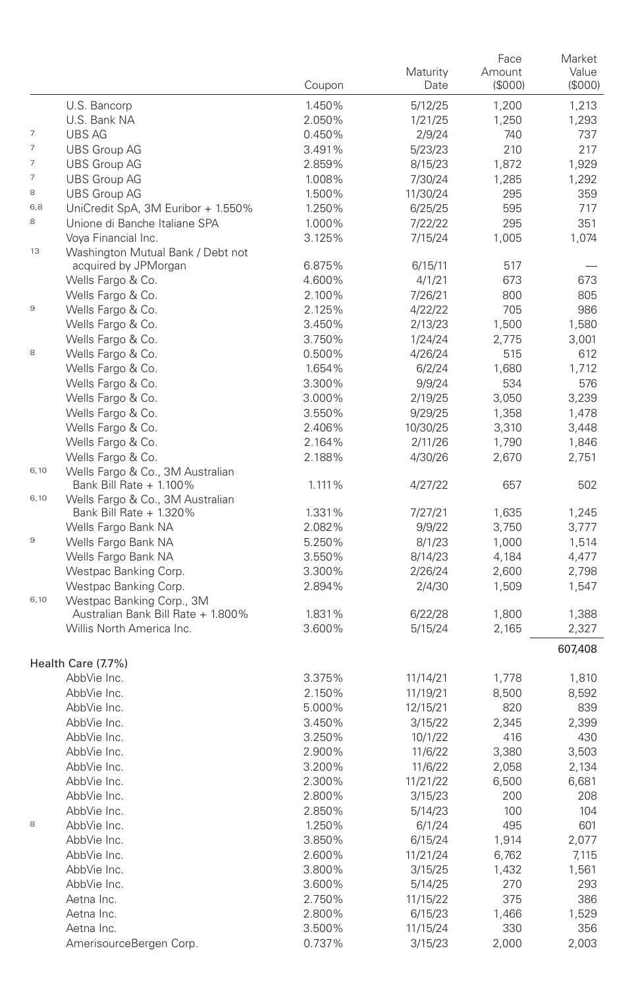|                          |                                                             | Coupon           | Maturity<br>Date | Face<br>Amount<br>(\$000) | Market<br>Value<br>(\$000) |
|--------------------------|-------------------------------------------------------------|------------------|------------------|---------------------------|----------------------------|
|                          | U.S. Bancorp                                                | 1.450%           | 5/12/25          | 1,200                     | 1,213                      |
|                          | U.S. Bank NA                                                | 2.050%           | 1/21/25          | 1,250                     | 1,293                      |
| 7                        | UBS AG                                                      | 0.450%           | 2/9/24           | 740                       | 737                        |
| 7                        | <b>UBS Group AG</b>                                         | 3.491%           | 5/23/23          | 210                       | 217                        |
| $\overline{\phantom{a}}$ | <b>UBS Group AG</b>                                         | 2.859%           | 8/15/23          | 1,872                     | 1,929                      |
| 7                        | <b>UBS Group AG</b>                                         | 1.008%           | 7/30/24          | 1,285                     | 1,292                      |
| 8                        | <b>UBS Group AG</b>                                         | 1.500%           | 11/30/24         | 295                       | 359                        |
| 6,8                      | UniCredit SpA, 3M Euribor + 1.550%                          | 1.250%           | 6/25/25          | 595                       | 717                        |
| 8                        | Unione di Banche Italiane SPA                               | 1.000%           | 7/22/22          | 295                       | 351                        |
|                          | Voya Financial Inc.                                         | 3.125%           | 7/15/24          | 1,005                     | 1,074                      |
| 13                       | Washington Mutual Bank / Debt not                           |                  |                  |                           |                            |
|                          | acquired by JPMorgan                                        | 6.875%           | 6/15/11          | 517                       |                            |
|                          | Wells Fargo & Co.                                           | 4.600%           | 4/1/21           | 673                       | 673                        |
|                          | Wells Fargo & Co.                                           | 2.100%           | 7/26/21          | 800                       | 805                        |
| $\mathbf 9$              | Wells Fargo & Co.                                           | 2.125%           | 4/22/22          | 705                       | 986                        |
|                          | Wells Fargo & Co.                                           | 3.450%           | 2/13/23          | 1,500                     | 1,580                      |
|                          | Wells Fargo & Co.                                           | 3.750%           | 1/24/24          | 2,775                     | 3,001                      |
| 8                        | Wells Fargo & Co.                                           | 0.500%           | 4/26/24          | 515                       | 612                        |
|                          | Wells Fargo & Co.                                           | 1.654%           | 6/2/24           | 1,680                     | 1,712                      |
|                          | Wells Fargo & Co.                                           | 3.300%           | 9/9/24           | 534                       | 576                        |
|                          | Wells Fargo & Co.                                           | 3.000%           | 2/19/25          | 3,050                     | 3,239                      |
|                          | Wells Fargo & Co.                                           | 3.550%           | 9/29/25          | 1,358                     | 1,478                      |
|                          | Wells Fargo & Co.                                           | 2.406%           | 10/30/25         | 3,310                     | 3,448                      |
|                          | Wells Fargo & Co.<br>Wells Fargo & Co.                      | 2.164%<br>2.188% | 2/11/26          | 1,790                     | 1,846<br>2,751             |
| 6,10                     | Wells Fargo & Co., 3M Australian                            |                  | 4/30/26          | 2,670                     |                            |
| 6,10                     | Bank Bill Rate + 1.100%<br>Wells Fargo & Co., 3M Australian | 1.111%           | 4/27/22          | 657                       | 502                        |
|                          | Bank Bill Rate + 1.320%                                     | 1.331%           | 7/27/21          | 1,635                     | 1,245                      |
|                          | Wells Fargo Bank NA                                         | 2.082%           | 9/9/22           | 3,750                     | 3,777                      |
| $\mathbf 9$              | Wells Fargo Bank NA                                         | 5.250%           | 8/1/23           | 1,000                     | 1,514                      |
|                          | Wells Fargo Bank NA                                         | 3.550%           | 8/14/23          | 4,184                     | 4,477                      |
|                          | Westpac Banking Corp.                                       | 3.300%           | 2/26/24          | 2,600                     | 2,798                      |
|                          | Westpac Banking Corp.                                       | 2.894%           | 2/4/30           | 1,509                     | 1,547                      |
| 6,10                     | Westpac Banking Corp., 3M                                   |                  |                  |                           |                            |
|                          | Australian Bank Bill Rate + 1.800%                          | 1.831%           | 6/22/28          | 1,800                     | 1,388                      |
|                          | Willis North America Inc.                                   | 3.600%           | 5/15/24          | 2,165                     | 2,327                      |
|                          | Health Care (7.7%)                                          |                  |                  |                           | 607,408                    |
|                          | AbbVie Inc.                                                 | 3.375%           | 11/14/21         | 1,778                     | 1,810                      |
|                          | AbbVie Inc.                                                 | 2.150%           | 11/19/21         | 8,500                     | 8,592                      |
|                          | AbbVie Inc.                                                 | 5.000%           | 12/15/21         | 820                       | 839                        |
|                          | AbbVie Inc.                                                 | 3.450%           | 3/15/22          | 2,345                     | 2,399                      |
|                          | AbbVie Inc.                                                 | 3.250%           | 10/1/22          | 416                       | 430                        |
|                          | AbbVie Inc.                                                 | 2.900%           | 11/6/22          | 3,380                     | 3,503                      |
|                          | AbbVie Inc.                                                 | 3.200%           | 11/6/22          | 2,058                     | 2,134                      |
|                          | AbbVie Inc.                                                 | 2.300%           | 11/21/22         | 6,500                     | 6,681                      |
|                          | AbbVie Inc.                                                 | 2.800%           | 3/15/23          | 200                       | 208                        |
|                          | AbbVie Inc.                                                 | 2.850%           | 5/14/23          | 100                       | 104                        |
| 8                        | AbbVie Inc.                                                 | 1.250%           | 6/1/24           | 495                       | 601                        |
|                          | AbbVie Inc.                                                 | 3.850%           | 6/15/24          | 1,914                     | 2,077                      |
|                          | AbbVie Inc.                                                 | 2.600%           | 11/21/24         | 6,762                     | 7,115                      |
|                          | AbbVie Inc.                                                 | 3.800%           | 3/15/25          | 1,432                     | 1,561                      |
|                          | AbbVie Inc.                                                 | 3.600%           | 5/14/25          | 270                       | 293                        |
|                          | Aetna Inc.                                                  | 2.750%           | 11/15/22         | 375                       | 386                        |
|                          | Aetna Inc.                                                  | 2.800%           | 6/15/23          | 1,466                     | 1,529                      |
|                          | Aetna Inc.                                                  | 3.500%           | 11/15/24         | 330                       | 356                        |
|                          | AmerisourceBergen Corp.                                     | 0.737%           | 3/15/23          | 2,000                     | 2,003                      |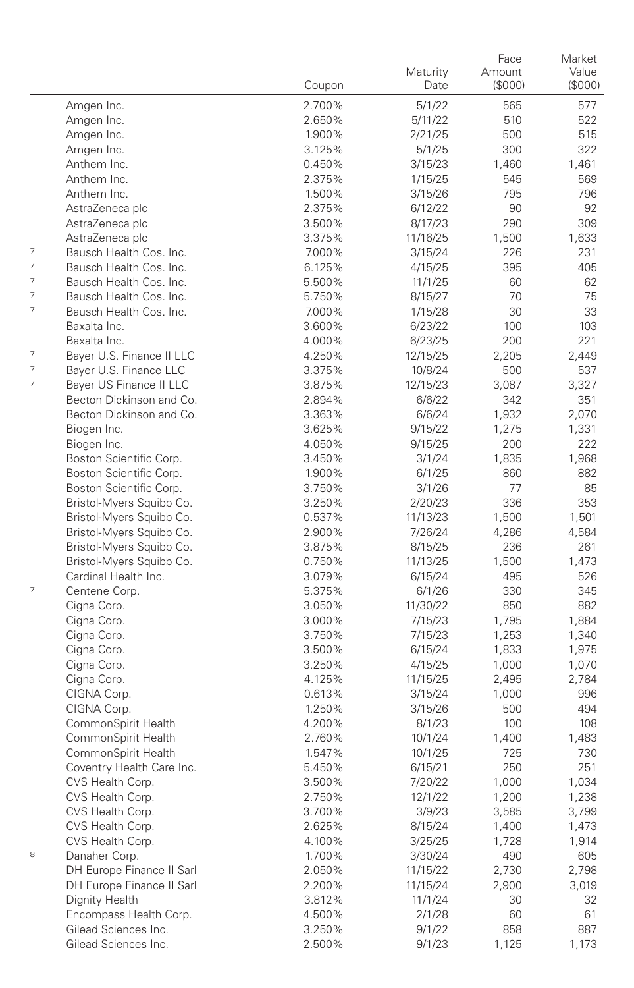|                          |                                                     |                  | Maturity          | Face<br>Amount | Market<br>Value |
|--------------------------|-----------------------------------------------------|------------------|-------------------|----------------|-----------------|
|                          |                                                     | Coupon           | Date              | (\$000)        | (S000)          |
|                          | Amgen Inc.                                          | 2.700%           | 5/1/22            | 565            | 577             |
|                          | Amgen Inc.                                          | 2.650%           | 5/11/22           | 510            | 522             |
|                          | Amgen Inc.                                          | 1.900%           | 2/21/25           | 500            | 515             |
|                          | Amgen Inc.                                          | 3.125%           | 5/1/25            | 300            | 322             |
|                          | Anthem Inc.                                         | 0.450%           | 3/15/23           | 1,460          | 1,461           |
|                          | Anthem Inc.                                         | 2.375%           | 1/15/25           | 545            | 569             |
|                          | Anthem Inc.                                         | 1.500%           | 3/15/26           | 795            | 796             |
|                          | AstraZeneca plc                                     | 2.375%           | 6/12/22           | 90             | 92              |
|                          | AstraZeneca plc                                     | 3.500%           | 8/17/23           | 290            | 309             |
|                          | AstraZeneca plc                                     | 3.375%           | 11/16/25          | 1,500          | 1,633           |
| 7                        | Bausch Health Cos. Inc.                             | 7.000%           | 3/15/24           | 226            | 231             |
| $\overline{\phantom{a}}$ | Bausch Health Cos. Inc.                             | 6.125%           | 4/15/25           | 395            | 405             |
| 7                        | Bausch Health Cos. Inc.                             | 5.500%           | 11/1/25           | 60             | 62              |
| $\overline{\phantom{a}}$ | Bausch Health Cos. Inc.                             | 5.750%           | 8/15/27           | 70             | 75              |
| $\overline{\phantom{a}}$ | Bausch Health Cos. Inc.                             | 7.000%           | 1/15/28           | 30             | 33              |
|                          | Baxalta Inc.                                        | 3.600%           | 6/23/22           | 100            | 103             |
|                          | Baxalta Inc.                                        | 4.000%           | 6/23/25           | 200            | 221             |
| 7                        | Bayer U.S. Finance II LLC                           | 4.250%           | 12/15/25          | 2,205          | 2,449           |
| 7                        | Bayer U.S. Finance LLC                              | 3.375%           | 10/8/24           | 500            | 537             |
| 7                        | Bayer US Finance II LLC                             | 3.875%           | 12/15/23          | 3,087          | 3,327           |
|                          | Becton Dickinson and Co.                            | 2.894%           | 6/6/22            | 342            | 351             |
|                          | Becton Dickinson and Co.                            | 3.363%           | 6/6/24            | 1,932          | 2,070           |
|                          | Biogen Inc.                                         | 3.625%           | 9/15/22           | 1,275          | 1,331           |
|                          | Biogen Inc.                                         | 4.050%           | 9/15/25           | 200            | 222             |
|                          | Boston Scientific Corp.<br>Boston Scientific Corp.  | 3.450%           | 3/1/24            | 1,835          | 1,968           |
|                          |                                                     | 1.900%<br>3.750% | 6/1/25            | 860<br>77      | 882<br>85       |
|                          | Boston Scientific Corp.<br>Bristol-Myers Squibb Co. | 3.250%           | 3/1/26<br>2/20/23 | 336            | 353             |
|                          | Bristol-Myers Squibb Co.                            | 0.537%           | 11/13/23          | 1,500          | 1,501           |
|                          | Bristol-Myers Squibb Co.                            | 2.900%           | 7/26/24           | 4,286          | 4,584           |
|                          | Bristol-Myers Squibb Co.                            | 3.875%           | 8/15/25           | 236            | 261             |
|                          | Bristol-Myers Squibb Co.                            | 0.750%           | 11/13/25          | 1,500          | 1,473           |
|                          | Cardinal Health Inc.                                | 3.079%           | 6/15/24           | 495            | 526             |
| $\overline{\phantom{a}}$ | Centene Corp.                                       | 5.375%           | 6/1/26            | 330            | 345             |
|                          | Cigna Corp.                                         | 3.050%           | 11/30/22          | 850            | 882             |
|                          | Cigna Corp.                                         | 3.000%           | 7/15/23           | 1,795          | 1,884           |
|                          | Cigna Corp.                                         | 3.750%           | 7/15/23           | 1,253          | 1,340           |
|                          | Cigna Corp.                                         | 3.500%           | 6/15/24           | 1,833          | 1,975           |
|                          | Cigna Corp.                                         | 3.250%           | 4/15/25           | 1,000          | 1,070           |
|                          | Cigna Corp.                                         | 4.125%           | 11/15/25          | 2,495          | 2,784           |
|                          | CIGNA Corp.                                         | 0.613%           | 3/15/24           | 1,000          | 996             |
|                          | CIGNA Corp.                                         | 1.250%           | 3/15/26           | 500            | 494             |
|                          | CommonSpirit Health                                 | 4.200%           | 8/1/23            | 100            | 108             |
|                          | CommonSpirit Health                                 | 2.760%           | 10/1/24           | 1,400          | 1,483           |
|                          | CommonSpirit Health                                 | 1.547%           | 10/1/25           | 725            | 730             |
|                          | Coventry Health Care Inc.                           | 5.450%           | 6/15/21           | 250            | 251             |
|                          | CVS Health Corp.                                    | 3.500%           | 7/20/22           | 1,000          | 1,034           |
|                          | CVS Health Corp.                                    | 2.750%           | 12/1/22           | 1,200          | 1,238           |
|                          | CVS Health Corp.                                    | 3.700%           | 3/9/23            | 3,585          | 3,799           |
|                          | CVS Health Corp.                                    | 2.625%           | 8/15/24           | 1,400          | 1,473           |
|                          | CVS Health Corp.                                    | 4.100%           | 3/25/25           | 1,728          | 1,914           |
| 8                        | Danaher Corp.                                       | 1.700%           | 3/30/24           | 490            | 605             |
|                          | DH Europe Finance II Sarl                           | 2.050%           | 11/15/22          | 2,730          | 2,798           |
|                          | DH Europe Finance II Sarl                           | 2.200%           | 11/15/24          | 2,900          | 3,019           |
|                          | Dignity Health                                      | 3.812%           | 11/1/24           | 30             | 32              |
|                          | Encompass Health Corp.                              | 4.500%           | 2/1/28            | 60             | 61              |
|                          | Gilead Sciences Inc.                                | 3.250%           | 9/1/22            | 858            | 887             |
|                          | Gilead Sciences Inc.                                | 2.500%           | 9/1/23            | 1,125          | 1,173           |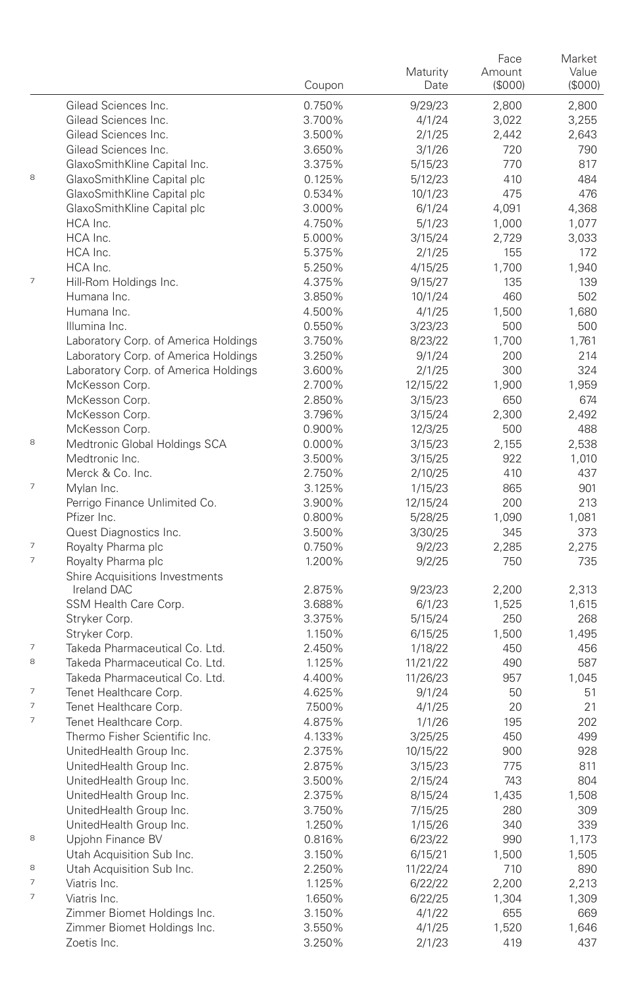|                          |                                              | Coupon           | Maturity<br>Date  | Face<br>Amount<br>(\$000) | Market<br>Value<br>(\$000) |
|--------------------------|----------------------------------------------|------------------|-------------------|---------------------------|----------------------------|
|                          | Gilead Sciences Inc.                         | 0.750%           | 9/29/23           | 2,800                     | 2,800                      |
|                          | Gilead Sciences Inc.                         | 3.700%           | 4/1/24            | 3,022                     | 3,255                      |
|                          | Gilead Sciences Inc.                         | 3.500%           | 2/1/25            | 2,442                     | 2,643                      |
|                          | Gilead Sciences Inc.                         | 3.650%           | 3/1/26            | 720                       | 790                        |
|                          | GlaxoSmithKline Capital Inc.                 | 3.375%           | 5/15/23           | 770                       | 817                        |
| 8                        | GlaxoSmithKline Capital plc                  | 0.125%           | 5/12/23           | 410                       | 484                        |
|                          | GlaxoSmithKline Capital plc                  | 0.534%           | 10/1/23           | 475                       | 476                        |
|                          | GlaxoSmithKline Capital plc                  | 3.000%           | 6/1/24            | 4,091                     | 4,368                      |
|                          | HCA Inc.                                     | 4.750%           | 5/1/23            | 1,000                     | 1,077                      |
|                          | HCA Inc.                                     | 5.000%           | 3/15/24           | 2,729                     | 3,033                      |
|                          | HCA Inc.                                     | 5.375%           | 2/1/25            | 155                       | 172                        |
|                          | HCA Inc.                                     | 5.250%           | 4/15/25           | 1,700                     | 1,940                      |
| $\overline{7}$           | Hill-Rom Holdings Inc.                       | 4.375%           | 9/15/27           | 135                       | 139                        |
|                          | Humana Inc.                                  | 3.850%           | 10/1/24           | 460                       | 502                        |
|                          | Humana Inc.                                  | 4.500%           | 4/1/25            | 1,500                     | 1,680                      |
|                          | Illumina Inc.                                | 0.550%           | 3/23/23           | 500                       | 500                        |
|                          | Laboratory Corp. of America Holdings         | 3.750%           | 8/23/22           | 1,700                     | 1,761                      |
|                          | Laboratory Corp. of America Holdings         | 3.250%           | 9/1/24            | 200                       | 214                        |
|                          | Laboratory Corp. of America Holdings         | 3.600%           | 2/1/25            | 300                       | 324                        |
|                          | McKesson Corp.                               | 2.700%           | 12/15/22          | 1,900                     | 1,959                      |
|                          | McKesson Corp.                               | 2.850%           | 3/15/23           | 650                       | 674                        |
|                          | McKesson Corp.                               | 3.796%           | 3/15/24           | 2,300                     | 2,492                      |
| 8                        | McKesson Corp.                               | 0.900%           | 12/3/25           | 500                       | 488                        |
|                          | Medtronic Global Holdings SCA                | 0.000%           | 3/15/23           | 2,155                     | 2,538                      |
|                          | Medtronic Inc.                               | 3.500%           | 3/15/25           | 922                       | 1,010                      |
| 7                        | Merck & Co. Inc.                             | 2.750%           | 2/10/25           | 410                       | 437                        |
|                          | Mylan Inc.                                   | 3.125%           | 1/15/23           | 865                       | 901                        |
|                          | Perrigo Finance Unlimited Co.<br>Pfizer Inc. | 3.900%           | 12/15/24          | 200                       | 213                        |
|                          |                                              | 0.800%<br>3.500% | 5/28/25           | 1,090<br>345              | 1,081<br>373               |
| $\overline{\phantom{a}}$ | Quest Diagnostics Inc.<br>Royalty Pharma plc | 0.750%           | 3/30/25<br>9/2/23 | 2,285                     | 2,275                      |
| $\overline{7}$           | Royalty Pharma plc                           | 1.200%           | 9/2/25            | 750                       | 735                        |
|                          | Shire Acquisitions Investments               |                  |                   |                           |                            |
|                          | Ireland DAC                                  | 2.875%           | 9/23/23           | 2,200                     | 2,313                      |
|                          | SSM Health Care Corp.                        | 3.688%           | 6/1/23            | 1,525                     | 1,615                      |
|                          | Stryker Corp.                                | 3.375%           | 5/15/24           | 250                       | 268                        |
|                          | Stryker Corp.                                | 1.150%           | 6/15/25           | 1,500                     | 1,495                      |
| $\overline{\phantom{a}}$ | Takeda Pharmaceutical Co. Ltd.               | 2.450%           | 1/18/22           | 450                       | 456                        |
| 8                        | Takeda Pharmaceutical Co. Ltd.               | 1.125%           | 11/21/22          | 490                       | 587                        |
|                          | Takeda Pharmaceutical Co. Ltd.               | 4.400%           | 11/26/23          | 957                       | 1,045                      |
| $\overline{\phantom{a}}$ | Tenet Healthcare Corp.                       | 4.625%           | 9/1/24            | 50                        | 51                         |
| 7                        | Tenet Healthcare Corp.                       | 7.500%           | 4/1/25            | 20                        | 21                         |
| $\overline{\phantom{a}}$ | Tenet Healthcare Corp.                       | 4.875%           | 1/1/26            | 195                       | 202                        |
|                          | Thermo Fisher Scientific Inc.                | 4.133%           | 3/25/25           | 450                       | 499                        |
|                          | UnitedHealth Group Inc.                      | 2.375%           | 10/15/22          | 900                       | 928                        |
|                          | UnitedHealth Group Inc.                      | 2.875%           | 3/15/23           | 775                       | 811                        |
|                          | UnitedHealth Group Inc.                      | 3.500%           | 2/15/24           | 743                       | 804                        |
|                          | UnitedHealth Group Inc.                      | 2.375%           | 8/15/24           | 1,435                     | 1,508                      |
|                          | UnitedHealth Group Inc.                      | 3.750%           | 7/15/25           | 280                       | 309                        |
|                          | UnitedHealth Group Inc.                      | 1.250%           | 1/15/26           | 340                       | 339                        |
| 8                        | Upjohn Finance BV                            | 0.816%           | 6/23/22           | 990                       | 1,173                      |
|                          | Utah Acquisition Sub Inc.                    | 3.150%           | 6/15/21           | 1,500                     | 1,505                      |
| 8                        | Utah Acquisition Sub Inc.                    | 2.250%           | 11/22/24          | 710                       | 890                        |
| 7                        | Viatris Inc.                                 | 1.125%           | 6/22/22           | 2,200                     | 2,213                      |
| $\overline{\phantom{a}}$ | Viatris Inc.                                 | 1.650%           | 6/22/25           | 1,304                     | 1,309                      |
|                          | Zimmer Biomet Holdings Inc.                  | 3.150%           | 4/1/22            | 655                       | 669                        |
|                          | Zimmer Biomet Holdings Inc.                  | 3.550%           | 4/1/25            | 1,520                     | 1,646                      |
|                          | Zoetis Inc.                                  | 3.250%           | 2/1/23            | 419                       | 437                        |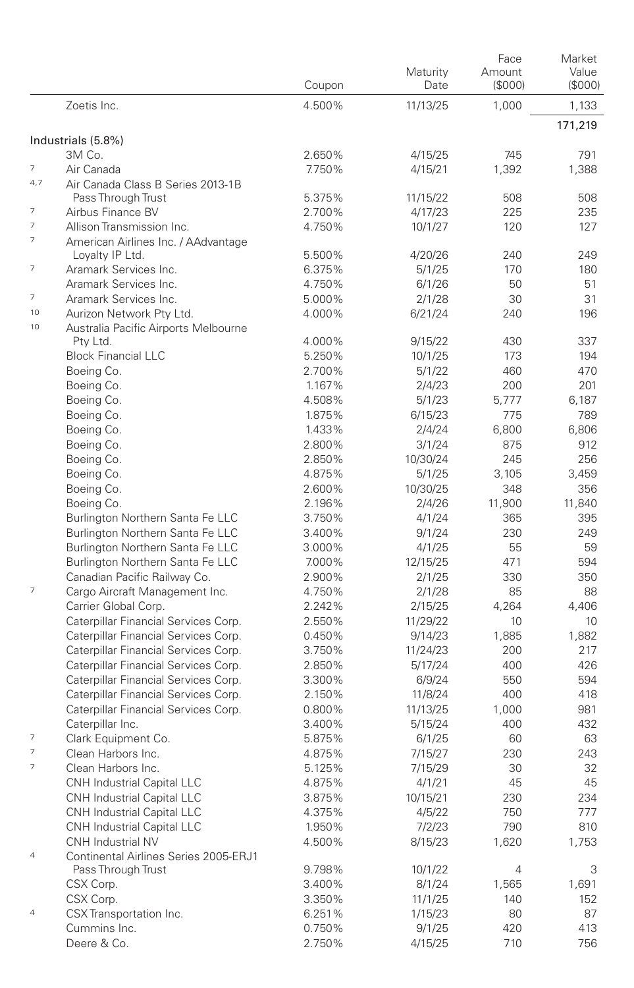|                                                      |                                                          | Coupon           | Maturity<br>Date | Face<br>Amount<br>(S000) | Market<br>Value<br>(SOOO) |
|------------------------------------------------------|----------------------------------------------------------|------------------|------------------|--------------------------|---------------------------|
|                                                      | Zoetis Inc.                                              | 4.500%           | 11/13/25         | 1.000                    | 1,133                     |
|                                                      |                                                          |                  |                  |                          | 171,219                   |
|                                                      | Industrials (5.8%)<br>3M Co.                             | 2.650%           | 4/15/25          | 745                      | 791                       |
| 7                                                    | Air Canada                                               | 7.750%           | 4/15/21          | 1,392                    | 1,388                     |
| 4,7                                                  | Air Canada Class B Series 2013-1B                        |                  |                  |                          |                           |
|                                                      | Pass Through Trust                                       | 5.375%           | 11/15/22         | 508                      | 508                       |
| 7                                                    | Airbus Finance BV                                        | 2.700%           | 4/17/23          | 225                      | 235                       |
| $\overline{7}$                                       | Allison Transmission Inc.                                | 4.750%           | 10/1/27          | 120                      | 127                       |
| $\overline{7}$                                       | American Airlines Inc. / AAdvantage                      |                  |                  |                          |                           |
|                                                      | Loyalty IP Ltd.                                          | 5.500%           | 4/20/26          | 240                      | 249                       |
| $\overline{\phantom{a}}$                             | Aramark Services Inc.                                    | 6.375%           | 5/1/25           | 170                      | 180                       |
|                                                      | Aramark Services Inc.                                    | 4.750%           | 6/1/26           | 50                       | 51                        |
| $\overline{\phantom{a}}$                             | Aramark Services Inc.                                    | 5.000%           | 2/1/28           | 30                       | 31                        |
| 10                                                   | Aurizon Network Pty Ltd.                                 | 4.000%           | 6/21/24          | 240                      | 196                       |
| 10                                                   | Australia Pacific Airports Melbourne                     |                  |                  |                          |                           |
|                                                      | Pty Ltd.                                                 | 4.000%           | 9/15/22          | 430                      | 337                       |
|                                                      | <b>Block Financial LLC</b>                               | 5.250%           | 10/1/25          | 173                      | 194                       |
|                                                      | Boeing Co.                                               | 2.700%           | 5/1/22           | 460                      | 470                       |
|                                                      | Boeing Co.<br>Boeing Co.                                 | 1.167%<br>4.508% | 2/4/23<br>5/1/23 | 200<br>5.777             | 201<br>6,187              |
|                                                      | Boeing Co.                                               | 1.875%           | 6/15/23          | 775                      | 789                       |
|                                                      | Boeing Co.                                               | 1.433%           | 2/4/24           | 6,800                    | 6,806                     |
|                                                      | Boeing Co.                                               | 2.800%           | 3/1/24           | 875                      | 912                       |
|                                                      | Boeing Co.                                               | 2.850%           | 10/30/24         | 245                      | 256                       |
|                                                      | Boeing Co.                                               | 4.875%           | 5/1/25           | 3.105                    | 3.459                     |
|                                                      | Boeing Co.                                               | 2.600%           | 10/30/25         | 348                      | 356                       |
|                                                      | Boeing Co.                                               | 2.196%           | 2/4/26           | 11,900                   | 11,840                    |
|                                                      | Burlington Northern Santa Fe LLC                         | 3.750%           | 4/1/24           | 365                      | 395                       |
|                                                      | Burlington Northern Santa Fe LLC                         | 3.400%           | 9/1/24           | 230                      | 249                       |
|                                                      | Burlington Northern Santa Fe LLC                         | 3.000%           | 4/1/25           | 55                       | 59                        |
|                                                      | Burlington Northern Santa Fe LLC                         | 7.000%           | 12/15/25         | 471                      | 594                       |
|                                                      | Canadian Pacific Railway Co.                             | 2.900%           | 2/1/25           | 330                      | 350                       |
| 7                                                    | Cargo Aircraft Management Inc.                           | 4.750%           | 2/1/28           | 85                       | 88                        |
|                                                      | Carrier Global Corp.                                     | 2.242%           | 2/15/25          | 4,264                    | 4,406                     |
|                                                      | Caterpillar Financial Services Corp.                     | 2.550%           | 11/29/22         | 10                       | 10                        |
|                                                      | Caterpillar Financial Services Corp.                     | 0.450%           | 9/14/23          | 1,885                    | 1,882                     |
|                                                      | Caterpillar Financial Services Corp.                     | 3.750%           | 11/24/23         | 200                      | 217                       |
|                                                      | Caterpillar Financial Services Corp.                     | 2.850%           | 5/17/24          | 400                      | 426                       |
|                                                      | Caterpillar Financial Services Corp.                     | 3.300%           | 6/9/24           | 550                      | 594                       |
|                                                      | Caterpillar Financial Services Corp.                     | 2.150%           | 11/8/24          | 400                      | 418                       |
|                                                      | Caterpillar Financial Services Corp.                     | 0.800%           | 11/13/25         | 1,000                    | 981                       |
|                                                      | Caterpillar Inc.                                         | 3.400%           | 5/15/24          | 400                      | 432                       |
| $\overline{\phantom{a}}$<br>$\overline{\phantom{a}}$ | Clark Equipment Co.                                      | 5.875%           | 6/1/25           | 60                       | 63                        |
| 7                                                    | Clean Harbors Inc.                                       | 4.875%           | 7/15/27          | 230                      | 243                       |
|                                                      | Clean Harbors Inc.<br><b>CNH Industrial Capital LLC</b>  | 5.125%           | 7/15/29          | 30                       | 32                        |
|                                                      |                                                          | 4.875%           | 4/1/21           | 45                       | 45                        |
|                                                      | CNH Industrial Capital LLC<br>CNH Industrial Capital LLC | 3.875%           | 10/15/21         | 230<br>750               | 234<br>777                |
|                                                      | CNH Industrial Capital LLC                               | 4.375%<br>1.950% | 4/5/22<br>7/2/23 | 790                      | 810                       |
|                                                      | CNH Industrial NV                                        | 4.500%           | 8/15/23          | 1,620                    |                           |
| $\overline{4}$                                       | Continental Airlines Series 2005-ERJ1                    |                  |                  |                          | 1,753                     |
|                                                      | Pass Through Trust                                       | 9.798%           | 10/1/22          | 4                        | 3                         |
|                                                      | CSX Corp.                                                | 3.400%           | 8/1/24           | 1,565                    | 1,691                     |
|                                                      | CSX Corp.                                                | 3.350%           | 11/1/25          | 140                      | 152                       |
| $\overline{4}$                                       | CSX Transportation Inc.                                  | 6.251%           | 1/15/23          | 80                       | 87                        |
|                                                      | Cummins Inc.                                             | 0.750%           | 9/1/25           | 420                      | 413                       |
|                                                      | Deere & Co.                                              | 2.750%           | 4/15/25          | 710                      | 756                       |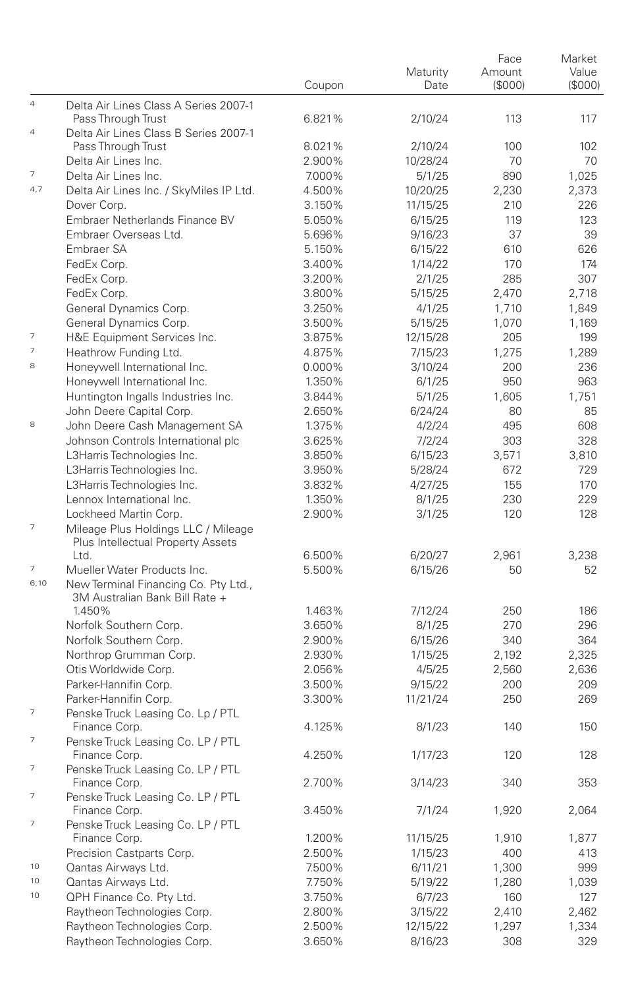|                          |                                                                        |        |          | Face    | Market |
|--------------------------|------------------------------------------------------------------------|--------|----------|---------|--------|
|                          |                                                                        |        | Maturity | Amount  | Value  |
|                          |                                                                        | Coupon | Date     | (\$000) | (S000) |
| $\overline{4}$           | Delta Air Lines Class A Series 2007-1                                  |        |          |         |        |
|                          | Pass Through Trust                                                     | 6.821% | 2/10/24  | 113     | 117    |
| $\overline{4}$           | Delta Air Lines Class B Series 2007-1                                  |        |          |         |        |
|                          | Pass Through Trust                                                     | 8.021% | 2/10/24  | 100     | 102    |
|                          | Delta Air Lines Inc.                                                   | 2.900% | 10/28/24 | 70      | 70     |
| $\overline{\phantom{a}}$ | Delta Air Lines Inc.                                                   | 7.000% | 5/1/25   | 890     | 1,025  |
| 4,7                      |                                                                        |        |          |         |        |
|                          | Delta Air Lines Inc. / SkyMiles IP Ltd.                                | 4.500% | 10/20/25 | 2,230   | 2,373  |
|                          | Dover Corp.                                                            | 3.150% | 11/15/25 | 210     | 226    |
|                          | Embraer Netherlands Finance BV                                         | 5.050% | 6/15/25  | 119     | 123    |
|                          | Embraer Overseas Ltd.                                                  | 5.696% | 9/16/23  | 37      | 39     |
|                          | Embraer SA                                                             | 5.150% | 6/15/22  | 610     | 626    |
|                          | FedEx Corp.                                                            | 3.400% | 1/14/22  | 170     | 174    |
|                          | FedEx Corp.                                                            | 3.200% | 2/1/25   | 285     | 307    |
|                          | FedEx Corp.                                                            | 3.800% | 5/15/25  | 2,470   | 2,718  |
|                          | General Dynamics Corp.                                                 | 3.250% | 4/1/25   | 1,710   | 1,849  |
|                          | General Dynamics Corp.                                                 | 3.500% | 5/15/25  | 1,070   | 1,169  |
| $\overline{\phantom{a}}$ | H&E Equipment Services Inc.                                            | 3.875% | 12/15/28 | 205     | 199    |
| $\overline{\phantom{a}}$ | Heathrow Funding Ltd.                                                  | 4.875% | 7/15/23  | 1,275   | 1,289  |
| 8                        |                                                                        |        |          |         |        |
|                          | Honeywell International Inc.                                           | 0.000% | 3/10/24  | 200     | 236    |
|                          | Honeywell International Inc.                                           | 1.350% | 6/1/25   | 950     | 963    |
|                          | Huntington Ingalls Industries Inc.                                     | 3.844% | 5/1/25   | 1,605   | 1.751  |
|                          | John Deere Capital Corp.                                               | 2.650% | 6/24/24  | 80      | 85     |
| 8                        | John Deere Cash Management SA                                          | 1.375% | 4/2/24   | 495     | 608    |
|                          | Johnson Controls International plc                                     | 3.625% | 7/2/24   | 303     | 328    |
|                          | L3Harris Technologies Inc.                                             | 3.850% | 6/15/23  | 3,571   | 3,810  |
|                          | L3Harris Technologies Inc.                                             | 3.950% | 5/28/24  | 672     | 729    |
|                          | L3Harris Technologies Inc.                                             | 3.832% | 4/27/25  | 155     | 170    |
|                          | Lennox International Inc.                                              | 1.350% | 8/1/25   | 230     | 229    |
|                          | Lockheed Martin Corp.                                                  | 2.900% | 3/1/25   | 120     | 128    |
| 7                        | Mileage Plus Holdings LLC / Mileage                                    |        |          |         |        |
|                          | Plus Intellectual Property Assets                                      |        |          |         |        |
|                          | Ltd.                                                                   | 6.500% | 6/20/27  | 2,961   | 3,238  |
| 7                        | Mueller Water Products Inc.                                            | 5.500% | 6/15/26  | 50      | 52     |
| 6,10                     |                                                                        |        |          |         |        |
|                          | New Terminal Financing Co. Pty Ltd.,<br>3M Australian Bank Bill Rate + |        |          |         |        |
|                          | 1.450%                                                                 |        |          |         | 186    |
|                          |                                                                        | 1.463% | 7/12/24  | 250     |        |
|                          | Norfolk Southern Corp.                                                 | 3.650% | 8/1/25   | 270     | 296    |
|                          | Norfolk Southern Corp.                                                 | 2.900% | 6/15/26  | 340     | 364    |
|                          | Northrop Grumman Corp.                                                 | 2.930% | 1/15/25  | 2,192   | 2,325  |
|                          | Otis Worldwide Corp.                                                   | 2.056% | 4/5/25   | 2,560   | 2,636  |
|                          | Parker-Hannifin Corp.                                                  | 3.500% | 9/15/22  | 200     | 209    |
|                          | Parker-Hannifin Corp.                                                  | 3.300% | 11/21/24 | 250     | 269    |
| $\overline{\phantom{a}}$ | Penske Truck Leasing Co. Lp / PTL                                      |        |          |         |        |
|                          | Finance Corp.                                                          | 4.125% | 8/1/23   | 140     | 150    |
| 7                        | Penske Truck Leasing Co. LP / PTL                                      |        |          |         |        |
|                          | Finance Corp.                                                          | 4.250% | 1/17/23  | 120     | 128    |
| 7                        | Penske Truck Leasing Co. LP / PTL                                      |        |          |         |        |
|                          | Finance Corp.                                                          | 2.700% | 3/14/23  | 340     | 353    |
| $\overline{\phantom{a}}$ | Penske Truck Leasing Co. LP / PTL                                      |        |          |         |        |
|                          | Finance Corp.                                                          | 3.450% | 7/1/24   | 1,920   | 2,064  |
| 7                        | Penske Truck Leasing Co. LP / PTL                                      |        |          |         |        |
|                          | Finance Corp.                                                          | 1.200% | 11/15/25 | 1,910   | 1,877  |
|                          | Precision Castparts Corp.                                              | 2.500% | 1/15/23  | 400     | 413    |
| 10                       | Qantas Airways Ltd.                                                    | 7.500% | 6/11/21  | 1,300   |        |
| 10                       |                                                                        |        |          |         | 999    |
|                          | Qantas Airways Ltd.                                                    | 7.750% | 5/19/22  | 1,280   | 1,039  |
| 10                       | QPH Finance Co. Pty Ltd.                                               | 3.750% | 6/7/23   | 160     | 127    |
|                          | Raytheon Technologies Corp.                                            | 2.800% | 3/15/22  | 2,410   | 2,462  |
|                          | Raytheon Technologies Corp.                                            | 2.500% | 12/15/22 | 1,297   | 1,334  |
|                          | Raytheon Technologies Corp.                                            | 3.650% | 8/16/23  | 308     | 329    |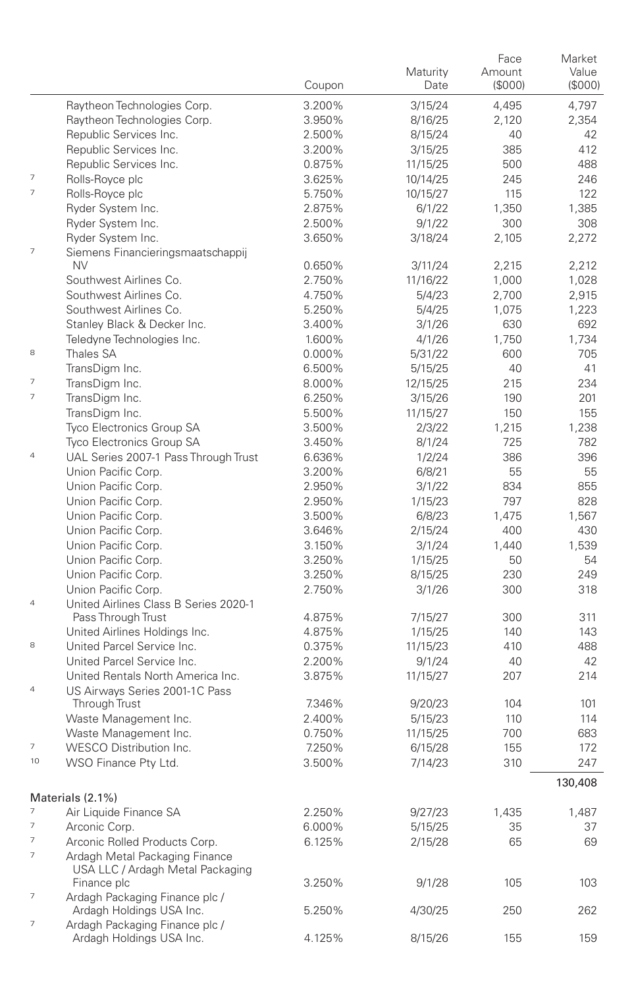|                          |                                                        |        | Maturity | Face<br>Amount | Market<br>Value |
|--------------------------|--------------------------------------------------------|--------|----------|----------------|-----------------|
|                          |                                                        | Coupon | Date     | (S000)         | (S000)          |
|                          | Raytheon Technologies Corp.                            | 3.200% | 3/15/24  | 4,495          | 4,797           |
|                          | Raytheon Technologies Corp.                            | 3.950% | 8/16/25  | 2,120          | 2,354           |
|                          | Republic Services Inc.                                 | 2.500% | 8/15/24  | 40             | 42              |
|                          | Republic Services Inc.                                 | 3.200% | 3/15/25  | 385            | 412             |
| $\overline{7}$           | Republic Services Inc.                                 | 0.875% | 11/15/25 | 500            | 488             |
| $\overline{\phantom{a}}$ | Rolls-Royce plc                                        | 3.625% | 10/14/25 | 245            | 246             |
|                          | Rolls-Royce plc                                        | 5.750% | 10/15/27 | 115            | 122             |
|                          | Ryder System Inc.                                      | 2.875% | 6/1/22   | 1,350          | 1,385           |
|                          | Ryder System Inc.                                      | 2.500% | 9/1/22   | 300            | 308             |
| 7                        | Ryder System Inc.<br>Siemens Financieringsmaatschappij | 3.650% | 3/18/24  | 2,105          | 2,272           |
|                          | NV                                                     | 0.650% | 3/11/24  | 2,215          | 2,212           |
|                          | Southwest Airlines Co.                                 | 2.750% | 11/16/22 | 1,000          | 1,028           |
|                          | Southwest Airlines Co.                                 | 4.750% | 5/4/23   | 2,700          | 2,915           |
|                          | Southwest Airlines Co.                                 | 5.250% | 5/4/25   | 1,075          | 1,223           |
|                          | Stanley Black & Decker Inc.                            | 3.400% | 3/1/26   | 630            | 692             |
|                          | Teledyne Technologies Inc.                             | 1.600% | 4/1/26   | 1,750          | 1,734           |
| 8                        | Thales SA                                              | 0.000% | 5/31/22  | 600            | 705             |
|                          | TransDigm Inc.                                         | 6.500% | 5/15/25  | 40             | 41              |
| $\overline{\phantom{a}}$ | TransDigm Inc.                                         | 8.000% | 12/15/25 | 215            | 234             |
| $\overline{7}$           | TransDigm Inc.                                         | 6.250% | 3/15/26  | 190            | 201             |
|                          | TransDigm Inc.                                         | 5.500% | 11/15/27 | 150            | 155             |
|                          | Tyco Electronics Group SA                              | 3.500% | 2/3/22   | 1,215          | 1,238           |
|                          | Tyco Electronics Group SA                              | 3.450% | 8/1/24   | 725            | 782             |
| $\overline{4}$           | UAL Series 2007-1 Pass Through Trust                   | 6.636% | 1/2/24   | 386            | 396             |
|                          | Union Pacific Corp.                                    | 3.200% | 6/8/21   | 55             | 55              |
|                          | Union Pacific Corp.                                    | 2.950% | 3/1/22   | 834            | 855             |
|                          | Union Pacific Corp.                                    | 2.950% | 1/15/23  | 797            | 828             |
|                          | Union Pacific Corp.                                    | 3.500% | 6/8/23   | 1,475          | 1,567           |
|                          | Union Pacific Corp.                                    | 3.646% | 2/15/24  | 400            | 430             |
|                          | Union Pacific Corp.                                    | 3.150% | 3/1/24   | 1,440          | 1,539           |
|                          | Union Pacific Corp.                                    | 3.250% | 1/15/25  | 50             | 54              |
|                          | Union Pacific Corp.                                    | 3.250% | 8/15/25  | 230            | 249             |
|                          | Union Pacific Corp.                                    | 2.750% | 3/1/26   | 300            | 318             |
| $\overline{4}$           | United Airlines Class B Series 2020-1                  |        |          |                |                 |
|                          | Pass Through Trust                                     | 4.875% | 7/15/27  | 300            | 311             |
|                          | United Airlines Holdings Inc.                          | 4.875% | 1/15/25  | 140            | 143             |
| 8                        | United Parcel Service Inc.                             | 0.375% | 11/15/23 | 410            | 488             |
|                          | United Parcel Service Inc.                             | 2.200% | 9/1/24   | 40             | 42              |
|                          | United Rentals North America Inc.                      | 3.875% | 11/15/27 | 207            | 214             |
| $\overline{4}$           | US Airways Series 2001-1C Pass                         |        |          |                |                 |
|                          | Through Trust                                          | 7.346% | 9/20/23  | 104            | 101             |
|                          | Waste Management Inc.                                  | 2.400% | 5/15/23  | 110            | 114             |
|                          | Waste Management Inc.                                  | 0.750% | 11/15/25 | 700            | 683             |
| $\overline{\phantom{a}}$ | WESCO Distribution Inc.                                | 7.250% | 6/15/28  | 155            | 172             |
| 10                       | WSO Finance Pty Ltd.                                   | 3.500% | 7/14/23  | 310            | 247             |
|                          |                                                        |        |          |                | 130,408         |
|                          | Materials (2.1%)                                       |        |          |                |                 |
| $\overline{7}$           | Air Liquide Finance SA                                 | 2.250% | 9/27/23  | 1,435          | 1,487           |
| $\overline{7}$           | Arconic Corp.                                          | 6.000% | 5/15/25  | 35             | 37              |
| 7                        | Arconic Rolled Products Corp.                          | 6.125% | 2/15/28  | 65             | 69              |
| 7                        | Ardagh Metal Packaging Finance                         |        |          |                |                 |
|                          | USA LLC / Ardagh Metal Packaging                       |        |          |                |                 |
|                          | Finance plc                                            | 3.250% | 9/1/28   | 105            | 103             |
| 7                        | Ardagh Packaging Finance plc /                         |        |          |                |                 |
|                          | Ardagh Holdings USA Inc.                               | 5.250% | 4/30/25  | 250            | 262             |
| $\overline{\phantom{a}}$ | Ardagh Packaging Finance plc /                         |        |          |                |                 |
|                          | Ardagh Holdings USA Inc.                               | 4.125% | 8/15/26  | 155            | 159             |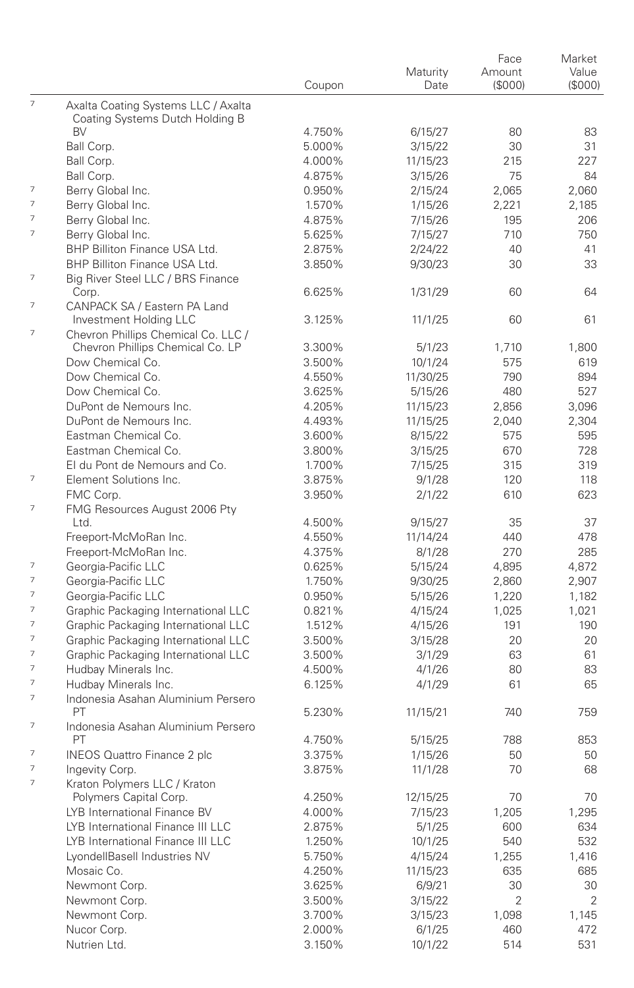|                          |                                                                        |        |          | Face    | Market |
|--------------------------|------------------------------------------------------------------------|--------|----------|---------|--------|
|                          |                                                                        |        | Maturity | Amount  | Value  |
|                          |                                                                        | Coupon | Date     | (\$000) | (S000) |
| $\overline{7}$           | Axalta Coating Systems LLC / Axalta<br>Coating Systems Dutch Holding B |        |          |         |        |
|                          | BV                                                                     | 4.750% | 6/15/27  | 80      | 83     |
|                          | Ball Corp.                                                             | 5.000% | 3/15/22  | 30      | 31     |
|                          | Ball Corp.                                                             | 4.000% | 11/15/23 | 215     | 227    |
|                          | Ball Corp.                                                             | 4.875% | 3/15/26  | 75      | 84     |
| 7                        | Berry Global Inc.                                                      | 0.950% | 2/15/24  | 2,065   | 2,060  |
| $\overline{\phantom{a}}$ | Berry Global Inc.                                                      | 1.570% | 1/15/26  | 2,221   | 2,185  |
| 7                        | Berry Global Inc.                                                      | 4.875% | 7/15/26  | 195     | 206    |
| 7                        | Berry Global Inc.                                                      | 5.625% | 7/15/27  | 710     | 750    |
|                          | BHP Billiton Finance USA Ltd.                                          | 2.875% | 2/24/22  | 40      | 41     |
|                          | BHP Billiton Finance USA Ltd.                                          | 3.850% | 9/30/23  | 30      | 33     |
| 7                        | Big River Steel LLC / BRS Finance                                      |        |          |         |        |
|                          | Corp.                                                                  | 6.625% | 1/31/29  | 60      | 64     |
| $\overline{\phantom{a}}$ | CANPACK SA / Eastern PA Land                                           |        |          |         |        |
| 7                        | Investment Holding LLC<br>Chevron Phillips Chemical Co. LLC /          | 3.125% | 11/1/25  | 60      | 61     |
|                          | Chevron Phillips Chemical Co. LP                                       | 3.300% | 5/1/23   | 1,710   | 1,800  |
|                          | Dow Chemical Co.                                                       | 3.500% | 10/1/24  | 575     | 619    |
|                          | Dow Chemical Co.                                                       | 4.550% | 11/30/25 | 790     | 894    |
|                          | Dow Chemical Co.                                                       |        |          |         |        |
|                          |                                                                        | 3.625% | 5/15/26  | 480     | 527    |
|                          | DuPont de Nemours Inc.                                                 | 4.205% | 11/15/23 | 2,856   | 3,096  |
|                          | DuPont de Nemours Inc.                                                 | 4.493% | 11/15/25 | 2,040   | 2,304  |
|                          | Eastman Chemical Co.                                                   | 3.600% | 8/15/22  | 575     | 595    |
|                          | Eastman Chemical Co.                                                   | 3.800% | 3/15/25  | 670     | 728    |
|                          | El du Pont de Nemours and Co.                                          | 1.700% | 7/15/25  | 315     | 319    |
| $\overline{\phantom{a}}$ | Element Solutions Inc.                                                 | 3.875% | 9/1/28   | 120     | 118    |
|                          | FMC Corp.                                                              | 3.950% | 2/1/22   | 610     | 623    |
| 7                        | FMG Resources August 2006 Pty                                          |        |          |         |        |
|                          | Ltd.                                                                   | 4.500% | 9/15/27  | 35      | 37     |
|                          | Freeport-McMoRan Inc.                                                  | 4.550% | 11/14/24 | 440     | 478    |
|                          | Freeport-McMoRan Inc.                                                  | 4.375% | 8/1/28   | 270     | 285    |
| $\overline{\phantom{a}}$ | Georgia-Pacific LLC                                                    | 0.625% | 5/15/24  | 4,895   | 4,872  |
| $\overline{\phantom{a}}$ | Georgia-Pacific LLC                                                    | 1.750% | 9/30/25  | 2,860   | 2,907  |
| $\overline{\phantom{a}}$ | Georgia-Pacific LLC                                                    | 0.950% | 5/15/26  | 1,220   | 1,182  |
| $\overline{\phantom{a}}$ | Graphic Packaging International LLC                                    | 0.821% | 4/15/24  | 1,025   | 1,021  |
| $\overline{\phantom{a}}$ | Graphic Packaging International LLC                                    | 1.512% | 4/15/26  | 191     | 190    |
| $\overline{\phantom{a}}$ | Graphic Packaging International LLC                                    | 3.500% | 3/15/28  | 20      | 20     |
| $\overline{\phantom{a}}$ | Graphic Packaging International LLC                                    | 3.500% | 3/1/29   | 63      | 61     |
| $\overline{7}$           | Hudbay Minerals Inc.                                                   | 4.500% | 4/1/26   | 80      | 83     |
| $\overline{\phantom{a}}$ | Hudbay Minerals Inc.                                                   | 6.125% | 4/1/29   | 61      | 65     |
| $\overline{7}$           | Indonesia Asahan Aluminium Persero<br>PT                               | 5.230% | 11/15/21 | 740     | 759    |
| 7                        | Indonesia Asahan Aluminium Persero                                     |        |          |         |        |
|                          | PT                                                                     | 4.750% | 5/15/25  | 788     | 853    |
| $\overline{\phantom{a}}$ | <b>INEOS Quattro Finance 2 plc</b>                                     | 3.375% | 1/15/26  | 50      | 50     |
| $\overline{7}$           | Ingevity Corp.                                                         | 3.875% | 11/1/28  | 70      | 68     |
| $\overline{7}$           | Kraton Polymers LLC / Kraton                                           |        |          |         |        |
|                          | Polymers Capital Corp.                                                 | 4.250% | 12/15/25 | 70      | 70     |
|                          | LYB International Finance BV                                           | 4.000% | 7/15/23  | 1,205   | 1,295  |
|                          | LYB International Finance III LLC                                      | 2.875% | 5/1/25   | 600     | 634    |
|                          | LYB International Finance III LLC                                      | 1.250% | 10/1/25  | 540     | 532    |
|                          | LyondellBasell Industries NV                                           | 5.750% | 4/15/24  | 1,255   | 1,416  |
|                          | Mosaic Co.                                                             | 4.250% | 11/15/23 | 635     | 685    |
|                          | Newmont Corp.                                                          | 3.625% | 6/9/21   | 30      | 30     |
|                          | Newmont Corp.                                                          | 3.500% | 3/15/22  | 2       | 2      |
|                          | Newmont Corp.                                                          | 3.700% |          | 1,098   | 1,145  |
|                          | Nucor Corp.                                                            |        | 3/15/23  |         |        |
|                          | Nutrien Ltd.                                                           | 2.000% | 6/1/25   | 460     | 472    |
|                          |                                                                        | 3.150% | 10/1/22  | 514     | 531    |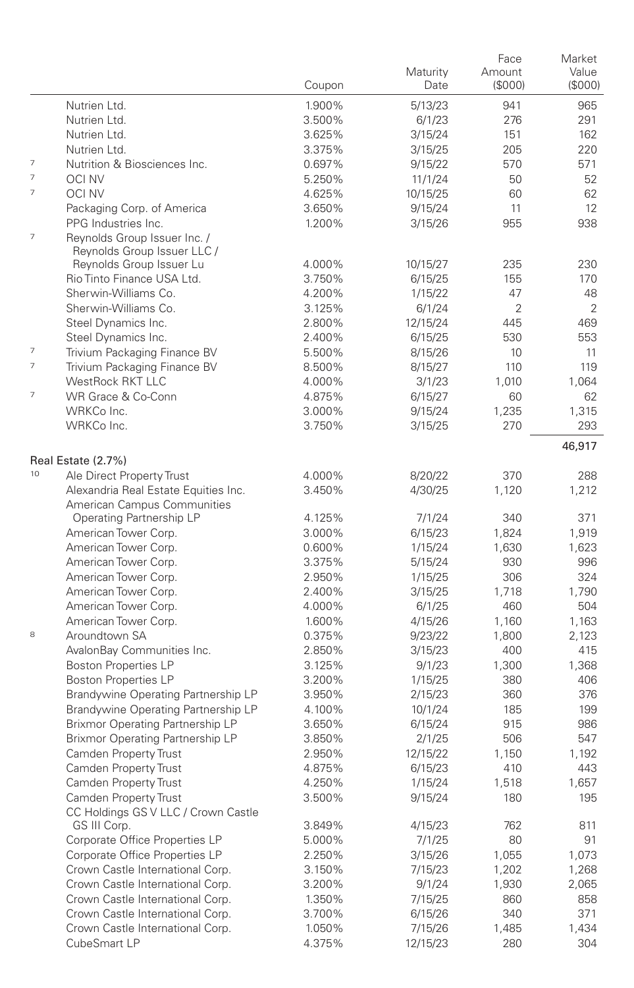|                          |                                                             | Coupon | Maturity<br>Date | Face<br>Amount<br>(\$000) | Market<br>Value<br>(S000) |
|--------------------------|-------------------------------------------------------------|--------|------------------|---------------------------|---------------------------|
|                          | Nutrien Ltd.                                                | 1.900% | 5/13/23          | 941                       | 965                       |
|                          | Nutrien Ltd.                                                | 3.500% | 6/1/23           | 276                       | 291                       |
|                          | Nutrien Ltd.                                                | 3.625% | 3/15/24          | 151                       | 162                       |
|                          | Nutrien Ltd.                                                | 3.375% | 3/15/25          | 205                       | 220                       |
| $\overline{\phantom{a}}$ | Nutrition & Biosciences Inc.                                | 0.697% | 9/15/22          | 570                       | 571                       |
| $\overline{\phantom{a}}$ | OCI NV                                                      | 5.250% | 11/1/24          | 50                        | 52                        |
| $\overline{\phantom{a}}$ | <b>OCI NV</b>                                               | 4.625% | 10/15/25         | 60                        | 62                        |
|                          | Packaging Corp. of America                                  | 3.650% | 9/15/24          | 11                        | 12                        |
|                          | PPG Industries Inc.                                         | 1.200% | 3/15/26          | 955                       | 938                       |
| $\overline{7}$           | Reynolds Group Issuer Inc. /<br>Reynolds Group Issuer LLC / |        |                  |                           |                           |
|                          | Reynolds Group Issuer Lu                                    | 4.000% | 10/15/27         | 235                       | 230                       |
|                          | Rio Tinto Finance USA Ltd.                                  | 3.750% | 6/15/25          | 155                       | 170                       |
|                          | Sherwin-Williams Co.                                        | 4.200% | 1/15/22          | 47                        | 48                        |
|                          | Sherwin-Williams Co.                                        | 3.125% | 6/1/24           | $\overline{2}$            | $\overline{2}$            |
|                          | Steel Dynamics Inc.                                         | 2.800% | 12/15/24         | 445                       | 469                       |
|                          | Steel Dynamics Inc.                                         | 2.400% | 6/15/25          | 530                       | 553                       |
| $\overline{7}$           | Trivium Packaging Finance BV                                | 5.500% | 8/15/26          | 10                        | 11                        |
| $\overline{7}$           | Trivium Packaging Finance BV                                | 8.500% | 8/15/27          | 110                       | 119                       |
|                          | <b>WestRock RKT LLC</b>                                     | 4.000% | 3/1/23           | 1.010                     | 1,064                     |
| $\overline{\phantom{a}}$ | WR Grace & Co-Conn                                          | 4.875% | 6/15/27          | 60                        | 62                        |
|                          | WRKCo Inc.                                                  | 3.000% | 9/15/24          | 1,235                     | 1,315                     |
|                          | WRKCo Inc.                                                  | 3.750% | 3/15/25          | 270                       | 293                       |
|                          | Real Estate (2.7%)                                          |        |                  |                           | 46,917                    |
| 10                       | Ale Direct Property Trust                                   | 4.000% | 8/20/22          | 370                       | 288                       |
|                          | Alexandria Real Estate Equities Inc.                        | 3.450% | 4/30/25          | 1,120                     | 1,212                     |
|                          | American Campus Communities                                 |        |                  |                           |                           |
|                          | Operating Partnership LP                                    | 4.125% | 7/1/24           | 340                       | 371                       |
|                          | American Tower Corp.                                        | 3.000% | 6/15/23          | 1,824                     | 1,919                     |
|                          | American Tower Corp.                                        | 0.600% | 1/15/24          | 1,630                     | 1,623                     |
|                          | American Tower Corp.                                        | 3.375% | 5/15/24          | 930                       | 996                       |
|                          | American Tower Corp.                                        | 2.950% | 1/15/25          | 306                       | 324                       |
|                          | American Tower Corp.                                        | 2.400% | 3/15/25          | 1,718                     | 1,790                     |
|                          | American Tower Corp.                                        | 4.000% | 6/1/25           | 460                       | 504                       |
|                          | American Tower Corp.                                        | 1.600% | 4/15/26          | 1,160                     | 1,163                     |
| 8                        | Aroundtown SA                                               | 0.375% | 9/23/22          | 1,800                     | 2,123                     |
|                          | AvalonBay Communities Inc.                                  | 2.850% | 3/15/23          | 400                       | 415                       |
|                          | <b>Boston Properties LP</b>                                 | 3.125% | 9/1/23           | 1,300                     | 1,368                     |
|                          | <b>Boston Properties LP</b>                                 | 3.200% | 1/15/25          | 380                       | 406                       |
|                          | Brandywine Operating Partnership LP                         | 3.950% | 2/15/23          | 360                       | 376                       |
|                          | Brandywine Operating Partnership LP                         | 4.100% | 10/1/24          | 185                       | 199                       |
|                          | Brixmor Operating Partnership LP                            | 3.650% | 6/15/24          | 915                       | 986                       |
|                          | Brixmor Operating Partnership LP                            | 3.850% | 2/1/25           | 506                       | 547                       |
|                          | Camden Property Trust                                       | 2.950% | 12/15/22         | 1,150                     | 1,192                     |
|                          | Camden Property Trust                                       | 4.875% | 6/15/23          | 410                       | 443                       |
|                          | Camden Property Trust                                       | 4.250% | 1/15/24          | 1,518                     | 1,657                     |
|                          | Camden Property Trust                                       | 3.500% | 9/15/24          | 180                       | 195                       |
|                          | CC Holdings GS V LLC / Crown Castle                         |        |                  |                           |                           |
|                          | GS III Corp.                                                | 3.849% | 4/15/23          | 762                       | 811                       |
|                          | Corporate Office Properties LP                              | 5.000% | 7/1/25           | 80                        | 91                        |
|                          | Corporate Office Properties LP                              | 2.250% | 3/15/26          | 1,055                     | 1,073                     |
|                          | Crown Castle International Corp.                            | 3.150% | 7/15/23          | 1,202                     | 1,268                     |
|                          | Crown Castle International Corp.                            | 3.200% | 9/1/24           | 1,930                     | 2,065                     |
|                          | Crown Castle International Corp.                            | 1.350% | 7/15/25          | 860                       | 858                       |
|                          | Crown Castle International Corp.                            | 3.700% | 6/15/26          | 340                       | 371                       |
|                          | Crown Castle International Corp.                            | 1.050% | 7/15/26          | 1,485                     | 1,434                     |
|                          | CubeSmart LP                                                | 4.375% | 12/15/23         | 280                       | 304                       |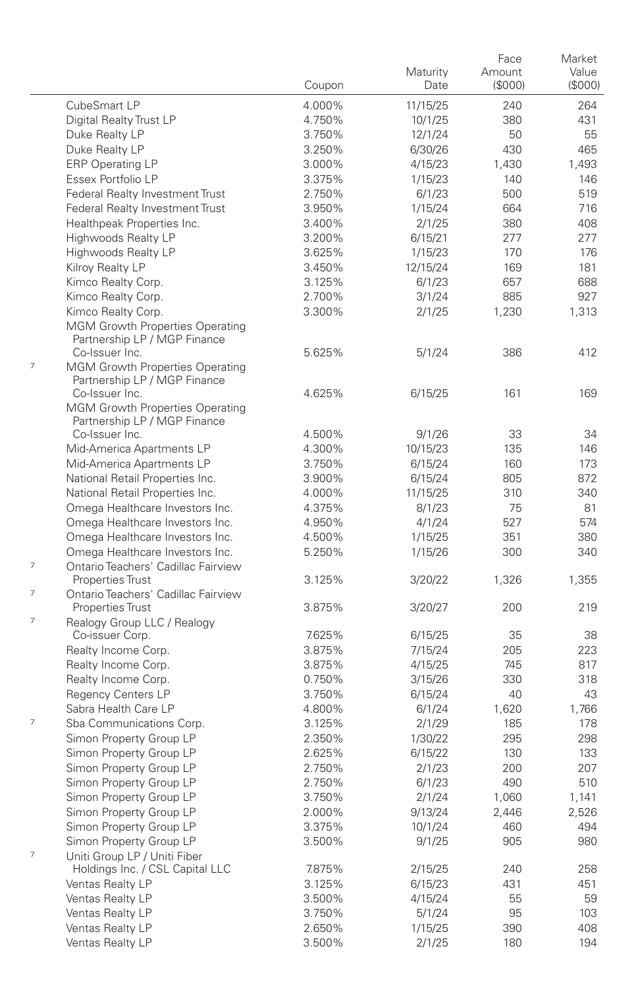|                                                                             | Coupon           | Maturity<br>Date   | Face<br>Amount<br>(\$000) | Market<br>Value<br>(\$000) |
|-----------------------------------------------------------------------------|------------------|--------------------|---------------------------|----------------------------|
| CubeSmart LP                                                                | 4.000%           | 11/15/25           | 240                       | 264                        |
| Digital Realty Trust LP                                                     | 4.750%           | 10/1/25            | 380                       | 431                        |
| Duke Realty LP                                                              | 3.750%           | 12/1/24            | 50                        | 55                         |
| Duke Realty LP                                                              | 3.250%           | 6/30/26            | 430                       | 465                        |
| <b>ERP Operating LP</b>                                                     | 3.000%           | 4/15/23            | 1,430                     | 1,493                      |
| Essex Portfolio LP                                                          | 3.375%           | 1/15/23            | 140                       | 146                        |
| Federal Realty Investment Trust                                             | 2.750%           | 6/1/23             | 500                       | 519                        |
| Federal Realty Investment Trust                                             | 3.950%           | 1/15/24            | 664                       | 716                        |
| Healthpeak Properties Inc.                                                  | 3.400%           | 2/1/25             | 380                       | 408                        |
| Highwoods Realty LP                                                         | 3.200%           | 6/15/21            | 277                       | 277                        |
| Highwoods Realty LP                                                         | 3.625%           | 1/15/23            | 170                       | 176                        |
| Kilroy Realty LP                                                            | 3.450%           | 12/15/24           | 169                       | 181                        |
| Kimco Realty Corp.                                                          | 3.125%           | 6/1/23             | 657                       | 688                        |
| Kimco Realty Corp.                                                          | 2.700%           | 3/1/24             | 885                       | 927                        |
| Kimco Realty Corp.                                                          | 3.300%           | 2/1/25             | 1,230                     | 1,313                      |
| <b>MGM Growth Properties Operating</b><br>Partnership LP / MGP Finance      |                  |                    |                           |                            |
| Co-Issuer Inc.                                                              | 5.625%           | 5/1/24             | 386                       | 412                        |
| 7<br><b>MGM Growth Properties Operating</b><br>Partnership LP / MGP Finance |                  |                    |                           |                            |
| Co-Issuer Inc.                                                              | 4.625%           | 6/15/25            | 161                       | 169                        |
| MGM Growth Properties Operating<br>Partnership LP / MGP Finance             |                  |                    |                           |                            |
| Co-Issuer Inc.                                                              | 4.500%           | 9/1/26             | 33                        | 34                         |
| Mid-America Apartments LP                                                   | 4.300%           | 10/15/23           | 135                       | 146<br>173                 |
| Mid-America Apartments LP                                                   | 3.750%           | 6/15/24            | 160                       | 872                        |
| National Retail Properties Inc.<br>National Retail Properties Inc.          | 3.900%           | 6/15/24            | 805                       | 340                        |
|                                                                             | 4.000%<br>4.375% | 11/15/25           | 310                       |                            |
| Omega Healthcare Investors Inc.<br>Omega Healthcare Investors Inc.          | 4.950%           | 8/1/23             | 75<br>527                 | 81<br>574                  |
| Omega Healthcare Investors Inc.                                             | 4.500%           | 4/1/24             | 351                       | 380                        |
| Omega Healthcare Investors Inc.                                             | 5.250%           | 1/15/25<br>1/15/26 | 300                       | 340                        |
| 7<br>Ontario Teachers' Cadillac Fairview<br><b>Properties Trust</b>         | 3.125%           | 3/20/22            | 1,326                     | 1,355                      |
| 7<br>Ontario Teachers' Cadillac Fairview                                    |                  |                    |                           |                            |
| Properties Trust                                                            | 3.875%           | 3/20/27            | 200                       | 219                        |
| 7<br>Realogy Group LLC / Realogy                                            |                  |                    |                           |                            |
| Co-issuer Corp.                                                             | 7.625%           | 6/15/25            | 35                        | 38                         |
| Realty Income Corp.                                                         | 3.875%           | 7/15/24            | 205                       | 223                        |
| Realty Income Corp.                                                         | 3.875%           | 4/15/25            | 745                       | 817                        |
| Realty Income Corp.                                                         | 0.750%           | 3/15/26            | 330                       | 318                        |
| Regency Centers LP                                                          | 3.750%           | 6/15/24            | 40                        | 43                         |
| Sabra Health Care LP                                                        | 4.800%           | 6/1/24             | 1,620                     | 1.766                      |
| 7<br>Sba Communications Corp.                                               | 3.125%           | 2/1/29             | 185                       | 178                        |
| Simon Property Group LP                                                     | 2.350%           | 1/30/22            | 295                       | 298                        |
| Simon Property Group LP                                                     | 2.625%           | 6/15/22            | 130                       | 133                        |
| Simon Property Group LP                                                     | 2.750%           | 2/1/23             | 200                       | 207                        |
| Simon Property Group LP                                                     | 2.750%           | 6/1/23             | 490                       | 510                        |
| Simon Property Group LP                                                     | 3.750%           | 2/1/24             | 1,060                     | 1,141                      |
| Simon Property Group LP                                                     | 2.000%           | 9/13/24            | 2,446                     | 2,526                      |
| Simon Property Group LP                                                     | 3.375%           | 10/1/24            | 460                       | 494                        |
| Simon Property Group LP<br>7<br>Uniti Group LP / Uniti Fiber                | 3.500%           | 9/1/25             | 905                       | 980                        |
| Holdings Inc. / CSL Capital LLC                                             | 7.875%           | 2/15/25            | 240                       | 258                        |
| Ventas Realty LP                                                            | 3.125%           | 6/15/23            | 431                       | 451                        |
| Ventas Realty LP                                                            | 3.500%           | 4/15/24            | 55                        | 59                         |
| Ventas Realty LP                                                            | 3.750%           | 5/1/24             | 95                        | 103                        |
| Ventas Realty LP                                                            | 2.650%           | 1/15/25            | 390                       | 408                        |
| Ventas Realty LP                                                            | 3.500%           | 2/1/25             | 180                       | 194                        |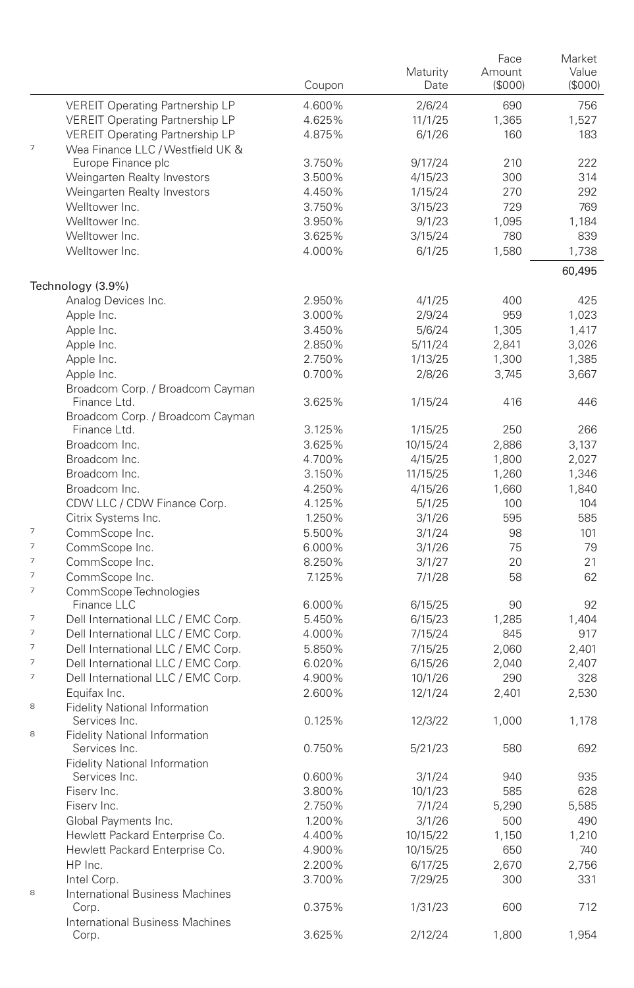|                          |                                                       | Coupon           | Maturity<br>Date | Face<br>Amount<br>(\$000) | Market<br>Value<br>(S000) |
|--------------------------|-------------------------------------------------------|------------------|------------------|---------------------------|---------------------------|
|                          | <b>VEREIT Operating Partnership LP</b>                | 4.600%           | 2/6/24           | 690                       | 756                       |
|                          | <b>VEREIT Operating Partnership LP</b>                | 4.625%           | 11/1/25          | 1,365                     | 1,527                     |
|                          | <b>VEREIT Operating Partnership LP</b>                | 4.875%           | 6/1/26           | 160                       | 183                       |
| $\overline{7}$           | Wea Finance LLC / Westfield UK &                      |                  |                  |                           |                           |
|                          | Europe Finance plc                                    | 3.750%           | 9/17/24          | 210                       | 222                       |
|                          | Weingarten Realty Investors                           | 3.500%           | 4/15/23          | 300                       | 314                       |
|                          | Weingarten Realty Investors                           | 4.450%           | 1/15/24          | 270                       | 292                       |
|                          | Welltower Inc.                                        | 3.750%           | 3/15/23          | 729                       | 769                       |
|                          | Welltower Inc.                                        | 3.950%           | 9/1/23           | 1,095                     | 1,184                     |
|                          | Welltower Inc.                                        | 3.625%           | 3/15/24          | 780                       | 839                       |
|                          | Welltower Inc.                                        | 4.000%           | 6/1/25           | 1,580                     | 1,738                     |
|                          | Technology (3.9%)                                     |                  |                  |                           | 60,495                    |
|                          | Analog Devices Inc.                                   | 2.950%           | 4/1/25           | 400                       | 425                       |
|                          | Apple Inc.                                            | 3.000%           | 2/9/24           | 959                       | 1,023                     |
|                          | Apple Inc.                                            | 3.450%           | 5/6/24           | 1,305                     | 1,417                     |
|                          | Apple Inc.                                            | 2.850%           | 5/11/24          | 2,841                     | 3,026                     |
|                          | Apple Inc.                                            | 2.750%           | 1/13/25          | 1,300                     | 1,385                     |
|                          | Apple Inc.                                            | 0.700%           | 2/8/26           | 3,745                     | 3,667                     |
|                          | Broadcom Corp. / Broadcom Cayman<br>Finance Ltd.      | 3.625%           | 1/15/24          | 416                       | 446                       |
|                          | Broadcom Corp. / Broadcom Cayman                      |                  |                  |                           |                           |
|                          | Finance Ltd.                                          | 3.125%           | 1/15/25          | 250                       | 266                       |
|                          | Broadcom Inc.                                         | 3.625%           | 10/15/24         | 2,886                     | 3,137                     |
|                          | Broadcom Inc.                                         | 4.700%           | 4/15/25          | 1,800                     | 2,027                     |
|                          | Broadcom Inc.                                         | 3.150%           | 11/15/25         | 1,260                     | 1,346                     |
|                          | Broadcom Inc.                                         | 4.250%           | 4/15/26          | 1,660                     | 1,840                     |
|                          | CDW LLC / CDW Finance Corp.                           | 4.125%           | 5/1/25           | 100                       | 104                       |
| $\overline{\phantom{a}}$ | Citrix Systems Inc.                                   | 1.250%           | 3/1/26           | 595                       | 585                       |
| $\overline{\phantom{a}}$ | CommScope Inc.                                        | 5.500%           | 3/1/24           | 98                        | 101                       |
| $\overline{7}$           | CommScope Inc.<br>CommScope Inc.                      | 6.000%<br>8.250% | 3/1/26           | 75<br>20                  | 79<br>21                  |
| 7                        | CommScope Inc.                                        | 7.125%           | 3/1/27           | 58                        | 62                        |
| 7                        | CommScope Technologies                                |                  | 7/1/28           |                           |                           |
|                          | Finance LLC                                           | 6.000%           | 6/15/25          | 90                        | 92                        |
| $\overline{\phantom{a}}$ | Dell International LLC / EMC Corp.                    | 5.450%           | 6/15/23          | 1,285                     | 1,404                     |
| $\overline{7}$           | Dell International LLC / EMC Corp.                    | 4.000%           | 7/15/24          | 845                       | 917                       |
| $\overline{\phantom{a}}$ | Dell International LLC / EMC Corp.                    | 5.850%           | 7/15/25          | 2,060                     | 2,401                     |
| $\overline{7}$           | Dell International LLC / EMC Corp.                    | 6.020%           | 6/15/26          | 2,040                     | 2,407                     |
| $\overline{\phantom{a}}$ | Dell International LLC / EMC Corp.                    | 4.900%           | 10/1/26          | 290                       | 328                       |
|                          | Equifax Inc.                                          | 2.600%           | 12/1/24          | 2,401                     | 2,530                     |
| 8                        | <b>Fidelity National Information</b>                  |                  |                  |                           |                           |
| 8                        | Services Inc.                                         | 0.125%           | 12/3/22          | 1,000                     | 1,178                     |
|                          | <b>Fidelity National Information</b><br>Services Inc. | 0.750%           | 5/21/23          | 580                       | 692                       |
|                          | <b>Fidelity National Information</b>                  |                  |                  |                           |                           |
|                          | Services Inc.                                         | 0.600%           | 3/1/24           | 940                       | 935                       |
|                          | Fiserv Inc.                                           | 3.800%           | 10/1/23          | 585                       | 628                       |
|                          | Fiserv Inc.                                           | 2.750%           | 7/1/24           | 5,290                     | 5,585                     |
|                          | Global Payments Inc.                                  | 1.200%           | 3/1/26           | 500                       | 490                       |
|                          | Hewlett Packard Enterprise Co.                        | 4.400%           | 10/15/22         | 1,150                     | 1,210                     |
|                          | Hewlett Packard Enterprise Co.                        | 4.900%           | 10/15/25         | 650                       | 740                       |
|                          | HP Inc.                                               | 2.200%           | 6/17/25          | 2,670                     | 2,756                     |
| 8                        | Intel Corp.<br>International Business Machines        | 3.700%           | 7/29/25          | 300                       | 331                       |
|                          | Corp.                                                 | 0.375%           | 1/31/23          | 600                       | 712                       |
|                          | <b>International Business Machines</b><br>Corp.       | 3.625%           | 2/12/24          | 1,800                     | 1,954                     |
|                          |                                                       |                  |                  |                           |                           |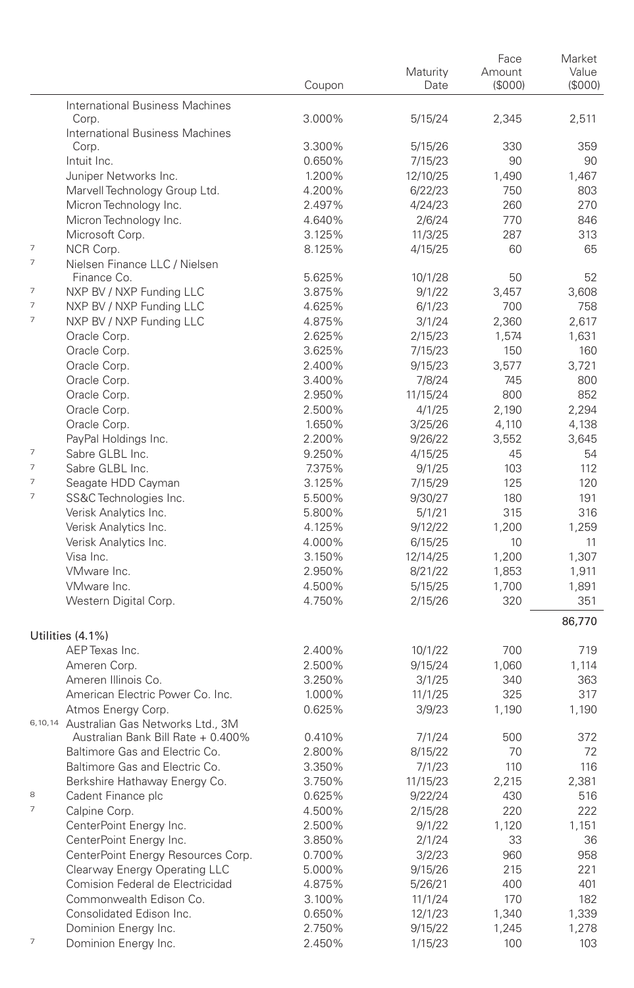|                          |                                          |        |          | Face         | Market  |
|--------------------------|------------------------------------------|--------|----------|--------------|---------|
|                          |                                          |        | Maturity | Amount       | Value   |
|                          |                                          | Coupon | Date     | (\$000)      | (\$000) |
|                          | International Business Machines          |        |          |              |         |
|                          | Corp.                                    | 3.000% | 5/15/24  | 2,345        | 2,511   |
|                          | International Business Machines          |        |          |              |         |
|                          | Corp.                                    | 3.300% | 5/15/26  | 330          | 359     |
|                          | Intuit Inc.                              | 0.650% | 7/15/23  | 90           | 90      |
|                          | Juniper Networks Inc.                    | 1.200% | 12/10/25 | 1,490        | 1,467   |
|                          | Marvell Technology Group Ltd.            | 4.200% | 6/22/23  | 750          | 803     |
|                          | Micron Technology Inc.                   | 2.497% | 4/24/23  | 260          | 270     |
|                          | Micron Technology Inc.                   | 4.640% | 2/6/24   | 770          | 846     |
|                          |                                          |        |          |              |         |
| $\overline{7}$           | Microsoft Corp.                          | 3.125% | 11/3/25  | 287          | 313     |
| $\overline{7}$           | NCR Corp.                                | 8.125% | 4/15/25  | 60           | 65      |
|                          | Nielsen Finance LLC / Nielsen            |        |          |              |         |
| 7                        | Finance Co.                              | 5.625% | 10/1/28  | 50           | 52      |
|                          | NXP BV / NXP Funding LLC                 | 3.875% | 9/1/22   | 3,457        | 3,608   |
| 7                        | NXP BV / NXP Funding LLC                 | 4.625% | 6/1/23   | 700          | 758     |
| $\overline{7}$           | NXP BV / NXP Funding LLC                 | 4.875% | 3/1/24   | 2,360        | 2,617   |
|                          | Oracle Corp.                             | 2.625% | 2/15/23  | 1,574        | 1,631   |
|                          | Oracle Corp.                             | 3.625% | 7/15/23  | 150          | 160     |
|                          | Oracle Corp.                             | 2.400% | 9/15/23  | 3,577        | 3,721   |
|                          | Oracle Corp.                             | 3.400% | 7/8/24   | 745          | 800     |
|                          | Oracle Corp.                             | 2.950% | 11/15/24 | 800          | 852     |
|                          | Oracle Corp.                             | 2.500% | 4/1/25   | 2,190        | 2,294   |
|                          | Oracle Corp.                             | 1.650% | 3/25/26  | 4,110        | 4,138   |
|                          | PayPal Holdings Inc.                     | 2.200% | 9/26/22  | 3,552        | 3,645   |
| $\overline{\phantom{a}}$ | Sabre GLBL Inc.                          | 9.250% | 4/15/25  | 45           | 54      |
| $\overline{\phantom{a}}$ | Sabre GLBL Inc.                          | 7.375% | 9/1/25   | 103          | 112     |
| 7                        | Seagate HDD Cayman                       | 3.125% | 7/15/29  | 125          | 120     |
| 7                        | SS&C Technologies Inc.                   | 5.500% | 9/30/27  | 180          | 191     |
|                          | Verisk Analytics Inc.                    | 5.800% | 5/1/21   | 315          | 316     |
|                          | Verisk Analytics Inc.                    | 4.125% | 9/12/22  | 1,200        | 1,259   |
|                          | Verisk Analytics Inc.                    | 4.000% | 6/15/25  | 10           | 11      |
|                          | Visa Inc.                                | 3.150% | 12/14/25 | 1,200        | 1,307   |
|                          | VMware Inc.                              | 2.950% | 8/21/22  | 1,853        | 1,911   |
|                          | VMware Inc.                              | 4.500% |          |              |         |
|                          |                                          |        | 5/15/25  | 1,700<br>320 | 1,891   |
|                          | Western Digital Corp.                    | 4.750% | 2/15/26  |              | 351     |
|                          |                                          |        |          |              | 86,770  |
|                          | Utilities (4.1%)                         |        |          |              |         |
|                          | AEP Texas Inc.                           | 2.400% | 10/1/22  | 700          | 719     |
|                          | Ameren Corp.                             | 2.500% | 9/15/24  | 1,060        | 1,114   |
|                          | Ameren Illinois Co.                      | 3.250% | 3/1/25   | 340          | 363     |
|                          | American Electric Power Co. Inc.         | 1.000% | 11/1/25  | 325          | 317     |
|                          | Atmos Energy Corp.                       | 0.625% | 3/9/23   | 1,190        | 1,190   |
|                          | 6,10,14 Australian Gas Networks Ltd., 3M |        |          |              |         |
|                          | Australian Bank Bill Rate + 0.400%       | 0.410% | 7/1/24   | 500          | 372     |
|                          | Baltimore Gas and Electric Co.           | 2.800% | 8/15/22  | 70           | 72      |
|                          | Baltimore Gas and Electric Co.           | 3.350% | 7/1/23   | 110          | 116     |
|                          | Berkshire Hathaway Energy Co.            | 3.750% | 11/15/23 | 2,215        | 2,381   |
| 8                        | Cadent Finance plc                       | 0.625% | 9/22/24  | 430          | 516     |
| $\overline{\phantom{a}}$ | Calpine Corp.                            | 4.500% | 2/15/28  | 220          | 222     |
|                          | CenterPoint Energy Inc.                  | 2.500% | 9/1/22   | 1,120        | 1,151   |
|                          | CenterPoint Energy Inc.                  | 3.850% | 2/1/24   | 33           | 36      |
|                          | CenterPoint Energy Resources Corp.       | 0.700% |          |              |         |
|                          |                                          |        | 3/2/23   | 960          | 958     |
|                          | Clearway Energy Operating LLC            | 5.000% | 9/15/26  | 215          | 221     |
|                          | Comision Federal de Electricidad         | 4.875% | 5/26/21  | 400          | 401     |
|                          | Commonwealth Edison Co.                  | 3.100% | 11/1/24  | 170          | 182     |
|                          | Consolidated Edison Inc.                 | 0.650% | 12/1/23  | 1,340        | 1,339   |
|                          | Dominion Energy Inc.                     | 2.750% | 9/15/22  | 1,245        | 1,278   |
| 7                        | Dominion Energy Inc.                     | 2.450% | 1/15/23  | 100          | 103     |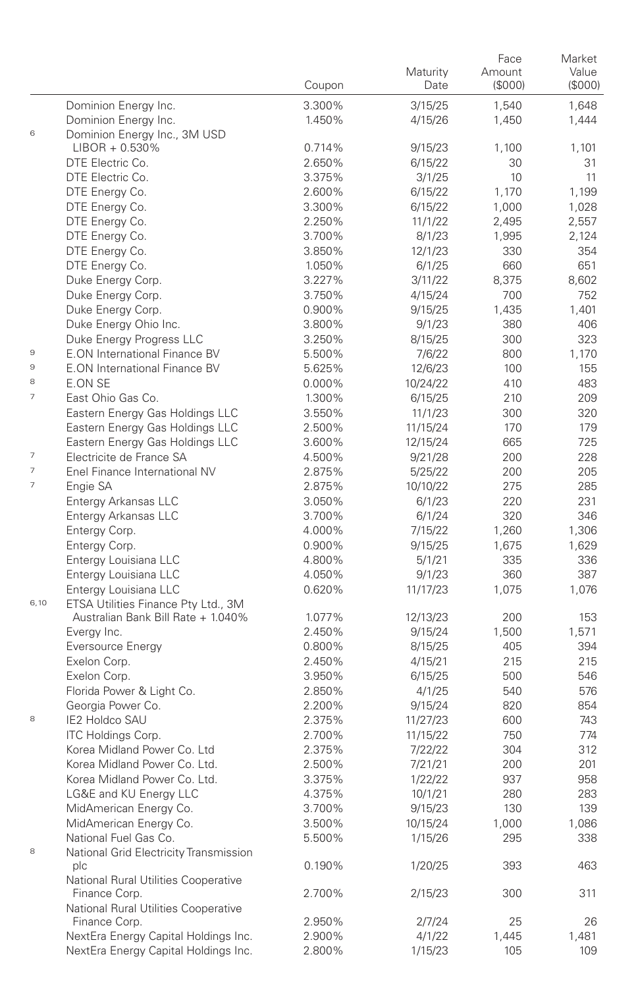|                |                                                       | Coupon | Maturity<br>Date | Face<br>Amount<br>(\$000) | Market<br>Value<br>(S000) |
|----------------|-------------------------------------------------------|--------|------------------|---------------------------|---------------------------|
|                | Dominion Energy Inc.                                  | 3.300% | 3/15/25          | 1,540                     | 1,648                     |
|                | Dominion Energy Inc.                                  | 1.450% | 4/15/26          | 1,450                     | 1,444                     |
| 6              | Dominion Energy Inc., 3M USD                          |        |                  |                           |                           |
|                | $LIBOR + 0.530\%$                                     | 0.714% | 9/15/23          | 1,100                     | 1,101                     |
|                | DTE Electric Co.                                      | 2.650% | 6/15/22          | 30                        | 31                        |
|                | DTE Electric Co.                                      | 3.375% | 3/1/25           | 10                        | 11                        |
|                | DTE Energy Co.                                        | 2.600% | 6/15/22          | 1,170                     | 1,199                     |
|                | DTE Energy Co.                                        | 3.300% | 6/15/22          | 1,000                     | 1,028                     |
|                | DTE Energy Co.                                        | 2.250% | 11/1/22          | 2,495                     | 2,557                     |
|                | DTE Energy Co.                                        | 3.700% | 8/1/23           | 1,995                     | 2,124                     |
|                | DTE Energy Co.                                        | 3.850% | 12/1/23          | 330                       | 354                       |
|                | DTE Energy Co.                                        | 1.050% | 6/1/25           | 660                       | 651                       |
|                | Duke Energy Corp.                                     | 3.227% | 3/11/22          | 8,375                     | 8.602                     |
|                | Duke Energy Corp.                                     | 3.750% | 4/15/24          | 700                       | 752                       |
|                | Duke Energy Corp.                                     | 0.900% | 9/15/25          | 1,435                     | 1,401                     |
|                | Duke Energy Ohio Inc.                                 | 3.800% | 9/1/23           | 380                       | 406                       |
|                | Duke Energy Progress LLC                              | 3.250% | 8/15/25          | 300                       | 323                       |
| 9              | E.ON International Finance BV                         | 5.500% | 7/6/22           | 800                       | 1,170                     |
| $\mathbf 9$    | <b>E.ON International Finance BV</b>                  | 5.625% | 12/6/23          | 100                       | 155                       |
| 8              | E.ON SE                                               | 0.000% | 10/24/22         | 410                       | 483                       |
| $\overline{7}$ | East Ohio Gas Co.                                     | 1.300% | 6/15/25          | 210                       | 209                       |
|                | Eastern Energy Gas Holdings LLC                       | 3.550% | 11/1/23          | 300                       | 320                       |
|                | Eastern Energy Gas Holdings LLC                       | 2.500% | 11/15/24         | 170                       | 179                       |
|                | Eastern Energy Gas Holdings LLC                       | 3.600% | 12/15/24         | 665                       | 725                       |
| $\overline{7}$ | Electricite de France SA                              | 4.500% | 9/21/28          | 200                       | 228                       |
| $\overline{7}$ | Enel Finance International NV                         | 2.875% | 5/25/22          | 200                       | 205                       |
| $\overline{7}$ | Engie SA                                              | 2.875% | 10/10/22         | 275                       | 285                       |
|                | Entergy Arkansas LLC                                  | 3.050% | 6/1/23           | 220                       | 231                       |
|                | Entergy Arkansas LLC                                  | 3.700% | 6/1/24           | 320                       | 346                       |
|                | Entergy Corp.                                         | 4.000% | 7/15/22          | 1,260                     | 1,306                     |
|                | Entergy Corp.                                         | 0.900% | 9/15/25          | 1,675                     | 1,629                     |
|                | Entergy Louisiana LLC                                 | 4.800% | 5/1/21           | 335                       | 336                       |
|                | Entergy Louisiana LLC                                 | 4.050% | 9/1/23           | 360                       | 387                       |
|                | Entergy Louisiana LLC                                 | 0.620% | 11/17/23         | 1,075                     | 1,076                     |
| 6,10           | ETSA Utilities Finance Pty Ltd., 3M                   |        |                  |                           |                           |
|                | Australian Bank Bill Rate + 1.040%                    | 1.077% | 12/13/23         | 200                       | 153                       |
|                | Evergy Inc.                                           | 2.450% | 9/15/24          | 1,500                     | 1,571                     |
|                | Eversource Energy                                     | 0.800% | 8/15/25          | 405                       | 394                       |
|                | Exelon Corp.                                          | 2.450% | 4/15/21          | 215                       | 215                       |
|                | Exelon Corp.                                          | 3.950% | 6/15/25          | 500                       | 546                       |
|                | Florida Power & Light Co.                             | 2.850% | 4/1/25           | 540                       | 576                       |
|                | Georgia Power Co.                                     | 2.200% | 9/15/24          | 820                       | 854                       |
| 8              | <b>IE2 Holdco SAU</b>                                 | 2.375% | 11/27/23         | 600                       | 743                       |
|                | <b>ITC Holdings Corp.</b>                             | 2.700% | 11/15/22         | 750                       | 774                       |
|                | Korea Midland Power Co. Ltd                           | 2.375% | 7/22/22          | 304                       | 312                       |
|                | Korea Midland Power Co. Ltd.                          | 2.500% | 7/21/21          | 200                       | 201                       |
|                | Korea Midland Power Co. Ltd.                          | 3.375% | 1/22/22          | 937                       | 958                       |
|                | LG&E and KU Energy LLC                                | 4.375% | 10/1/21          | 280                       | 283                       |
|                | MidAmerican Energy Co.                                | 3.700% | 9/15/23          | 130                       | 139                       |
|                | MidAmerican Energy Co.                                | 3.500% | 10/15/24         | 1,000                     | 1,086                     |
|                | National Fuel Gas Co.                                 | 5.500% | 1/15/26          | 295                       | 338                       |
| 8              | National Grid Electricity Transmission                |        |                  |                           |                           |
|                | plc                                                   | 0.190% | 1/20/25          | 393                       | 463                       |
|                | National Rural Utilities Cooperative<br>Finance Corp. |        |                  |                           |                           |
|                | National Rural Utilities Cooperative                  | 2.700% | 2/15/23          | 300                       | 311                       |
|                | Finance Corp.                                         | 2.950% | 2/7/24           | 25                        | 26                        |
|                | NextEra Energy Capital Holdings Inc.                  | 2.900% | 4/1/22           | 1,445                     | 1,481                     |
|                | NextEra Energy Capital Holdings Inc.                  | 2.800% | 1/15/23          | 105                       | 109                       |
|                |                                                       |        |                  |                           |                           |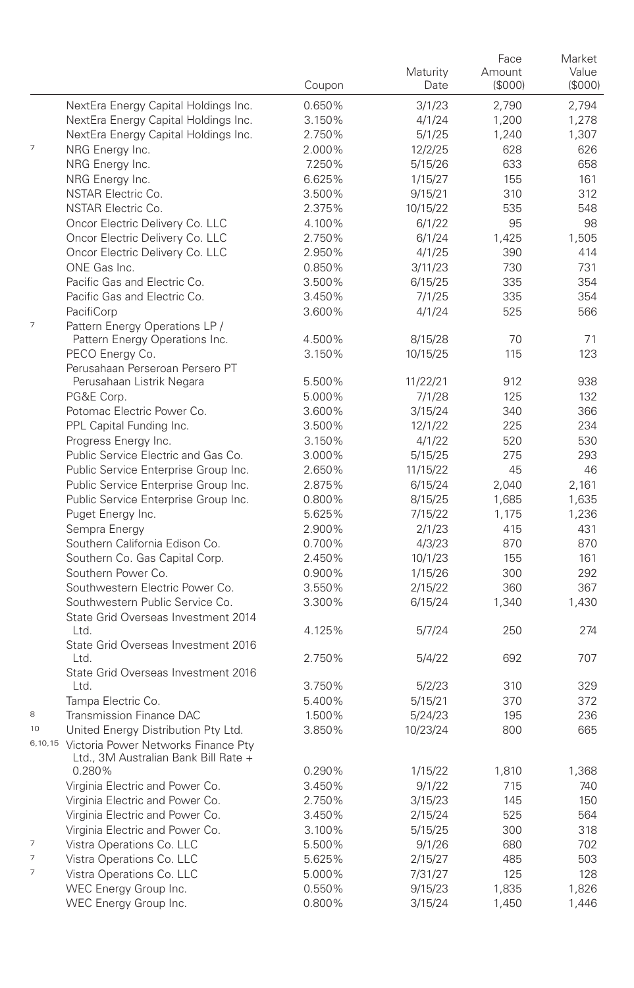|                          |                                                                                     | Coupon           | Maturity<br>Date   | Face<br>Amount<br>(\$000) | Market<br>Value<br>(\$000) |
|--------------------------|-------------------------------------------------------------------------------------|------------------|--------------------|---------------------------|----------------------------|
|                          | NextEra Energy Capital Holdings Inc.                                                | 0.650%           | 3/1/23             | 2,790                     | 2,794                      |
|                          | NextEra Energy Capital Holdings Inc.                                                | 3.150%           | 4/1/24             | 1,200                     | 1,278                      |
|                          | NextEra Energy Capital Holdings Inc.                                                | 2.750%           | 5/1/25             | 1,240                     | 1,307                      |
| $\overline{\phantom{a}}$ | NRG Energy Inc.                                                                     | 2.000%           | 12/2/25            | 628                       | 626                        |
|                          | NRG Energy Inc.                                                                     | 7.250%           | 5/15/26            | 633                       | 658                        |
|                          | NRG Energy Inc.                                                                     | 6.625%           | 1/15/27            | 155                       | 161                        |
|                          | NSTAR Electric Co.                                                                  | 3.500%           | 9/15/21            | 310                       | 312                        |
|                          | <b>NSTAR Electric Co.</b>                                                           | 2.375%           | 10/15/22           | 535                       | 548                        |
|                          | Oncor Electric Delivery Co. LLC                                                     | 4.100%           | 6/1/22             | 95                        | 98                         |
|                          | Oncor Electric Delivery Co. LLC                                                     | 2.750%           | 6/1/24             | 1,425                     | 1,505                      |
|                          | Oncor Electric Delivery Co. LLC                                                     | 2.950%           | 4/1/25             | 390                       | 414                        |
|                          | ONE Gas Inc.                                                                        | 0.850%           | 3/11/23            | 730                       | 731                        |
|                          | Pacific Gas and Electric Co.                                                        | 3.500%           | 6/15/25            | 335                       | 354                        |
|                          | Pacific Gas and Electric Co.                                                        | 3.450%           | 7/1/25             | 335                       | 354                        |
|                          | PacifiCorp                                                                          | 3.600%           | 4/1/24             | 525                       | 566                        |
| $\overline{\phantom{a}}$ | Pattern Energy Operations LP /                                                      |                  |                    |                           |                            |
|                          | Pattern Energy Operations Inc.                                                      | 4.500%           | 8/15/28            | 70                        | 71                         |
|                          | PECO Energy Co.                                                                     | 3.150%           | 10/15/25           | 115                       | 123                        |
|                          | Perusahaan Perseroan Persero PT                                                     |                  |                    |                           |                            |
|                          | Perusahaan Listrik Negara                                                           | 5.500%           | 11/22/21           | 912                       | 938                        |
|                          | PG&E Corp.                                                                          | 5.000%           | 7/1/28             | 125                       | 132                        |
|                          | Potomac Electric Power Co.                                                          | 3.600%           | 3/15/24            | 340                       | 366                        |
|                          | PPL Capital Funding Inc.                                                            | 3.500%           | 12/1/22            | 225                       | 234                        |
|                          | Progress Energy Inc.                                                                | 3.150%           | 4/1/22             | 520                       | 530                        |
|                          | Public Service Electric and Gas Co.                                                 | 3.000%           | 5/15/25            | 275                       | 293                        |
|                          | Public Service Enterprise Group Inc.                                                | 2.650%           | 11/15/22           | 45                        | 46                         |
|                          | Public Service Enterprise Group Inc.                                                | 2.875%           | 6/15/24            | 2,040                     | 2,161                      |
|                          | Public Service Enterprise Group Inc.                                                | 0.800%           | 8/15/25            | 1,685                     | 1,635                      |
|                          | Puget Energy Inc.                                                                   | 5.625%           | 7/15/22            | 1,175                     | 1,236                      |
|                          | Sempra Energy                                                                       | 2.900%           | 2/1/23             | 415                       | 431                        |
|                          | Southern California Edison Co.                                                      | 0.700%           | 4/3/23             | 870                       | 870                        |
|                          | Southern Co. Gas Capital Corp.<br>Southern Power Co.                                | 2.450%           | 10/1/23            | 155<br>300                | 161<br>292                 |
|                          | Southwestern Electric Power Co.                                                     | 0.900%<br>3.550% | 1/15/26<br>2/15/22 | 360                       | 367                        |
|                          | Southwestern Public Service Co.                                                     | 3.300%           | 6/15/24            | 1,340                     | 1,430                      |
|                          | State Grid Overseas Investment 2014                                                 |                  |                    |                           |                            |
|                          | Ltd.                                                                                | 4.125%           | 5/7/24             | 250                       | 274                        |
|                          | State Grid Overseas Investment 2016                                                 |                  |                    |                           |                            |
|                          | Ltd.<br>State Grid Overseas Investment 2016                                         | 2.750%           | 5/4/22             | 692                       | 707                        |
|                          | Ltd.                                                                                | 3.750%           | 5/2/23             | 310                       | 329                        |
|                          | Tampa Electric Co.                                                                  | 5.400%           | 5/15/21            | 370                       | 372                        |
| 8                        | Transmission Finance DAC                                                            | 1.500%           | 5/24/23            | 195                       | 236                        |
| 10                       | United Energy Distribution Pty Ltd.                                                 | 3.850%           | 10/23/24           | 800                       | 665                        |
|                          | 6,10,15 Victoria Power Networks Finance Pty<br>Ltd., 3M Australian Bank Bill Rate + |                  |                    |                           |                            |
|                          | 0.280%                                                                              | 0.290%           | 1/15/22            | 1,810                     | 1,368                      |
|                          | Virginia Electric and Power Co.                                                     | 3.450%           | 9/1/22             | 715                       | 740                        |
|                          | Virginia Electric and Power Co.                                                     | 2.750%           | 3/15/23            | 145                       | 150                        |
|                          | Virginia Electric and Power Co.                                                     | 3.450%           | 2/15/24            | 525                       | 564                        |
|                          | Virginia Electric and Power Co.                                                     | 3.100%           | 5/15/25            | 300                       | 318                        |
| 7                        | Vistra Operations Co. LLC                                                           | 5.500%           | 9/1/26             | 680                       | 702                        |
| 7                        | Vistra Operations Co. LLC                                                           | 5.625%           | 2/15/27            | 485                       | 503                        |
| 7                        | Vistra Operations Co. LLC                                                           | 5.000%           | 7/31/27            | 125                       | 128                        |
|                          | WEC Energy Group Inc.                                                               | 0.550%           | 9/15/23            | 1,835                     | 1,826                      |
|                          | WEC Energy Group Inc.                                                               | 0.800%           | 3/15/24            | 1,450                     | 1,446                      |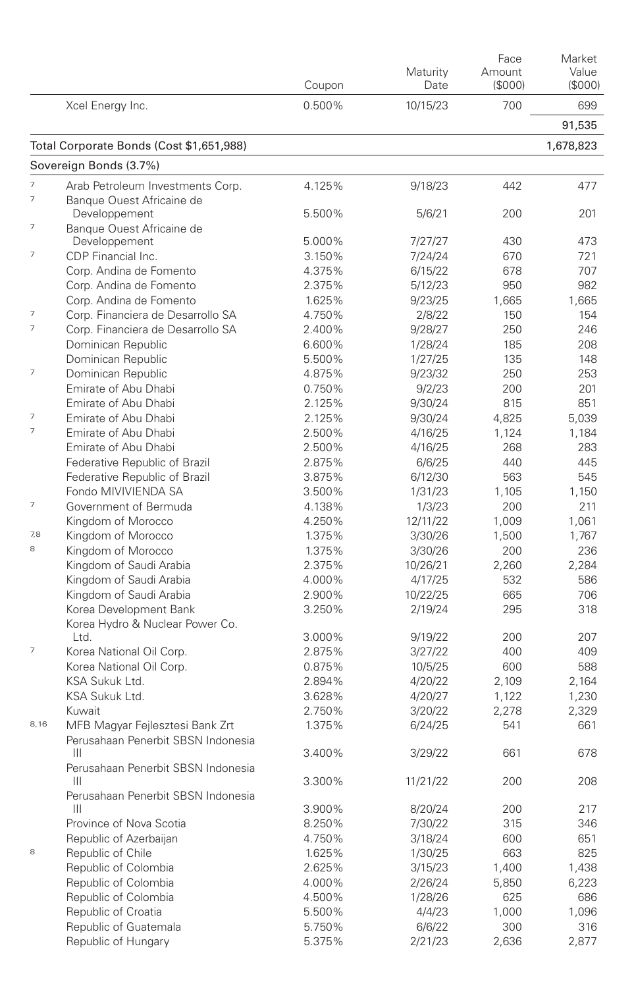|                          |                                          | Coupon | Maturity<br>Date | Face<br>Amount<br>(\$000) | Market<br>Value<br>(\$000) |
|--------------------------|------------------------------------------|--------|------------------|---------------------------|----------------------------|
|                          | Xcel Energy Inc.                         | 0.500% | 10/15/23         | 700                       | 699                        |
|                          |                                          |        |                  |                           | 91,535                     |
|                          | Total Corporate Bonds (Cost \$1,651,988) |        |                  |                           | 1,678,823                  |
|                          | Sovereign Bonds (3.7%)                   |        |                  |                           |                            |
| 7                        | Arab Petroleum Investments Corp.         | 4.125% | 9/18/23          | 442                       | 477                        |
| $\overline{\phantom{a}}$ | Banque Ouest Africaine de                |        |                  |                           |                            |
|                          | Developpement                            | 5.500% | 5/6/21           | 200                       | 201                        |
| 7                        | Banque Ouest Africaine de                |        |                  |                           |                            |
| 7                        | Developpement                            | 5.000% | 7/27/27          | 430                       | 473                        |
|                          | CDP Financial Inc.                       | 3.150% | 7/24/24          | 670                       | 721                        |
|                          | Corp. Andina de Fomento                  | 4.375% | 6/15/22          | 678                       | 707                        |
|                          | Corp. Andina de Fomento                  | 2.375% | 5/12/23          | 950                       | 982                        |
|                          | Corp. Andina de Fomento                  | 1.625% | 9/23/25          | 1,665                     | 1,665                      |
| $\overline{7}$           | Corp. Financiera de Desarrollo SA        | 4.750% | 2/8/22           | 150                       | 154                        |
| $\overline{7}$           | Corp. Financiera de Desarrollo SA        | 2.400% | 9/28/27          | 250                       | 246                        |
|                          | Dominican Republic                       | 6.600% | 1/28/24          | 185                       | 208                        |
|                          | Dominican Republic                       | 5.500% | 1/27/25          | 135                       | 148                        |
| 7                        | Dominican Republic                       | 4.875% | 9/23/32          | 250                       | 253                        |
|                          | Emirate of Abu Dhabi                     | 0.750% | 9/2/23           | 200                       | 201                        |
|                          | Emirate of Abu Dhabi                     | 2.125% | 9/30/24          | 815                       | 851                        |
| 7                        | Emirate of Abu Dhabi                     | 2.125% | 9/30/24          | 4.825                     | 5,039                      |
| $\overline{\phantom{a}}$ | Emirate of Abu Dhabi                     | 2.500% | 4/16/25          | 1,124                     | 1,184                      |
|                          | Emirate of Abu Dhabi                     | 2.500% | 4/16/25          | 268                       | 283                        |
|                          | Federative Republic of Brazil            | 2.875% | 6/6/25           | 440                       | 445                        |
|                          | Federative Republic of Brazil            | 3.875% | 6/12/30          | 563                       | 545                        |
|                          | Fondo MIVIVIENDA SA                      | 3.500% | 1/31/23          | 1,105                     | 1,150                      |
| $\overline{7}$           | Government of Bermuda                    | 4.138% | 1/3/23           | 200                       | 211                        |
|                          | Kingdom of Morocco                       | 4.250% | 12/11/22         | 1,009                     | 1,061                      |
| 7,8                      | Kingdom of Morocco                       | 1.375% | 3/30/26          | 1,500                     | 1,767                      |
| 8                        | Kingdom of Morocco                       | 1.375% | 3/30/26          | 200                       | 236                        |
|                          | Kingdom of Saudi Arabia                  | 2.375% | 10/26/21         | 2,260                     | 2,284                      |
|                          | Kingdom of Saudi Arabia                  | 4.000% | 4/17/25          | 532                       | 586                        |
|                          | Kingdom of Saudi Arabia                  | 2.900% | 10/22/25         | 665                       | 706                        |
|                          | Korea Development Bank                   | 3.250% | 2/19/24          | 295                       | 318                        |
|                          | Korea Hydro & Nuclear Power Co.          |        |                  |                           |                            |
|                          | Ltd.                                     | 3.000% | 9/19/22          | 200                       | 207                        |
| $\overline{7}$           | Korea National Oil Corp.                 | 2.875% | 3/27/22          | 400                       | 409                        |
|                          | Korea National Oil Corp.                 | 0.875% | 10/5/25          | 600                       | 588                        |
|                          | KSA Sukuk Ltd.                           | 2.894% | 4/20/22          | 2,109                     | 2,164                      |
|                          | KSA Sukuk Ltd.                           | 3.628% | 4/20/27          | 1,122                     | 1,230                      |
|                          | Kuwait                                   | 2.750% | 3/20/22          | 2,278                     | 2,329                      |
| 8,16                     | MFB Magyar Fejlesztesi Bank Zrt          | 1.375% | 6/24/25          | 541                       | 661                        |
|                          | Perusahaan Penerbit SBSN Indonesia       |        |                  |                           |                            |
|                          | Ш                                        | 3.400% | 3/29/22          | 661                       | 678                        |
|                          | Perusahaan Penerbit SBSN Indonesia       |        |                  |                           |                            |
|                          | Ш                                        | 3.300% | 11/21/22         | 200                       | 208                        |
|                          | Perusahaan Penerbit SBSN Indonesia       |        |                  |                           |                            |
|                          | Ш                                        | 3.900% | 8/20/24          | 200                       | 217                        |
|                          | Province of Nova Scotia                  | 8.250% | 7/30/22          | 315                       | 346                        |
|                          | Republic of Azerbaijan                   | 4.750% | 3/18/24          | 600                       | 651                        |
| 8                        | Republic of Chile                        | 1.625% | 1/30/25          | 663                       | 825                        |
|                          | Republic of Colombia                     | 2.625% | 3/15/23          | 1,400                     | 1,438                      |
|                          | Republic of Colombia                     | 4.000% | 2/26/24          | 5,850                     | 6,223                      |
|                          | Republic of Colombia                     | 4.500% | 1/28/26          | 625                       | 686                        |
|                          | Republic of Croatia                      | 5.500% | 4/4/23           | 1,000                     | 1,096                      |
|                          | Republic of Guatemala                    | 5.750% | 6/6/22           | 300                       | 316                        |
|                          | Republic of Hungary                      | 5.375% | 2/21/23          | 2,636                     | 2,877                      |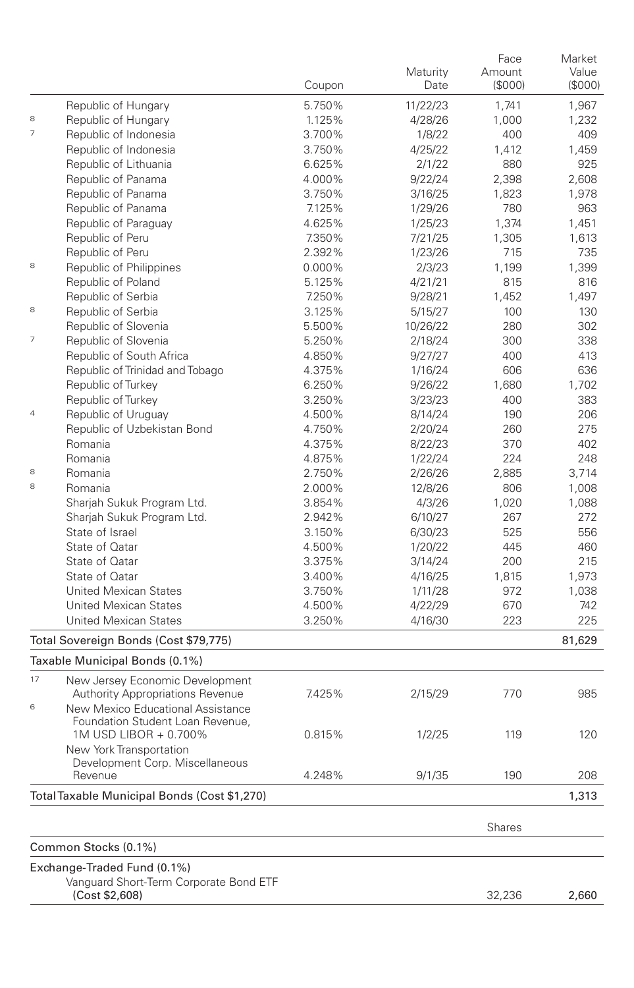|                          |                                                                            | Coupon | Maturity<br>Date | Face<br>Amount<br>(\$000) | Market<br>Value<br>(S000) |
|--------------------------|----------------------------------------------------------------------------|--------|------------------|---------------------------|---------------------------|
|                          | Republic of Hungary                                                        | 5.750% | 11/22/23         | 1,741                     | 1,967                     |
| 8                        | Republic of Hungary                                                        | 1.125% | 4/28/26          | 1,000                     | 1,232                     |
| 7                        | Republic of Indonesia                                                      | 3.700% | 1/8/22           | 400                       | 409                       |
|                          | Republic of Indonesia                                                      | 3.750% | 4/25/22          | 1.412                     | 1,459                     |
|                          | Republic of Lithuania                                                      | 6.625% | 2/1/22           | 880                       | 925                       |
|                          | Republic of Panama                                                         | 4.000% | 9/22/24          | 2,398                     | 2,608                     |
|                          | Republic of Panama                                                         | 3.750% | 3/16/25          | 1,823                     | 1,978                     |
|                          | Republic of Panama                                                         | 7.125% | 1/29/26          | 780                       | 963                       |
|                          | Republic of Paraguay                                                       | 4.625% | 1/25/23          | 1,374                     | 1,451                     |
|                          | Republic of Peru                                                           | 7.350% | 7/21/25          | 1,305                     | 1,613                     |
|                          | Republic of Peru                                                           | 2.392% | 1/23/26          | 715                       | 735                       |
| 8                        | Republic of Philippines                                                    | 0.000% | 2/3/23           | 1,199                     | 1,399                     |
|                          | Republic of Poland                                                         | 5.125% | 4/21/21          | 815                       | 816                       |
|                          | Republic of Serbia                                                         | 7.250% | 9/28/21          | 1,452                     | 1,497                     |
| 8                        | Republic of Serbia                                                         | 3.125% | 5/15/27          | 100                       | 130                       |
|                          | Republic of Slovenia                                                       | 5.500% | 10/26/22         | 280                       | 302                       |
| $\overline{\phantom{a}}$ | Republic of Slovenia                                                       | 5.250% | 2/18/24          | 300                       | 338                       |
|                          | Republic of South Africa                                                   | 4.850% | 9/27/27          | 400                       | 413                       |
|                          | Republic of Trinidad and Tobago                                            | 4.375% | 1/16/24          | 606                       | 636                       |
|                          | Republic of Turkey                                                         | 6.250% | 9/26/22          | 1.680                     | 1,702                     |
|                          | Republic of Turkey                                                         | 3.250% | 3/23/23          | 400                       | 383                       |
| $\overline{4}$           | Republic of Uruguay                                                        | 4.500% | 8/14/24          | 190                       | 206                       |
|                          | Republic of Uzbekistan Bond                                                | 4.750% | 2/20/24          | 260                       | 275                       |
|                          | Romania                                                                    | 4.375% | 8/22/23          | 370                       | 402                       |
|                          | Romania                                                                    | 4.875% | 1/22/24          | 224                       | 248                       |
| 8                        | Romania                                                                    | 2.750% | 2/26/26          | 2.885                     | 3,714                     |
| 8                        | Romania                                                                    | 2.000% | 12/8/26          | 806                       | 1,008                     |
|                          | Sharjah Sukuk Program Ltd.                                                 | 3.854% | 4/3/26           | 1,020                     | 1,088                     |
|                          | Sharjah Sukuk Program Ltd.                                                 | 2.942% | 6/10/27          | 267                       | 272                       |
|                          | State of Israel                                                            | 3.150% | 6/30/23          | 525                       | 556                       |
|                          | State of Qatar                                                             | 4.500% | 1/20/22          | 445                       | 460                       |
|                          | State of Qatar                                                             | 3.375% | 3/14/24          | 200                       | 215                       |
|                          | State of Qatar                                                             | 3.400% | 4/16/25          | 1,815                     | 1,973                     |
|                          | <b>United Mexican States</b>                                               | 3.750% | 1/11/28          | 972                       | 1,038                     |
|                          | <b>United Mexican States</b>                                               | 4.500% | 4/22/29          | 670                       | 742                       |
|                          | <b>United Mexican States</b>                                               | 3.250% | 4/16/30          | 223                       | 225                       |
|                          | Total Sovereign Bonds (Cost \$79,775)                                      |        |                  |                           | 81,629                    |
|                          | Taxable Municipal Bonds (0.1%)                                             |        |                  |                           |                           |
| 17                       | New Jersey Economic Development<br><b>Authority Appropriations Revenue</b> | 7.425% | 2/15/29          | 770                       | 985                       |
| 6                        | New Mexico Educational Assistance<br>Foundation Student Loan Revenue,      |        |                  |                           |                           |
|                          | 1M USD LIBOR + 0.700%<br>New York Transportation                           | 0.815% | 1/2/25           | 119                       | 120                       |
|                          | Development Corp. Miscellaneous<br>Revenue                                 | 4.248% | 9/1/35           | 190                       | 208                       |
|                          | Total Taxable Municipal Bonds (Cost \$1,270)                               |        |                  |                           | 1,313                     |
|                          |                                                                            |        |                  |                           |                           |
|                          |                                                                            |        |                  | <b>Shares</b>             |                           |
|                          | Common Stocks (0.1%)                                                       |        |                  |                           |                           |
|                          | Exchange-Traded Fund (0.1%)                                                |        |                  |                           |                           |
|                          | Vanguard Short-Term Corporate Bond ETF<br>(Cost \$2,608)                   |        |                  | 32,236                    | 2,660                     |
|                          |                                                                            |        |                  |                           |                           |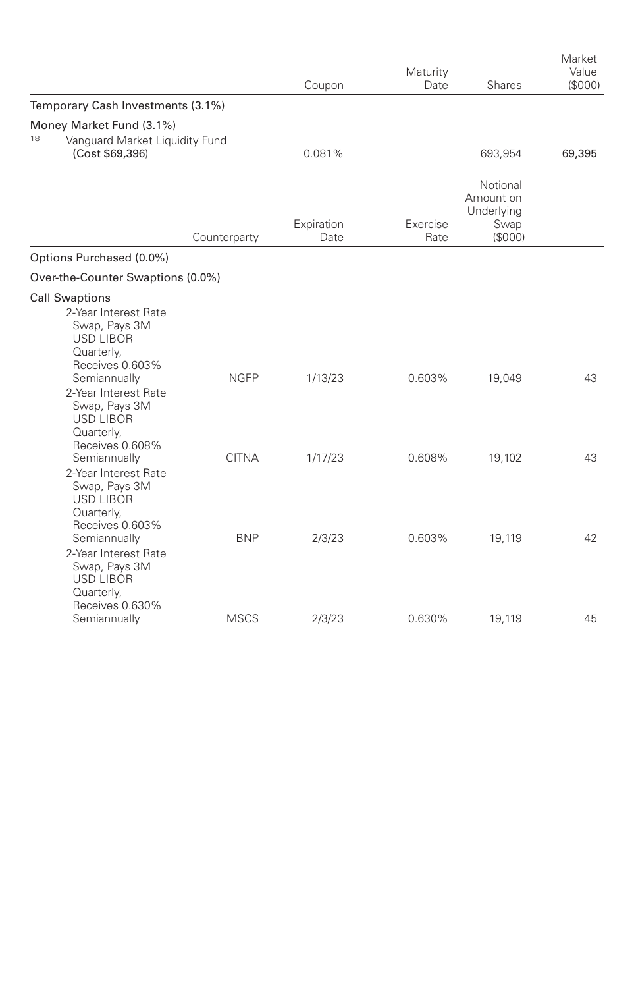|                                                                                                                                                                                                                |              | Coupon             | Maturity<br>Date | Shares                                                 | Market<br>Value<br>(\$000) |
|----------------------------------------------------------------------------------------------------------------------------------------------------------------------------------------------------------------|--------------|--------------------|------------------|--------------------------------------------------------|----------------------------|
| Temporary Cash Investments (3.1%)                                                                                                                                                                              |              |                    |                  |                                                        |                            |
| Money Market Fund (3.1%)<br>18<br>Vanquard Market Liquidity Fund<br>(Cost \$69,396)                                                                                                                            |              | 0.081%             |                  | 693,954                                                | 69,395                     |
|                                                                                                                                                                                                                | Counterparty | Expiration<br>Date | Exercise<br>Rate | Notional<br>Amount on<br>Underlying<br>Swap<br>(\$000) |                            |
| Options Purchased (0.0%)                                                                                                                                                                                       |              |                    |                  |                                                        |                            |
| Over-the-Counter Swaptions (0.0%)                                                                                                                                                                              |              |                    |                  |                                                        |                            |
| <b>Call Swaptions</b><br>2-Year Interest Rate<br>Swap, Pays 3M<br><b>USD LIBOR</b><br>Quarterly,<br>Receives 0.603%<br>Semiannually<br>2-Year Interest Rate<br>Swap, Pays 3M<br><b>USD LIBOR</b><br>Quarterly, | <b>NGFP</b>  | 1/13/23            | 0.603%           | 19,049                                                 | 43                         |
| Receives 0.608%<br>Semiannually<br>2-Year Interest Rate<br>Swap, Pays 3M<br><b>USD LIBOR</b><br>Quarterly,                                                                                                     | <b>CITNA</b> | 1/17/23            | 0.608%           | 19,102                                                 | 43                         |
| Receives 0.603%<br>Semiannually<br>2-Year Interest Rate<br>Swap, Pays 3M<br><b>USD LIBOR</b><br>Quarterly,<br>Receives 0.630%                                                                                  | <b>BNP</b>   | 2/3/23             | 0.603%           | 19,119                                                 | 42                         |
| Semiannually                                                                                                                                                                                                   | <b>MSCS</b>  | 2/3/23             | 0.630%           | 19,119                                                 | 45                         |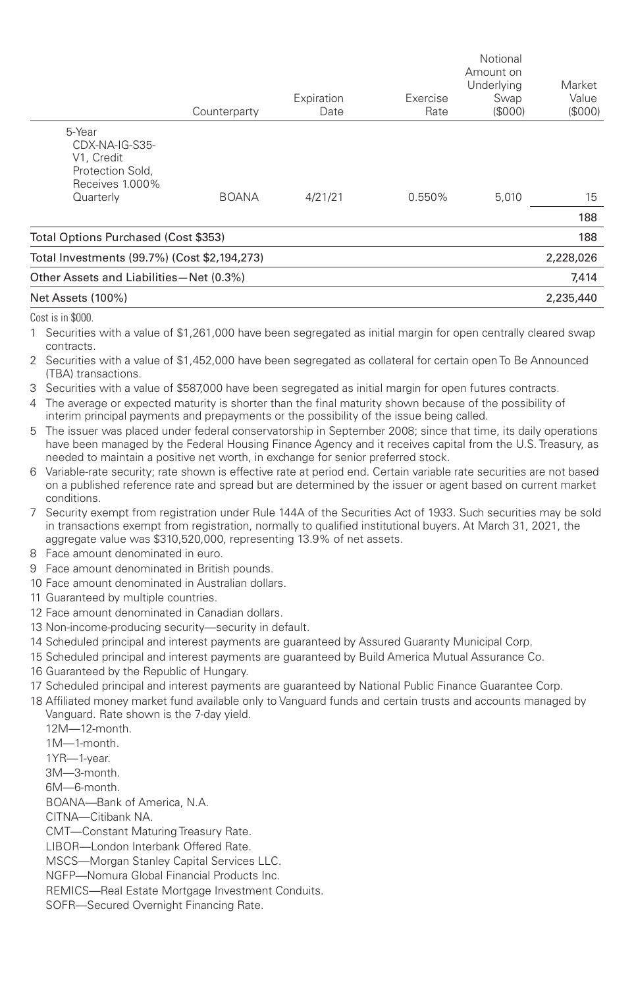|                                                                               | Counterparty | Expiration<br>Date | Exercise<br>Rate | Notional<br>Amount on<br>Underlying<br>Swap<br>(S000) | Market<br>Value<br>(S000) |
|-------------------------------------------------------------------------------|--------------|--------------------|------------------|-------------------------------------------------------|---------------------------|
| 5-Year<br>CDX-NA-IG-S35-<br>V1, Credit<br>Protection Sold,<br>Receives 1.000% |              |                    |                  |                                                       |                           |
| Quarterly                                                                     | <b>BOANA</b> | 4/21/21            | 0.550%           | 5,010                                                 | 15                        |
|                                                                               |              |                    |                  |                                                       | 188                       |
| Total Options Purchased (Cost \$353)                                          |              |                    |                  |                                                       | 188                       |
| Total Investments (99.7%) (Cost \$2,194,273)                                  |              |                    |                  |                                                       | 2,228,026                 |
| Other Assets and Liabilities-Net (0.3%)                                       |              |                    |                  |                                                       | 7,414                     |
| Net Assets (100%)                                                             |              |                    |                  |                                                       | 2,235,440                 |

Cost is in \$000.

1 Securities with a value of \$1,261,000 have been segregated as initial margin for open centrally cleared swap contracts.

2 Securities with a value of \$1,452,000 have been segregated as collateral for certain open To Be Announced (TBA) transactions.

3 Securities with a value of \$587,000 have been segregated as initial margin for open futures contracts.

4 The average or expected maturity is shorter than the final maturity shown because of the possibility of interim principal payments and prepayments or the possibility of the issue being called.

5 The issuer was placed under federal conservatorship in September 2008; since that time, its daily operations have been managed by the Federal Housing Finance Agency and it receives capital from the U.S. Treasury, as needed to maintain a positive net worth, in exchange for senior preferred stock.

6 Variable-rate security; rate shown is effective rate at period end. Certain variable rate securities are not based on a published reference rate and spread but are determined by the issuer or agent based on current market conditions.

7 Security exempt from registration under Rule 144A of the Securities Act of 1933. Such securities may be sold in transactions exempt from registration, normally to qualified institutional buyers. At March 31, 2021, the aggregate value was \$310,520,000, representing 13.9% of net assets.

- 8 Face amount denominated in euro.
- 9 Face amount denominated in British pounds.
- 10 Face amount denominated in Australian dollars.
- 11 Guaranteed by multiple countries.
- 12 Face amount denominated in Canadian dollars.
- 13 Non-income-producing security—security in default.
- 14 Scheduled principal and interest payments are guaranteed by Assured Guaranty Municipal Corp.
- 15 Scheduled principal and interest payments are guaranteed by Build America Mutual Assurance Co.
- 16 Guaranteed by the Republic of Hungary.
- 17 Scheduled principal and interest payments are guaranteed by National Public Finance Guarantee Corp.
- 18 Affiliated money market fund available only to Vanguard funds and certain trusts and accounts managed by Vanguard. Rate shown is the 7-day yield.

12M—12-month. 1M—1-month.

1YR—1-year.

3M—3-month.

6M—6-month.

BOANA—Bank of America, N.A.

CITNA—Citibank NA.

CMT—Constant Maturing Treasury Rate.

LIBOR—London Interbank Offered Rate.

MSCS—Morgan Stanley Capital Services LLC.

NGFP—Nomura Global Financial Products Inc.

REMICS—Real Estate Mortgage Investment Conduits.

SOFR—Secured Overnight Financing Rate.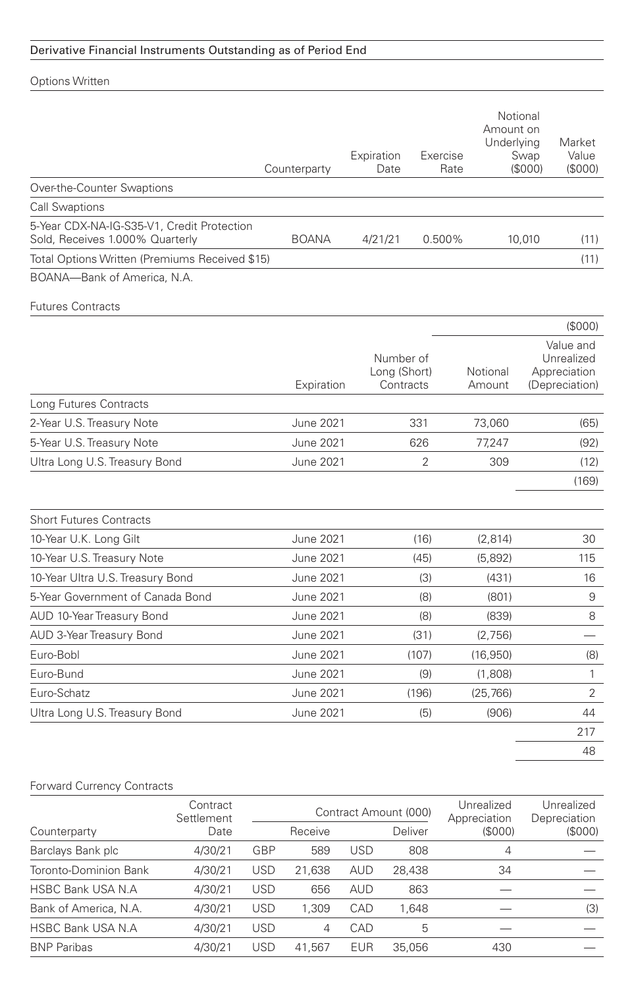## Derivative Financial Instruments Outstanding as of Period End

|                                                                               | Counterparty     | Expiration<br>Date                     | Exercise<br>Rate | Amount on<br>Underlying | Notional<br>Swap<br>(S000) | Market<br>Value<br>(\$000)                                |
|-------------------------------------------------------------------------------|------------------|----------------------------------------|------------------|-------------------------|----------------------------|-----------------------------------------------------------|
| Over-the-Counter Swaptions                                                    |                  |                                        |                  |                         |                            |                                                           |
| <b>Call Swaptions</b>                                                         |                  |                                        |                  |                         |                            |                                                           |
| 5-Year CDX-NA-IG-S35-V1, Credit Protection<br>Sold, Receives 1.000% Quarterly | <b>BOANA</b>     | 4/21/21                                | 0.500%           |                         | 10,010                     | (11)                                                      |
| Total Options Written (Premiums Received \$15)                                |                  |                                        |                  |                         |                            | (11)                                                      |
| BOANA-Bank of America, N.A.                                                   |                  |                                        |                  |                         |                            |                                                           |
| <b>Futures Contracts</b>                                                      |                  |                                        |                  |                         |                            |                                                           |
|                                                                               |                  |                                        |                  |                         |                            | (S000)                                                    |
|                                                                               | Expiration       | Number of<br>Long (Short)<br>Contracts |                  | Notional<br>Amount      |                            | Value and<br>Unrealized<br>Appreciation<br>(Depreciation) |
| Long Futures Contracts                                                        |                  |                                        |                  |                         |                            |                                                           |
| 2-Year U.S. Treasury Note                                                     | June 2021        |                                        | 331              | 73,060                  |                            | (65)                                                      |
| 5-Year U.S. Treasury Note                                                     | June 2021        |                                        | 626              | 77,247                  |                            | (92)                                                      |
| Ultra Long U.S. Treasury Bond                                                 | June 2021        |                                        | 2                | 309                     |                            | (12)                                                      |
|                                                                               |                  |                                        |                  |                         |                            | (169)                                                     |
| <b>Short Futures Contracts</b>                                                |                  |                                        |                  |                         |                            |                                                           |
| 10-Year U.K. Long Gilt                                                        | June 2021        |                                        | (16)             | (2, 814)                |                            | 30                                                        |
| 10-Year U.S. Treasury Note                                                    | June 2021        |                                        | (45)             | (5.892)                 |                            | 115                                                       |
| 10-Year Ultra U.S. Treasury Bond                                              | June 2021        |                                        | (3)              | (431)                   |                            | 16                                                        |
| 5-Year Government of Canada Bond                                              | June 2021        |                                        | (8)              | (801)                   |                            | 9                                                         |
| AUD 10-Year Treasury Bond                                                     | June 2021        |                                        | (8)              | (839)                   |                            | 8                                                         |
| AUD 3-Year Treasury Bond                                                      | June 2021        |                                        | (31)             | (2,756)                 |                            |                                                           |
| Euro-Bobl                                                                     | June 2021        |                                        | (107)            | (16, 950)               |                            | (8)                                                       |
| Euro-Bund                                                                     | June 2021        |                                        | (9)              | (1,808)                 |                            | 1                                                         |
| Euro-Schatz                                                                   | <b>June 2021</b> |                                        | (196)            | (25.766)                |                            | $\overline{2}$                                            |
| Ultra Long U.S. Treasury Bond                                                 | June 2021        |                                        | (5)              | (906)                   |                            | 44                                                        |
|                                                                               |                  |                                        |                  |                         |                            | 217                                                       |
|                                                                               |                  |                                        |                  |                         |                            | 48                                                        |

## Forward Currency Contracts

|                           | Contract<br>Settlement |            | Contract Amount (000) |            |        | Unrealized<br>Appreciation | Unrealized<br>Depreciation |  |
|---------------------------|------------------------|------------|-----------------------|------------|--------|----------------------------|----------------------------|--|
| Counterparty              | Date                   |            | Receive               | Deliver    |        | (S000)                     | (\$000)                    |  |
| Barclays Bank plc         | 4/30/21                | GBP        | 589                   | <b>USD</b> | 808    | 4                          |                            |  |
| Toronto-Dominion Bank     | 4/30/21                | <b>USD</b> | 21.638                | <b>AUD</b> | 28,438 | 34                         |                            |  |
| HSBC Bank USA N.A         | 4/30/21                | <b>USD</b> | 656                   | <b>AUD</b> | 863    |                            |                            |  |
| Bank of America, N.A.     | 4/30/21                | <b>USD</b> | 1.309                 | CAD        | 1.648  |                            | (3)                        |  |
| <b>HSBC Bank USA N.A.</b> | 4/30/21                | <b>USD</b> | 4                     | CAD        | 5      |                            |                            |  |
| <b>BNP Paribas</b>        | 4/30/21                | USD        | 41.567                | <b>EUR</b> | 35,056 | 430                        |                            |  |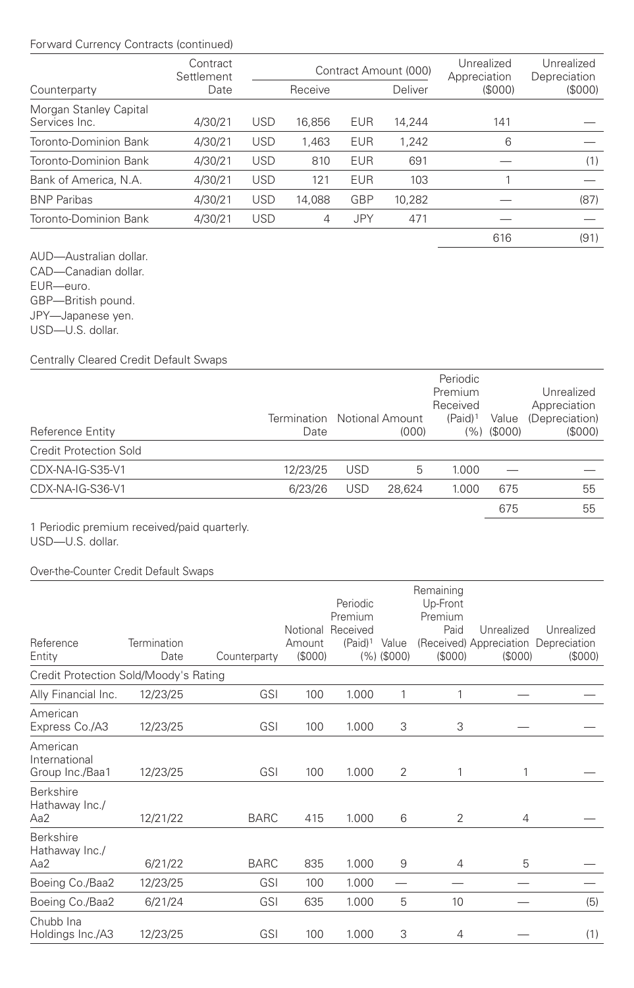## Forward Currency Contracts (continued)

|                                         | Contract<br>Settlement |            |         |            | Contract Amount (000) | Unrealized<br>Appreciation | Unrealized<br>Depreciation |
|-----------------------------------------|------------------------|------------|---------|------------|-----------------------|----------------------------|----------------------------|
| Counterparty                            | Date                   |            | Receive |            | Deliver               | (\$000)                    | (\$000)                    |
| Morgan Stanley Capital<br>Services Inc. | 4/30/21                | <b>USD</b> | 16,856  | <b>EUR</b> | 14,244                | 141                        |                            |
| Toronto-Dominion Bank                   | 4/30/21                | <b>USD</b> | 1.463   | <b>EUR</b> | 1.242                 | 6                          |                            |
| Toronto-Dominion Bank                   | 4/30/21                | <b>USD</b> | 810     | <b>EUR</b> | 691                   |                            | (1)                        |
| Bank of America, N.A.                   | 4/30/21                | <b>USD</b> | 121     | <b>EUR</b> | 103                   |                            |                            |
| <b>BNP Paribas</b>                      | 4/30/21                | <b>USD</b> | 14.088  | GBP        | 10,282                |                            | (87)                       |
| Toronto-Dominion Bank                   | 4/30/21                | <b>USD</b> | 4       | JPY        | 471                   |                            |                            |
|                                         |                        |            |         |            |                       | 616                        | (91)                       |

AUD—Australian dollar. CAD—Canadian dollar. EUR—euro. GBP—British pound. JPY—Japanese yen. USD—U.S. dollar.

Centrally Cleared Credit Default Swaps

| Reference Entity              | Termination Notional Amount<br>Date |            | (000)  | Periodic<br>Premium<br>Received<br>(Paid) <sup>1</sup> | Value<br>$(%)$ (\$000) | Unrealized<br>Appreciation<br>(Depreciation)<br>(S000) |
|-------------------------------|-------------------------------------|------------|--------|--------------------------------------------------------|------------------------|--------------------------------------------------------|
| <b>Credit Protection Sold</b> |                                     |            |        |                                                        |                        |                                                        |
| CDX-NA-IG-S35-V1              | 12/23/25                            | <b>USD</b> | 5      | 1.000                                                  |                        |                                                        |
| CDX-NA-IG-S36-V1              | 6/23/26                             | <b>USD</b> | 28.624 | 1.000                                                  | 675                    | 55                                                     |
|                               |                                     |            |        |                                                        | 675                    | 55                                                     |

1 Periodic premium received/paid quarterly. USD—U.S. dollar.

### Over-the-Counter Credit Default Swaps

|                                              |                     |              |                  | Periodic                                   |                     | Remaining<br>Up-Front      |                                                               |                       |
|----------------------------------------------|---------------------|--------------|------------------|--------------------------------------------|---------------------|----------------------------|---------------------------------------------------------------|-----------------------|
| Reference<br>Entity                          | Termination<br>Date | Counterparty | Amount<br>(S000) | Premium<br>Notional Received<br>$(Paid)^1$ | Value<br>(%)(\$000) | Premium<br>Paid<br>(\$000) | Unrealized<br>(Received) Appreciation Depreciation<br>(\$000) | Unrealized<br>(\$000) |
| Credit Protection Sold/Moody's Rating        |                     |              |                  |                                            |                     |                            |                                                               |                       |
| Ally Financial Inc.                          | 12/23/25            | <b>GSI</b>   | 100              | 1.000                                      | 1                   | 1                          |                                                               |                       |
| American<br>Express Co./A3                   | 12/23/25            | <b>GSI</b>   | 100              | 1.000                                      | 3                   | 3                          |                                                               |                       |
| American<br>International<br>Group Inc./Baa1 | 12/23/25            | GSI          | 100              | 1.000                                      | 2                   | 1                          | 1                                                             |                       |
| Berkshire<br>Hathaway Inc./<br>Aa2           | 12/21/22            | <b>BARC</b>  | 415              | 1.000                                      | 6                   | $\mathfrak{D}$             | 4                                                             |                       |
| Berkshire<br>Hathaway Inc./<br>Aa2           | 6/21/22             | <b>BARC</b>  | 835              | 1.000                                      | 9                   | 4                          | 5                                                             |                       |
| Boeing Co./Baa2                              | 12/23/25            | <b>GSI</b>   | 100              | 1.000                                      |                     |                            |                                                               |                       |
| Boeing Co./Baa2                              | 6/21/24             | <b>GSI</b>   | 635              | 1.000                                      | 5                   | 10                         |                                                               | (5)                   |
| Chubb Ina<br>Holdings Inc./A3                | 12/23/25            | <b>GSI</b>   | 100              | 1.000                                      | 3                   | 4                          |                                                               | (1)                   |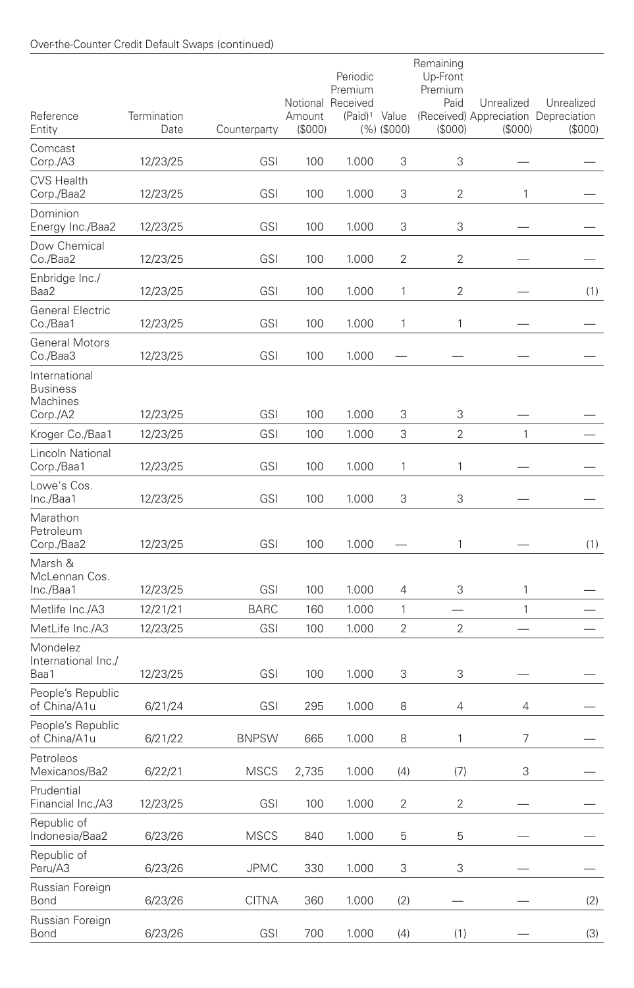| Reference<br>Entity                                      | Termination<br>Date | Counterparty | Amount<br>(S000) | Periodic<br>Premium<br>Notional Received<br>(Paid) <sup>1</sup> Value | $(%)$ (\$000)  | Remaining<br>Up-Front<br>Premium<br>Paid<br>(\$000) | Unrealized<br>(\$000) | Unrealized<br>(Received) Appreciation Depreciation<br>(\$000) |
|----------------------------------------------------------|---------------------|--------------|------------------|-----------------------------------------------------------------------|----------------|-----------------------------------------------------|-----------------------|---------------------------------------------------------------|
| Comcast<br>Corp./A3                                      | 12/23/25            | <b>GSI</b>   | 100              | 1.000                                                                 | 3              | 3                                                   |                       |                                                               |
| <b>CVS Health</b><br>Corp./Baa2                          | 12/23/25            | <b>GSI</b>   | 100              | 1.000                                                                 | 3              | 2                                                   | 1                     |                                                               |
| Dominion<br>Energy Inc./Baa2                             | 12/23/25            | <b>GSI</b>   | 100              | 1.000                                                                 | 3              | 3                                                   |                       |                                                               |
| Dow Chemical<br>Co./Baa2                                 | 12/23/25            | <b>GSI</b>   | 100              | 1.000                                                                 | 2              | $\overline{2}$                                      |                       |                                                               |
| Enbridge Inc./<br>Baa2                                   | 12/23/25            | <b>GSI</b>   | 100              | 1.000                                                                 | 1              | $\overline{2}$                                      |                       | (1)                                                           |
| <b>General Electric</b><br>Co./Baa1                      | 12/23/25            | <b>GSI</b>   | 100              | 1.000                                                                 | 1              | 1                                                   |                       |                                                               |
| <b>General Motors</b><br>Co./Baa3                        | 12/23/25            | <b>GSI</b>   | 100              | 1.000                                                                 |                |                                                     |                       |                                                               |
| International<br><b>Business</b><br>Machines<br>Corp./A2 | 12/23/25            | <b>GSI</b>   | 100              | 1.000                                                                 | 3              | 3                                                   |                       |                                                               |
| Kroger Co./Baa1                                          | 12/23/25            | <b>GSI</b>   | 100              | 1.000                                                                 | 3              | $\overline{2}$                                      | 1                     |                                                               |
| Lincoln National<br>Corp./Baa1                           | 12/23/25            | <b>GSI</b>   | 100              | 1.000                                                                 | 1              | 1                                                   |                       |                                                               |
| Lowe's Cos.<br>Inc./Baa1                                 | 12/23/25            | <b>GSI</b>   | 100              | 1.000                                                                 | 3              | 3                                                   |                       |                                                               |
| Marathon<br>Petroleum<br>Corp./Baa2                      | 12/23/25            | <b>GSI</b>   | 100              | 1.000                                                                 |                | 1                                                   |                       | (1)                                                           |
| Marsh &<br>McLennan Cos.<br>Inc./Baa1                    | 12/23/25            | <b>GSI</b>   | 100              | 1.000                                                                 | 4              | 3                                                   | 1                     |                                                               |
| Metlife Inc./A3                                          | 12/21/21            | <b>BARC</b>  | 160              | 1.000                                                                 | 1              |                                                     | $\mathbf{1}$          |                                                               |
| MetLife Inc./A3                                          | 12/23/25            | <b>GSI</b>   | 100              | 1.000                                                                 | $\overline{2}$ | $\overline{2}$                                      |                       |                                                               |
| Mondelez<br>International Inc./<br>Baa1                  | 12/23/25            | GSI          | 100              | 1.000                                                                 | 3              | 3                                                   |                       |                                                               |
| People's Republic<br>of China/A1u                        | 6/21/24             | <b>GSI</b>   | 295              | 1.000                                                                 | 8              | 4                                                   | 4                     |                                                               |
| People's Republic<br>of China/A1u                        | 6/21/22             | <b>BNPSW</b> | 665              | 1.000                                                                 | 8              | 1                                                   | 7                     |                                                               |
| Petroleos<br>Mexicanos/Ba2                               | 6/22/21             | <b>MSCS</b>  | 2,735            | 1.000                                                                 | (4)            | (7)                                                 | 3                     |                                                               |
| Prudential<br>Financial Inc./A3                          | 12/23/25            | <b>GSI</b>   | 100              | 1.000                                                                 | 2              | 2                                                   |                       |                                                               |
| Republic of<br>Indonesia/Baa2                            | 6/23/26             | <b>MSCS</b>  | 840              | 1.000                                                                 | 5              | 5                                                   |                       |                                                               |
| Republic of<br>Peru/A3                                   | 6/23/26             | <b>JPMC</b>  | 330              | 1.000                                                                 | 3              | 3                                                   |                       |                                                               |
| Russian Foreign<br>Bond                                  | 6/23/26             | <b>CITNA</b> | 360              | 1.000                                                                 | (2)            |                                                     |                       | (2)                                                           |
| Russian Foreign<br>Bond                                  | 6/23/26             | GSI          | 700              | 1.000                                                                 | (4)            | (1)                                                 |                       | (3)                                                           |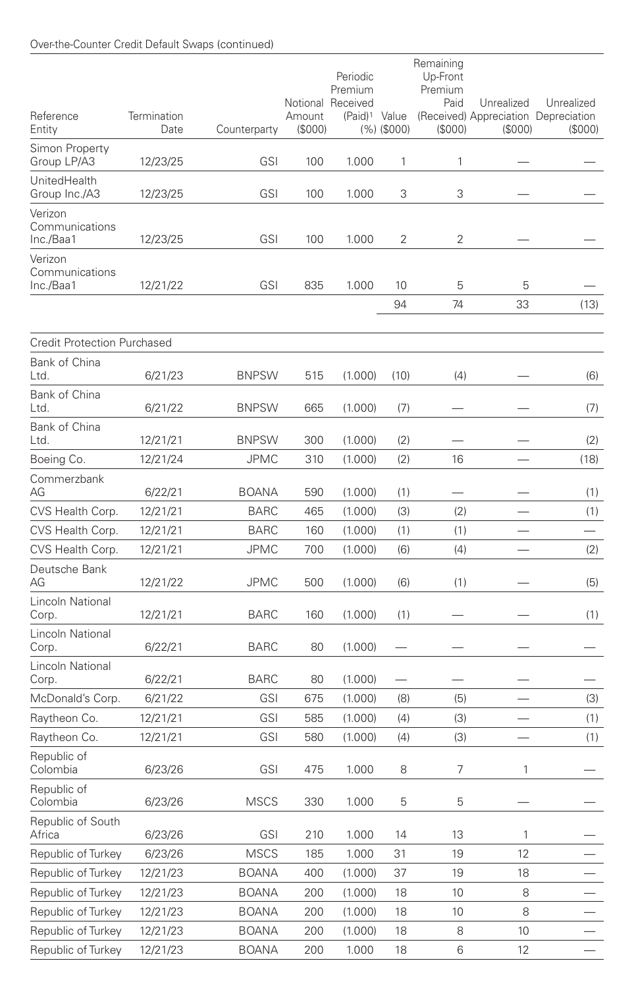### Over-the-Counter Credit Default Swaps (continued)

| Reference<br>Entity                    | Termination<br>Date | Counterparty | Amount<br>(S000) | Periodic<br>Premium<br>Notional Received<br>(Paid) <sup>1</sup> Value | $(%)$ (\$000) | Remaining<br>Up-Front<br>Premium<br>Paid<br>(S000) | Unrealized<br>(\$000)    | Unrealized<br>(Received) Appreciation Depreciation<br>(S000) |
|----------------------------------------|---------------------|--------------|------------------|-----------------------------------------------------------------------|---------------|----------------------------------------------------|--------------------------|--------------------------------------------------------------|
| Simon Property<br>Group LP/A3          | 12/23/25            | GSI          | 100              | 1.000                                                                 | 1             | 1                                                  |                          |                                                              |
| <b>UnitedHealth</b><br>Group Inc./A3   | 12/23/25            | <b>GSI</b>   | 100              | 1.000                                                                 | 3             | 3                                                  |                          |                                                              |
| Verizon<br>Communications<br>Inc./Baa1 | 12/23/25            | GSI          | 100              | 1.000                                                                 | 2             | 2                                                  |                          |                                                              |
| Verizon<br>Communications<br>Inc./Baa1 | 12/21/22            | <b>GSI</b>   | 835              | 1.000                                                                 | 10<br>94      | 5<br>74                                            | 5<br>33                  | (13)                                                         |
| <b>Credit Protection Purchased</b>     |                     |              |                  |                                                                       |               |                                                    |                          |                                                              |
| Bank of China                          |                     |              |                  |                                                                       |               |                                                    |                          |                                                              |
| Ltd.                                   | 6/21/23             | <b>BNPSW</b> | 515              | (1.000)                                                               | (10)          | (4)                                                |                          | (6)                                                          |
| Bank of China<br>Ltd.                  | 6/21/22             | <b>BNPSW</b> | 665              | (1.000)                                                               | (7)           |                                                    |                          | (7)                                                          |
| Bank of China<br>Ltd.                  | 12/21/21            | <b>BNPSW</b> | 300              | (1.000)                                                               | (2)           |                                                    |                          | (2)                                                          |
| Boeing Co.                             | 12/21/24            | <b>JPMC</b>  | 310              | (1.000)                                                               | (2)           | 16                                                 |                          | (18)                                                         |
| Commerzbank<br>AG                      | 6/22/21             | <b>BOANA</b> | 590              | (1.000)                                                               | (1)           |                                                    |                          | (1)                                                          |
| CVS Health Corp.                       | 12/21/21            | <b>BARC</b>  | 465              | (1.000)                                                               | (3)           | (2)                                                | $\overline{\phantom{0}}$ | (1)                                                          |
| CVS Health Corp.                       | 12/21/21            | BARC         | 160              | (1.000)                                                               | (1)           | (1)                                                |                          |                                                              |
| CVS Health Corp.                       | 12/21/21            | <b>JPMC</b>  | 700              | (1.000)                                                               | (6)           | (4)                                                |                          | (2)                                                          |
| Deutsche Bank<br>AG                    | 12/21/22            | <b>JPMC</b>  | 500              | (1.000)                                                               | (6)           | (1)                                                |                          | (5)                                                          |
| Lincoln National<br>Corp.              | 12/21/21            | <b>BARC</b>  | 160              | (1.000)                                                               | (1)           |                                                    |                          | (1)                                                          |
| Lincoln National<br>Corp.              | 6/22/21             | BARC         | 80               | (1.000)                                                               |               |                                                    |                          |                                                              |
| Lincoln National<br>Corp.              | 6/22/21             | <b>BARC</b>  | 80               | (1.000)                                                               |               |                                                    |                          |                                                              |
| McDonald's Corp.                       | 6/21/22             | <b>GSI</b>   | 675              | (1.000)                                                               | (8)           | (5)                                                |                          | (3)                                                          |
| Raytheon Co.                           | 12/21/21            | <b>GSI</b>   | 585              | (1.000)                                                               | (4)           | (3)                                                |                          | (1)                                                          |
| Raytheon Co.                           | 12/21/21            | <b>GSI</b>   | 580              | (1.000)                                                               | (4)           | (3)                                                | $\overline{\phantom{0}}$ | (1)                                                          |
| Republic of<br>Colombia                | 6/23/26             | GSI          | 475              | 1.000                                                                 | 8             | 7                                                  | 1                        |                                                              |
| Republic of<br>Colombia                | 6/23/26             | <b>MSCS</b>  | 330              | 1.000                                                                 | 5             | 5                                                  |                          |                                                              |
| Republic of South<br>Africa            | 6/23/26             | GSI          | 210              | 1.000                                                                 | 14            | 13                                                 | 1                        |                                                              |
| Republic of Turkey                     | 6/23/26             | <b>MSCS</b>  | 185              | 1.000                                                                 | 31            | 19                                                 | 12                       |                                                              |
| Republic of Turkey                     | 12/21/23            | <b>BOANA</b> | 400              | (1.000)                                                               | 37            | 19                                                 | 18                       |                                                              |
| Republic of Turkey                     | 12/21/23            | <b>BOANA</b> | 200              | (1.000)                                                               | 18            | 10                                                 | 8                        |                                                              |
| Republic of Turkey                     | 12/21/23            | BOANA        | 200              | (1.000)                                                               | 18            | 10                                                 | 8                        |                                                              |
| Republic of Turkey                     | 12/21/23            | BOANA        | 200              | (1.000)                                                               | 18            | 8                                                  | 10                       |                                                              |
| Republic of Turkey                     | 12/21/23            | BOANA        | 200              | 1.000                                                                 | 18            | 6                                                  | 12                       |                                                              |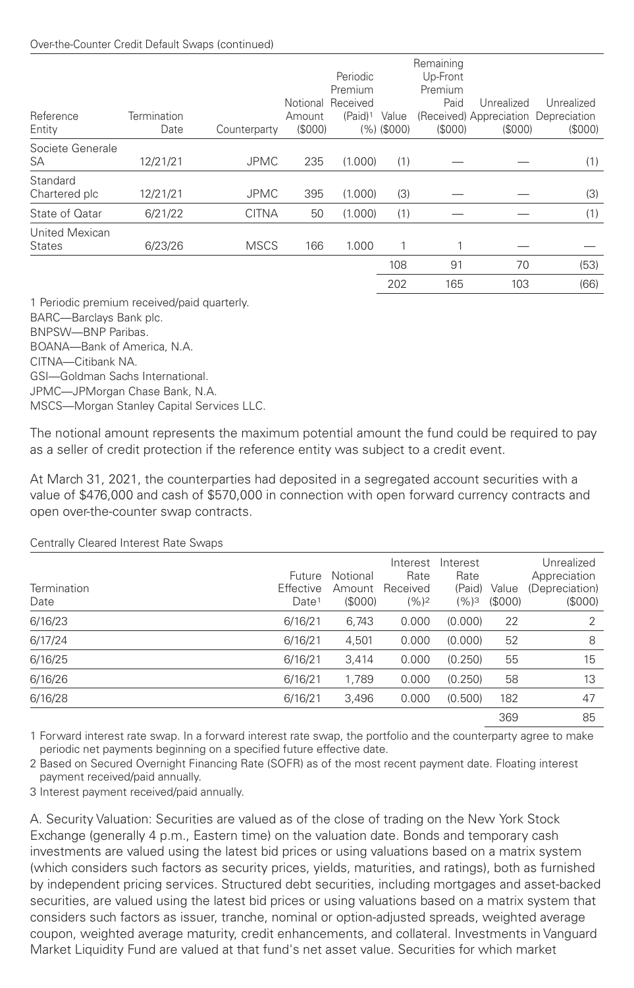### Over-the-Counter Credit Default Swaps (continued)

| Termination<br>Date | Counterparty | Notional<br>Amount | Periodic<br>Premium<br>Received<br>$(Paid)^1$ | Value  | Up-Front<br>Premium<br>Paid<br>(S000) | Unrealized<br>(\$000) | Unrealized<br>(\$000)                |
|---------------------|--------------|--------------------|-----------------------------------------------|--------|---------------------------------------|-----------------------|--------------------------------------|
| 12/21/21            | <b>JPMC</b>  | 235                | (1.000)                                       | (1)    |                                       |                       | (1)                                  |
| 12/21/21            | <b>JPMC</b>  | 395                | (1.000)                                       | (3)    |                                       |                       | (3)                                  |
| 6/21/22             | <b>CITNA</b> | 50                 | (1.000)                                       | (1)    |                                       |                       | (1)                                  |
| 6/23/26             | <b>MSCS</b>  | 166                | 1.000                                         | 1      |                                       |                       |                                      |
|                     |              |                    |                                               | 108    | 91                                    | 70                    | (53)                                 |
|                     |              |                    |                                               | 202    | 165                                   | 103                   | (66)                                 |
|                     |              |                    |                                               | (S000) | (%)(\$000)                            | Remaining             | (Received) Appreciation Depreciation |

1 Periodic premium received/paid quarterly. BARC—Barclays Bank plc. BNPSW—BNP Paribas. BOANA—Bank of America, N.A. CITNA—Citibank NA. GSI—Goldman Sachs International.

JPMC—JPMorgan Chase Bank, N.A. MSCS—Morgan Stanley Capital Services LLC.

The notional amount represents the maximum potential amount the fund could be required to pay as a seller of credit protection if the reference entity was subject to a credit event.

At March 31, 2021, the counterparties had deposited in a segregated account securities with a value of \$476,000 and cash of \$570,000 in connection with open forward currency contracts and open over-the-counter swap contracts.

| <b>Contrany Croarda interest nate overable</b> |                                          |                              |                                         |                                       |                  |                                                        |
|------------------------------------------------|------------------------------------------|------------------------------|-----------------------------------------|---------------------------------------|------------------|--------------------------------------------------------|
| Termination<br>Date                            | Future<br>Effective<br>Date <sup>1</sup> | Notional<br>Amount<br>(S000) | Interest<br>Rate<br>Received<br>$(%)^2$ | Interest<br>Rate<br>(Paid)<br>$(%)^3$ | Value<br>(\$000) | Unrealized<br>Appreciation<br>(Depreciation)<br>(S000) |
| 6/16/23                                        | 6/16/21                                  | 6.743                        | 0.000                                   | (0.000)                               | 22               | 2                                                      |
| 6/17/24                                        | 6/16/21                                  | 4,501                        | 0.000                                   | (0.000)                               | 52               | 8                                                      |
| 6/16/25                                        | 6/16/21                                  | 3.414                        | 0.000                                   | (0.250)                               | 55               | 15                                                     |
| 6/16/26                                        | 6/16/21                                  | 1,789                        | 0.000                                   | (0.250)                               | 58               | 13                                                     |
| 6/16/28                                        | 6/16/21                                  | 3.496                        | 0.000                                   | (0.500)                               | 182              | 47                                                     |
|                                                |                                          |                              |                                         |                                       | 369              | 85                                                     |

Centrally Cleared Interest Rate Swaps

1 Forward interest rate swap. In a forward interest rate swap, the portfolio and the counterparty agree to make periodic net payments beginning on a specified future effective date.

2 Based on Secured Overnight Financing Rate (SOFR) as of the most recent payment date. Floating interest payment received/paid annually.

3 Interest payment received/paid annually.

A. Security Valuation: Securities are valued as of the close of trading on the New York Stock Exchange (generally 4 p.m., Eastern time) on the valuation date. Bonds and temporary cash investments are valued using the latest bid prices or using valuations based on a matrix system (which considers such factors as security prices, yields, maturities, and ratings), both as furnished by independent pricing services. Structured debt securities, including mortgages and asset-backed securities, are valued using the latest bid prices or using valuations based on a matrix system that considers such factors as issuer, tranche, nominal or option-adjusted spreads, weighted average coupon, weighted average maturity, credit enhancements, and collateral. Investments in Vanguard Market Liquidity Fund are valued at that fund's net asset value. Securities for which market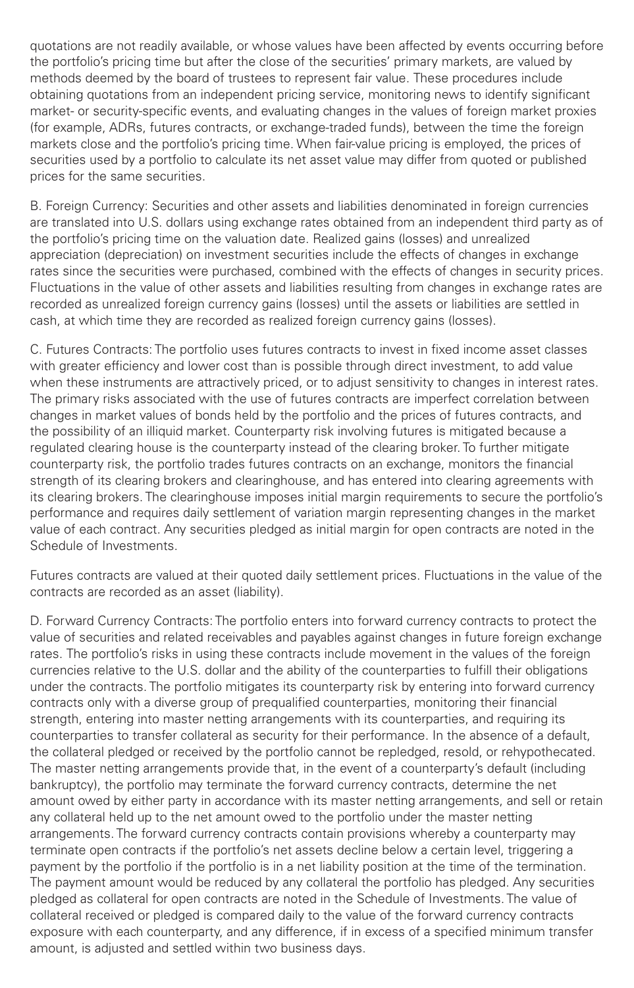quotations are not readily available, or whose values have been affected by events occurring before the portfolio's pricing time but after the close of the securities' primary markets, are valued by methods deemed by the board of trustees to represent fair value. These procedures include obtaining quotations from an independent pricing service, monitoring news to identify significant market- or security-specific events, and evaluating changes in the values of foreign market proxies (for example, ADRs, futures contracts, or exchange-traded funds), between the time the foreign markets close and the portfolio's pricing time. When fair-value pricing is employed, the prices of securities used by a portfolio to calculate its net asset value may differ from quoted or published prices for the same securities.

B. Foreign Currency: Securities and other assets and liabilities denominated in foreign currencies are translated into U.S. dollars using exchange rates obtained from an independent third party as of the portfolio's pricing time on the valuation date. Realized gains (losses) and unrealized appreciation (depreciation) on investment securities include the effects of changes in exchange rates since the securities were purchased, combined with the effects of changes in security prices. Fluctuations in the value of other assets and liabilities resulting from changes in exchange rates are recorded as unrealized foreign currency gains (losses) until the assets or liabilities are settled in cash, at which time they are recorded as realized foreign currency gains (losses).

C. Futures Contracts: The portfolio uses futures contracts to invest in fixed income asset classes with greater efficiency and lower cost than is possible through direct investment, to add value when these instruments are attractively priced, or to adjust sensitivity to changes in interest rates. The primary risks associated with the use of futures contracts are imperfect correlation between changes in market values of bonds held by the portfolio and the prices of futures contracts, and the possibility of an illiquid market. Counterparty risk involving futures is mitigated because a regulated clearing house is the counterparty instead of the clearing broker. To further mitigate counterparty risk, the portfolio trades futures contracts on an exchange, monitors the financial strength of its clearing brokers and clearinghouse, and has entered into clearing agreements with its clearing brokers. The clearinghouse imposes initial margin requirements to secure the portfolio's performance and requires daily settlement of variation margin representing changes in the market value of each contract. Any securities pledged as initial margin for open contracts are noted in the Schedule of Investments.

Futures contracts are valued at their quoted daily settlement prices. Fluctuations in the value of the contracts are recorded as an asset (liability).

D. Forward Currency Contracts: The portfolio enters into forward currency contracts to protect the value of securities and related receivables and payables against changes in future foreign exchange rates. The portfolio's risks in using these contracts include movement in the values of the foreign currencies relative to the U.S. dollar and the ability of the counterparties to fulfill their obligations under the contracts. The portfolio mitigates its counterparty risk by entering into forward currency contracts only with a diverse group of prequalified counterparties, monitoring their financial strength, entering into master netting arrangements with its counterparties, and requiring its counterparties to transfer collateral as security for their performance. In the absence of a default, the collateral pledged or received by the portfolio cannot be repledged, resold, or rehypothecated. The master netting arrangements provide that, in the event of a counterparty's default (including bankruptcy), the portfolio may terminate the forward currency contracts, determine the net amount owed by either party in accordance with its master netting arrangements, and sell or retain any collateral held up to the net amount owed to the portfolio under the master netting arrangements. The forward currency contracts contain provisions whereby a counterparty may terminate open contracts if the portfolio's net assets decline below a certain level, triggering a payment by the portfolio if the portfolio is in a net liability position at the time of the termination. The payment amount would be reduced by any collateral the portfolio has pledged. Any securities pledged as collateral for open contracts are noted in the Schedule of Investments. The value of collateral received or pledged is compared daily to the value of the forward currency contracts exposure with each counterparty, and any difference, if in excess of a specified minimum transfer amount, is adjusted and settled within two business days.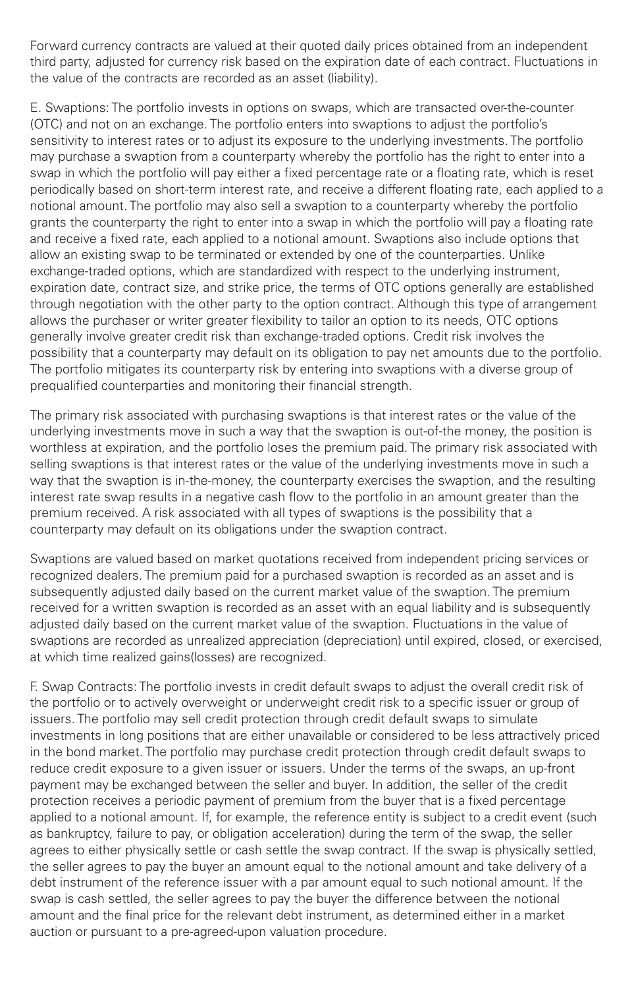Forward currency contracts are valued at their quoted daily prices obtained from an independent third party, adjusted for currency risk based on the expiration date of each contract. Fluctuations in the value of the contracts are recorded as an asset (liability).

E. Swaptions: The portfolio invests in options on swaps, which are transacted over-the-counter (OTC) and not on an exchange. The portfolio enters into swaptions to adjust the portfolio's sensitivity to interest rates or to adjust its exposure to the underlying investments. The portfolio may purchase a swaption from a counterparty whereby the portfolio has the right to enter into a swap in which the portfolio will pay either a fixed percentage rate or a floating rate, which is reset periodically based on short-term interest rate, and receive a different floating rate, each applied to a notional amount. The portfolio may also sell a swaption to a counterparty whereby the portfolio grants the counterparty the right to enter into a swap in which the portfolio will pay a floating rate and receive a fixed rate, each applied to a notional amount. Swaptions also include options that allow an existing swap to be terminated or extended by one of the counterparties. Unlike exchange-traded options, which are standardized with respect to the underlying instrument, expiration date, contract size, and strike price, the terms of OTC options generally are established through negotiation with the other party to the option contract. Although this type of arrangement allows the purchaser or writer greater flexibility to tailor an option to its needs, OTC options generally involve greater credit risk than exchange-traded options. Credit risk involves the possibility that a counterparty may default on its obligation to pay net amounts due to the portfolio. The portfolio mitigates its counterparty risk by entering into swaptions with a diverse group of prequalified counterparties and monitoring their financial strength.

The primary risk associated with purchasing swaptions is that interest rates or the value of the underlying investments move in such a way that the swaption is out-of-the money, the position is worthless at expiration, and the portfolio loses the premium paid. The primary risk associated with selling swaptions is that interest rates or the value of the underlying investments move in such a way that the swaption is in-the-money, the counterparty exercises the swaption, and the resulting interest rate swap results in a negative cash flow to the portfolio in an amount greater than the premium received. A risk associated with all types of swaptions is the possibility that a counterparty may default on its obligations under the swaption contract.

Swaptions are valued based on market quotations received from independent pricing services or recognized dealers. The premium paid for a purchased swaption is recorded as an asset and is subsequently adjusted daily based on the current market value of the swaption. The premium received for a written swaption is recorded as an asset with an equal liability and is subsequently adjusted daily based on the current market value of the swaption. Fluctuations in the value of swaptions are recorded as unrealized appreciation (depreciation) until expired, closed, or exercised, at which time realized gains(losses) are recognized.

F. Swap Contracts: The portfolio invests in credit default swaps to adjust the overall credit risk of the portfolio or to actively overweight or underweight credit risk to a specific issuer or group of issuers. The portfolio may sell credit protection through credit default swaps to simulate investments in long positions that are either unavailable or considered to be less attractively priced in the bond market. The portfolio may purchase credit protection through credit default swaps to reduce credit exposure to a given issuer or issuers. Under the terms of the swaps, an up-front payment may be exchanged between the seller and buyer. In addition, the seller of the credit protection receives a periodic payment of premium from the buyer that is a fixed percentage applied to a notional amount. If, for example, the reference entity is subject to a credit event (such as bankruptcy, failure to pay, or obligation acceleration) during the term of the swap, the seller agrees to either physically settle or cash settle the swap contract. If the swap is physically settled, the seller agrees to pay the buyer an amount equal to the notional amount and take delivery of a debt instrument of the reference issuer with a par amount equal to such notional amount. If the swap is cash settled, the seller agrees to pay the buyer the difference between the notional amount and the final price for the relevant debt instrument, as determined either in a market auction or pursuant to a pre-agreed-upon valuation procedure.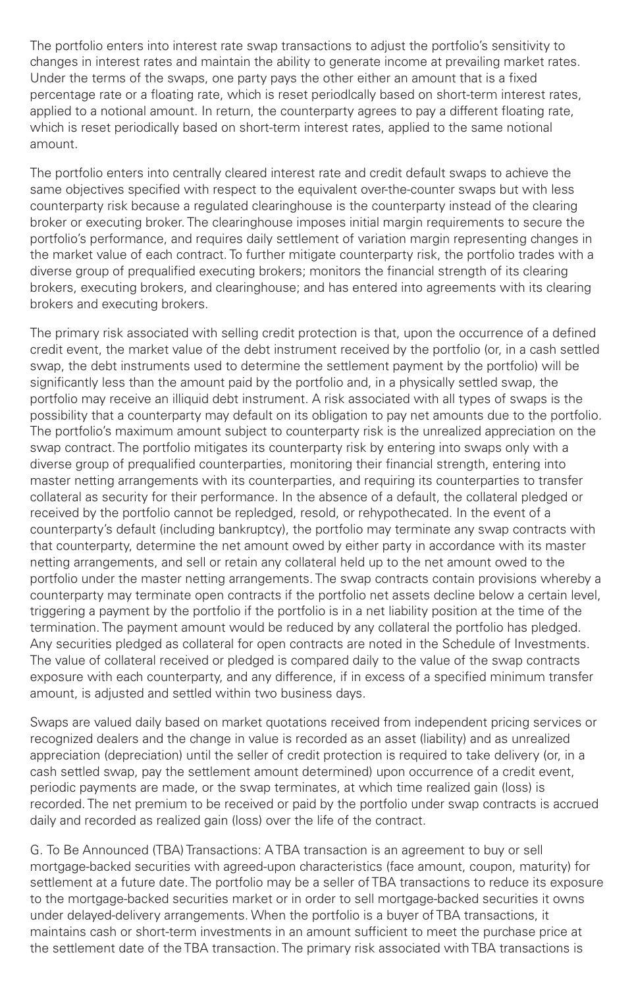The portfolio enters into interest rate swap transactions to adjust the portfolio's sensitivity to changes in interest rates and maintain the ability to generate income at prevailing market rates. Under the terms of the swaps, one party pays the other either an amount that is a fixed percentage rate or a floating rate, which is reset periodlcally based on short-term interest rates, applied to a notional amount. In return, the counterparty agrees to pay a different floating rate, which is reset periodically based on short-term interest rates, applied to the same notional amount.

The portfolio enters into centrally cleared interest rate and credit default swaps to achieve the same objectives specified with respect to the equivalent over-the-counter swaps but with less counterparty risk because a regulated clearinghouse is the counterparty instead of the clearing broker or executing broker. The clearinghouse imposes initial margin requirements to secure the portfolio's performance, and requires daily settlement of variation margin representing changes in the market value of each contract. To further mitigate counterparty risk, the portfolio trades with a diverse group of prequalified executing brokers; monitors the financial strength of its clearing brokers, executing brokers, and clearinghouse; and has entered into agreements with its clearing brokers and executing brokers.

The primary risk associated with selling credit protection is that, upon the occurrence of a defined credit event, the market value of the debt instrument received by the portfolio (or, in a cash settled swap, the debt instruments used to determine the settlement payment by the portfolio) will be significantly less than the amount paid by the portfolio and, in a physically settled swap, the portfolio may receive an illiquid debt instrument. A risk associated with all types of swaps is the possibility that a counterparty may default on its obligation to pay net amounts due to the portfolio. The portfolio's maximum amount subject to counterparty risk is the unrealized appreciation on the swap contract. The portfolio mitigates its counterparty risk by entering into swaps only with a diverse group of prequalified counterparties, monitoring their financial strength, entering into master netting arrangements with its counterparties, and requiring its counterparties to transfer collateral as security for their performance. In the absence of a default, the collateral pledged or received by the portfolio cannot be repledged, resold, or rehypothecated. In the event of a counterparty's default (including bankruptcy), the portfolio may terminate any swap contracts with that counterparty, determine the net amount owed by either party in accordance with its master netting arrangements, and sell or retain any collateral held up to the net amount owed to the portfolio under the master netting arrangements. The swap contracts contain provisions whereby a counterparty may terminate open contracts if the portfolio net assets decline below a certain level, triggering a payment by the portfolio if the portfolio is in a net liability position at the time of the termination. The payment amount would be reduced by any collateral the portfolio has pledged. Any securities pledged as collateral for open contracts are noted in the Schedule of Investments. The value of collateral received or pledged is compared daily to the value of the swap contracts exposure with each counterparty, and any difference, if in excess of a specified minimum transfer amount, is adjusted and settled within two business days.

Swaps are valued daily based on market quotations received from independent pricing services or recognized dealers and the change in value is recorded as an asset (liability) and as unrealized appreciation (depreciation) until the seller of credit protection is required to take delivery (or, in a cash settled swap, pay the settlement amount determined) upon occurrence of a credit event, periodic payments are made, or the swap terminates, at which time realized gain (loss) is recorded. The net premium to be received or paid by the portfolio under swap contracts is accrued daily and recorded as realized gain (loss) over the life of the contract.

G. To Be Announced (TBA) Transactions: A TBA transaction is an agreement to buy or sell mortgage-backed securities with agreed-upon characteristics (face amount, coupon, maturity) for settlement at a future date. The portfolio may be a seller of TBA transactions to reduce its exposure to the mortgage-backed securities market or in order to sell mortgage-backed securities it owns under delayed-delivery arrangements. When the portfolio is a buyer of TBA transactions, it maintains cash or short-term investments in an amount sufficient to meet the purchase price at the settlement date of the TBA transaction. The primary risk associated with TBA transactions is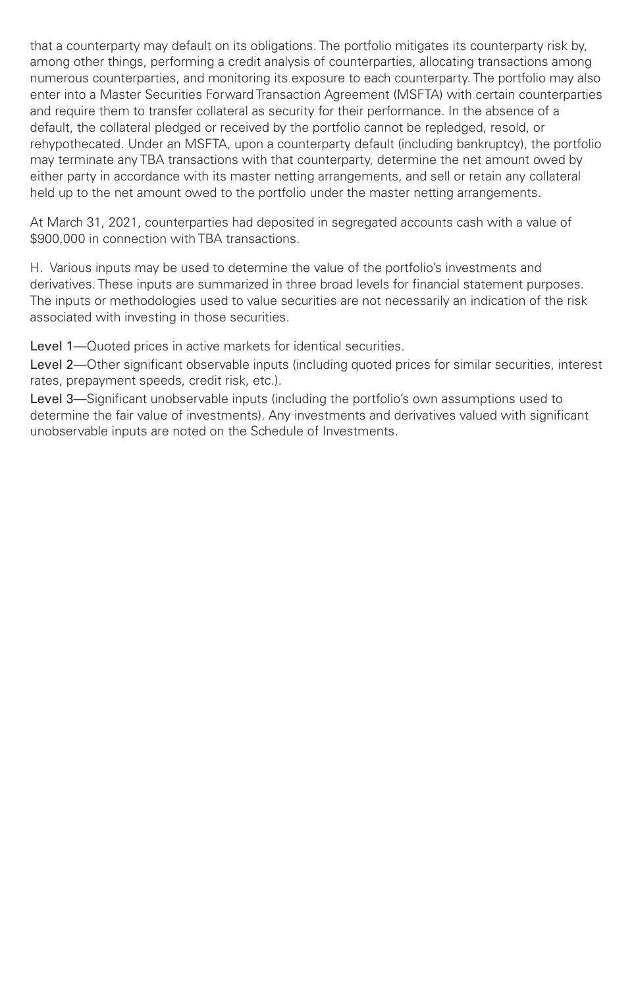that a counterparty may default on its obligations. The portfolio mitigates its counterparty risk by, among other things, performing a credit analysis of counterparties, allocating transactions among numerous counterparties, and monitoring its exposure to each counterparty. The portfolio may also enter into a Master Securities Forward Transaction Agreement (MSFTA) with certain counterparties and require them to transfer collateral as security for their performance. In the absence of a default, the collateral pledged or received by the portfolio cannot be repledged, resold, or rehypothecated. Under an MSFTA, upon a counterparty default (including bankruptcy), the portfolio may terminate any TBA transactions with that counterparty, determine the net amount owed by either party in accordance with its master netting arrangements, and sell or retain any collateral held up to the net amount owed to the portfolio under the master netting arrangements.

At March 31, 2021, counterparties had deposited in segregated accounts cash with a value of \$900,000 in connection with TBA transactions.

H. Various inputs may be used to determine the value of the portfolio's investments and derivatives. These inputs are summarized in three broad levels for financial statement purposes. The inputs or methodologies used to value securities are not necessarily an indication of the risk associated with investing in those securities.

Level 1—Quoted prices in active markets for identical securities.

Level 2—Other significant observable inputs (including quoted prices for similar securities, interest rates, prepayment speeds, credit risk, etc.).

Level 3—Significant unobservable inputs (including the portfolio's own assumptions used to determine the fair value of investments). Any investments and derivatives valued with significant unobservable inputs are noted on the Schedule of Investments.